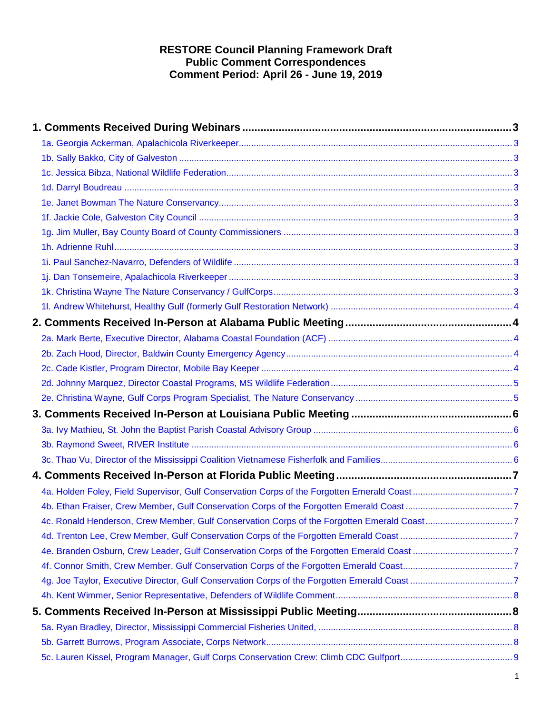## **RESTORE Council Planning Framework Draft Public Comment Correspondences Comment Period: April 26 - June 19, 2019**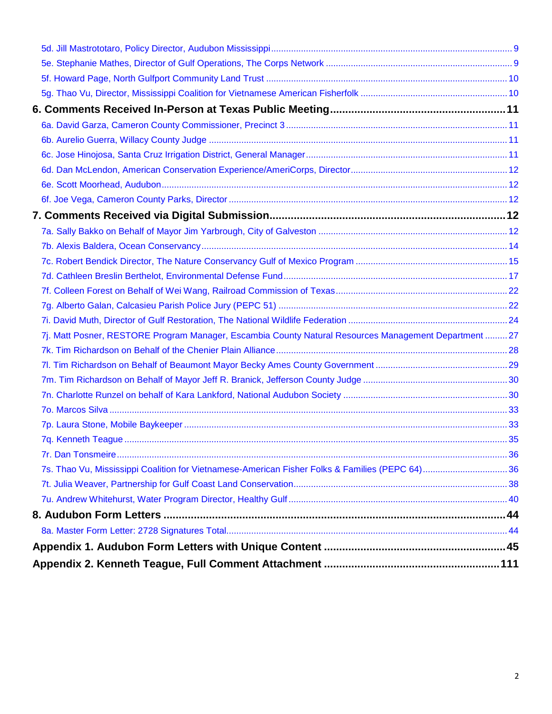| 7j. Matt Posner, RESTORE Program Manager, Escambia County Natural Resources Management Department  27 |  |
|-------------------------------------------------------------------------------------------------------|--|
|                                                                                                       |  |
|                                                                                                       |  |
|                                                                                                       |  |
|                                                                                                       |  |
|                                                                                                       |  |
|                                                                                                       |  |
|                                                                                                       |  |
|                                                                                                       |  |
| 7s. Thao Vu, Mississippi Coalition for Vietnamese-American Fisher Folks & Families (PEPC 64)36        |  |
|                                                                                                       |  |
|                                                                                                       |  |
|                                                                                                       |  |
|                                                                                                       |  |
|                                                                                                       |  |
|                                                                                                       |  |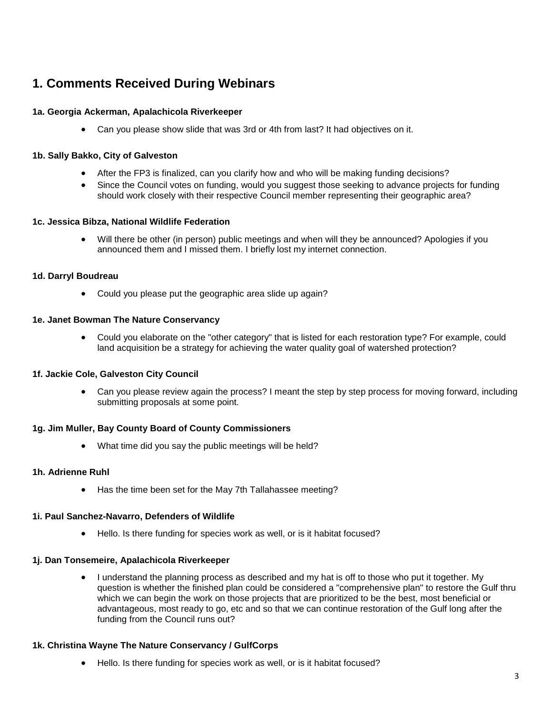# <span id="page-2-0"></span>**1. Comments Received During Webinars**

## <span id="page-2-1"></span>**1a. Georgia Ackerman, Apalachicola Riverkeeper**

• Can you please show slide that was 3rd or 4th from last? It had objectives on it.

## <span id="page-2-2"></span>**1b. Sally Bakko, City of Galveston**

- After the FP3 is finalized, can you clarify how and who will be making funding decisions?
- Since the Council votes on funding, would you suggest those seeking to advance projects for funding should work closely with their respective Council member representing their geographic area?

## <span id="page-2-3"></span>**1c. Jessica Bibza, National Wildlife Federation**

• Will there be other (in person) public meetings and when will they be announced? Apologies if you announced them and I missed them. I briefly lost my internet connection.

## <span id="page-2-4"></span>**1d. Darryl Boudreau**

• Could you please put the geographic area slide up again?

## <span id="page-2-5"></span>**1e. Janet Bowman The Nature Conservancy**

• Could you elaborate on the "other category" that is listed for each restoration type? For example, could land acquisition be a strategy for achieving the water quality goal of watershed protection?

## <span id="page-2-6"></span>**1f. Jackie Cole, Galveston City Council**

• Can you please review again the process? I meant the step by step process for moving forward, including submitting proposals at some point.

## <span id="page-2-7"></span>**1g. Jim Muller, Bay County Board of County Commissioners**

• What time did you say the public meetings will be held?

## <span id="page-2-8"></span>**1h. Adrienne Ruhl**

• Has the time been set for the May 7th Tallahassee meeting?

#### <span id="page-2-9"></span>**1i. Paul Sanchez-Navarro, Defenders of Wildlife**

• Hello. Is there funding for species work as well, or is it habitat focused?

#### <span id="page-2-10"></span>**1j. Dan Tonsemeire, Apalachicola Riverkeeper**

• I understand the planning process as described and my hat is off to those who put it together. My question is whether the finished plan could be considered a "comprehensive plan" to restore the Gulf thru which we can begin the work on those projects that are prioritized to be the best, most beneficial or advantageous, most ready to go, etc and so that we can continue restoration of the Gulf long after the funding from the Council runs out?

## <span id="page-2-11"></span>**1k. Christina Wayne The Nature Conservancy / GulfCorps**

• Hello. Is there funding for species work as well, or is it habitat focused?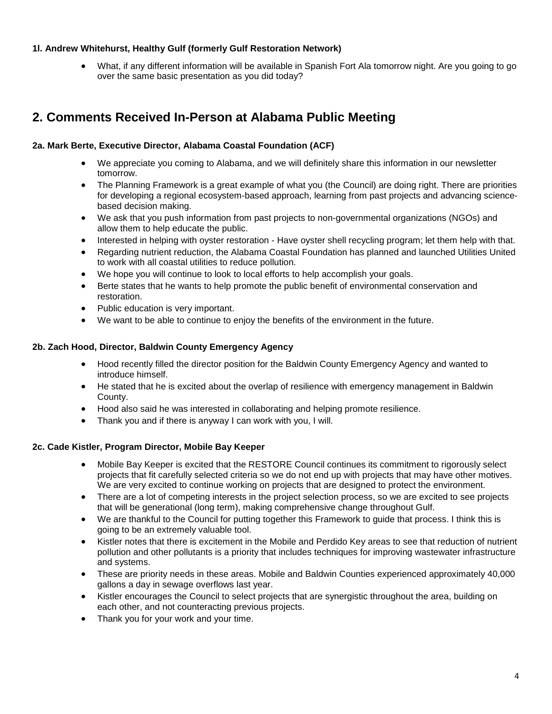## <span id="page-3-0"></span>**1l. Andrew Whitehurst, Healthy Gulf (formerly Gulf Restoration Network)**

• What, if any different information will be available in Spanish Fort Ala tomorrow night. Are you going to go over the same basic presentation as you did today?

# <span id="page-3-1"></span>**2. Comments Received In-Person at Alabama Public Meeting**

## <span id="page-3-2"></span>**2a. Mark Berte, Executive Director, Alabama Coastal Foundation (ACF)**

- We appreciate you coming to Alabama, and we will definitely share this information in our newsletter tomorrow.
- The Planning Framework is a great example of what you (the Council) are doing right. There are priorities for developing a regional ecosystem-based approach, learning from past projects and advancing sciencebased decision making.
- We ask that you push information from past projects to non-governmental organizations (NGOs) and allow them to help educate the public.
- Interested in helping with oyster restoration Have oyster shell recycling program; let them help with that.
- Regarding nutrient reduction, the Alabama Coastal Foundation has planned and launched Utilities United to work with all coastal utilities to reduce pollution.
- We hope you will continue to look to local efforts to help accomplish your goals.
- Berte states that he wants to help promote the public benefit of environmental conservation and restoration.
- Public education is very important.
- We want to be able to continue to enjoy the benefits of the environment in the future.

## <span id="page-3-3"></span>**2b. Zach Hood, Director, Baldwin County Emergency Agency**

- Hood recently filled the director position for the Baldwin County Emergency Agency and wanted to introduce himself.
- He stated that he is excited about the overlap of resilience with emergency management in Baldwin County.
- Hood also said he was interested in collaborating and helping promote resilience.
- Thank you and if there is anyway I can work with you, I will.

## <span id="page-3-4"></span>**2c. Cade Kistler, Program Director, Mobile Bay Keeper**

- Mobile Bay Keeper is excited that the RESTORE Council continues its commitment to rigorously select projects that fit carefully selected criteria so we do not end up with projects that may have other motives. We are very excited to continue working on projects that are designed to protect the environment.
- There are a lot of competing interests in the project selection process, so we are excited to see projects that will be generational (long term), making comprehensive change throughout Gulf.
- We are thankful to the Council for putting together this Framework to guide that process. I think this is going to be an extremely valuable tool.
- Kistler notes that there is excitement in the Mobile and Perdido Key areas to see that reduction of nutrient pollution and other pollutants is a priority that includes techniques for improving wastewater infrastructure and systems.
- These are priority needs in these areas. Mobile and Baldwin Counties experienced approximately 40,000 gallons a day in sewage overflows last year.
- Kistler encourages the Council to select projects that are synergistic throughout the area, building on each other, and not counteracting previous projects.
- Thank you for your work and your time.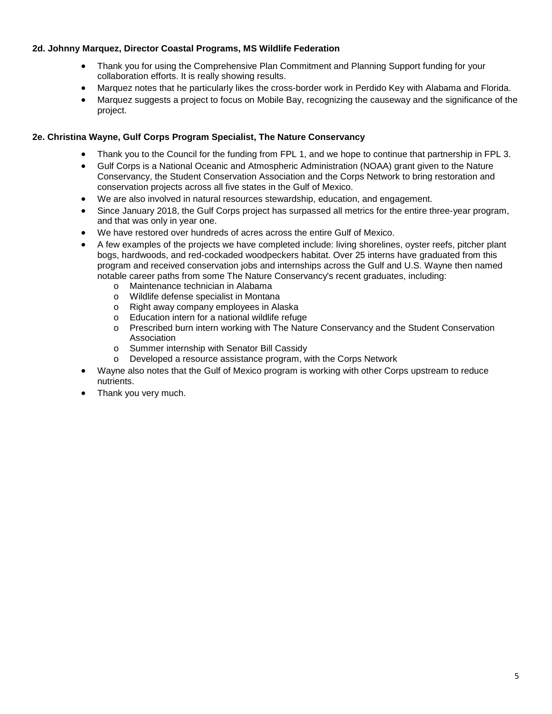## <span id="page-4-0"></span>**2d. Johnny Marquez, Director Coastal Programs, MS Wildlife Federation**

- Thank you for using the Comprehensive Plan Commitment and Planning Support funding for your collaboration efforts. It is really showing results.
- Marquez notes that he particularly likes the cross-border work in Perdido Key with Alabama and Florida.
- Marquez suggests a project to focus on Mobile Bay, recognizing the causeway and the significance of the project.

## <span id="page-4-1"></span>**2e. Christina Wayne, Gulf Corps Program Specialist, The Nature Conservancy**

- Thank you to the Council for the funding from FPL 1, and we hope to continue that partnership in FPL 3.
- Gulf Corps is a National Oceanic and Atmospheric Administration (NOAA) grant given to the Nature Conservancy, the Student Conservation Association and the Corps Network to bring restoration and conservation projects across all five states in the Gulf of Mexico.
- We are also involved in natural resources stewardship, education, and engagement.
- Since January 2018, the Gulf Corps project has surpassed all metrics for the entire three-year program, and that was only in year one.
- We have restored over hundreds of acres across the entire Gulf of Mexico.
- A few examples of the projects we have completed include: living shorelines, oyster reefs, pitcher plant bogs, hardwoods, and red-cockaded woodpeckers habitat. Over 25 interns have graduated from this program and received conservation jobs and internships across the Gulf and U.S. Wayne then named notable career paths from some The Nature Conservancy's recent graduates, including:
	- o Maintenance technician in Alabama<br>o Wildlife defense specialist in Montan
	- o Wildlife defense specialist in Montana<br>o Right away company employees in Ala
	- o Right away company employees in Alaska<br>o Education intern for a national wildlife refug
	- o Education intern for a national wildlife refuge<br>o Prescribed burn intern working with The Natu
	- Prescribed burn intern working with The Nature Conservancy and the Student Conservation Association
	- o Summer internship with Senator Bill Cassidy
	- o Developed a resource assistance program, with the Corps Network
- Wayne also notes that the Gulf of Mexico program is working with other Corps upstream to reduce nutrients.
- Thank you very much.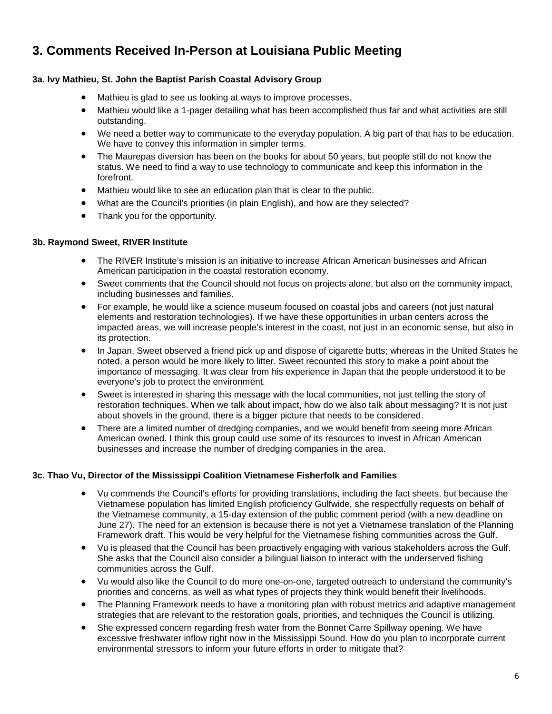# <span id="page-5-0"></span>**3. Comments Received In-Person at Louisiana Public Meeting**

## <span id="page-5-1"></span>**3a. Ivy Mathieu, St. John the Baptist Parish Coastal Advisory Group**

- Mathieu is glad to see us looking at ways to improve processes.
- Mathieu would like a 1-pager detailing what has been accomplished thus far and what activities are still outstanding.
- We need a better way to communicate to the everyday population. A big part of that has to be education. We have to convey this information in simpler terms.
- The Maurepas diversion has been on the books for about 50 years, but people still do not know the status. We need to find a way to use technology to communicate and keep this information in the forefront.
- Mathieu would like to see an education plan that is clear to the public.
- What are the Council's priorities (in plain English), and how are they selected?
- Thank you for the opportunity.

## <span id="page-5-2"></span>**3b. Raymond Sweet, RIVER Institute**

- The RIVER Institute's mission is an initiative to increase African American businesses and African American participation in the coastal restoration economy.
- Sweet comments that the Council should not focus on projects alone, but also on the community impact, including businesses and families.
- For example, he would like a science museum focused on coastal jobs and careers (not just natural elements and restoration technologies). If we have these opportunities in urban centers across the impacted areas, we will increase people's interest in the coast, not just in an economic sense, but also in its protection.
- In Japan, Sweet observed a friend pick up and dispose of cigarette butts; whereas in the United States he noted, a person would be more likely to litter. Sweet recounted this story to make a point about the importance of messaging. It was clear from his experience in Japan that the people understood it to be everyone's job to protect the environment.
- Sweet is interested in sharing this message with the local communities, not just telling the story of restoration techniques. When we talk about impact, how do we also talk about messaging? It is not just about shovels in the ground, there is a bigger picture that needs to be considered.
- There are a limited number of dredging companies, and we would benefit from seeing more African American owned. I think this group could use some of its resources to invest in African American businesses and increase the number of dredging companies in the area.

## <span id="page-5-3"></span>**3c. Thao Vu, Director of the Mississippi Coalition Vietnamese Fisherfolk and Families**

- Vu commends the Council's efforts for providing translations, including the fact sheets, but because the Vietnamese population has limited English proficiency Gulfwide, she respectfully requests on behalf of the Vietnamese community, a 15-day extension of the public comment period (with a new deadline on June 27). The need for an extension is because there is not yet a Vietnamese translation of the Planning Framework draft. This would be very helpful for the Vietnamese fishing communities across the Gulf.
- Vu is pleased that the Council has been proactively engaging with various stakeholders across the Gulf. She asks that the Council also consider a bilingual liaison to interact with the underserved fishing communities across the Gulf.
- Vu would also like the Council to do more one-on-one, targeted outreach to understand the community's priorities and concerns, as well as what types of projects they think would benefit their livelihoods.
- The Planning Framework needs to have a monitoring plan with robust metrics and adaptive management strategies that are relevant to the restoration goals, priorities, and techniques the Council is utilizing.
- She expressed concern regarding fresh water from the Bonnet Carre Spillway opening. We have excessive freshwater inflow right now in the Mississippi Sound. How do you plan to incorporate current environmental stressors to inform your future efforts in order to mitigate that?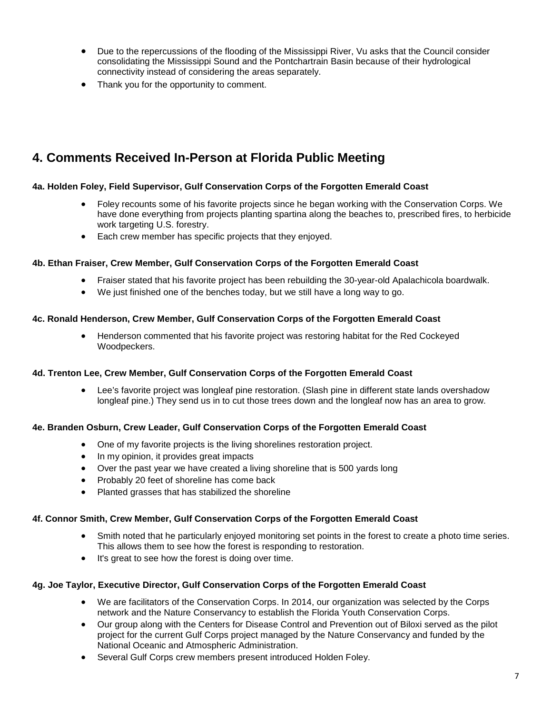- Due to the repercussions of the flooding of the Mississippi River, Vu asks that the Council consider consolidating the Mississippi Sound and the Pontchartrain Basin because of their hydrological connectivity instead of considering the areas separately.
- Thank you for the opportunity to comment.

# <span id="page-6-0"></span>**4. Comments Received In-Person at Florida Public Meeting**

## <span id="page-6-1"></span>**4a. Holden Foley, Field Supervisor, Gulf Conservation Corps of the Forgotten Emerald Coast**

- Foley recounts some of his favorite projects since he began working with the Conservation Corps. We have done everything from projects planting spartina along the beaches to, prescribed fires, to herbicide work targeting U.S. forestry.
- Each crew member has specific projects that they enjoyed.

## <span id="page-6-2"></span>**4b. Ethan Fraiser, Crew Member, Gulf Conservation Corps of the Forgotten Emerald Coast**

- Fraiser stated that his favorite project has been rebuilding the 30-year-old Apalachicola boardwalk.
- We just finished one of the benches today, but we still have a long way to go.

## <span id="page-6-3"></span>**4c. Ronald Henderson, Crew Member, Gulf Conservation Corps of the Forgotten Emerald Coast**

• Henderson commented that his favorite project was restoring habitat for the Red Cockeyed Woodpeckers.

## <span id="page-6-4"></span>**4d. Trenton Lee, Crew Member, Gulf Conservation Corps of the Forgotten Emerald Coast**

• Lee's favorite project was longleaf pine restoration. (Slash pine in different state lands overshadow longleaf pine.) They send us in to cut those trees down and the longleaf now has an area to grow.

## <span id="page-6-5"></span>**4e. Branden Osburn, Crew Leader, Gulf Conservation Corps of the Forgotten Emerald Coast**

- One of my favorite projects is the living shorelines restoration project.
- In my opinion, it provides great impacts
- Over the past year we have created a living shoreline that is 500 yards long
- Probably 20 feet of shoreline has come back
- Planted grasses that has stabilized the shoreline

## <span id="page-6-6"></span>**4f. Connor Smith, Crew Member, Gulf Conservation Corps of the Forgotten Emerald Coast**

- Smith noted that he particularly enjoyed monitoring set points in the forest to create a photo time series. This allows them to see how the forest is responding to restoration.
- It's great to see how the forest is doing over time.

## <span id="page-6-7"></span>**4g. Joe Taylor, Executive Director, Gulf Conservation Corps of the Forgotten Emerald Coast**

- We are facilitators of the Conservation Corps. In 2014, our organization was selected by the Corps network and the Nature Conservancy to establish the Florida Youth Conservation Corps.
- Our group along with the Centers for Disease Control and Prevention out of Biloxi served as the pilot project for the current Gulf Corps project managed by the Nature Conservancy and funded by the National Oceanic and Atmospheric Administration.
- Several Gulf Corps crew members present introduced Holden Foley.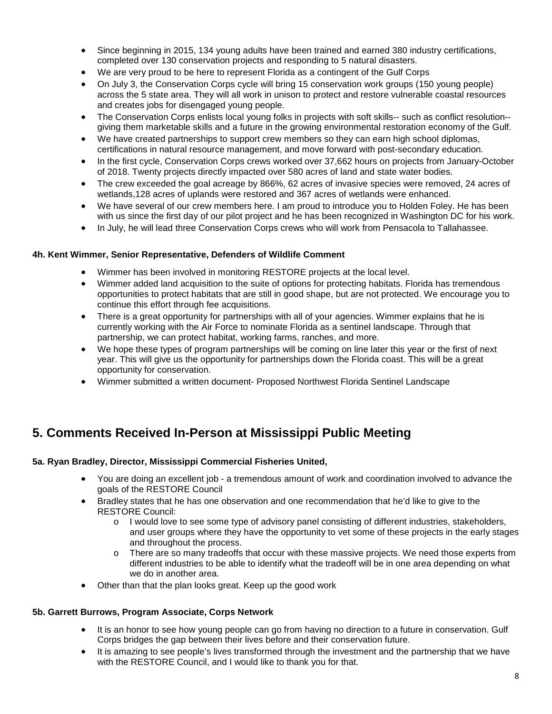- Since beginning in 2015, 134 young adults have been trained and earned 380 industry certifications, completed over 130 conservation projects and responding to 5 natural disasters.
- We are very proud to be here to represent Florida as a contingent of the Gulf Corps
- On July 3, the Conservation Corps cycle will bring 15 conservation work groups (150 young people) across the 5 state area. They will all work in unison to protect and restore vulnerable coastal resources and creates jobs for disengaged young people.
- The Conservation Corps enlists local young folks in projects with soft skills-- such as conflict resolution- giving them marketable skills and a future in the growing environmental restoration economy of the Gulf.
- We have created partnerships to support crew members so they can earn high school diplomas, certifications in natural resource management, and move forward with post-secondary education.
- In the first cycle, Conservation Corps crews worked over 37,662 hours on projects from January-October of 2018. Twenty projects directly impacted over 580 acres of land and state water bodies.
- The crew exceeded the goal acreage by 866%, 62 acres of invasive species were removed, 24 acres of wetlands,128 acres of uplands were restored and 367 acres of wetlands were enhanced.
- We have several of our crew members here. I am proud to introduce you to Holden Foley. He has been with us since the first day of our pilot project and he has been recognized in Washington DC for his work.
- In July, he will lead three Conservation Corps crews who will work from Pensacola to Tallahassee.

## <span id="page-7-0"></span>**4h. Kent Wimmer, Senior Representative, Defenders of Wildlife Comment**

- Wimmer has been involved in monitoring RESTORE projects at the local level.
- Wimmer added land acquisition to the suite of options for protecting habitats. Florida has tremendous opportunities to protect habitats that are still in good shape, but are not protected. We encourage you to continue this effort through fee acquisitions.
- There is a great opportunity for partnerships with all of your agencies. Wimmer explains that he is currently working with the Air Force to nominate Florida as a sentinel landscape. Through that partnership, we can protect habitat, working farms, ranches, and more.
- We hope these types of program partnerships will be coming on line later this year or the first of next year. This will give us the opportunity for partnerships down the Florida coast. This will be a great opportunity for conservation.
- Wimmer submitted a written document- Proposed Northwest Florida Sentinel Landscape

# <span id="page-7-1"></span>**5. Comments Received In-Person at Mississippi Public Meeting**

## <span id="page-7-2"></span>**5a. Ryan Bradley, Director, Mississippi Commercial Fisheries United,**

- You are doing an excellent job a tremendous amount of work and coordination involved to advance the goals of the RESTORE Council
- Bradley states that he has one observation and one recommendation that he'd like to give to the RESTORE Council:
	- o I would love to see some type of advisory panel consisting of different industries, stakeholders, and user groups where they have the opportunity to vet some of these projects in the early stages and throughout the process.
	- o There are so many tradeoffs that occur with these massive projects. We need those experts from different industries to be able to identify what the tradeoff will be in one area depending on what we do in another area.
- Other than that the plan looks great. Keep up the good work

## <span id="page-7-3"></span>**5b. Garrett Burrows, Program Associate, Corps Network**

- It is an honor to see how young people can go from having no direction to a future in conservation. Gulf Corps bridges the gap between their lives before and their conservation future.
- It is amazing to see people's lives transformed through the investment and the partnership that we have with the RESTORE Council, and I would like to thank you for that.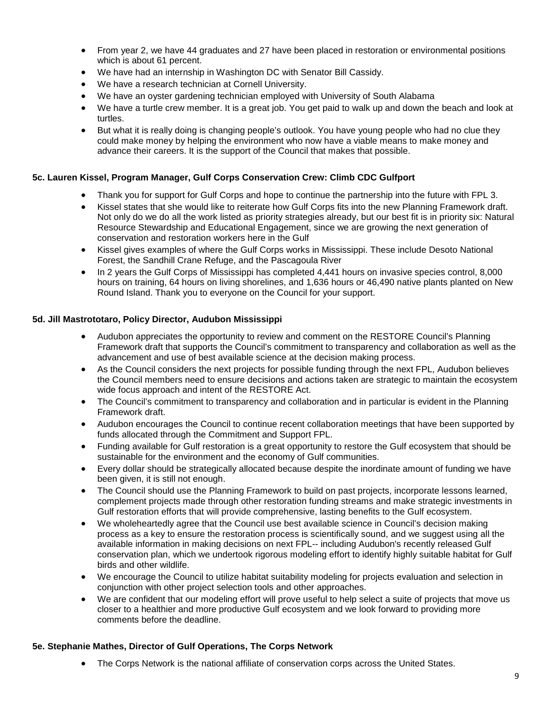- From year 2, we have 44 graduates and 27 have been placed in restoration or environmental positions which is about 61 percent.
- We have had an internship in Washington DC with Senator Bill Cassidy.
- We have a research technician at Cornell University.
- We have an oyster gardening technician employed with University of South Alabama
- We have a turtle crew member. It is a great job. You get paid to walk up and down the beach and look at turtles.
- But what it is really doing is changing people's outlook. You have young people who had no clue they could make money by helping the environment who now have a viable means to make money and advance their careers. It is the support of the Council that makes that possible.

## <span id="page-8-0"></span>**5c. Lauren Kissel, Program Manager, Gulf Corps Conservation Crew: Climb CDC Gulfport**

- Thank you for support for Gulf Corps and hope to continue the partnership into the future with FPL 3.
- Kissel states that she would like to reiterate how Gulf Corps fits into the new Planning Framework draft. Not only do we do all the work listed as priority strategies already, but our best fit is in priority six: Natural Resource Stewardship and Educational Engagement, since we are growing the next generation of conservation and restoration workers here in the Gulf
- Kissel gives examples of where the Gulf Corps works in Mississippi. These include Desoto National Forest, the Sandhill Crane Refuge, and the Pascagoula River
- In 2 years the Gulf Corps of Mississippi has completed 4,441 hours on invasive species control, 8,000 hours on training, 64 hours on living shorelines, and 1,636 hours or 46,490 native plants planted on New Round Island. Thank you to everyone on the Council for your support.

## <span id="page-8-1"></span>**5d. Jill Mastrototaro, Policy Director, Audubon Mississippi**

- Audubon appreciates the opportunity to review and comment on the RESTORE Council's Planning Framework draft that supports the Council's commitment to transparency and collaboration as well as the advancement and use of best available science at the decision making process.
- As the Council considers the next projects for possible funding through the next FPL, Audubon believes the Council members need to ensure decisions and actions taken are strategic to maintain the ecosystem wide focus approach and intent of the RESTORE Act.
- The Council's commitment to transparency and collaboration and in particular is evident in the Planning Framework draft.
- Audubon encourages the Council to continue recent collaboration meetings that have been supported by funds allocated through the Commitment and Support FPL.
- Funding available for Gulf restoration is a great opportunity to restore the Gulf ecosystem that should be sustainable for the environment and the economy of Gulf communities.
- Every dollar should be strategically allocated because despite the inordinate amount of funding we have been given, it is still not enough.
- The Council should use the Planning Framework to build on past projects, incorporate lessons learned, complement projects made through other restoration funding streams and make strategic investments in Gulf restoration efforts that will provide comprehensive, lasting benefits to the Gulf ecosystem.
- We wholeheartedly agree that the Council use best available science in Council's decision making process as a key to ensure the restoration process is scientifically sound, and we suggest using all the available information in making decisions on next FPL-- including Audubon's recently released Gulf conservation plan, which we undertook rigorous modeling effort to identify highly suitable habitat for Gulf birds and other wildlife.
- We encourage the Council to utilize habitat suitability modeling for projects evaluation and selection in conjunction with other project selection tools and other approaches.
- We are confident that our modeling effort will prove useful to help select a suite of projects that move us closer to a healthier and more productive Gulf ecosystem and we look forward to providing more comments before the deadline.

## <span id="page-8-2"></span>**5e. Stephanie Mathes, Director of Gulf Operations, The Corps Network**

• The Corps Network is the national affiliate of conservation corps across the United States.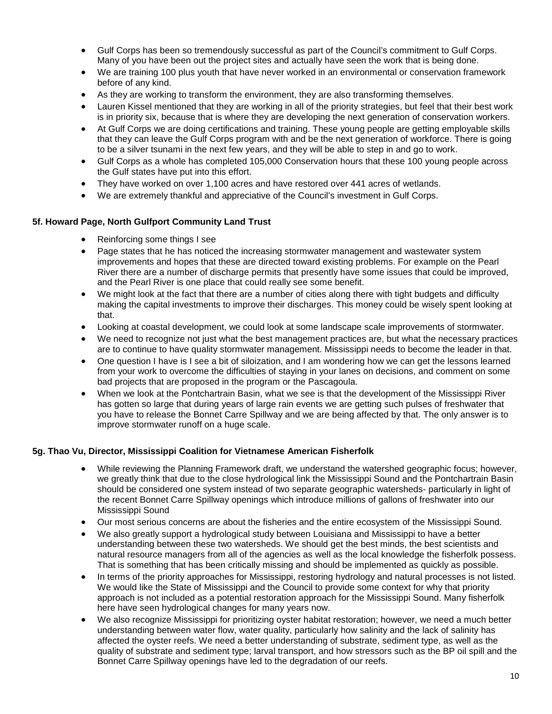- Gulf Corps has been so tremendously successful as part of the Council's commitment to Gulf Corps. Many of you have been out the project sites and actually have seen the work that is being done.
- We are training 100 plus youth that have never worked in an environmental or conservation framework before of any kind.
- As they are working to transform the environment, they are also transforming themselves.
- Lauren Kissel mentioned that they are working in all of the priority strategies, but feel that their best work is in priority six, because that is where they are developing the next generation of conservation workers.
- At Gulf Corps we are doing certifications and training. These young people are getting employable skills that they can leave the Gulf Corps program with and be the next generation of workforce. There is going to be a silver tsunami in the next few years, and they will be able to step in and go to work.
- Gulf Corps as a whole has completed 105,000 Conservation hours that these 100 young people across the Gulf states have put into this effort.
- They have worked on over 1,100 acres and have restored over 441 acres of wetlands.
- We are extremely thankful and appreciative of the Council's investment in Gulf Corps.

## <span id="page-9-0"></span>**5f. Howard Page, North Gulfport Community Land Trust**

- Reinforcing some things I see
- Page states that he has noticed the increasing stormwater management and wastewater system improvements and hopes that these are directed toward existing problems. For example on the Pearl River there are a number of discharge permits that presently have some issues that could be improved, and the Pearl River is one place that could really see some benefit.
- We might look at the fact that there are a number of cities along there with tight budgets and difficulty making the capital investments to improve their discharges. This money could be wisely spent looking at that.
- Looking at coastal development, we could look at some landscape scale improvements of stormwater.
- We need to recognize not just what the best management practices are, but what the necessary practices are to continue to have quality stormwater management. Mississippi needs to become the leader in that.
- One question I have is I see a bit of siloization, and I am wondering how we can get the lessons learned from your work to overcome the difficulties of staying in your lanes on decisions, and comment on some bad projects that are proposed in the program or the Pascagoula.
- When we look at the Pontchartrain Basin, what we see is that the development of the Mississippi River has gotten so large that during years of large rain events we are getting such pulses of freshwater that you have to release the Bonnet Carre Spillway and we are being affected by that. The only answer is to improve stormwater runoff on a huge scale.

#### <span id="page-9-1"></span>**5g. Thao Vu, Director, Mississippi Coalition for Vietnamese American Fisherfolk**

- While reviewing the Planning Framework draft, we understand the watershed geographic focus; however, we greatly think that due to the close hydrological link the Mississippi Sound and the Pontchartrain Basin should be considered one system instead of two separate geographic watersheds- particularly in light of the recent Bonnet Carre Spillway openings which introduce millions of gallons of freshwater into our Mississippi Sound
- Our most serious concerns are about the fisheries and the entire ecosystem of the Mississippi Sound.
- We also greatly support a hydrological study between Louisiana and Mississippi to have a better understanding between these two watersheds. We should get the best minds, the best scientists and natural resource managers from all of the agencies as well as the local knowledge the fisherfolk possess. That is something that has been critically missing and should be implemented as quickly as possible.
- In terms of the priority approaches for Mississippi, restoring hydrology and natural processes is not listed. We would like the State of Mississippi and the Council to provide some context for why that priority approach is not included as a potential restoration approach for the Mississippi Sound. Many fisherfolk here have seen hydrological changes for many years now.
- We also recognize Mississippi for prioritizing oyster habitat restoration; however, we need a much better understanding between water flow, water quality, particularly how salinity and the lack of salinity has affected the oyster reefs. We need a better understanding of substrate, sediment type, as well as the quality of substrate and sediment type; larval transport, and how stressors such as the BP oil spill and the Bonnet Carre Spillway openings have led to the degradation of our reefs.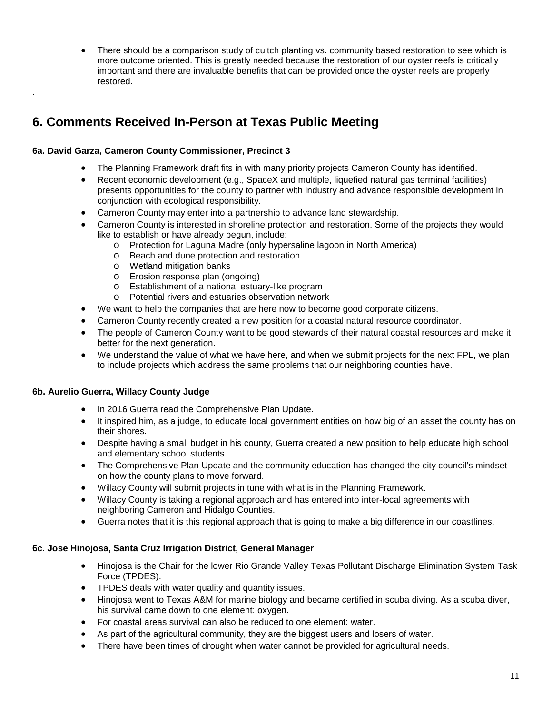There should be a comparison study of cultch planting vs. community based restoration to see which is more outcome oriented. This is greatly needed because the restoration of our oyster reefs is critically important and there are invaluable benefits that can be provided once the oyster reefs are properly restored.

# **6. Comments Received In-Person at Texas Public Meeting**

## <span id="page-10-1"></span>**6a. David Garza, Cameron County Commissioner, Precinct 3**

<span id="page-10-0"></span>.

- The Planning Framework draft fits in with many priority projects Cameron County has identified.
- Recent economic development (e.g., SpaceX and multiple, liquefied natural gas terminal facilities) presents opportunities for the county to partner with industry and advance responsible development in conjunction with ecological responsibility.
- Cameron County may enter into a partnership to advance land stewardship.
- Cameron County is interested in shoreline protection and restoration. Some of the projects they would like to establish or have already begun, include:
	- o Protection for Laguna Madre (only hypersaline lagoon in North America)
	- o Beach and dune protection and restoration
	- o Wetland mitigation banks
	- o Erosion response plan (ongoing)
	- o Establishment of a national estuary-like program
	- o Potential rivers and estuaries observation network
- We want to help the companies that are here now to become good corporate citizens.
- Cameron County recently created a new position for a coastal natural resource coordinator.
- The people of Cameron County want to be good stewards of their natural coastal resources and make it better for the next generation.
- We understand the value of what we have here, and when we submit projects for the next FPL, we plan to include projects which address the same problems that our neighboring counties have.

## <span id="page-10-2"></span>**6b. Aurelio Guerra, Willacy County Judge**

- In 2016 Guerra read the Comprehensive Plan Update.
- It inspired him, as a judge, to educate local government entities on how big of an asset the county has on their shores.
- Despite having a small budget in his county, Guerra created a new position to help educate high school and elementary school students.
- The Comprehensive Plan Update and the community education has changed the city council's mindset on how the county plans to move forward.
- Willacy County will submit projects in tune with what is in the Planning Framework.
- Willacy County is taking a regional approach and has entered into inter-local agreements with neighboring Cameron and Hidalgo Counties.
- Guerra notes that it is this regional approach that is going to make a big difference in our coastlines.

## <span id="page-10-3"></span>**6c. Jose Hinojosa, Santa Cruz Irrigation District, General Manager**

- Hinojosa is the Chair for the lower Rio Grande Valley Texas Pollutant Discharge Elimination System Task Force (TPDES).
- TPDES deals with water quality and quantity issues.
- Hinojosa went to Texas A&M for marine biology and became certified in scuba diving. As a scuba diver, his survival came down to one element: oxygen.
- For coastal areas survival can also be reduced to one element: water.
- As part of the agricultural community, they are the biggest users and losers of water.
- There have been times of drought when water cannot be provided for agricultural needs.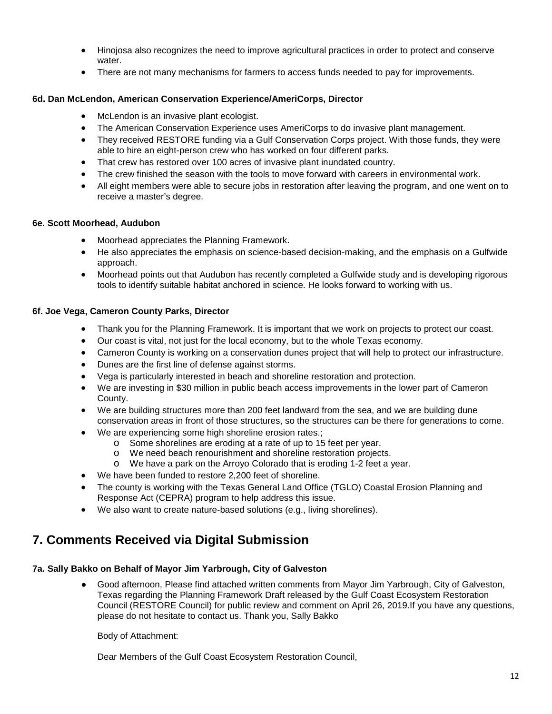- Hinojosa also recognizes the need to improve agricultural practices in order to protect and conserve water.
- There are not many mechanisms for farmers to access funds needed to pay for improvements.

## <span id="page-11-0"></span>**6d. Dan McLendon, American Conservation Experience/AmeriCorps, Director**

- McLendon is an invasive plant ecologist.
- The American Conservation Experience uses AmeriCorps to do invasive plant management.
- They received RESTORE funding via a Gulf Conservation Corps project. With those funds, they were able to hire an eight-person crew who has worked on four different parks.
- That crew has restored over 100 acres of invasive plant inundated country.
- The crew finished the season with the tools to move forward with careers in environmental work.
- All eight members were able to secure jobs in restoration after leaving the program, and one went on to receive a master's degree.

## <span id="page-11-1"></span>**6e. Scott Moorhead, Audubon**

- Moorhead appreciates the Planning Framework.
- He also appreciates the emphasis on science-based decision-making, and the emphasis on a Gulfwide approach.
- Moorhead points out that Audubon has recently completed a Gulfwide study and is developing rigorous tools to identify suitable habitat anchored in science. He looks forward to working with us.

## <span id="page-11-2"></span>**6f. Joe Vega, Cameron County Parks, Director**

- Thank you for the Planning Framework. It is important that we work on projects to protect our coast.
- Our coast is vital, not just for the local economy, but to the whole Texas economy.
- Cameron County is working on a conservation dunes project that will help to protect our infrastructure.
- Dunes are the first line of defense against storms.
- Vega is particularly interested in beach and shoreline restoration and protection.
- We are investing in \$30 million in public beach access improvements in the lower part of Cameron County.
- We are building structures more than 200 feet landward from the sea, and we are building dune conservation areas in front of those structures, so the structures can be there for generations to come.
- We are experiencing some high shoreline erosion rates.;
	- o Some shorelines are eroding at a rate of up to 15 feet per year.
	- o We need beach renourishment and shoreline restoration projects.
	- o We have a park on the Arroyo Colorado that is eroding 1-2 feet a year.
- We have been funded to restore 2,200 feet of shoreline.
- The county is working with the Texas General Land Office (TGLO) Coastal Erosion Planning and Response Act (CEPRA) program to help address this issue.
- We also want to create nature-based solutions (e.g., living shorelines).

# <span id="page-11-3"></span>**7. Comments Received via Digital Submission**

## <span id="page-11-4"></span>**7a. Sally Bakko on Behalf of Mayor Jim Yarbrough, City of Galveston**

Good afternoon, Please find attached written comments from Mayor Jim Yarbrough, City of Galveston, Texas regarding the Planning Framework Draft released by the Gulf Coast Ecosystem Restoration Council (RESTORE Council) for public review and comment on April 26, 2019.If you have any questions, please do not hesitate to contact us. Thank you, Sally Bakko

Body of Attachment:

Dear Members of the Gulf Coast Ecosystem Restoration Council,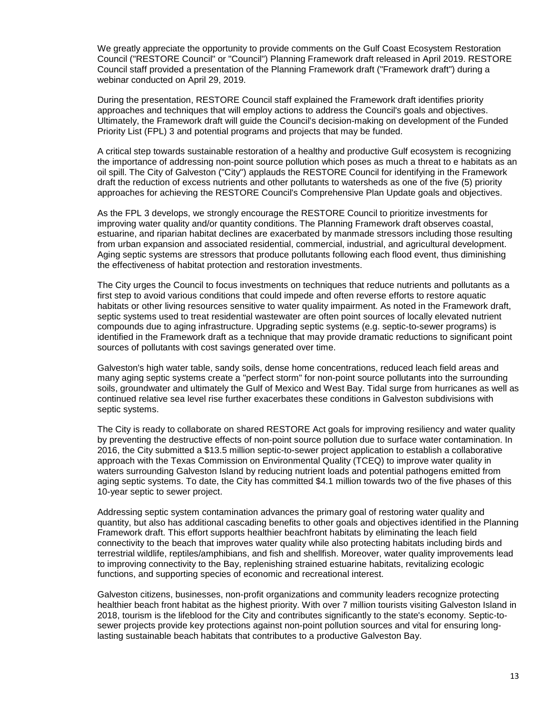We greatly appreciate the opportunity to provide comments on the Gulf Coast Ecosystem Restoration Council ("RESTORE Council" or "Council") Planning Framework draft released in April 2019. RESTORE Council staff provided a presentation of the Planning Framework draft ("Framework draft") during a webinar conducted on April 29, 2019.

During the presentation, RESTORE Council staff explained the Framework draft identifies priority approaches and techniques that will employ actions to address the Council's goals and objectives. Ultimately, the Framework draft will guide the Council's decision-making on development of the Funded Priority List (FPL) 3 and potential programs and projects that may be funded.

A critical step towards sustainable restoration of a healthy and productive Gulf ecosystem is recognizing the importance of addressing non-point source pollution which poses as much a threat to e habitats as an oil spill. The City of Galveston ("City") applauds the RESTORE Council for identifying in the Framework draft the reduction of excess nutrients and other pollutants to watersheds as one of the five (5) priority approaches for achieving the RESTORE Council's Comprehensive Plan Update goals and objectives.

As the FPL 3 develops, we strongly encourage the RESTORE Council to prioritize investments for improving water quality and/or quantity conditions. The Planning Framework draft observes coastal, estuarine, and riparian habitat declines are exacerbated by manmade stressors including those resulting from urban expansion and associated residential, commercial, industrial, and agricultural development. Aging septic systems are stressors that produce pollutants following each flood event, thus diminishing the effectiveness of habitat protection and restoration investments.

The City urges the Council to focus investments on techniques that reduce nutrients and pollutants as a first step to avoid various conditions that could impede and often reverse efforts to restore aquatic habitats or other living resources sensitive to water quality impairment. As noted in the Framework draft, septic systems used to treat residential wastewater are often point sources of locally elevated nutrient compounds due to aging infrastructure. Upgrading septic systems (e.g. septic-to-sewer programs) is identified in the Framework draft as a technique that may provide dramatic reductions to significant point sources of pollutants with cost savings generated over time.

Galveston's high water table, sandy soils, dense home concentrations, reduced leach field areas and many aging septic systems create a "perfect storm" for non-point source pollutants into the surrounding soils, groundwater and ultimately the Gulf of Mexico and West Bay. Tidal surge from hurricanes as well as continued relative sea level rise further exacerbates these conditions in Galveston subdivisions with septic systems.

The City is ready to collaborate on shared RESTORE Act goals for improving resiliency and water quality by preventing the destructive effects of non-point source pollution due to surface water contamination. In 2016, the City submitted a \$13.5 million septic-to-sewer project application to establish a collaborative approach with the Texas Commission on Environmental Quality (TCEQ) to improve water quality in waters surrounding Galveston Island by reducing nutrient loads and potential pathogens emitted from aging septic systems. To date, the City has committed \$4.1 million towards two of the five phases of this 10-year septic to sewer project.

Addressing septic system contamination advances the primary goal of restoring water quality and quantity, but also has additional cascading benefits to other goals and objectives identified in the Planning Framework draft. This effort supports healthier beachfront habitats by eliminating the leach field connectivity to the beach that improves water quality while also protecting habitats including birds and terrestrial wildlife, reptiles/amphibians, and fish and shellfish. Moreover, water quality improvements lead to improving connectivity to the Bay, replenishing strained estuarine habitats, revitalizing ecologic functions, and supporting species of economic and recreational interest.

Galveston citizens, businesses, non-profit organizations and community leaders recognize protecting healthier beach front habitat as the highest priority. With over 7 million tourists visiting Galveston Island in 2018, tourism is the lifeblood for the City and contributes significantly to the state's economy. Septic-tosewer projects provide key protections against non-point pollution sources and vital for ensuring longlasting sustainable beach habitats that contributes to a productive Galveston Bay.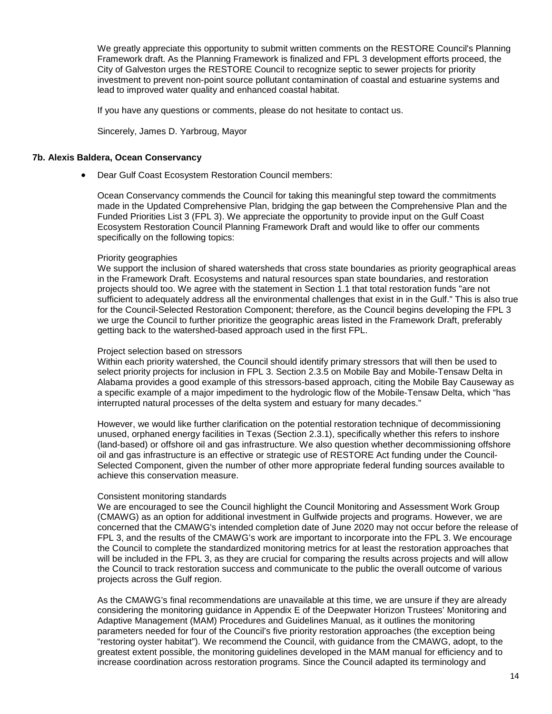We greatly appreciate this opportunity to submit written comments on the RESTORE Council's Planning Framework draft. As the Planning Framework is finalized and FPL 3 development efforts proceed, the City of Galveston urges the RESTORE Council to recognize septic to sewer projects for priority investment to prevent non-point source pollutant contamination of coastal and estuarine systems and lead to improved water quality and enhanced coastal habitat.

If you have any questions or comments, please do not hesitate to contact us.

Sincerely, James D. Yarbroug, Mayor

#### <span id="page-13-0"></span>**7b. Alexis Baldera, Ocean Conservancy**

• Dear Gulf Coast Ecosystem Restoration Council members:

Ocean Conservancy commends the Council for taking this meaningful step toward the commitments made in the Updated Comprehensive Plan, bridging the gap between the Comprehensive Plan and the Funded Priorities List 3 (FPL 3). We appreciate the opportunity to provide input on the Gulf Coast Ecosystem Restoration Council Planning Framework Draft and would like to offer our comments specifically on the following topics:

#### Priority geographies

We support the inclusion of shared watersheds that cross state boundaries as priority geographical areas in the Framework Draft. Ecosystems and natural resources span state boundaries, and restoration projects should too. We agree with the statement in Section 1.1 that total restoration funds "are not sufficient to adequately address all the environmental challenges that exist in in the Gulf." This is also true for the Council-Selected Restoration Component; therefore, as the Council begins developing the FPL 3 we urge the Council to further prioritize the geographic areas listed in the Framework Draft, preferably getting back to the watershed-based approach used in the first FPL.

#### Project selection based on stressors

Within each priority watershed, the Council should identify primary stressors that will then be used to select priority projects for inclusion in FPL 3. Section 2.3.5 on Mobile Bay and Mobile-Tensaw Delta in Alabama provides a good example of this stressors-based approach, citing the Mobile Bay Causeway as a specific example of a major impediment to the hydrologic flow of the Mobile-Tensaw Delta, which "has interrupted natural processes of the delta system and estuary for many decades."

However, we would like further clarification on the potential restoration technique of decommissioning unused, orphaned energy facilities in Texas (Section 2.3.1), specifically whether this refers to inshore (land-based) or offshore oil and gas infrastructure. We also question whether decommissioning offshore oil and gas infrastructure is an effective or strategic use of RESTORE Act funding under the Council-Selected Component, given the number of other more appropriate federal funding sources available to achieve this conservation measure.

#### Consistent monitoring standards

We are encouraged to see the Council highlight the Council Monitoring and Assessment Work Group (CMAWG) as an option for additional investment in Gulfwide projects and programs. However, we are concerned that the CMAWG's intended completion date of June 2020 may not occur before the release of FPL 3, and the results of the CMAWG's work are important to incorporate into the FPL 3. We encourage the Council to complete the standardized monitoring metrics for at least the restoration approaches that will be included in the FPL 3, as they are crucial for comparing the results across projects and will allow the Council to track restoration success and communicate to the public the overall outcome of various projects across the Gulf region.

As the CMAWG's final recommendations are unavailable at this time, we are unsure if they are already considering the monitoring guidance in Appendix E of the Deepwater Horizon Trustees' Monitoring and Adaptive Management (MAM) Procedures and Guidelines Manual, as it outlines the monitoring parameters needed for four of the Council's five priority restoration approaches (the exception being "restoring oyster habitat"). We recommend the Council, with guidance from the CMAWG, adopt, to the greatest extent possible, the monitoring guidelines developed in the MAM manual for efficiency and to increase coordination across restoration programs. Since the Council adapted its terminology and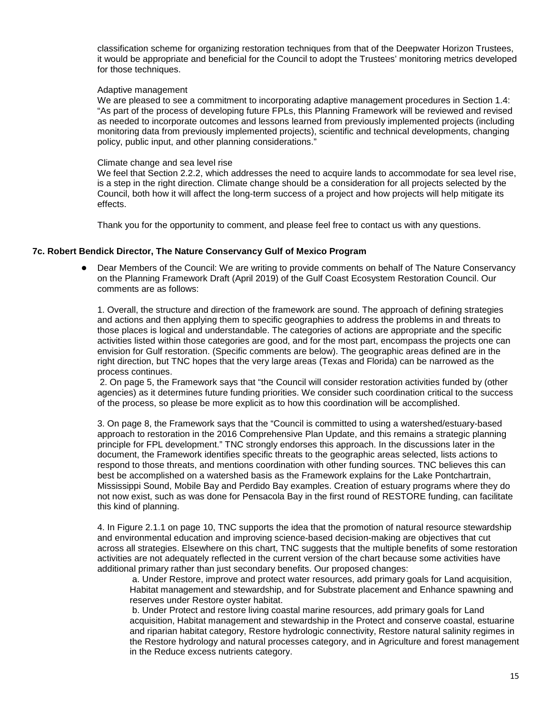classification scheme for organizing restoration techniques from that of the Deepwater Horizon Trustees, it would be appropriate and beneficial for the Council to adopt the Trustees' monitoring metrics developed for those techniques.

#### Adaptive management

We are pleased to see a commitment to incorporating adaptive management procedures in Section 1.4: "As part of the process of developing future FPLs, this Planning Framework will be reviewed and revised as needed to incorporate outcomes and lessons learned from previously implemented projects (including monitoring data from previously implemented projects), scientific and technical developments, changing policy, public input, and other planning considerations."

#### Climate change and sea level rise

We feel that Section 2.2.2, which addresses the need to acquire lands to accommodate for sea level rise, is a step in the right direction. Climate change should be a consideration for all projects selected by the Council, both how it will affect the long-term success of a project and how projects will help mitigate its effects.

Thank you for the opportunity to comment, and please feel free to contact us with any questions.

#### <span id="page-14-0"></span>**7c. Robert Bendick Director, The Nature Conservancy Gulf of Mexico Program**

Dear Members of the Council: We are writing to provide comments on behalf of The Nature Conservancy on the Planning Framework Draft (April 2019) of the Gulf Coast Ecosystem Restoration Council. Our comments are as follows:

1. Overall, the structure and direction of the framework are sound. The approach of defining strategies and actions and then applying them to specific geographies to address the problems in and threats to those places is logical and understandable. The categories of actions are appropriate and the specific activities listed within those categories are good, and for the most part, encompass the projects one can envision for Gulf restoration. (Specific comments are below). The geographic areas defined are in the right direction, but TNC hopes that the very large areas (Texas and Florida) can be narrowed as the process continues.

2. On page 5, the Framework says that "the Council will consider restoration activities funded by (other agencies) as it determines future funding priorities. We consider such coordination critical to the success of the process, so please be more explicit as to how this coordination will be accomplished.

3. On page 8, the Framework says that the "Council is committed to using a watershed/estuary-based approach to restoration in the 2016 Comprehensive Plan Update, and this remains a strategic planning principle for FPL development." TNC strongly endorses this approach. In the discussions later in the document, the Framework identifies specific threats to the geographic areas selected, lists actions to respond to those threats, and mentions coordination with other funding sources. TNC believes this can best be accomplished on a watershed basis as the Framework explains for the Lake Pontchartrain, Mississippi Sound, Mobile Bay and Perdido Bay examples. Creation of estuary programs where they do not now exist, such as was done for Pensacola Bay in the first round of RESTORE funding, can facilitate this kind of planning.

4. In Figure 2.1.1 on page 10, TNC supports the idea that the promotion of natural resource stewardship and environmental education and improving science-based decision-making are objectives that cut across all strategies. Elsewhere on this chart, TNC suggests that the multiple benefits of some restoration activities are not adequately reflected in the current version of the chart because some activities have additional primary rather than just secondary benefits. Our proposed changes:

a. Under Restore, improve and protect water resources, add primary goals for Land acquisition, Habitat management and stewardship, and for Substrate placement and Enhance spawning and reserves under Restore oyster habitat.

b. Under Protect and restore living coastal marine resources, add primary goals for Land acquisition, Habitat management and stewardship in the Protect and conserve coastal, estuarine and riparian habitat category, Restore hydrologic connectivity, Restore natural salinity regimes in the Restore hydrology and natural processes category, and in Agriculture and forest management in the Reduce excess nutrients category.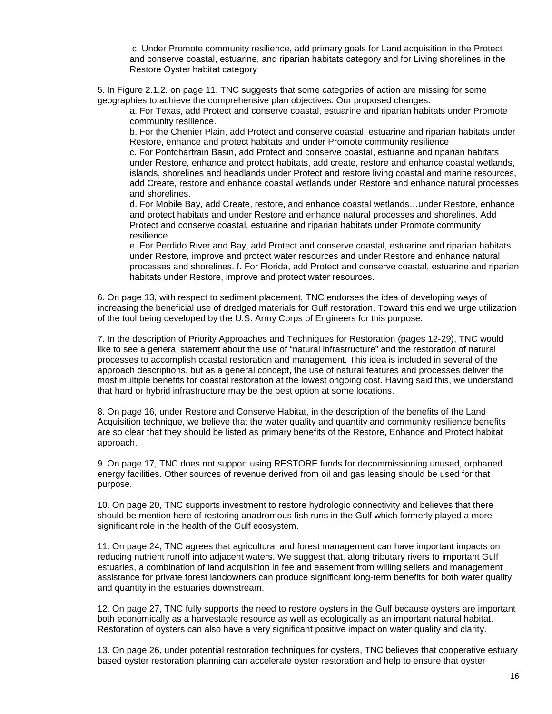c. Under Promote community resilience, add primary goals for Land acquisition in the Protect and conserve coastal, estuarine, and riparian habitats category and for Living shorelines in the Restore Oyster habitat category

5. In Figure 2.1.2. on page 11, TNC suggests that some categories of action are missing for some geographies to achieve the comprehensive plan objectives. Our proposed changes:

a. For Texas, add Protect and conserve coastal, estuarine and riparian habitats under Promote community resilience.

b. For the Chenier Plain, add Protect and conserve coastal, estuarine and riparian habitats under Restore, enhance and protect habitats and under Promote community resilience

c. For Pontchartrain Basin, add Protect and conserve coastal, estuarine and riparian habitats under Restore, enhance and protect habitats, add create, restore and enhance coastal wetlands, islands, shorelines and headlands under Protect and restore living coastal and marine resources, add Create, restore and enhance coastal wetlands under Restore and enhance natural processes and shorelines.

d. For Mobile Bay, add Create, restore, and enhance coastal wetlands…under Restore, enhance and protect habitats and under Restore and enhance natural processes and shorelines. Add Protect and conserve coastal, estuarine and riparian habitats under Promote community resilience

e. For Perdido River and Bay, add Protect and conserve coastal, estuarine and riparian habitats under Restore, improve and protect water resources and under Restore and enhance natural processes and shorelines. f. For Florida, add Protect and conserve coastal, estuarine and riparian habitats under Restore, improve and protect water resources.

6. On page 13, with respect to sediment placement, TNC endorses the idea of developing ways of increasing the beneficial use of dredged materials for Gulf restoration. Toward this end we urge utilization of the tool being developed by the U.S. Army Corps of Engineers for this purpose.

7. In the description of Priority Approaches and Techniques for Restoration (pages 12-29), TNC would like to see a general statement about the use of "natural infrastructure" and the restoration of natural processes to accomplish coastal restoration and management. This idea is included in several of the approach descriptions, but as a general concept, the use of natural features and processes deliver the most multiple benefits for coastal restoration at the lowest ongoing cost. Having said this, we understand that hard or hybrid infrastructure may be the best option at some locations.

8. On page 16, under Restore and Conserve Habitat, in the description of the benefits of the Land Acquisition technique, we believe that the water quality and quantity and community resilience benefits are so clear that they should be listed as primary benefits of the Restore, Enhance and Protect habitat approach.

9. On page 17, TNC does not support using RESTORE funds for decommissioning unused, orphaned energy facilities. Other sources of revenue derived from oil and gas leasing should be used for that purpose.

10. On page 20, TNC supports investment to restore hydrologic connectivity and believes that there should be mention here of restoring anadromous fish runs in the Gulf which formerly played a more significant role in the health of the Gulf ecosystem.

11. On page 24, TNC agrees that agricultural and forest management can have important impacts on reducing nutrient runoff into adjacent waters. We suggest that, along tributary rivers to important Gulf estuaries, a combination of land acquisition in fee and easement from willing sellers and management assistance for private forest landowners can produce significant long-term benefits for both water quality and quantity in the estuaries downstream.

12. On page 27, TNC fully supports the need to restore oysters in the Gulf because oysters are important both economically as a harvestable resource as well as ecologically as an important natural habitat. Restoration of oysters can also have a very significant positive impact on water quality and clarity.

13. On page 26, under potential restoration techniques for oysters, TNC believes that cooperative estuary based oyster restoration planning can accelerate oyster restoration and help to ensure that oyster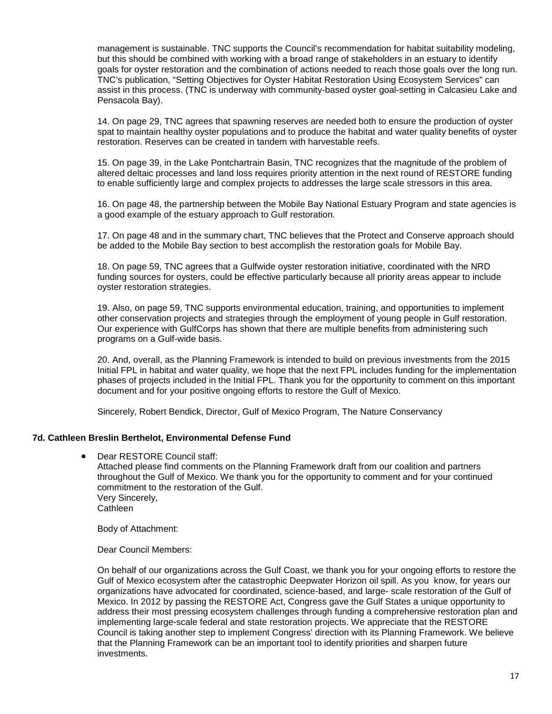management is sustainable. TNC supports the Council's recommendation for habitat suitability modeling, but this should be combined with working with a broad range of stakeholders in an estuary to identify goals for oyster restoration and the combination of actions needed to reach those goals over the long run. TNC's publication, "Setting Objectives for Oyster Habitat Restoration Using Ecosystem Services" can assist in this process. (TNC is underway with community-based oyster goal-setting in Calcasieu Lake and Pensacola Bay).

14. On page 29, TNC agrees that spawning reserves are needed both to ensure the production of oyster spat to maintain healthy oyster populations and to produce the habitat and water quality benefits of oyster restoration. Reserves can be created in tandem with harvestable reefs.

15. On page 39, in the Lake Pontchartrain Basin, TNC recognizes that the magnitude of the problem of altered deltaic processes and land loss requires priority attention in the next round of RESTORE funding to enable sufficiently large and complex projects to addresses the large scale stressors in this area.

16. On page 48, the partnership between the Mobile Bay National Estuary Program and state agencies is a good example of the estuary approach to Gulf restoration.

17. On page 48 and in the summary chart, TNC believes that the Protect and Conserve approach should be added to the Mobile Bay section to best accomplish the restoration goals for Mobile Bay.

18. On page 59, TNC agrees that a Gulfwide oyster restoration initiative, coordinated with the NRD funding sources for oysters, could be effective particularly because all priority areas appear to include oyster restoration strategies.

19. Also, on page 59, TNC supports environmental education, training, and opportunities to implement other conservation projects and strategies through the employment of young people in Gulf restoration. Our experience with GulfCorps has shown that there are multiple benefits from administering such programs on a Gulf-wide basis.

20. And, overall, as the Planning Framework is intended to build on previous investments from the 2015 Initial FPL in habitat and water quality, we hope that the next FPL includes funding for the implementation phases of projects included in the Initial FPL. Thank you for the opportunity to comment on this important document and for your positive ongoing efforts to restore the Gulf of Mexico.

Sincerely, Robert Bendick, Director, Gulf of Mexico Program, The Nature Conservancy

#### <span id="page-16-0"></span>**7d. Cathleen Breslin Berthelot, Environmental Defense Fund**

• Dear RESTORE Council staff: Attached please find comments on the Planning Framework draft from our coalition and partners throughout the Gulf of Mexico. We thank you for the opportunity to comment and for your continued commitment to the restoration of the Gulf. Very Sincerely, **Cathleen** 

Body of Attachment:

Dear Council Members:

On behalf of our organizations across the Gulf Coast, we thank you for your ongoing efforts to restore the Gulf of Mexico ecosystem after the catastrophic Deepwater Horizon oil spill. As you know, for years our organizations have advocated for coordinated, science-based, and large- scale restoration of the Gulf of Mexico. In 2012 by passing the RESTORE Act, Congress gave the Gulf States a unique opportunity to address their most pressing ecosystem challenges through funding a comprehensive restoration plan and implementing large-scale federal and state restoration projects. We appreciate that the RESTORE Council is taking another step to implement Congress' direction with its Planning Framework. We believe that the Planning Framework can be an important tool to identify priorities and sharpen future investments.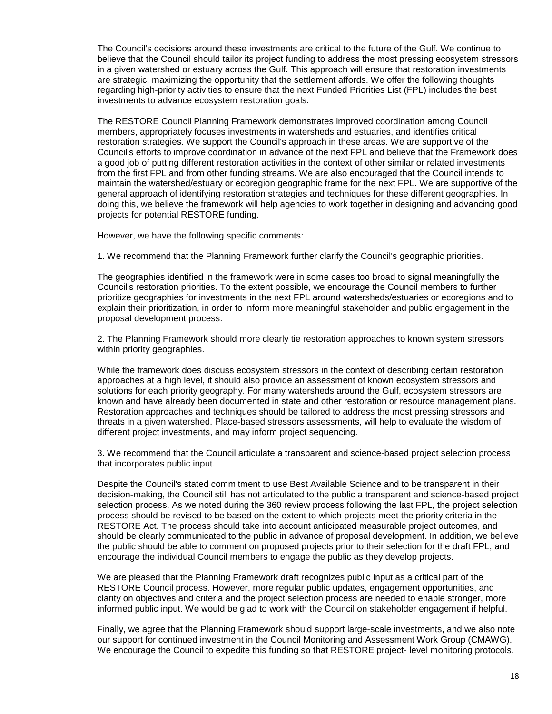The Council's decisions around these investments are critical to the future of the Gulf. We continue to believe that the Council should tailor its project funding to address the most pressing ecosystem stressors in a given watershed or estuary across the Gulf. This approach will ensure that restoration investments are strategic, maximizing the opportunity that the settlement affords. We offer the following thoughts regarding high-priority activities to ensure that the next Funded Priorities List (FPL) includes the best investments to advance ecosystem restoration goals.

The RESTORE Council Planning Framework demonstrates improved coordination among Council members, appropriately focuses investments in watersheds and estuaries, and identifies critical restoration strategies. We support the Council's approach in these areas. We are supportive of the Council's efforts to improve coordination in advance of the next FPL and believe that the Framework does a good job of putting different restoration activities in the context of other similar or related investments from the first FPL and from other funding streams. We are also encouraged that the Council intends to maintain the watershed/estuary or ecoregion geographic frame for the next FPL. We are supportive of the general approach of identifying restoration strategies and techniques for these different geographies. In doing this, we believe the framework will help agencies to work together in designing and advancing good projects for potential RESTORE funding.

However, we have the following specific comments:

1. We recommend that the Planning Framework further clarify the Council's geographic priorities.

The geographies identified in the framework were in some cases too broad to signal meaningfully the Council's restoration priorities. To the extent possible, we encourage the Council members to further prioritize geographies for investments in the next FPL around watersheds/estuaries or ecoregions and to explain their prioritization, in order to inform more meaningful stakeholder and public engagement in the proposal development process.

2. The Planning Framework should more clearly tie restoration approaches to known system stressors within priority geographies.

While the framework does discuss ecosystem stressors in the context of describing certain restoration approaches at a high level, it should also provide an assessment of known ecosystem stressors and solutions for each priority geography. For many watersheds around the Gulf, ecosystem stressors are known and have already been documented in state and other restoration or resource management plans. Restoration approaches and techniques should be tailored to address the most pressing stressors and threats in a given watershed. Place-based stressors assessments, will help to evaluate the wisdom of different project investments, and may inform project sequencing.

3. We recommend that the Council articulate a transparent and science-based project selection process that incorporates public input.

Despite the Council's stated commitment to use Best Available Science and to be transparent in their decision-making, the Council still has not articulated to the public a transparent and science-based project selection process. As we noted during the 360 review process following the last FPL, the project selection process should be revised to be based on the extent to which projects meet the priority criteria in the RESTORE Act. The process should take into account anticipated measurable project outcomes, and should be clearly communicated to the public in advance of proposal development. In addition, we believe the public should be able to comment on proposed projects prior to their selection for the draft FPL, and encourage the individual Council members to engage the public as they develop projects.

We are pleased that the Planning Framework draft recognizes public input as a critical part of the RESTORE Council process. However, more regular public updates, engagement opportunities, and clarity on objectives and criteria and the project selection process are needed to enable stronger, more informed public input. We would be glad to work with the Council on stakeholder engagement if helpful.

Finally, we agree that the Planning Framework should support large-scale investments, and we also note our support for continued investment in the Council Monitoring and Assessment Work Group (CMAWG). We encourage the Council to expedite this funding so that RESTORE project- level monitoring protocols,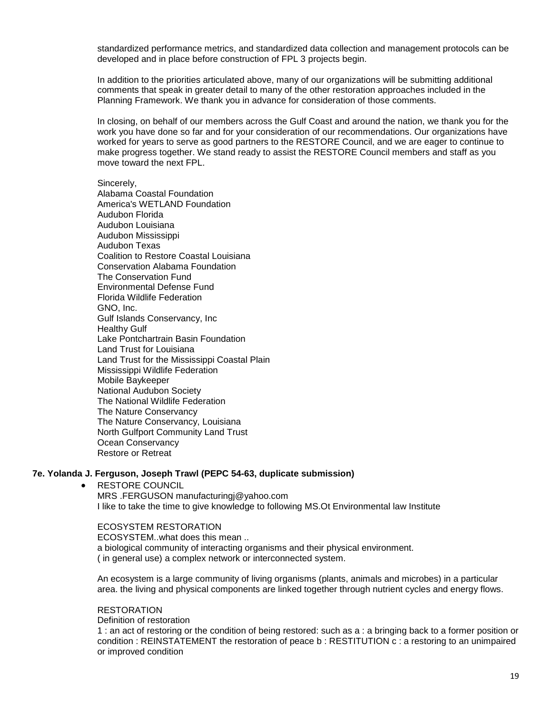standardized performance metrics, and standardized data collection and management protocols can be developed and in place before construction of FPL 3 projects begin.

In addition to the priorities articulated above, many of our organizations will be submitting additional comments that speak in greater detail to many of the other restoration approaches included in the Planning Framework. We thank you in advance for consideration of those comments.

In closing, on behalf of our members across the Gulf Coast and around the nation, we thank you for the work you have done so far and for your consideration of our recommendations. Our organizations have worked for years to serve as good partners to the RESTORE Council, and we are eager to continue to make progress together. We stand ready to assist the RESTORE Council members and staff as you move toward the next FPL.

Sincerely,

Alabama Coastal Foundation America's WETLAND Foundation Audubon Florida Audubon Louisiana Audubon Mississippi Audubon Texas Coalition to Restore Coastal Louisiana Conservation Alabama Foundation The Conservation Fund Environmental Defense Fund Florida Wildlife Federation GNO, Inc. Gulf Islands Conservancy, Inc Healthy Gulf Lake Pontchartrain Basin Foundation Land Trust for Louisiana Land Trust for the Mississippi Coastal Plain Mississippi Wildlife Federation Mobile Baykeeper National Audubon Society The National Wildlife Federation The Nature Conservancy The Nature Conservancy, Louisiana North Gulfport Community Land Trust Ocean Conservancy Restore or Retreat

#### **7e. Yolanda J. Ferguson, Joseph Trawl (PEPC 54-63, duplicate submission)**

RESTORE COUNCIL

MRS .FERGUSON manufacturingj@yahoo.com I like to take the time to give knowledge to following MS.Ot Environmental law Institute

## ECOSYSTEM RESTORATION

ECOSYSTEM..what does this mean .. a biological community of interacting organisms and their physical environment. ( in general use) a complex network or interconnected system.

An ecosystem is a large community of living organisms (plants, animals and microbes) in a particular area. the living and physical components are linked together through nutrient cycles and energy flows.

#### **RESTORATION**

Definition of restoration

1 : an act of restoring or the condition of being restored: such as a : a bringing back to a former position or condition : REINSTATEMENT the restoration of peace b : RESTITUTION c : a restoring to an unimpaired or improved condition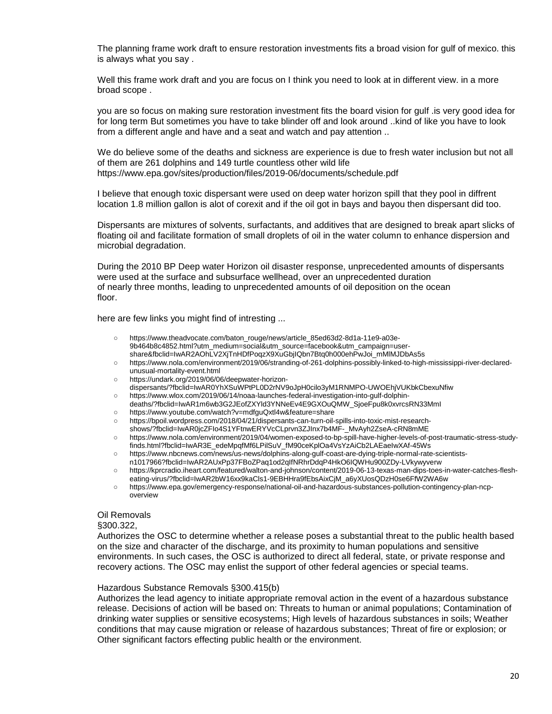The planning frame work draft to ensure restoration investments fits a broad vision for gulf of mexico. this is always what you say .

Well this frame work draft and you are focus on I think you need to look at in different view. in a more broad scope .

you are so focus on making sure restoration investment fits the board vision for gulf .is very good idea for for long term But sometimes you have to take blinder off and look around ..kind of like you have to look from a different angle and have and a seat and watch and pay attention ..

We do believe some of the deaths and sickness are experience is due to fresh water inclusion but not all of them are 261 dolphins and 149 turtle countless other wild life https://www.epa.gov/sites/production/files/2019-06/documents/schedule.pdf

I believe that enough toxic dispersant were used on deep water horizon spill that they pool in diffrent location 1.8 million gallon is alot of corexit and if the oil got in bays and bayou then dispersant did too.

Dispersants are mixtures of solvents, surfactants, and additives that are designed to break apart slicks of floating oil and facilitate formation of small droplets of oil in the water column to enhance dispersion and microbial degradation.

During the 2010 BP Deep water Horizon oil disaster response, unprecedented amounts of dispersants were used at the surface and subsurface wellhead, over an unprecedented duration of nearly three months, leading to unprecedented amounts of oil deposition on the ocean floor.

here are few links you might find of intresting ...

- https://www.theadvocate.com/baton\_rouge/news/article\_85ed63d2-8d1a-11e9-a03e-9b464b8c4852.html?utm\_medium=social&utm\_source=facebook&utm\_campaign=usershare&fbclid=IwAR2AOhLV2XjTnHDfPoqzX9XuGbjIQbn7Btq0h000ehPwJoi\_mMlMJDbAs5s
- https://www.nola.com/environment/2019/06/stranding-of-261-dolphins-possibly-linked-to-high-mississippi-river-declaredunusual-mortality-event.html
- https://undark.org/2019/06/06/deepwater-horizon-
- dispersants/?fbclid=IwAR0YhXSuWPtPL0D2rNV9oJpH0cilo3yM1RNMPO-UWOEhjVUKbkCbexuNfiw ○ https://www.wlox.com/2019/06/14/noaa-launches-federal-investigation-into-gulf-dolphin-
- deaths/?fbclid=IwAR1m6wb3G2JEofZXYld3YNNeEv4E9GXOuQMW\_SjoeFpu8k0xvrcsRN33MmI
- https://www.youtube.com/watch?v=mdfguQxtl4w&feature=share
- https://bpoil.wordpress.com/2018/04/21/dispersants-can-turn-oil-spills-into-toxic-mist-research-
- shows/?fbclid=IwAR0jcZFIo4S1YFtnwERYVcCLprvn3ZJInx7b4MF-\_MvAyh2ZseA-cRN8mME
- https://www.nola.com/environment/2019/04/women-exposed-to-bp-spill-have-higher-levels-of-post-traumatic-stress-studyfinds.html?fbclid=IwAR3E\_edeMpqfMf6LPilSuV\_fM90ceKplOa4VsYzAiCb2LAEaeIwXAf-45Ws
- https://www.nbcnews.com/news/us-news/dolphins-along-gulf-coast-are-dying-triple-normal-rate-scientists-
- n1017966?fbclid=IwAR2AUxPp37FBoZPaq1od2qIfNRhrDdqP4HkO6IQWHu900ZDy-LVkywyverw
- https://kprcradio.iheart.com/featured/walton-and-johnson/content/2019-06-13-texas-man-dips-toes-in-water-catches-flesheating-virus/?fbclid=IwAR2bW16xx9kaCls1-9EBHHra9fEbsAixCjM\_a6yXUosQDzH0se6FfW2WA6w
- https://www.epa.gov/emergency-response/national-oil-and-hazardous-substances-pollution-contingency-plan-ncpoverview

#### Oil Removals

#### §300.322,

Authorizes the OSC to determine whether a release poses a substantial threat to the public health based on the size and character of the discharge, and its proximity to human populations and sensitive environments. In such cases, the OSC is authorized to direct all federal, state, or private response and recovery actions. The OSC may enlist the support of other federal agencies or special teams.

#### Hazardous Substance Removals §300.415(b)

Authorizes the lead agency to initiate appropriate removal action in the event of a hazardous substance release. Decisions of action will be based on: Threats to human or animal populations; Contamination of drinking water supplies or sensitive ecosystems; High levels of hazardous substances in soils; Weather conditions that may cause migration or release of hazardous substances; Threat of fire or explosion; or Other significant factors effecting public health or the environment.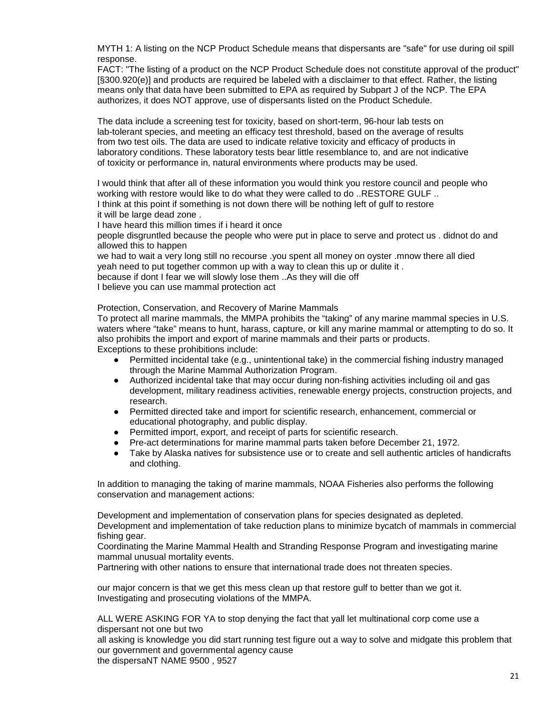MYTH 1: A listing on the NCP Product Schedule means that dispersants are "safe" for use during oil spill response.

FACT: "The listing of a product on the NCP Product Schedule does not constitute approval of the product" [§300.920(e)] and products are required be labeled with a disclaimer to that effect. Rather, the listing means only that data have been submitted to EPA as required by Subpart J of the NCP. The EPA authorizes, it does NOT approve, use of dispersants listed on the Product Schedule.

The data include a screening test for toxicity, based on short-term, 96-hour lab tests on lab-tolerant species, and meeting an efficacy test threshold, based on the average of results from two test oils. The data are used to indicate relative toxicity and efficacy of products in laboratory conditions. These laboratory tests bear little resemblance to, and are not indicative of toxicity or performance in, natural environments where products may be used.

I would think that after all of these information you would think you restore council and people who working with restore would like to do what they were called to do ..RESTORE GULF .. I think at this point if something is not down there will be nothing left of gulf to restore it will be large dead zone .

I have heard this million times if i heard it once

people disgruntled because the people who were put in place to serve and protect us . didnot do and allowed this to happen

we had to wait a very long still no recourse .you spent all money on oyster .mnow there all died yeah need to put together common up with a way to clean this up or dulite it . because if dont I fear we will slowly lose them ..As they will die off

I believe you can use mammal protection act

Protection, Conservation, and Recovery of Marine Mammals

To protect all marine mammals, the MMPA prohibits the "taking" of any marine mammal species in U.S. waters where "take" means to hunt, harass, capture, or kill any marine mammal or attempting to do so. It also prohibits the import and export of marine mammals and their parts or products. Exceptions to these prohibitions include:

- Permitted incidental take (e.g., unintentional take) in the commercial fishing industry managed through the Marine Mammal Authorization Program.
- Authorized incidental take that may occur during non-fishing activities including oil and gas development, military readiness activities, renewable energy projects, construction projects, and research.
- Permitted directed take and import for scientific research, enhancement, commercial or educational photography, and public display.
- Permitted import, export, and receipt of parts for scientific research.
- Pre-act determinations for marine mammal parts taken before December 21, 1972.
- Take by Alaska natives for subsistence use or to create and sell authentic articles of handicrafts and clothing.

In addition to managing the taking of marine mammals, NOAA Fisheries also performs the following conservation and management actions:

Development and implementation of conservation plans for species designated as depleted.

Development and implementation of take reduction plans to minimize bycatch of mammals in commercial fishing gear.

Coordinating the Marine Mammal Health and Stranding Response Program and investigating marine mammal unusual mortality events.

Partnering with other nations to ensure that international trade does not threaten species.

our major concern is that we get this mess clean up that restore gulf to better than we got it. Investigating and prosecuting violations of the MMPA.

ALL WERE ASKING FOR YA to stop denying the fact that yall let multinational corp come use a dispersant not one but two

all asking is knowledge you did start running test figure out a way to solve and midgate this problem that our government and governmental agency cause

the dispersaNT NAME 9500 , 9527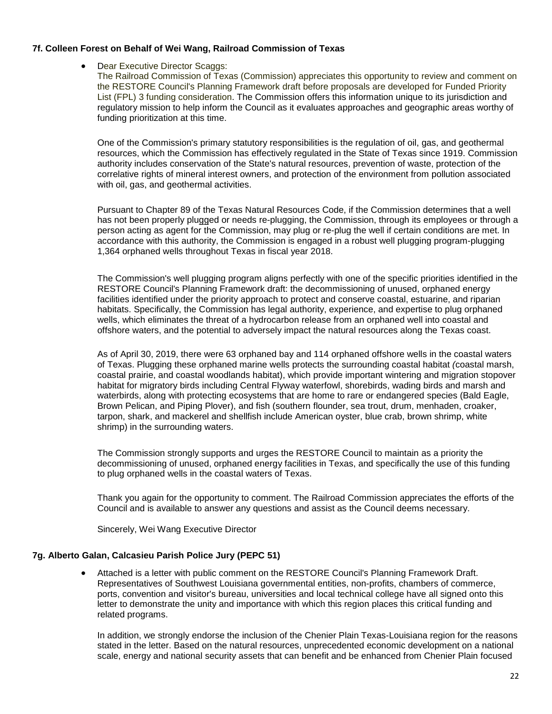## <span id="page-21-0"></span>**7f. Colleen Forest on Behalf of Wei Wang, Railroad Commission of Texas**

• Dear Executive Director Scaggs:

The Railroad Commission of Texas (Commission) appreciates this opportunity to review and comment on the RESTORE Council's Planning Framework draft before proposals are developed for Funded Priority List (FPL) 3 funding consideration. The Commission offers this information unique to its jurisdiction and regulatory mission to help inform the Council as it evaluates approaches and geographic areas worthy of funding prioritization at this time.

One of the Commission's primary statutory responsibilities is the regulation of oil, gas, and geothermal resources, which the Commission has effectively regulated in the State of Texas since 1919. Commission authority includes conservation of the State's natural resources, prevention of waste, protection of the correlative rights of mineral interest owners, and protection of the environment from pollution associated with oil, gas, and geothermal activities.

Pursuant to Chapter 89 of the Texas Natural Resources Code, if the Commission determines that a well has not been properly plugged or needs re-plugging, the Commission, through its employees or through a person acting as agent for the Commission, may plug or re-plug the well if certain conditions are met. In accordance with this authority, the Commission is engaged in a robust well plugging program-plugging 1,364 orphaned wells throughout Texas in fiscal year 2018.

The Commission's well plugging program aligns perfectly with one of the specific priorities identified in the RESTORE Council's Planning Framework draft: the decommissioning of unused, orphaned energy facilities identified under the priority approach to protect and conserve coastal, estuarine, and riparian habitats. Specifically, the Commission has legal authority, experience, and expertise to plug orphaned wells, which eliminates the threat of a hydrocarbon release from an orphaned well into coastal and offshore waters, and the potential to adversely impact the natural resources along the Texas coast.

As of April 30, 2019, there were 63 orphaned bay and 114 orphaned offshore wells in the coastal waters of Texas. Plugging these orphaned marine wells protects the surrounding coastal habitat *(*coastal marsh, coastal prairie, and coastal woodlands habitat), which provide important wintering and migration stopover habitat for migratory birds including Central Flyway waterfowl, shorebirds, wading birds and marsh and waterbirds, along with protecting ecosystems that are home to rare or endangered species (Bald Eagle, Brown Pelican, and Piping Plover), and fish (southern flounder, sea trout, drum, menhaden, croaker, tarpon, shark, and mackerel and shellfish include American oyster, blue crab, brown shrimp, white shrimp) in the surrounding waters.

The Commission strongly supports and urges the RESTORE Council to maintain as a priority the decommissioning of unused, orphaned energy facilities in Texas, and specifically the use of this funding to plug orphaned wells in the coastal waters of Texas.

Thank you again for the opportunity to comment. The Railroad Commission appreciates the efforts of the Council and is available to answer any questions and assist as the Council deems necessary.

Sincerely, Wei Wang Executive Director

## <span id="page-21-1"></span>**7g. Alberto Galan, Calcasieu Parish Police Jury (PEPC 51)**

• Attached is a letter with public comment on the RESTORE Council's Planning Framework Draft. Representatives of Southwest Louisiana governmental entities, non-profits, chambers of commerce, ports, convention and visitor's bureau, universities and local technical college have all signed onto this letter to demonstrate the unity and importance with which this region places this critical funding and related programs.

In addition, we strongly endorse the inclusion of the Chenier Plain Texas-Louisiana region for the reasons stated in the letter. Based on the natural resources, unprecedented economic development on a national scale, energy and national security assets that can benefit and be enhanced from Chenier Plain focused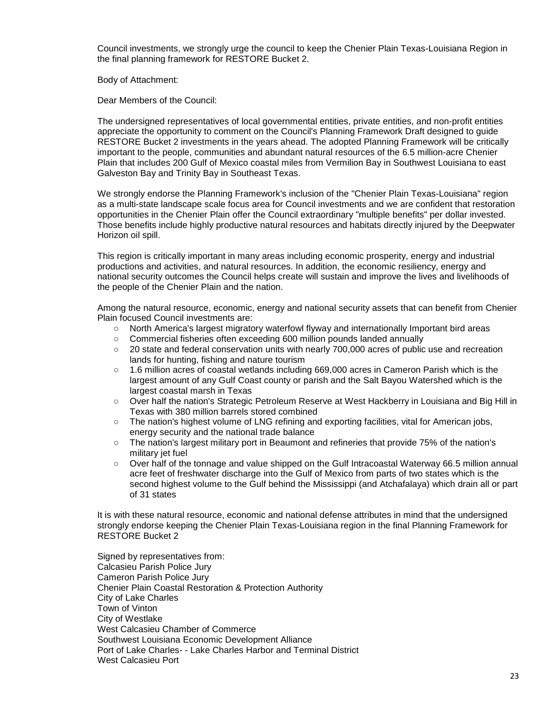Council investments, we strongly urge the council to keep the Chenier Plain Texas-Louisiana Region in the final planning framework for RESTORE Bucket 2.

Body of Attachment:

Dear Members of the Council:

The undersigned representatives of local governmental entities, private entities, and non-profit entities appreciate the opportunity to comment on the Council's Planning Framework Draft designed to guide RESTORE Bucket 2 investments in the years ahead. The adopted Planning Framework will be critically important to the people, communities and abundant natural resources of the 6.5 million-acre Chenier Plain that includes 200 Gulf of Mexico coastal miles from Vermilion Bay in Southwest Louisiana to east Galveston Bay and Trinity Bay in Southeast Texas.

We strongly endorse the Planning Framework's inclusion of the "Chenier Plain Texas-Louisiana" region as a multi-state landscape scale focus area for Council investments and we are confident that restoration opportunities in the Chenier Plain offer the Council extraordinary "multiple benefits" per dollar invested. Those benefits include highly productive natural resources and habitats directly injured by the Deepwater Horizon oil spill.

This region is critically important in many areas including economic prosperity, energy and industrial productions and activities, and natural resources. In addition, the economic resiliency, energy and national security outcomes the Council helps create will sustain and improve the lives and livelihoods of the people of the Chenier Plain and the nation.

Among the natural resource, economic, energy and national security assets that can benefit from Chenier Plain focused Council investments are:

- North America's largest migratory waterfowl flyway and internationally Important bird areas
- Commercial fisheries often exceeding 600 million pounds landed annually
- 20 state and federal conservation units with nearly 700,000 acres of public use and recreation lands for hunting, fishing and nature tourism
- 1.6 million acres of coastal wetlands including 669,000 acres in Cameron Parish which is the largest amount of any Gulf Coast county or parish and the Salt Bayou Watershed which is the largest coastal marsh in Texas
- o Over half the nation's Strategic Petroleum Reserve at West Hackberry in Louisiana and Big Hill in Texas with 380 million barrels stored combined
- The nation's highest volume of LNG refining and exporting facilities, vital for American jobs, energy security and the national trade balance
- The nation's largest military port in Beaumont and refineries that provide 75% of the nation's military jet fuel
- Over half of the tonnage and value shipped on the Gulf Intracoastal Waterway 66.5 million annual acre feet of freshwater discharge into the Gulf of Mexico from parts of two states which is the second highest volume to the Gulf behind the Mississippi (and Atchafalaya) which drain all or part of 31 states

It is with these natural resource, economic and national defense attributes in mind that the undersigned strongly endorse keeping the Chenier Plain Texas-Louisiana region in the final Planning Framework for RESTORE Bucket 2

Signed by representatives from: Calcasieu Parish Police Jury Cameron Parish Police Jury Chenier Plain Coastal Restoration & Protection Authority City of Lake Charles Town of Vinton City of Westlake West Calcasieu Chamber of Commerce Southwest Louisiana Economic Development Alliance Port of Lake Charles- - Lake Charles Harbor and Terminal District West Calcasieu Port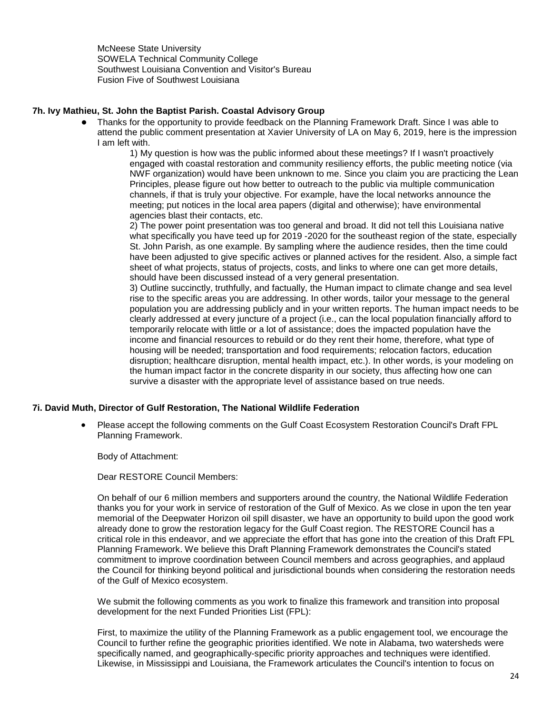McNeese State University SOWELA Technical Community College Southwest Louisiana Convention and Visitor's Bureau Fusion Five of Southwest Louisiana

## **7h. Ivy Mathieu, St. John the Baptist Parish. Coastal Advisory Group**

Thanks for the opportunity to provide feedback on the Planning Framework Draft. Since I was able to attend the public comment presentation at Xavier University of LA on May 6, 2019, here is the impression I am left with.

1) My question is how was the public informed about these meetings? If I wasn't proactively engaged with coastal restoration and community resiliency efforts, the public meeting notice (via NWF organization) would have been unknown to me. Since you claim you are practicing the Lean Principles, please figure out how better to outreach to the public via multiple communication channels, if that is truly your objective. For example, have the local networks announce the meeting; put notices in the local area papers (digital and otherwise); have environmental agencies blast their contacts, etc.

2) The power point presentation was too general and broad. It did not tell this Louisiana native what specifically you have teed up for 2019 -2020 for the southeast region of the state, especially St. John Parish, as one example. By sampling where the audience resides, then the time could have been adjusted to give specific actives or planned actives for the resident. Also, a simple fact sheet of what projects, status of projects, costs, and links to where one can get more details, should have been discussed instead of a very general presentation.

3) Outline succinctly, truthfully, and factually, the Human impact to climate change and sea level rise to the specific areas you are addressing. In other words, tailor your message to the general population you are addressing publicly and in your written reports. The human impact needs to be clearly addressed at every juncture of a project (i.e., can the local population financially afford to temporarily relocate with little or a lot of assistance; does the impacted population have the income and financial resources to rebuild or do they rent their home, therefore, what type of housing will be needed; transportation and food requirements; relocation factors, education disruption; healthcare disruption, mental health impact, etc.). In other words, is your modeling on the human impact factor in the concrete disparity in our society, thus affecting how one can survive a disaster with the appropriate level of assistance based on true needs.

## <span id="page-23-0"></span>**7i. David Muth, Director of Gulf Restoration, The National Wildlife Federation**

• Please accept the following comments on the Gulf Coast Ecosystem Restoration Council's Draft FPL Planning Framework.

Body of Attachment:

Dear RESTORE Council Members:

On behalf of our 6 million members and supporters around the country, the National Wildlife Federation thanks you for your work in service of restoration of the Gulf of Mexico. As we close in upon the ten year memorial of the Deepwater Horizon oil spill disaster, we have an opportunity to build upon the good work already done to grow the restoration legacy for the Gulf Coast region. The RESTORE Council has a critical role in this endeavor, and we appreciate the effort that has gone into the creation of this Draft FPL Planning Framework. We believe this Draft Planning Framework demonstrates the Council's stated commitment to improve coordination between Council members and across geographies, and applaud the Council for thinking beyond political and jurisdictional bounds when considering the restoration needs of the Gulf of Mexico ecosystem.

We submit the following comments as you work to finalize this framework and transition into proposal development for the next Funded Priorities List (FPL):

First, to maximize the utility of the Planning Framework as a public engagement tool, we encourage the Council to further refine the geographic priorities identified. We note in Alabama, two watersheds were specifically named, and geographically-specific priority approaches and techniques were identified. Likewise, in Mississippi and Louisiana, the Framework articulates the Council's intention to focus on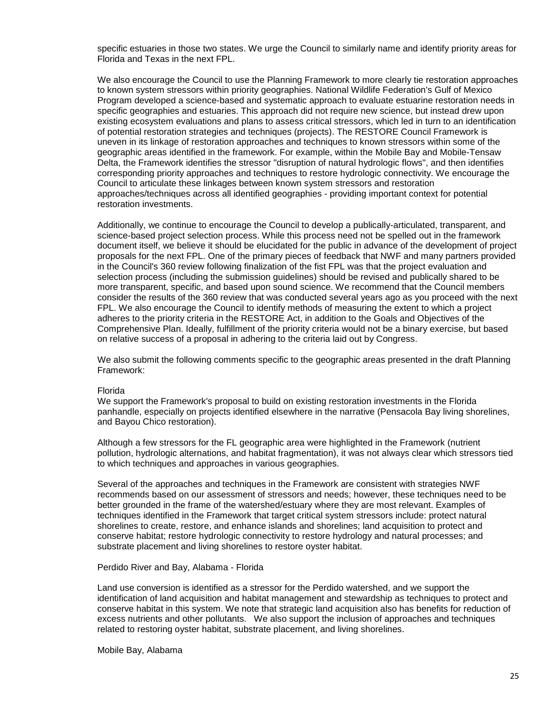specific estuaries in those two states. We urge the Council to similarly name and identify priority areas for Florida and Texas in the next FPL.

We also encourage the Council to use the Planning Framework to more clearly tie restoration approaches to known system stressors within priority geographies. National Wildlife Federation's Gulf of Mexico Program developed a science-based and systematic approach to evaluate estuarine restoration needs in specific geographies and estuaries. This approach did not require new science, but instead drew upon existing ecosystem evaluations and plans to assess critical stressors, which led in turn to an identification of potential restoration strategies and techniques (projects). The RESTORE Council Framework is uneven in its linkage of restoration approaches and techniques to known stressors within some of the geographic areas identified in the framework. For example, within the Mobile Bay and Mobile-Tensaw Delta, the Framework identifies the stressor "disruption of natural hydrologic flows", and then identifies corresponding priority approaches and techniques to restore hydrologic connectivity. We encourage the Council to articulate these linkages between known system stressors and restoration approaches/techniques across all identified geographies - providing important context for potential restoration investments.

Additionally, we continue to encourage the Council to develop a publically-articulated, transparent, and science-based project selection process. While this process need not be spelled out in the framework document itself, we believe it should be elucidated for the public in advance of the development of project proposals for the next FPL. One of the primary pieces of feedback that NWF and many partners provided in the Council's 360 review following finalization of the fist FPL was that the project evaluation and selection process (including the submission guidelines) should be revised and publically shared to be more transparent, specific, and based upon sound science. We recommend that the Council members consider the results of the 360 review that was conducted several years ago as you proceed with the next FPL. We also encourage the Council to identify methods of measuring the extent to which a project adheres to the priority criteria in the RESTORE Act, in addition to the Goals and Objectives of the Comprehensive Plan. Ideally, fulfillment of the priority criteria would not be a binary exercise, but based on relative success of a proposal in adhering to the criteria laid out by Congress.

We also submit the following comments specific to the geographic areas presented in the draft Planning Framework:

#### Florida

We support the Framework's proposal to build on existing restoration investments in the Florida panhandle, especially on projects identified elsewhere in the narrative (Pensacola Bay living shorelines, and Bayou Chico restoration).

Although a few stressors for the FL geographic area were highlighted in the Framework (nutrient pollution, hydrologic alternations, and habitat fragmentation), it was not always clear which stressors tied to which techniques and approaches in various geographies.

Several of the approaches and techniques in the Framework are consistent with strategies NWF recommends based on our assessment of stressors and needs; however, these techniques need to be better grounded in the frame of the watershed/estuary where they are most relevant. Examples of techniques identified in the Framework that target critical system stressors include: protect natural shorelines to create, restore, and enhance islands and shorelines; land acquisition to protect and conserve habitat; restore hydrologic connectivity to restore hydrology and natural processes; and substrate placement and living shorelines to restore oyster habitat.

#### Perdido River and Bay, Alabama - Florida

Land use conversion is identified as a stressor for the Perdido watershed, and we support the identification of land acquisition and habitat management and stewardship as techniques to protect and conserve habitat in this system. We note that strategic land acquisition also has benefits for reduction of excess nutrients and other pollutants. We also support the inclusion of approaches and techniques related to restoring oyster habitat, substrate placement, and living shorelines.

Mobile Bay, Alabama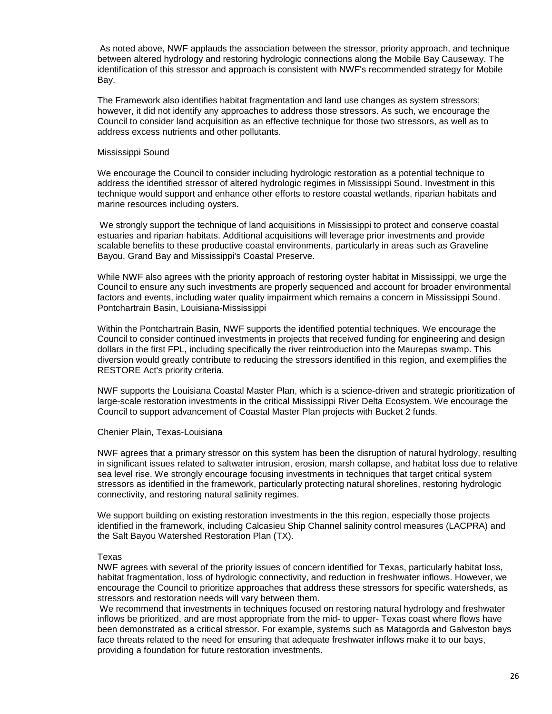As noted above, NWF applauds the association between the stressor, priority approach, and technique between altered hydrology and restoring hydrologic connections along the Mobile Bay Causeway. The identification of this stressor and approach is consistent with NWF's recommended strategy for Mobile Bay.

The Framework also identifies habitat fragmentation and land use changes as system stressors; however, it did not identify any approaches to address those stressors. As such, we encourage the Council to consider land acquisition as an effective technique for those two stressors, as well as to address excess nutrients and other pollutants.

#### Mississippi Sound

We encourage the Council to consider including hydrologic restoration as a potential technique to address the identified stressor of altered hydrologic regimes in Mississippi Sound. Investment in this technique would support and enhance other efforts to restore coastal wetlands, riparian habitats and marine resources including oysters.

We strongly support the technique of land acquisitions in Mississippi to protect and conserve coastal estuaries and riparian habitats. Additional acquisitions will leverage prior investments and provide scalable benefits to these productive coastal environments, particularly in areas such as Graveline Bayou, Grand Bay and Mississippi's Coastal Preserve.

While NWF also agrees with the priority approach of restoring oyster habitat in Mississippi, we urge the Council to ensure any such investments are properly sequenced and account for broader environmental factors and events, including water quality impairment which remains a concern in Mississippi Sound. Pontchartrain Basin, Louisiana-Mississippi

Within the Pontchartrain Basin, NWF supports the identified potential techniques. We encourage the Council to consider continued investments in projects that received funding for engineering and design dollars in the first FPL, including specifically the river reintroduction into the Maurepas swamp. This diversion would greatly contribute to reducing the stressors identified in this region, and exemplifies the RESTORE Act's priority criteria.

NWF supports the Louisiana Coastal Master Plan, which is a science-driven and strategic prioritization of large-scale restoration investments in the critical Mississippi River Delta Ecosystem. We encourage the Council to support advancement of Coastal Master Plan projects with Bucket 2 funds.

#### Chenier Plain, Texas-Louisiana

NWF agrees that a primary stressor on this system has been the disruption of natural hydrology, resulting in significant issues related to saltwater intrusion, erosion, marsh collapse, and habitat loss due to relative sea level rise. We strongly encourage focusing investments in techniques that target critical system stressors as identified in the framework, particularly protecting natural shorelines, restoring hydrologic connectivity, and restoring natural salinity regimes.

We support building on existing restoration investments in the this region, especially those projects identified in the framework, including Calcasieu Ship Channel salinity control measures (LACPRA) and the Salt Bayou Watershed Restoration Plan (TX).

#### Texas

NWF agrees with several of the priority issues of concern identified for Texas, particularly habitat loss, habitat fragmentation, loss of hydrologic connectivity, and reduction in freshwater inflows. However, we encourage the Council to prioritize approaches that address these stressors for specific watersheds, as stressors and restoration needs will vary between them.

We recommend that investments in techniques focused on restoring natural hydrology and freshwater inflows be prioritized, and are most appropriate from the mid- to upper- Texas coast where flows have been demonstrated as a critical stressor. For example, systems such as Matagorda and Galveston bays face threats related to the need for ensuring that adequate freshwater inflows make it to our bays, providing a foundation for future restoration investments.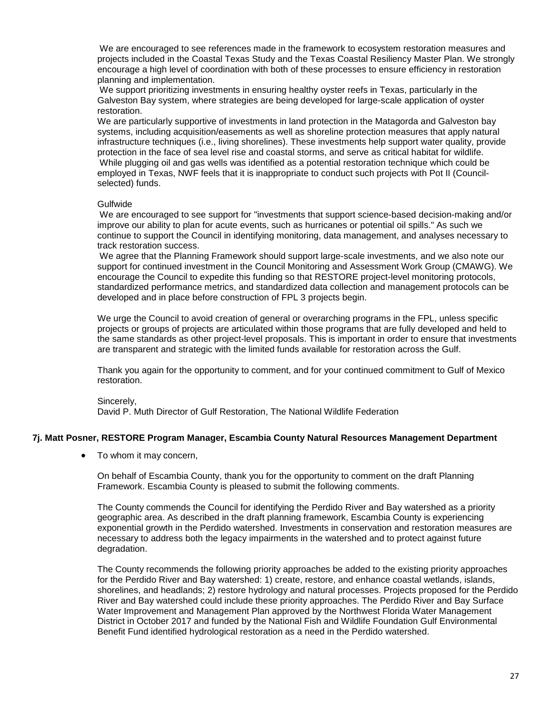We are encouraged to see references made in the framework to ecosystem restoration measures and projects included in the Coastal Texas Study and the Texas Coastal Resiliency Master Plan. We strongly encourage a high level of coordination with both of these processes to ensure efficiency in restoration planning and implementation.

We support prioritizing investments in ensuring healthy oyster reefs in Texas, particularly in the Galveston Bay system, where strategies are being developed for large-scale application of oyster restoration.

We are particularly supportive of investments in land protection in the Matagorda and Galveston bay systems, including acquisition/easements as well as shoreline protection measures that apply natural infrastructure techniques (i.e., living shorelines). These investments help support water quality, provide protection in the face of sea level rise and coastal storms, and serve as critical habitat for wildlife. While plugging oil and gas wells was identified as a potential restoration technique which could be employed in Texas, NWF feels that it is inappropriate to conduct such projects with Pot II (Councilselected) funds.

#### Gulfwide

We are encouraged to see support for "investments that support science-based decision-making and/or improve our ability to plan for acute events, such as hurricanes or potential oil spills." As such we continue to support the Council in identifying monitoring, data management, and analyses necessary to track restoration success.

We agree that the Planning Framework should support large-scale investments, and we also note our support for continued investment in the Council Monitoring and Assessment Work Group (CMAWG). We encourage the Council to expedite this funding so that RESTORE project-level monitoring protocols, standardized performance metrics, and standardized data collection and management protocols can be developed and in place before construction of FPL 3 projects begin.

We urge the Council to avoid creation of general or overarching programs in the FPL, unless specific projects or groups of projects are articulated within those programs that are fully developed and held to the same standards as other project-level proposals. This is important in order to ensure that investments are transparent and strategic with the limited funds available for restoration across the Gulf.

Thank you again for the opportunity to comment, and for your continued commitment to Gulf of Mexico restoration.

Sincerely, David P. Muth Director of Gulf Restoration, The National Wildlife Federation

#### <span id="page-26-0"></span>**7j. Matt Posner, RESTORE Program Manager, Escambia County Natural Resources Management Department**

• To whom it may concern,

On behalf of Escambia County, thank you for the opportunity to comment on the draft Planning Framework. Escambia County is pleased to submit the following comments.

The County commends the Council for identifying the Perdido River and Bay watershed as a priority geographic area. As described in the draft planning framework, Escambia County is experiencing exponential growth in the Perdido watershed. Investments in conservation and restoration measures are necessary to address both the legacy impairments in the watershed and to protect against future degradation.

The County recommends the following priority approaches be added to the existing priority approaches for the Perdido River and Bay watershed: 1) create, restore, and enhance coastal wetlands, islands, shorelines, and headlands; 2) restore hydrology and natural processes. Projects proposed for the Perdido River and Bay watershed could include these priority approaches. The Perdido River and Bay Surface Water Improvement and Management Plan approved by the Northwest Florida Water Management District in October 2017 and funded by the National Fish and Wildlife Foundation Gulf Environmental Benefit Fund identified hydrological restoration as a need in the Perdido watershed.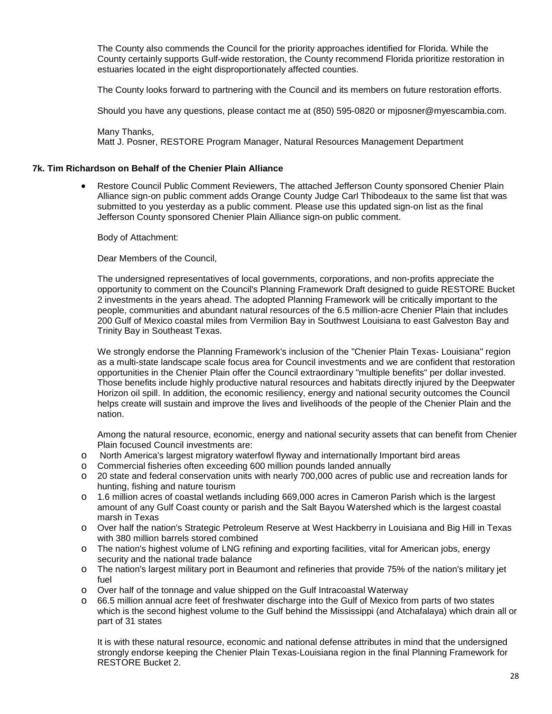The County also commends the Council for the priority approaches identified for Florida. While the County certainly supports Gulf-wide restoration, the County recommend Florida prioritize restoration in estuaries located in the eight disproportionately affected counties.

The County looks forward to partnering with the Council and its members on future restoration efforts.

Should you have any questions, please contact me at (850) 595-0820 or mjposner@myescambia.com.

Many Thanks, Matt J. Posner, RESTORE Program Manager, Natural Resources Management Department

## <span id="page-27-0"></span>**7k. Tim Richardson on Behalf of the Chenier Plain Alliance**

• Restore Council Public Comment Reviewers, The attached Jefferson County sponsored Chenier Plain Alliance sign-on public comment adds Orange County Judge Carl Thibodeaux to the same list that was submitted to you yesterday as a public comment. Please use this updated sign-on list as the final Jefferson County sponsored Chenier Plain Alliance sign-on public comment.

Body of Attachment:

Dear Members of the Council,

The undersigned representatives of local governments, corporations, and non-profits appreciate the opportunity to comment on the Council's Planning Framework Draft designed to guide RESTORE Bucket 2 investments in the years ahead. The adopted Planning Framework will be critically important to the people, communities and abundant natural resources of the 6.5 million-acre Chenier Plain that includes 200 Gulf of Mexico coastal miles from Vermilion Bay in Southwest Louisiana to east Galveston Bay and Trinity Bay in Southeast Texas.

We strongly endorse the Planning Framework's inclusion of the "Chenier Plain Texas- Louisiana" region as a multi-state landscape scale focus area for Council investments and we are confident that restoration opportunities in the Chenier Plain offer the Council extraordinary "multiple benefits" per dollar invested. Those benefits include highly productive natural resources and habitats directly injured by the Deepwater Horizon oil spill. In addition, the economic resiliency, energy and national security outcomes the Council helps create will sustain and improve the lives and livelihoods of the people of the Chenier Plain and the nation.

Among the natural resource, economic, energy and national security assets that can benefit from Chenier Plain focused Council investments are:

- o North America's largest migratory waterfowl flyway and internationally Important bird areas
- o Commercial fisheries often exceeding 600 million pounds landed annually
- o 20 state and federal conservation units with nearly 700,000 acres of public use and recreation lands for hunting, fishing and nature tourism
- o 1.6 million acres of coastal wetlands including 669,000 acres in Cameron Parish which is the largest amount of any Gulf Coast county or parish and the Salt Bayou Watershed which is the largest coastal marsh in Texas
- o Over half the nation's Strategic Petroleum Reserve at West Hackberry in Louisiana and Big Hill in Texas with 380 million barrels stored combined
- o The nation's highest volume of LNG refining and exporting facilities, vital for American jobs, energy security and the national trade balance
- o The nation's largest military port in Beaumont and refineries that provide 75% of the nation's military jet fuel
- o Over half of the tonnage and value shipped on the Gulf Intracoastal Waterway
- o 66.5 million annual acre feet of freshwater discharge into the Gulf of Mexico from parts of two states which is the second highest volume to the Gulf behind the Mississippi (and Atchafalaya) which drain all or part of 31 states

It is with these natural resource, economic and national defense attributes in mind that the undersigned strongly endorse keeping the Chenier Plain Texas-Louisiana region in the final Planning Framework for RESTORE Bucket 2.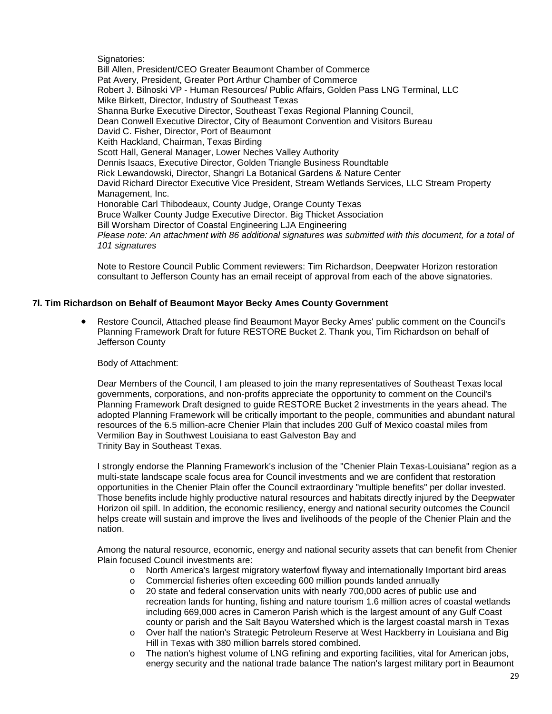Signatories:

Bill Allen, President/CEO Greater Beaumont Chamber of Commerce Pat Avery, President, Greater Port Arthur Chamber of Commerce Robert J. Bilnoski VP - Human Resources/ Public Affairs, Golden Pass LNG Terminal, LLC Mike Birkett, Director, Industry of Southeast Texas Shanna Burke Executive Director, Southeast Texas Regional Planning Council, Dean Conwell Executive Director, City of Beaumont Convention and Visitors Bureau David C. Fisher, Director, Port of Beaumont Keith Hackland, Chairman, Texas Birding Scott Hall, General Manager, Lower Neches Valley Authority Dennis Isaacs, Executive Director, Golden Triangle Business Roundtable Rick Lewandowski, Director, Shangri La Botanical Gardens & Nature Center David Richard Director Executive Vice President, Stream Wetlands Services, LLC Stream Property Management, Inc. Honorable Carl Thibodeaux, County Judge, Orange County Texas Bruce Walker County Judge Executive Director. Big Thicket Association Bill Worsham Director of Coastal Engineering LJA Engineering *Please note: An attachment with 86 additional signatures was submitted with this document, for a total of 101 signatures*

Note to Restore Council Public Comment reviewers: Tim Richardson, Deepwater Horizon restoration consultant to Jefferson County has an email receipt of approval from each of the above signatories.

## <span id="page-28-0"></span>**7l. Tim Richardson on Behalf of Beaumont Mayor Becky Ames County Government**

• Restore Council, Attached please find Beaumont Mayor Becky Ames' public comment on the Council's Planning Framework Draft for future RESTORE Bucket 2. Thank you, Tim Richardson on behalf of Jefferson County

Body of Attachment:

Dear Members of the Council, I am pleased to join the many representatives of Southeast Texas local governments, corporations, and non-profits appreciate the opportunity to comment on the Council's Planning Framework Draft designed to guide RESTORE Bucket 2 investments in the years ahead. The adopted Planning Framework will be critically important to the people, communities and abundant natural resources of the 6.5 million-acre Chenier Plain that includes 200 Gulf of Mexico coastal miles from Vermilion Bay in Southwest Louisiana to east Galveston Bay and Trinity Bay in Southeast Texas.

I strongly endorse the Planning Framework's inclusion of the "Chenier Plain Texas-Louisiana" region as a multi-state landscape scale focus area for Council investments and we are confident that restoration opportunities in the Chenier Plain offer the Council extraordinary "multiple benefits" per dollar invested. Those benefits include highly productive natural resources and habitats directly injured by the Deepwater Horizon oil spill. In addition, the economic resiliency, energy and national security outcomes the Council helps create will sustain and improve the lives and livelihoods of the people of the Chenier Plain and the nation.

Among the natural resource, economic, energy and national security assets that can benefit from Chenier Plain focused Council investments are:

- o North America's largest migratory waterfowl flyway and internationally Important bird areas
- o Commercial fisheries often exceeding 600 million pounds landed annually
- o 20 state and federal conservation units with nearly 700,000 acres of public use and recreation lands for hunting, fishing and nature tourism 1.6 million acres of coastal wetlands including 669,000 acres in Cameron Parish which is the largest amount of any Gulf Coast county or parish and the Salt Bayou Watershed which is the largest coastal marsh in Texas
- o Over half the nation's Strategic Petroleum Reserve at West Hackberry in Louisiana and Big Hill in Texas with 380 million barrels stored combined.
- o The nation's highest volume of LNG refining and exporting facilities, vital for American jobs, energy security and the national trade balance The nation's largest military port in Beaumont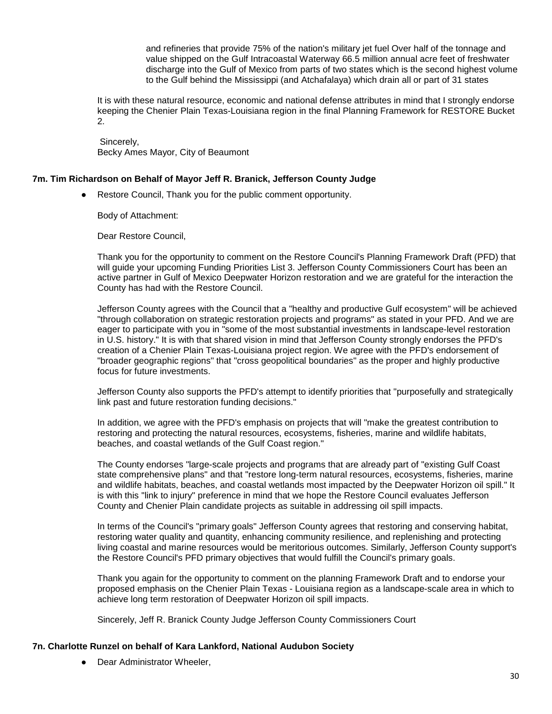and refineries that provide 75% of the nation's military jet fuel Over half of the tonnage and value shipped on the Gulf Intracoastal Waterway 66.5 million annual acre feet of freshwater discharge into the Gulf of Mexico from parts of two states which is the second highest volume to the Gulf behind the Mississippi (and Atchafalaya) which drain all or part of 31 states

It is with these natural resource, economic and national defense attributes in mind that I strongly endorse keeping the Chenier Plain Texas-Louisiana region in the final Planning Framework for RESTORE Bucket 2.

Sincerely, Becky Ames Mayor, City of Beaumont

#### <span id="page-29-0"></span>**7m. Tim Richardson on Behalf of Mayor Jeff R. Branick, Jefferson County Judge**

● Restore Council, Thank you for the public comment opportunity.

Body of Attachment:

Dear Restore Council,

Thank you for the opportunity to comment on the Restore Council's Planning Framework Draft (PFD) that will guide your upcoming Funding Priorities List 3. Jefferson County Commissioners Court has been an active partner in Gulf of Mexico Deepwater Horizon restoration and we are grateful for the interaction the County has had with the Restore Council.

Jefferson County agrees with the Council that a "healthy and productive Gulf ecosystem" will be achieved "through collaboration on strategic restoration projects and programs" as stated in your PFD. And we are eager to participate with you in "some of the most substantial investments in landscape-level restoration in U.S. history." It is with that shared vision in mind that Jefferson County strongly endorses the PFD's creation of a Chenier Plain Texas-Louisiana project region. We agree with the PFD's endorsement of "broader geographic regions" that "cross geopolitical boundaries" as the proper and highly productive focus for future investments.

Jefferson County also supports the PFD's attempt to identify priorities that "purposefully and strategically link past and future restoration funding decisions."

In addition, we agree with the PFD's emphasis on projects that will "make the greatest contribution to restoring and protecting the natural resources, ecosystems, fisheries, marine and wildlife habitats, beaches, and coastal wetlands of the Gulf Coast region."

The County endorses "large-scale projects and programs that are already part of "existing Gulf Coast state comprehensive plans" and that "restore long-term natural resources, ecosystems, fisheries, marine and wildlife habitats, beaches, and coastal wetlands most impacted by the Deepwater Horizon oil spill." It is with this "link to injury" preference in mind that we hope the Restore Council evaluates Jefferson County and Chenier Plain candidate projects as suitable in addressing oil spill impacts.

In terms of the Council's "primary goals" Jefferson County agrees that restoring and conserving habitat, restoring water quality and quantity, enhancing community resilience, and replenishing and protecting living coastal and marine resources would be meritorious outcomes. Similarly, Jefferson County support's the Restore Council's PFD primary objectives that would fulfill the Council's primary goals.

Thank you again for the opportunity to comment on the planning Framework Draft and to endorse your proposed emphasis on the Chenier Plain Texas - Louisiana region as a landscape-scale area in which to achieve long term restoration of Deepwater Horizon oil spill impacts.

Sincerely, Jeff R. Branick County Judge Jefferson County Commissioners Court

#### <span id="page-29-1"></span>**7n. Charlotte Runzel on behalf of Kara Lankford, National Audubon Society**

• Dear Administrator Wheeler,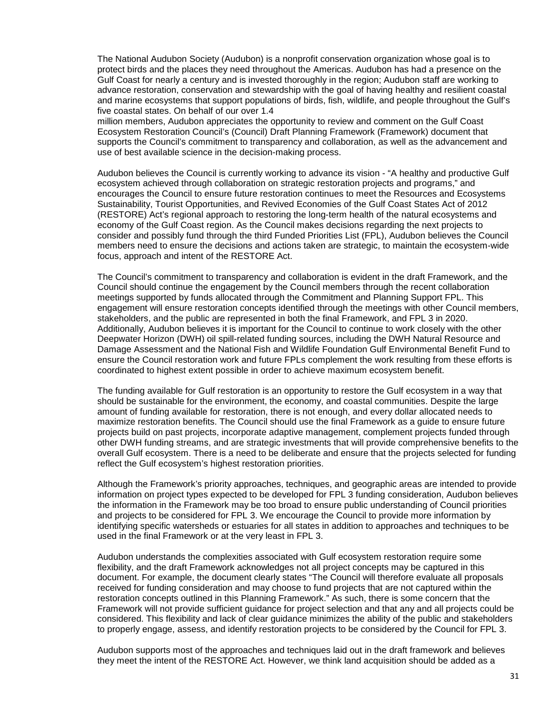The National Audubon Society (Audubon) is a nonprofit conservation organization whose goal is to protect birds and the places they need throughout the Americas. Audubon has had a presence on the Gulf Coast for nearly a century and is invested thoroughly in the region; Audubon staff are working to advance restoration, conservation and stewardship with the goal of having healthy and resilient coastal and marine ecosystems that support populations of birds, fish, wildlife, and people throughout the Gulf's five coastal states. On behalf of our over 1.4

million members, Audubon appreciates the opportunity to review and comment on the Gulf Coast Ecosystem Restoration Council's (Council) Draft Planning Framework (Framework) document that supports the Council's commitment to transparency and collaboration, as well as the advancement and use of best available science in the decision-making process.

Audubon believes the Council is currently working to advance its vision - "A healthy and productive Gulf ecosystem achieved through collaboration on strategic restoration projects and programs," and encourages the Council to ensure future restoration continues to meet the Resources and Ecosystems Sustainability, Tourist Opportunities, and Revived Economies of the Gulf Coast States Act of 2012 (RESTORE) Act's regional approach to restoring the long-term health of the natural ecosystems and economy of the Gulf Coast region. As the Council makes decisions regarding the next projects to consider and possibly fund through the third Funded Priorities List (FPL), Audubon believes the Council members need to ensure the decisions and actions taken are strategic, to maintain the ecosystem-wide focus, approach and intent of the RESTORE Act.

The Council's commitment to transparency and collaboration is evident in the draft Framework, and the Council should continue the engagement by the Council members through the recent collaboration meetings supported by funds allocated through the Commitment and Planning Support FPL. This engagement will ensure restoration concepts identified through the meetings with other Council members, stakeholders, and the public are represented in both the final Framework, and FPL 3 in 2020. Additionally, Audubon believes it is important for the Council to continue to work closely with the other Deepwater Horizon (DWH) oil spill-related funding sources, including the DWH Natural Resource and Damage Assessment and the National Fish and Wildlife Foundation Gulf Environmental Benefit Fund to ensure the Council restoration work and future FPLs complement the work resulting from these efforts is coordinated to highest extent possible in order to achieve maximum ecosystem benefit.

The funding available for Gulf restoration is an opportunity to restore the Gulf ecosystem in a way that should be sustainable for the environment, the economy, and coastal communities. Despite the large amount of funding available for restoration, there is not enough, and every dollar allocated needs to maximize restoration benefits. The Council should use the final Framework as a guide to ensure future projects build on past projects, incorporate adaptive management, complement projects funded through other DWH funding streams, and are strategic investments that will provide comprehensive benefits to the overall Gulf ecosystem. There is a need to be deliberate and ensure that the projects selected for funding reflect the Gulf ecosystem's highest restoration priorities.

Although the Framework's priority approaches, techniques, and geographic areas are intended to provide information on project types expected to be developed for FPL 3 funding consideration, Audubon believes the information in the Framework may be too broad to ensure public understanding of Council priorities and projects to be considered for FPL 3. We encourage the Council to provide more information by identifying specific watersheds or estuaries for all states in addition to approaches and techniques to be used in the final Framework or at the very least in FPL 3.

Audubon understands the complexities associated with Gulf ecosystem restoration require some flexibility, and the draft Framework acknowledges not all project concepts may be captured in this document. For example, the document clearly states "The Council will therefore evaluate all proposals received for funding consideration and may choose to fund projects that are not captured within the restoration concepts outlined in this Planning Framework." As such, there is some concern that the Framework will not provide sufficient guidance for project selection and that any and all projects could be considered. This flexibility and lack of clear guidance minimizes the ability of the public and stakeholders to properly engage, assess, and identify restoration projects to be considered by the Council for FPL 3.

Audubon supports most of the approaches and techniques laid out in the draft framework and believes they meet the intent of the RESTORE Act. However, we think land acquisition should be added as a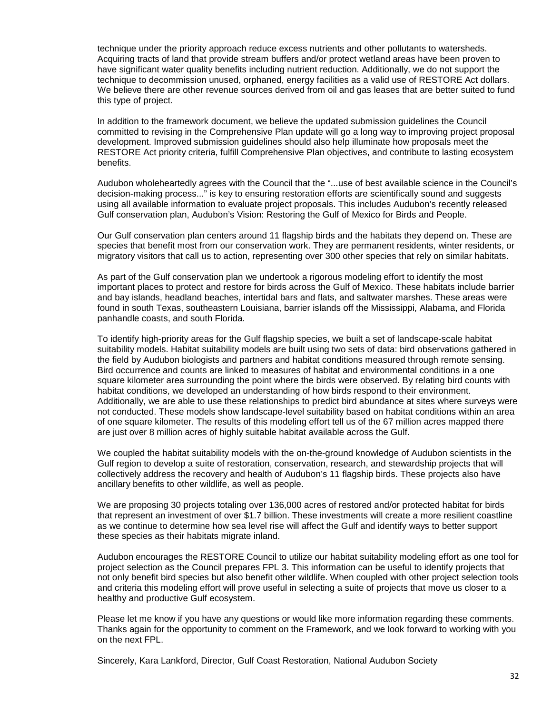technique under the priority approach reduce excess nutrients and other pollutants to watersheds. Acquiring tracts of land that provide stream buffers and/or protect wetland areas have been proven to have significant water quality benefits including nutrient reduction. Additionally, we do not support the technique to decommission unused, orphaned, energy facilities as a valid use of RESTORE Act dollars. We believe there are other revenue sources derived from oil and gas leases that are better suited to fund this type of project.

In addition to the framework document, we believe the updated submission guidelines the Council committed to revising in the Comprehensive Plan update will go a long way to improving project proposal development. Improved submission guidelines should also help illuminate how proposals meet the RESTORE Act priority criteria, fulfill Comprehensive Plan objectives, and contribute to lasting ecosystem benefits.

Audubon wholeheartedly agrees with the Council that the "...use of best available science in the Council's decision-making process..." is key to ensuring restoration efforts are scientifically sound and suggests using all available information to evaluate project proposals. This includes Audubon's recently released Gulf conservation plan, Audubon's Vision: Restoring the Gulf of Mexico for Birds and People.

Our Gulf conservation plan centers around 11 flagship birds and the habitats they depend on. These are species that benefit most from our conservation work. They are permanent residents, winter residents, or migratory visitors that call us to action, representing over 300 other species that rely on similar habitats.

As part of the Gulf conservation plan we undertook a rigorous modeling effort to identify the most important places to protect and restore for birds across the Gulf of Mexico. These habitats include barrier and bay islands, headland beaches, intertidal bars and flats, and saltwater marshes. These areas were found in south Texas, southeastern Louisiana, barrier islands off the Mississippi, Alabama, and Florida panhandle coasts, and south Florida.

To identify high-priority areas for the Gulf flagship species, we built a set of landscape-scale habitat suitability models. Habitat suitability models are built using two sets of data: bird observations gathered in the field by Audubon biologists and partners and habitat conditions measured through remote sensing. Bird occurrence and counts are linked to measures of habitat and environmental conditions in a one square kilometer area surrounding the point where the birds were observed. By relating bird counts with habitat conditions, we developed an understanding of how birds respond to their environment. Additionally, we are able to use these relationships to predict bird abundance at sites where surveys were not conducted. These models show landscape-level suitability based on habitat conditions within an area of one square kilometer. The results of this modeling effort tell us of the 67 million acres mapped there are just over 8 million acres of highly suitable habitat available across the Gulf.

We coupled the habitat suitability models with the on-the-ground knowledge of Audubon scientists in the Gulf region to develop a suite of restoration, conservation, research, and stewardship projects that will collectively address the recovery and health of Audubon's 11 flagship birds. These projects also have ancillary benefits to other wildlife, as well as people.

We are proposing 30 projects totaling over 136,000 acres of restored and/or protected habitat for birds that represent an investment of over \$1.7 billion. These investments will create a more resilient coastline as we continue to determine how sea level rise will affect the Gulf and identify ways to better support these species as their habitats migrate inland.

Audubon encourages the RESTORE Council to utilize our habitat suitability modeling effort as one tool for project selection as the Council prepares FPL 3. This information can be useful to identify projects that not only benefit bird species but also benefit other wildlife. When coupled with other project selection tools and criteria this modeling effort will prove useful in selecting a suite of projects that move us closer to a healthy and productive Gulf ecosystem.

Please let me know if you have any questions or would like more information regarding these comments. Thanks again for the opportunity to comment on the Framework, and we look forward to working with you on the next FPL.

Sincerely, Kara Lankford, Director, Gulf Coast Restoration, National Audubon Society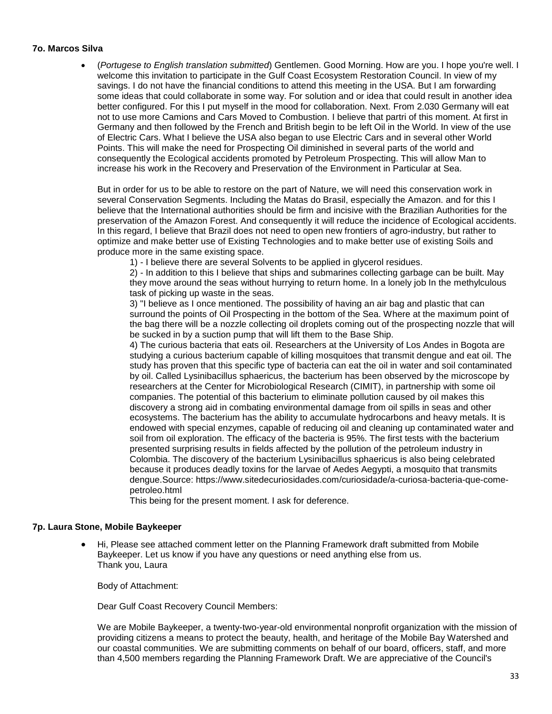#### <span id="page-32-0"></span>**7o. Marcos Silva**

• (*Portugese to English translation submitted*) Gentlemen. Good Morning. How are you. I hope you're well. I welcome this invitation to participate in the Gulf Coast Ecosystem Restoration Council. In view of my savings. I do not have the financial conditions to attend this meeting in the USA. But I am forwarding some ideas that could collaborate in some way. For solution and or idea that could result in another idea better configured. For this I put myself in the mood for collaboration. Next. From 2.030 Germany will eat not to use more Camions and Cars Moved to Combustion. I believe that partri of this moment. At first in Germany and then followed by the French and British begin to be left Oil in the World. In view of the use of Electric Cars. What I believe the USA also began to use Electric Cars and in several other World Points. This will make the need for Prospecting Oil diminished in several parts of the world and consequently the Ecological accidents promoted by Petroleum Prospecting. This will allow Man to increase his work in the Recovery and Preservation of the Environment in Particular at Sea.

But in order for us to be able to restore on the part of Nature, we will need this conservation work in several Conservation Segments. Including the Matas do Brasil, especially the Amazon. and for this I believe that the International authorities should be firm and incisive with the Brazilian Authorities for the preservation of the Amazon Forest. And consequently it will reduce the incidence of Ecological accidents. In this regard, I believe that Brazil does not need to open new frontiers of agro-industry, but rather to optimize and make better use of Existing Technologies and to make better use of existing Soils and produce more in the same existing space.

1) - I believe there are several Solvents to be applied in glycerol residues.

2) - In addition to this I believe that ships and submarines collecting garbage can be built. May they move around the seas without hurrying to return home. In a lonely job In the methylculous task of picking up waste in the seas.

3) "I believe as I once mentioned. The possibility of having an air bag and plastic that can surround the points of Oil Prospecting in the bottom of the Sea. Where at the maximum point of the bag there will be a nozzle collecting oil droplets coming out of the prospecting nozzle that will be sucked in by a suction pump that will lift them to the Base Ship.

4) The curious bacteria that eats oil. Researchers at the University of Los Andes in Bogota are studying a curious bacterium capable of killing mosquitoes that transmit dengue and eat oil. The study has proven that this specific type of bacteria can eat the oil in water and soil contaminated by oil. Called Lysinibacillus sphaericus, the bacterium has been observed by the microscope by researchers at the Center for Microbiological Research (CIMIT), in partnership with some oil companies. The potential of this bacterium to eliminate pollution caused by oil makes this discovery a strong aid in combating environmental damage from oil spills in seas and other ecosystems. The bacterium has the ability to accumulate hydrocarbons and heavy metals. It is endowed with special enzymes, capable of reducing oil and cleaning up contaminated water and soil from oil exploration. The efficacy of the bacteria is 95%. The first tests with the bacterium presented surprising results in fields affected by the pollution of the petroleum industry in Colombia. The discovery of the bacterium Lysinibacillus sphaericus is also being celebrated because it produces deadly toxins for the larvae of Aedes Aegypti, a mosquito that transmits dengue.Source: https://www.sitedecuriosidades.com/curiosidade/a-curiosa-bacteria-que-comepetroleo.html

This being for the present moment. I ask for deference.

## <span id="page-32-1"></span>**7p. Laura Stone, Mobile Baykeeper**

• Hi, Please see attached comment letter on the Planning Framework draft submitted from Mobile Baykeeper. Let us know if you have any questions or need anything else from us. Thank you, Laura

Body of Attachment:

Dear Gulf Coast Recovery Council Members:

We are Mobile Baykeeper, a twenty-two-year-old environmental nonprofit organization with the mission of providing citizens a means to protect the beauty, health, and heritage of the Mobile Bay Watershed and our coastal communities. We are submitting comments on behalf of our board, officers, staff, and more than 4,500 members regarding the Planning Framework Draft. We are appreciative of the Council's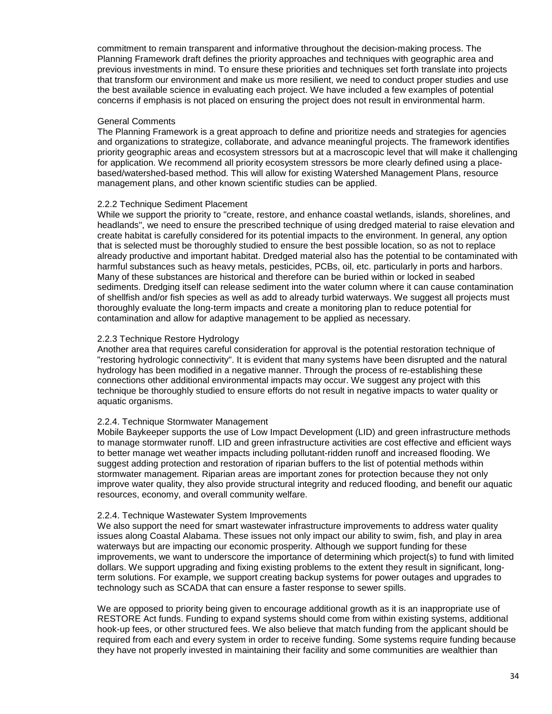commitment to remain transparent and informative throughout the decision-making process. The Planning Framework draft defines the priority approaches and techniques with geographic area and previous investments in mind. To ensure these priorities and techniques set forth translate into projects that transform our environment and make us more resilient, we need to conduct proper studies and use the best available science in evaluating each project. We have included a few examples of potential concerns if emphasis is not placed on ensuring the project does not result in environmental harm.

#### General Comments

The Planning Framework is a great approach to define and prioritize needs and strategies for agencies and organizations to strategize, collaborate, and advance meaningful projects. The framework identifies priority geographic areas and ecosystem stressors but at a macroscopic level that will make it challenging for application. We recommend all priority ecosystem stressors be more clearly defined using a placebased/watershed-based method. This will allow for existing Watershed Management Plans, resource management plans, and other known scientific studies can be applied.

#### 2.2.2 Technique Sediment Placement

While we support the priority to "create, restore, and enhance coastal wetlands, islands, shorelines, and headlands", we need to ensure the prescribed technique of using dredged material to raise elevation and create habitat is carefully considered for its potential impacts to the environment. In general, any option that is selected must be thoroughly studied to ensure the best possible location, so as not to replace already productive and important habitat. Dredged material also has the potential to be contaminated with harmful substances such as heavy metals, pesticides, PCBs, oil, etc. particularly in ports and harbors. Many of these substances are historical and therefore can be buried within or locked in seabed sediments. Dredging itself can release sediment into the water column where it can cause contamination of shellfish and/or fish species as well as add to already turbid waterways. We suggest all projects must thoroughly evaluate the long-term impacts and create a monitoring plan to reduce potential for contamination and allow for adaptive management to be applied as necessary.

#### 2.2.3 Technique Restore Hydrology

Another area that requires careful consideration for approval is the potential restoration technique of "restoring hydrologic connectivity". It is evident that many systems have been disrupted and the natural hydrology has been modified in a negative manner. Through the process of re-establishing these connections other additional environmental impacts may occur. We suggest any project with this technique be thoroughly studied to ensure efforts do not result in negative impacts to water quality or aquatic organisms.

#### 2.2.4. Technique Stormwater Management

Mobile Baykeeper supports the use of Low Impact Development (LID) and green infrastructure methods to manage stormwater runoff. LID and green infrastructure activities are cost effective and efficient ways to better manage wet weather impacts including pollutant-ridden runoff and increased flooding. We suggest adding protection and restoration of riparian buffers to the list of potential methods within stormwater management. Riparian areas are important zones for protection because they not only improve water quality, they also provide structural integrity and reduced flooding, and benefit our aquatic resources, economy, and overall community welfare.

#### 2.2.4. Technique Wastewater System Improvements

We also support the need for smart wastewater infrastructure improvements to address water quality issues along Coastal Alabama. These issues not only impact our ability to swim, fish, and play in area waterways but are impacting our economic prosperity. Although we support funding for these improvements, we want to underscore the importance of determining which project(s) to fund with limited dollars. We support upgrading and fixing existing problems to the extent they result in significant, longterm solutions. For example, we support creating backup systems for power outages and upgrades to technology such as SCADA that can ensure a faster response to sewer spills.

We are opposed to priority being given to encourage additional growth as it is an inappropriate use of RESTORE Act funds. Funding to expand systems should come from within existing systems, additional hook-up fees, or other structured fees. We also believe that match funding from the applicant should be required from each and every system in order to receive funding. Some systems require funding because they have not properly invested in maintaining their facility and some communities are wealthier than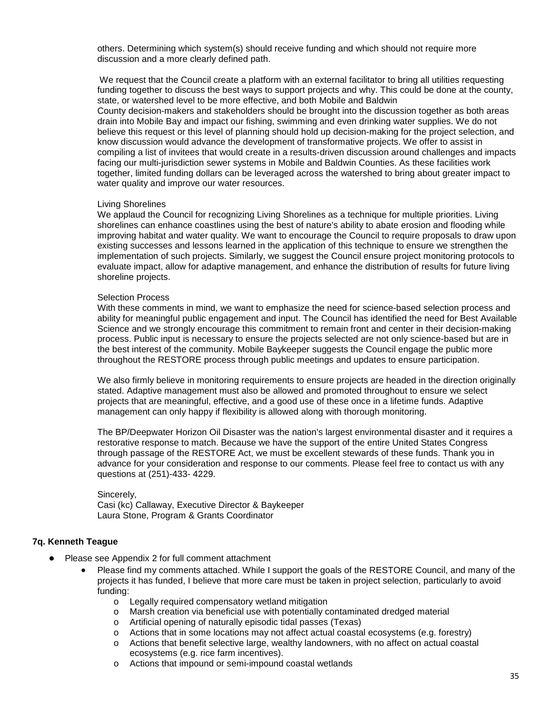others. Determining which system(s) should receive funding and which should not require more discussion and a more clearly defined path.

We request that the Council create a platform with an external facilitator to bring all utilities requesting funding together to discuss the best ways to support projects and why. This could be done at the county, state, or watershed level to be more effective, and both Mobile and Baldwin

County decision-makers and stakeholders should be brought into the discussion together as both areas drain into Mobile Bay and impact our fishing, swimming and even drinking water supplies. We do not believe this request or this level of planning should hold up decision-making for the project selection, and know discussion would advance the development of transformative projects. We offer to assist in compiling a list of invitees that would create in a results-driven discussion around challenges and impacts facing our multi-jurisdiction sewer systems in Mobile and Baldwin Counties. As these facilities work together, limited funding dollars can be leveraged across the watershed to bring about greater impact to water quality and improve our water resources.

#### Living Shorelines

We applaud the Council for recognizing Living Shorelines as a technique for multiple priorities. Living shorelines can enhance coastlines using the best of nature's ability to abate erosion and flooding while improving habitat and water quality. We want to encourage the Council to require proposals to draw upon existing successes and lessons learned in the application of this technique to ensure we strengthen the implementation of such projects. Similarly, we suggest the Council ensure project monitoring protocols to evaluate impact, allow for adaptive management, and enhance the distribution of results for future living shoreline projects.

#### Selection Process

With these comments in mind, we want to emphasize the need for science-based selection process and ability for meaningful public engagement and input. The Council has identified the need for Best Available Science and we strongly encourage this commitment to remain front and center in their decision-making process. Public input is necessary to ensure the projects selected are not only science-based but are in the best interest of the community. Mobile Baykeeper suggests the Council engage the public more throughout the RESTORE process through public meetings and updates to ensure participation.

We also firmly believe in monitoring requirements to ensure projects are headed in the direction originally stated. Adaptive management must also be allowed and promoted throughout to ensure we select projects that are meaningful, effective, and a good use of these once in a lifetime funds. Adaptive management can only happy if flexibility is allowed along with thorough monitoring.

The BP/Deepwater Horizon Oil Disaster was the nation's largest environmental disaster and it requires a restorative response to match. Because we have the support of the entire United States Congress through passage of the RESTORE Act, we must be excellent stewards of these funds. Thank you in advance for your consideration and response to our comments. Please feel free to contact us with any questions at (251)-433- 4229.

Sincerely, Casi (kc) Callaway, Executive Director & Baykeeper Laura Stone, Program & Grants Coordinator

## <span id="page-34-0"></span>**7q. Kenneth Teague**

- Please see Appendix 2 for full comment attachment
	- Please find my comments attached. While I support the goals of the RESTORE Council, and many of the projects it has funded, I believe that more care must be taken in project selection, particularly to avoid funding:
		- $\circ$  Legally required compensatory wetland mitigation  $\circ$  Marsh creation via beneficial use with potentially c
		- o Marsh creation via beneficial use with potentially contaminated dredged material  $\circ$  Artificial opening of naturally episodic tidal passes (Texas)
		- Artificial opening of naturally episodic tidal passes (Texas)
		- $\circ$  Actions that in some locations may not affect actual coastal ecosystems (e.g. forestry)<br>  $\circ$  Actions that benefit selective large, wealthy landowners, with no affect on actual coasta
		- Actions that benefit selective large, wealthy landowners, with no affect on actual coastal ecosystems (e.g. rice farm incentives).
		- o Actions that impound or semi-impound coastal wetlands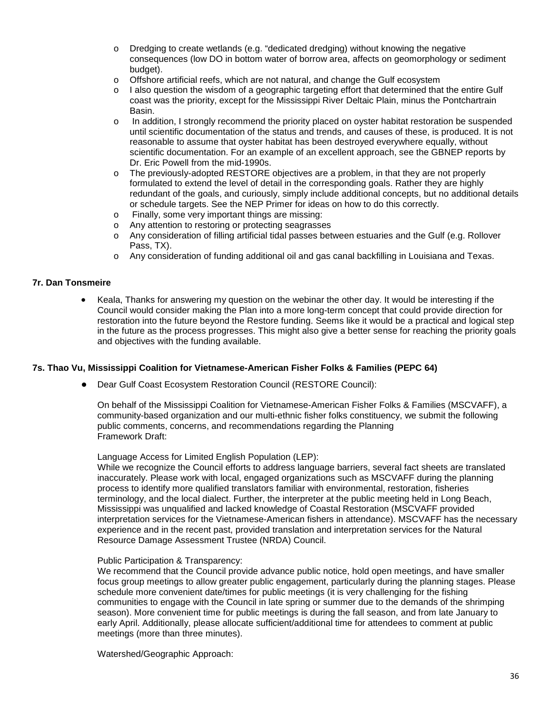- o Dredging to create wetlands (e.g. "dedicated dredging) without knowing the negative consequences (low DO in bottom water of borrow area, affects on geomorphology or sediment budget).
- o Offshore artificial reefs, which are not natural, and change the Gulf ecosystem
- $\circ$  I also question the wisdom of a geographic targeting effort that determined that the entire Gulf coast was the priority, except for the Mississippi River Deltaic Plain, minus the Pontchartrain Basin.
- o In addition, I strongly recommend the priority placed on oyster habitat restoration be suspended until scientific documentation of the status and trends, and causes of these, is produced. It is not reasonable to assume that oyster habitat has been destroyed everywhere equally, without scientific documentation. For an example of an excellent approach, see the GBNEP reports by Dr. Eric Powell from the mid-1990s.
- o The previously-adopted RESTORE objectives are a problem, in that they are not properly formulated to extend the level of detail in the corresponding goals. Rather they are highly redundant of the goals, and curiously, simply include additional concepts, but no additional details or schedule targets. See the NEP Primer for ideas on how to do this correctly.
- o Finally, some very important things are missing:
- o Any attention to restoring or protecting seagrasses
- o Any consideration of filling artificial tidal passes between estuaries and the Gulf (e.g. Rollover Pass, TX).
- o Any consideration of funding additional oil and gas canal backfilling in Louisiana and Texas.

## <span id="page-35-0"></span>**7r. Dan Tonsmeire**

• Keala, Thanks for answering my question on the webinar the other day. It would be interesting if the Council would consider making the Plan into a more long-term concept that could provide direction for restoration into the future beyond the Restore funding. Seems like it would be a practical and logical step in the future as the process progresses. This might also give a better sense for reaching the priority goals and objectives with the funding available.

#### <span id="page-35-1"></span>**7s. Thao Vu, Mississippi Coalition for Vietnamese-American Fisher Folks & Families (PEPC 64)**

● Dear Gulf Coast Ecosystem Restoration Council (RESTORE Council):

On behalf of the Mississippi Coalition for Vietnamese-American Fisher Folks & Families (MSCVAFF), a community-based organization and our multi-ethnic fisher folks constituency, we submit the following public comments, concerns, and recommendations regarding the Planning Framework Draft:

Language Access for Limited English Population (LEP):

While we recognize the Council efforts to address language barriers, several fact sheets are translated inaccurately. Please work with local, engaged organizations such as MSCVAFF during the planning process to identify more qualified translators familiar with environmental, restoration, fisheries terminology, and the local dialect. Further, the interpreter at the public meeting held in Long Beach, Mississippi was unqualified and lacked knowledge of Coastal Restoration (MSCVAFF provided interpretation services for the Vietnamese-American fishers in attendance). MSCVAFF has the necessary experience and in the recent past, provided translation and interpretation services for the Natural Resource Damage Assessment Trustee (NRDA) Council.

#### Public Participation & Transparency:

We recommend that the Council provide advance public notice, hold open meetings, and have smaller focus group meetings to allow greater public engagement, particularly during the planning stages. Please schedule more convenient date/times for public meetings (it is very challenging for the fishing communities to engage with the Council in late spring or summer due to the demands of the shrimping season). More convenient time for public meetings is during the fall season, and from late January to early April. Additionally, please allocate sufficient/additional time for attendees to comment at public meetings (more than three minutes).

Watershed/Geographic Approach: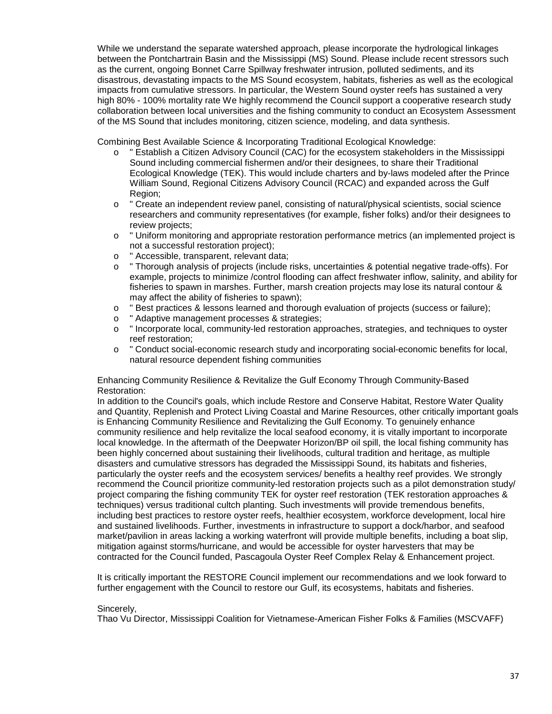While we understand the separate watershed approach, please incorporate the hydrological linkages between the Pontchartrain Basin and the Mississippi (MS) Sound. Please include recent stressors such as the current, ongoing Bonnet Carre Spillway freshwater intrusion, polluted sediments, and its disastrous, devastating impacts to the MS Sound ecosystem, habitats, fisheries as well as the ecological impacts from cumulative stressors. In particular, the Western Sound oyster reefs has sustained a very high 80% - 100% mortality rate We highly recommend the Council support a cooperative research study collaboration between local universities and the fishing community to conduct an Ecosystem Assessment of the MS Sound that includes monitoring, citizen science, modeling, and data synthesis.

Combining Best Available Science & Incorporating Traditional Ecological Knowledge:

- o " Establish a Citizen Advisory Council (CAC) for the ecosystem stakeholders in the Mississippi Sound including commercial fishermen and/or their designees, to share their Traditional Ecological Knowledge (TEK). This would include charters and by-laws modeled after the Prince William Sound, Regional Citizens Advisory Council (RCAC) and expanded across the Gulf Region;
- o " Create an independent review panel, consisting of natural/physical scientists, social science researchers and community representatives (for example, fisher folks) and/or their designees to review projects;
- o " Uniform monitoring and appropriate restoration performance metrics (an implemented project is not a successful restoration project);
- o " Accessible, transparent, relevant data;<br>o " Thorough analysis of projects (include
- " Thorough analysis of projects (include risks, uncertainties & potential negative trade-offs). For example, projects to minimize /control flooding can affect freshwater inflow, salinity, and ability for fisheries to spawn in marshes. Further, marsh creation projects may lose its natural contour & may affect the ability of fisheries to spawn);
- o " Best practices & lessons learned and thorough evaluation of projects (success or failure);<br>o " Adaptive management processes & strategies:
- " Adaptive management processes & strategies;
- o " Incorporate local, community-led restoration approaches, strategies, and techniques to oyster reef restoration;
- o " Conduct social-economic research study and incorporating social-economic benefits for local, natural resource dependent fishing communities

Enhancing Community Resilience & Revitalize the Gulf Economy Through Community-Based Restoration:

In addition to the Council's goals, which include Restore and Conserve Habitat, Restore Water Quality and Quantity, Replenish and Protect Living Coastal and Marine Resources, other critically important goals is Enhancing Community Resilience and Revitalizing the Gulf Economy. To genuinely enhance community resilience and help revitalize the local seafood economy, it is vitally important to incorporate local knowledge. In the aftermath of the Deepwater Horizon/BP oil spill, the local fishing community has been highly concerned about sustaining their livelihoods, cultural tradition and heritage, as multiple disasters and cumulative stressors has degraded the Mississippi Sound, its habitats and fisheries, particularly the oyster reefs and the ecosystem services/ benefits a healthy reef provides. We strongly recommend the Council prioritize community-led restoration projects such as a pilot demonstration study/ project comparing the fishing community TEK for oyster reef restoration (TEK restoration approaches & techniques) versus traditional cultch planting. Such investments will provide tremendous benefits, including best practices to restore oyster reefs, healthier ecosystem, workforce development, local hire and sustained livelihoods. Further, investments in infrastructure to support a dock/harbor, and seafood market/pavilion in areas lacking a working waterfront will provide multiple benefits, including a boat slip, mitigation against storms/hurricane, and would be accessible for oyster harvesters that may be contracted for the Council funded, Pascagoula Oyster Reef Complex Relay & Enhancement project.

It is critically important the RESTORE Council implement our recommendations and we look forward to further engagement with the Council to restore our Gulf, its ecosystems, habitats and fisheries.

## Sincerely,

Thao Vu Director, Mississippi Coalition for Vietnamese-American Fisher Folks & Families (MSCVAFF)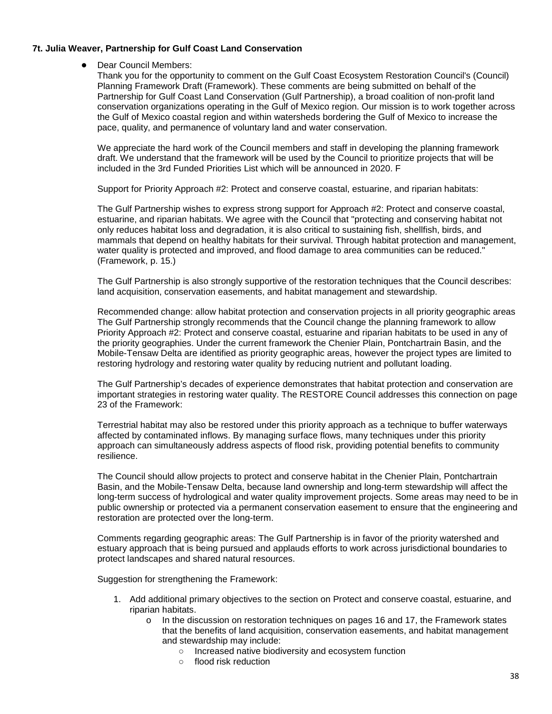## **7t. Julia Weaver, Partnership for Gulf Coast Land Conservation**

● Dear Council Members:

Thank you for the opportunity to comment on the Gulf Coast Ecosystem Restoration Council's (Council) Planning Framework Draft (Framework). These comments are being submitted on behalf of the Partnership for Gulf Coast Land Conservation (Gulf Partnership), a broad coalition of non-profit land conservation organizations operating in the Gulf of Mexico region. Our mission is to work together across the Gulf of Mexico coastal region and within watersheds bordering the Gulf of Mexico to increase the pace, quality, and permanence of voluntary land and water conservation.

We appreciate the hard work of the Council members and staff in developing the planning framework draft. We understand that the framework will be used by the Council to prioritize projects that will be included in the 3rd Funded Priorities List which will be announced in 2020. F

Support for Priority Approach #2: Protect and conserve coastal, estuarine, and riparian habitats:

The Gulf Partnership wishes to express strong support for Approach #2: Protect and conserve coastal, estuarine, and riparian habitats. We agree with the Council that "protecting and conserving habitat not only reduces habitat loss and degradation, it is also critical to sustaining fish, shellfish, birds, and mammals that depend on healthy habitats for their survival. Through habitat protection and management, water quality is protected and improved, and flood damage to area communities can be reduced." (Framework, p. 15.)

The Gulf Partnership is also strongly supportive of the restoration techniques that the Council describes: land acquisition, conservation easements, and habitat management and stewardship.

Recommended change: allow habitat protection and conservation projects in all priority geographic areas The Gulf Partnership strongly recommends that the Council change the planning framework to allow Priority Approach #2: Protect and conserve coastal, estuarine and riparian habitats to be used in any of the priority geographies. Under the current framework the Chenier Plain, Pontchartrain Basin, and the Mobile-Tensaw Delta are identified as priority geographic areas, however the project types are limited to restoring hydrology and restoring water quality by reducing nutrient and pollutant loading.

The Gulf Partnership's decades of experience demonstrates that habitat protection and conservation are important strategies in restoring water quality. The RESTORE Council addresses this connection on page 23 of the Framework:

Terrestrial habitat may also be restored under this priority approach as a technique to buffer waterways affected by contaminated inflows. By managing surface flows, many techniques under this priority approach can simultaneously address aspects of flood risk, providing potential benefits to community resilience.

The Council should allow projects to protect and conserve habitat in the Chenier Plain, Pontchartrain Basin, and the Mobile-Tensaw Delta, because land ownership and long-term stewardship will affect the long-term success of hydrological and water quality improvement projects. Some areas may need to be in public ownership or protected via a permanent conservation easement to ensure that the engineering and restoration are protected over the long-term.

Comments regarding geographic areas: The Gulf Partnership is in favor of the priority watershed and estuary approach that is being pursued and applauds efforts to work across jurisdictional boundaries to protect landscapes and shared natural resources.

Suggestion for strengthening the Framework:

- 1. Add additional primary objectives to the section on Protect and conserve coastal, estuarine, and riparian habitats.
	- o In the discussion on restoration techniques on pages 16 and 17, the Framework states that the benefits of land acquisition, conservation easements, and habitat management and stewardship may include:
		- Increased native biodiversity and ecosystem function
		- flood risk reduction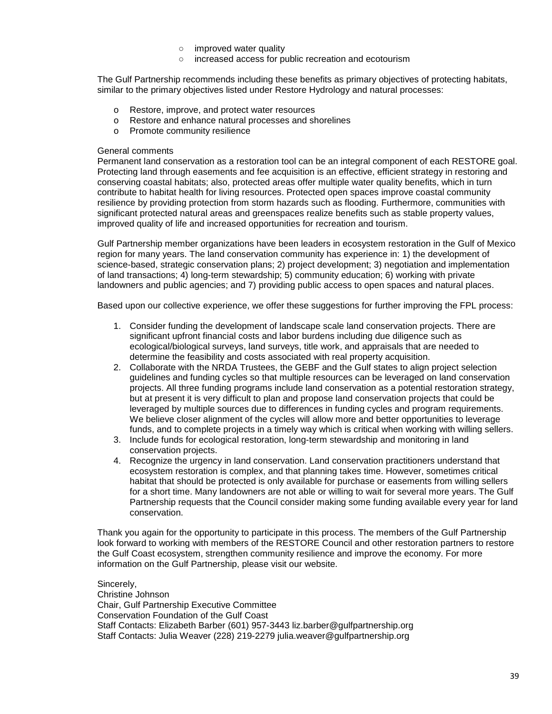- improved water quality
- increased access for public recreation and ecotourism

The Gulf Partnership recommends including these benefits as primary objectives of protecting habitats, similar to the primary objectives listed under Restore Hydrology and natural processes:

- o Restore, improve, and protect water resources
- o Restore and enhance natural processes and shorelines
- o Promote community resilience

## General comments

Permanent land conservation as a restoration tool can be an integral component of each RESTORE goal. Protecting land through easements and fee acquisition is an effective, efficient strategy in restoring and conserving coastal habitats; also, protected areas offer multiple water quality benefits, which in turn contribute to habitat health for living resources. Protected open spaces improve coastal community resilience by providing protection from storm hazards such as flooding. Furthermore, communities with significant protected natural areas and greenspaces realize benefits such as stable property values, improved quality of life and increased opportunities for recreation and tourism.

Gulf Partnership member organizations have been leaders in ecosystem restoration in the Gulf of Mexico region for many years. The land conservation community has experience in: 1) the development of science-based, strategic conservation plans; 2) project development; 3) negotiation and implementation of land transactions; 4) long-term stewardship; 5) community education; 6) working with private landowners and public agencies; and 7) providing public access to open spaces and natural places.

Based upon our collective experience, we offer these suggestions for further improving the FPL process:

- 1. Consider funding the development of landscape scale land conservation projects. There are significant upfront financial costs and labor burdens including due diligence such as ecological/biological surveys, land surveys, title work, and appraisals that are needed to determine the feasibility and costs associated with real property acquisition.
- 2. Collaborate with the NRDA Trustees, the GEBF and the Gulf states to align project selection guidelines and funding cycles so that multiple resources can be leveraged on land conservation projects. All three funding programs include land conservation as a potential restoration strategy, but at present it is very difficult to plan and propose land conservation projects that could be leveraged by multiple sources due to differences in funding cycles and program requirements. We believe closer alignment of the cycles will allow more and better opportunities to leverage funds, and to complete projects in a timely way which is critical when working with willing sellers.
- 3. Include funds for ecological restoration, long-term stewardship and monitoring in land conservation projects.
- 4. Recognize the urgency in land conservation. Land conservation practitioners understand that ecosystem restoration is complex, and that planning takes time. However, sometimes critical habitat that should be protected is only available for purchase or easements from willing sellers for a short time. Many landowners are not able or willing to wait for several more years. The Gulf Partnership requests that the Council consider making some funding available every year for land conservation.

Thank you again for the opportunity to participate in this process. The members of the Gulf Partnership look forward to working with members of the RESTORE Council and other restoration partners to restore the Gulf Coast ecosystem, strengthen community resilience and improve the economy. For more information on the Gulf Partnership, please visit our website.

Sincerely, Christine Johnson Chair, Gulf Partnership Executive Committee Conservation Foundation of the Gulf Coast Staff Contacts: Elizabeth Barber (601) 957-3443 liz.barber@gulfpartnership.org Staff Contacts: Julia Weaver (228) 219-2279 julia.weaver@gulfpartnership.org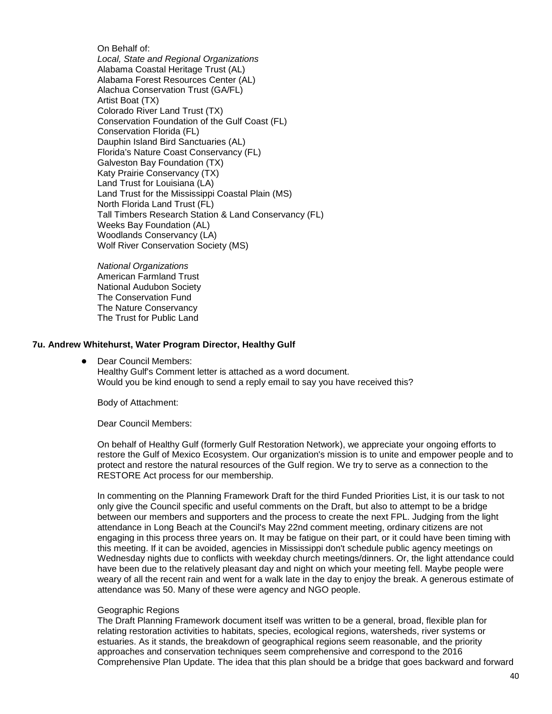On Behalf of: *Local, State and Regional Organizations* Alabama Coastal Heritage Trust (AL) Alabama Forest Resources Center (AL) Alachua Conservation Trust (GA/FL) Artist Boat (TX) Colorado River Land Trust (TX) Conservation Foundation of the Gulf Coast (FL) Conservation Florida (FL) Dauphin Island Bird Sanctuaries (AL) Florida's Nature Coast Conservancy (FL) Galveston Bay Foundation (TX) Katy Prairie Conservancy (TX) Land Trust for Louisiana (LA) Land Trust for the Mississippi Coastal Plain (MS) North Florida Land Trust (FL) Tall Timbers Research Station & Land Conservancy (FL) Weeks Bay Foundation (AL) Woodlands Conservancy (LA) Wolf River Conservation Society (MS)

*National Organizations* American Farmland Trust National Audubon Society The Conservation Fund The Nature Conservancy The Trust for Public Land

## **7u. Andrew Whitehurst, Water Program Director, Healthy Gulf**

Dear Council Members:

Healthy Gulf's Comment letter is attached as a word document. Would you be kind enough to send a reply email to say you have received this?

Body of Attachment:

Dear Council Members:

On behalf of Healthy Gulf (formerly Gulf Restoration Network), we appreciate your ongoing efforts to restore the Gulf of Mexico Ecosystem. Our organization's mission is to unite and empower people and to protect and restore the natural resources of the Gulf region. We try to serve as a connection to the RESTORE Act process for our membership.

In commenting on the Planning Framework Draft for the third Funded Priorities List, it is our task to not only give the Council specific and useful comments on the Draft, but also to attempt to be a bridge between our members and supporters and the process to create the next FPL. Judging from the light attendance in Long Beach at the Council's May 22nd comment meeting, ordinary citizens are not engaging in this process three years on. It may be fatigue on their part, or it could have been timing with this meeting. If it can be avoided, agencies in Mississippi don't schedule public agency meetings on Wednesday nights due to conflicts with weekday church meetings/dinners. Or, the light attendance could have been due to the relatively pleasant day and night on which your meeting fell. Maybe people were weary of all the recent rain and went for a walk late in the day to enjoy the break. A generous estimate of attendance was 50. Many of these were agency and NGO people.

## Geographic Regions

The Draft Planning Framework document itself was written to be a general, broad, flexible plan for relating restoration activities to habitats, species, ecological regions, watersheds, river systems or estuaries. As it stands, the breakdown of geographical regions seem reasonable, and the priority approaches and conservation techniques seem comprehensive and correspond to the 2016 Comprehensive Plan Update. The idea that this plan should be a bridge that goes backward and forward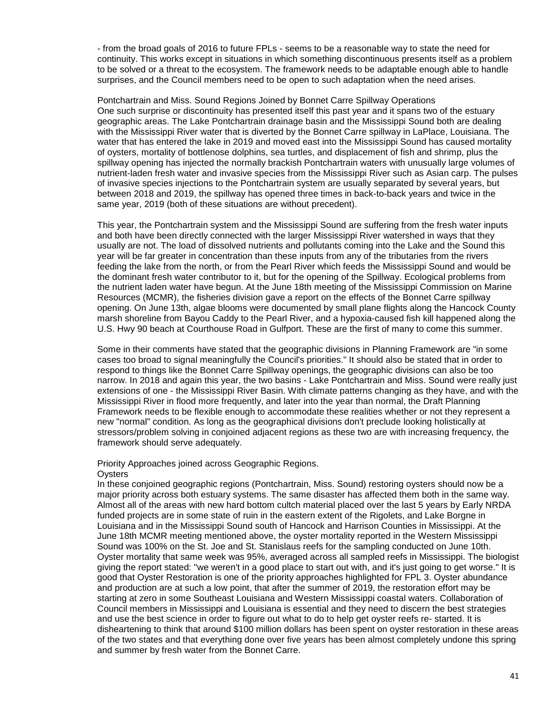- from the broad goals of 2016 to future FPLs - seems to be a reasonable way to state the need for continuity. This works except in situations in which something discontinuous presents itself as a problem to be solved or a threat to the ecosystem. The framework needs to be adaptable enough able to handle surprises, and the Council members need to be open to such adaptation when the need arises.

Pontchartrain and Miss. Sound Regions Joined by Bonnet Carre Spillway Operations One such surprise or discontinuity has presented itself this past year and it spans two of the estuary geographic areas. The Lake Pontchartrain drainage basin and the Mississippi Sound both are dealing with the Mississippi River water that is diverted by the Bonnet Carre spillway in LaPlace, Louisiana. The water that has entered the lake in 2019 and moved east into the Mississippi Sound has caused mortality of oysters, mortality of bottlenose dolphins, sea turtles, and displacement of fish and shrimp, plus the spillway opening has injected the normally brackish Pontchartrain waters with unusually large volumes of nutrient-laden fresh water and invasive species from the Mississippi River such as Asian carp. The pulses of invasive species injections to the Pontchartrain system are usually separated by several years, but between 2018 and 2019, the spillway has opened three times in back-to-back years and twice in the same year, 2019 (both of these situations are without precedent).

This year, the Pontchartrain system and the Mississippi Sound are suffering from the fresh water inputs and both have been directly connected with the larger Mississippi River watershed in ways that they usually are not. The load of dissolved nutrients and pollutants coming into the Lake and the Sound this year will be far greater in concentration than these inputs from any of the tributaries from the rivers feeding the lake from the north, or from the Pearl River which feeds the Mississippi Sound and would be the dominant fresh water contributor to it, but for the opening of the Spillway. Ecological problems from the nutrient laden water have begun. At the June 18th meeting of the Mississippi Commission on Marine Resources (MCMR), the fisheries division gave a report on the effects of the Bonnet Carre spillway opening. On June 13th, algae blooms were documented by small plane flights along the Hancock County marsh shoreline from Bayou Caddy to the Pearl River, and a hypoxia-caused fish kill happened along the U.S. Hwy 90 beach at Courthouse Road in Gulfport. These are the first of many to come this summer.

Some in their comments have stated that the geographic divisions in Planning Framework are "in some cases too broad to signal meaningfully the Council's priorities." It should also be stated that in order to respond to things like the Bonnet Carre Spillway openings, the geographic divisions can also be too narrow. In 2018 and again this year, the two basins - Lake Pontchartrain and Miss. Sound were really just extensions of one - the Mississippi River Basin. With climate patterns changing as they have, and with the Mississippi River in flood more frequently, and later into the year than normal, the Draft Planning Framework needs to be flexible enough to accommodate these realities whether or not they represent a new "normal" condition. As long as the geographical divisions don't preclude looking holistically at stressors/problem solving in conjoined adjacent regions as these two are with increasing frequency, the framework should serve adequately.

## Priority Approaches joined across Geographic Regions.

## **O**vsters

In these conjoined geographic regions (Pontchartrain, Miss. Sound) restoring oysters should now be a major priority across both estuary systems. The same disaster has affected them both in the same way. Almost all of the areas with new hard bottom cultch material placed over the last 5 years by Early NRDA funded projects are in some state of ruin in the eastern extent of the Rigolets, and Lake Borgne in Louisiana and in the Mississippi Sound south of Hancock and Harrison Counties in Mississippi. At the June 18th MCMR meeting mentioned above, the oyster mortality reported in the Western Mississippi Sound was 100% on the St. Joe and St. Stanislaus reefs for the sampling conducted on June 10th. Oyster mortality that same week was 95%, averaged across all sampled reefs in Mississippi. The biologist giving the report stated: "we weren't in a good place to start out with, and it's just going to get worse." It is good that Oyster Restoration is one of the priority approaches highlighted for FPL 3. Oyster abundance and production are at such a low point, that after the summer of 2019, the restoration effort may be starting at zero in some Southeast Louisiana and Western Mississippi coastal waters. Collaboration of Council members in Mississippi and Louisiana is essential and they need to discern the best strategies and use the best science in order to figure out what to do to help get oyster reefs re- started. It is disheartening to think that around \$100 million dollars has been spent on oyster restoration in these areas of the two states and that everything done over five years has been almost completely undone this spring and summer by fresh water from the Bonnet Carre.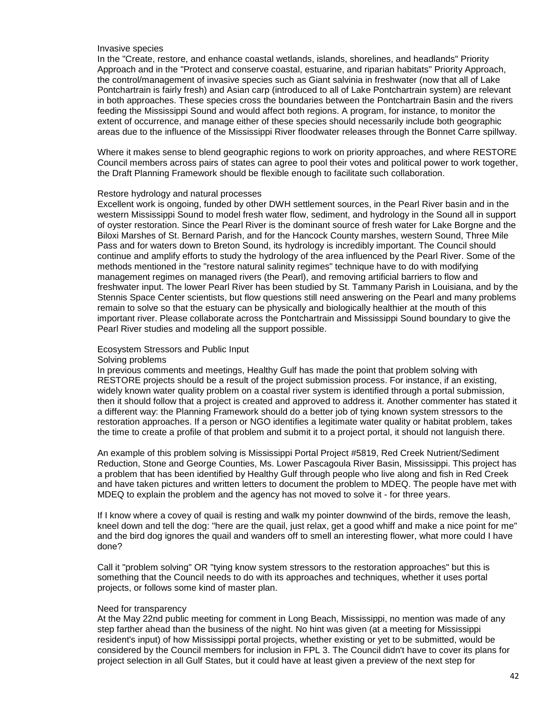## Invasive species

In the "Create, restore, and enhance coastal wetlands, islands, shorelines, and headlands" Priority Approach and in the "Protect and conserve coastal, estuarine, and riparian habitats" Priority Approach, the control/management of invasive species such as Giant salvinia in freshwater (now that all of Lake Pontchartrain is fairly fresh) and Asian carp (introduced to all of Lake Pontchartrain system) are relevant in both approaches. These species cross the boundaries between the Pontchartrain Basin and the rivers feeding the Mississippi Sound and would affect both regions. A program, for instance, to monitor the extent of occurrence, and manage either of these species should necessarily include both geographic areas due to the influence of the Mississippi River floodwater releases through the Bonnet Carre spillway.

Where it makes sense to blend geographic regions to work on priority approaches, and where RESTORE Council members across pairs of states can agree to pool their votes and political power to work together, the Draft Planning Framework should be flexible enough to facilitate such collaboration.

#### Restore hydrology and natural processes

Excellent work is ongoing, funded by other DWH settlement sources, in the Pearl River basin and in the western Mississippi Sound to model fresh water flow, sediment, and hydrology in the Sound all in support of oyster restoration. Since the Pearl River is the dominant source of fresh water for Lake Borgne and the Biloxi Marshes of St. Bernard Parish, and for the Hancock County marshes, western Sound, Three Mile Pass and for waters down to Breton Sound, its hydrology is incredibly important. The Council should continue and amplify efforts to study the hydrology of the area influenced by the Pearl River. Some of the methods mentioned in the "restore natural salinity regimes" technique have to do with modifying management regimes on managed rivers (the Pearl), and removing artificial barriers to flow and freshwater input. The lower Pearl River has been studied by St. Tammany Parish in Louisiana, and by the Stennis Space Center scientists, but flow questions still need answering on the Pearl and many problems remain to solve so that the estuary can be physically and biologically healthier at the mouth of this important river. Please collaborate across the Pontchartrain and Mississippi Sound boundary to give the Pearl River studies and modeling all the support possible.

#### Ecosystem Stressors and Public Input

#### Solving problems

In previous comments and meetings, Healthy Gulf has made the point that problem solving with RESTORE projects should be a result of the project submission process. For instance, if an existing, widely known water quality problem on a coastal river system is identified through a portal submission, then it should follow that a project is created and approved to address it. Another commenter has stated it a different way: the Planning Framework should do a better job of tying known system stressors to the restoration approaches. If a person or NGO identifies a legitimate water quality or habitat problem, takes the time to create a profile of that problem and submit it to a project portal, it should not languish there.

An example of this problem solving is Mississippi Portal Project #5819, Red Creek Nutrient/Sediment Reduction, Stone and George Counties, Ms. Lower Pascagoula River Basin, Mississippi. This project has a problem that has been identified by Healthy Gulf through people who live along and fish in Red Creek and have taken pictures and written letters to document the problem to MDEQ. The people have met with MDEQ to explain the problem and the agency has not moved to solve it - for three years.

If I know where a covey of quail is resting and walk my pointer downwind of the birds, remove the leash, kneel down and tell the dog: "here are the quail, just relax, get a good whiff and make a nice point for me" and the bird dog ignores the quail and wanders off to smell an interesting flower, what more could I have done?

Call it "problem solving" OR "tying know system stressors to the restoration approaches" but this is something that the Council needs to do with its approaches and techniques, whether it uses portal projects, or follows some kind of master plan.

#### Need for transparency

At the May 22nd public meeting for comment in Long Beach, Mississippi, no mention was made of any step farther ahead than the business of the night. No hint was given (at a meeting for Mississippi resident's input) of how Mississippi portal projects, whether existing or yet to be submitted, would be considered by the Council members for inclusion in FPL 3. The Council didn't have to cover its plans for project selection in all Gulf States, but it could have at least given a preview of the next step for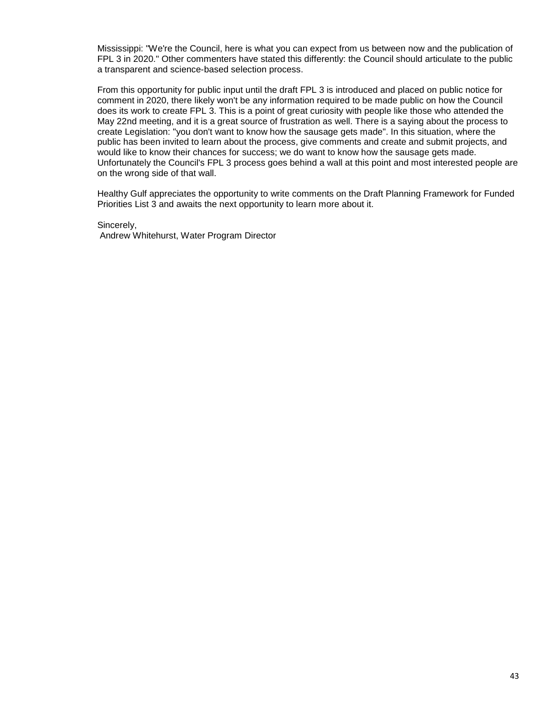Mississippi: "We're the Council, here is what you can expect from us between now and the publication of FPL 3 in 2020." Other commenters have stated this differently: the Council should articulate to the public a transparent and science-based selection process.

From this opportunity for public input until the draft FPL 3 is introduced and placed on public notice for comment in 2020, there likely won't be any information required to be made public on how the Council does its work to create FPL 3. This is a point of great curiosity with people like those who attended the May 22nd meeting, and it is a great source of frustration as well. There is a saying about the process to create Legislation: "you don't want to know how the sausage gets made". In this situation, where the public has been invited to learn about the process, give comments and create and submit projects, and would like to know their chances for success; we do want to know how the sausage gets made. Unfortunately the Council's FPL 3 process goes behind a wall at this point and most interested people are on the wrong side of that wall.

Healthy Gulf appreciates the opportunity to write comments on the Draft Planning Framework for Funded Priorities List 3 and awaits the next opportunity to learn more about it.

Sincerely, Andrew Whitehurst, Water Program Director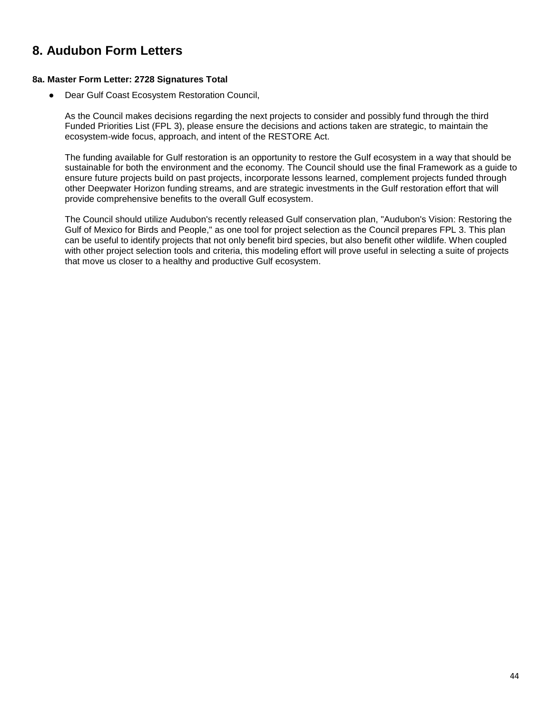# **8. Audubon Form Letters**

## **8a. Master Form Letter: 2728 Signatures Total**

Dear Gulf Coast Ecosystem Restoration Council,

As the Council makes decisions regarding the next projects to consider and possibly fund through the third Funded Priorities List (FPL 3), please ensure the decisions and actions taken are strategic, to maintain the ecosystem-wide focus, approach, and intent of the RESTORE Act.

The funding available for Gulf restoration is an opportunity to restore the Gulf ecosystem in a way that should be sustainable for both the environment and the economy. The Council should use the final Framework as a guide to ensure future projects build on past projects, incorporate lessons learned, complement projects funded through other Deepwater Horizon funding streams, and are strategic investments in the Gulf restoration effort that will provide comprehensive benefits to the overall Gulf ecosystem.

The Council should utilize Audubon's recently released Gulf conservation plan, "Audubon's Vision: Restoring the Gulf of Mexico for Birds and People," as one tool for project selection as the Council prepares FPL 3. This plan can be useful to identify projects that not only benefit bird species, but also benefit other wildlife. When coupled with other project selection tools and criteria, this modeling effort will prove useful in selecting a suite of projects that move us closer to a healthy and productive Gulf ecosystem.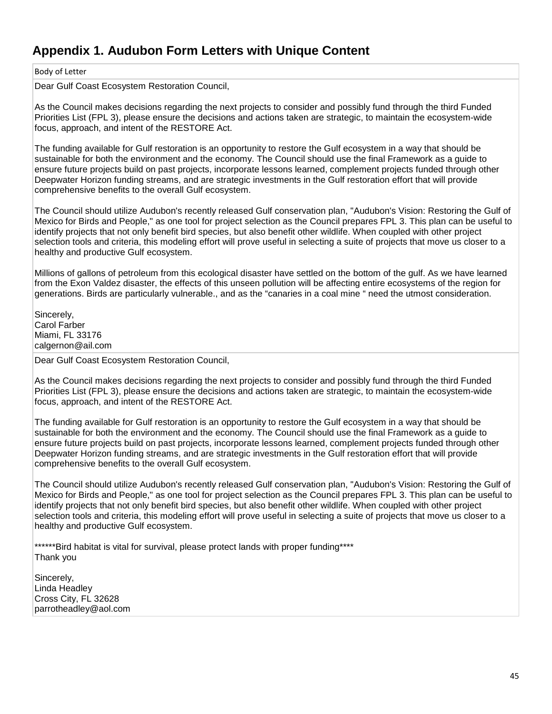# **Appendix 1. Audubon Form Letters with Unique Content**

## Body of Letter

Dear Gulf Coast Ecosystem Restoration Council,

As the Council makes decisions regarding the next projects to consider and possibly fund through the third Funded Priorities List (FPL 3), please ensure the decisions and actions taken are strategic, to maintain the ecosystem-wide focus, approach, and intent of the RESTORE Act.

The funding available for Gulf restoration is an opportunity to restore the Gulf ecosystem in a way that should be sustainable for both the environment and the economy. The Council should use the final Framework as a guide to ensure future projects build on past projects, incorporate lessons learned, complement projects funded through other Deepwater Horizon funding streams, and are strategic investments in the Gulf restoration effort that will provide comprehensive benefits to the overall Gulf ecosystem.

The Council should utilize Audubon's recently released Gulf conservation plan, "Audubon's Vision: Restoring the Gulf of Mexico for Birds and People," as one tool for project selection as the Council prepares FPL 3. This plan can be useful to identify projects that not only benefit bird species, but also benefit other wildlife. When coupled with other project selection tools and criteria, this modeling effort will prove useful in selecting a suite of projects that move us closer to a healthy and productive Gulf ecosystem.

Millions of gallons of petroleum from this ecological disaster have settled on the bottom of the gulf. As we have learned from the Exon Valdez disaster, the effects of this unseen pollution will be affecting entire ecosystems of the region for generations. Birds are particularly vulnerable., and as the "canaries in a coal mine " need the utmost consideration.

Sincerely, Carol Farber Miami, FL 33176 calgernon@ail.com

Dear Gulf Coast Ecosystem Restoration Council,

As the Council makes decisions regarding the next projects to consider and possibly fund through the third Funded Priorities List (FPL 3), please ensure the decisions and actions taken are strategic, to maintain the ecosystem-wide focus, approach, and intent of the RESTORE Act.

The funding available for Gulf restoration is an opportunity to restore the Gulf ecosystem in a way that should be sustainable for both the environment and the economy. The Council should use the final Framework as a guide to ensure future projects build on past projects, incorporate lessons learned, complement projects funded through other Deepwater Horizon funding streams, and are strategic investments in the Gulf restoration effort that will provide comprehensive benefits to the overall Gulf ecosystem.

The Council should utilize Audubon's recently released Gulf conservation plan, "Audubon's Vision: Restoring the Gulf of Mexico for Birds and People," as one tool for project selection as the Council prepares FPL 3. This plan can be useful to identify projects that not only benefit bird species, but also benefit other wildlife. When coupled with other project selection tools and criteria, this modeling effort will prove useful in selecting a suite of projects that move us closer to a healthy and productive Gulf ecosystem.

\*\*\*\*\*\*Bird habitat is vital for survival, please protect lands with proper funding\*\*\*\* Thank you

Sincerely, Linda Headley Cross City, FL 32628 parrotheadley@aol.com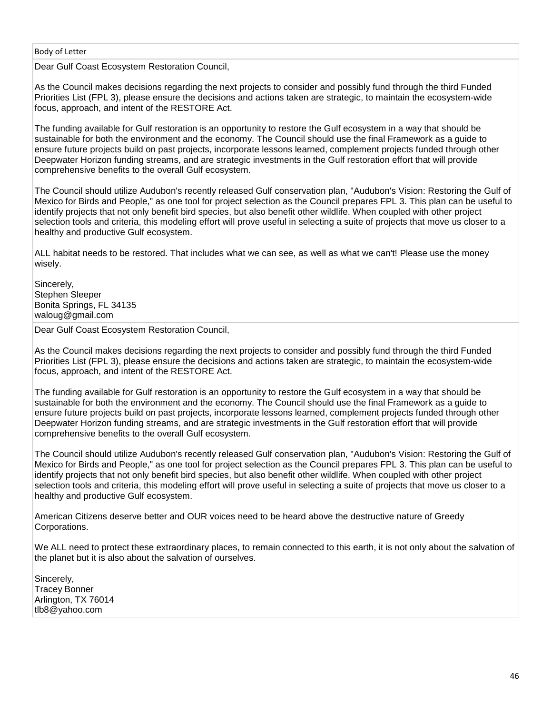Dear Gulf Coast Ecosystem Restoration Council,

As the Council makes decisions regarding the next projects to consider and possibly fund through the third Funded Priorities List (FPL 3), please ensure the decisions and actions taken are strategic, to maintain the ecosystem-wide focus, approach, and intent of the RESTORE Act.

The funding available for Gulf restoration is an opportunity to restore the Gulf ecosystem in a way that should be sustainable for both the environment and the economy. The Council should use the final Framework as a guide to ensure future projects build on past projects, incorporate lessons learned, complement projects funded through other Deepwater Horizon funding streams, and are strategic investments in the Gulf restoration effort that will provide comprehensive benefits to the overall Gulf ecosystem.

The Council should utilize Audubon's recently released Gulf conservation plan, "Audubon's Vision: Restoring the Gulf of Mexico for Birds and People," as one tool for project selection as the Council prepares FPL 3. This plan can be useful to identify projects that not only benefit bird species, but also benefit other wildlife. When coupled with other project selection tools and criteria, this modeling effort will prove useful in selecting a suite of projects that move us closer to a healthy and productive Gulf ecosystem.

ALL habitat needs to be restored. That includes what we can see, as well as what we can't! Please use the money wisely.

Sincerely, Stephen Sleeper Bonita Springs, FL 34135 waloug@gmail.com

Dear Gulf Coast Ecosystem Restoration Council,

As the Council makes decisions regarding the next projects to consider and possibly fund through the third Funded Priorities List (FPL 3), please ensure the decisions and actions taken are strategic, to maintain the ecosystem-wide focus, approach, and intent of the RESTORE Act.

The funding available for Gulf restoration is an opportunity to restore the Gulf ecosystem in a way that should be sustainable for both the environment and the economy. The Council should use the final Framework as a guide to ensure future projects build on past projects, incorporate lessons learned, complement projects funded through other Deepwater Horizon funding streams, and are strategic investments in the Gulf restoration effort that will provide comprehensive benefits to the overall Gulf ecosystem.

The Council should utilize Audubon's recently released Gulf conservation plan, "Audubon's Vision: Restoring the Gulf of Mexico for Birds and People," as one tool for project selection as the Council prepares FPL 3. This plan can be useful to identify projects that not only benefit bird species, but also benefit other wildlife. When coupled with other project selection tools and criteria, this modeling effort will prove useful in selecting a suite of projects that move us closer to a healthy and productive Gulf ecosystem.

American Citizens deserve better and OUR voices need to be heard above the destructive nature of Greedy Corporations.

We ALL need to protect these extraordinary places, to remain connected to this earth, it is not only about the salvation of the planet but it is also about the salvation of ourselves.

Sincerely, Tracey Bonner Arlington, TX 76014 tlb8@yahoo.com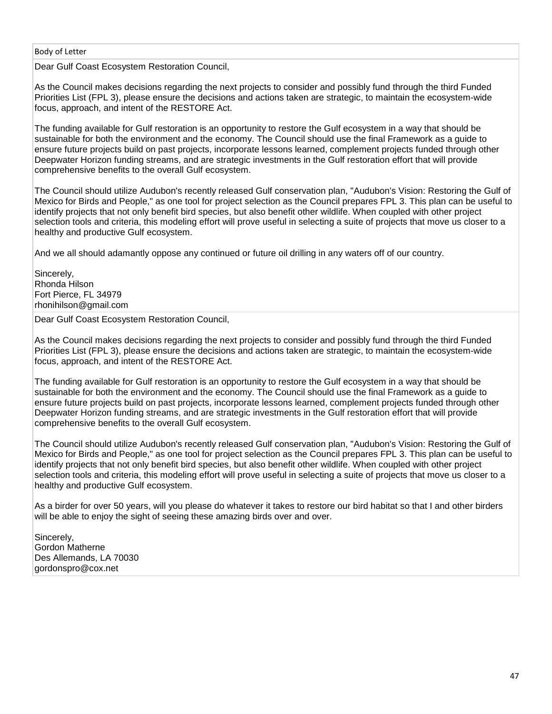Dear Gulf Coast Ecosystem Restoration Council,

As the Council makes decisions regarding the next projects to consider and possibly fund through the third Funded Priorities List (FPL 3), please ensure the decisions and actions taken are strategic, to maintain the ecosystem-wide focus, approach, and intent of the RESTORE Act.

The funding available for Gulf restoration is an opportunity to restore the Gulf ecosystem in a way that should be sustainable for both the environment and the economy. The Council should use the final Framework as a guide to ensure future projects build on past projects, incorporate lessons learned, complement projects funded through other Deepwater Horizon funding streams, and are strategic investments in the Gulf restoration effort that will provide comprehensive benefits to the overall Gulf ecosystem.

The Council should utilize Audubon's recently released Gulf conservation plan, "Audubon's Vision: Restoring the Gulf of Mexico for Birds and People," as one tool for project selection as the Council prepares FPL 3. This plan can be useful to identify projects that not only benefit bird species, but also benefit other wildlife. When coupled with other project selection tools and criteria, this modeling effort will prove useful in selecting a suite of projects that move us closer to a healthy and productive Gulf ecosystem.

And we all should adamantly oppose any continued or future oil drilling in any waters off of our country.

Sincerely, Rhonda Hilson Fort Pierce, FL 34979 rhonihilson@gmail.com

Dear Gulf Coast Ecosystem Restoration Council,

As the Council makes decisions regarding the next projects to consider and possibly fund through the third Funded Priorities List (FPL 3), please ensure the decisions and actions taken are strategic, to maintain the ecosystem-wide focus, approach, and intent of the RESTORE Act.

The funding available for Gulf restoration is an opportunity to restore the Gulf ecosystem in a way that should be sustainable for both the environment and the economy. The Council should use the final Framework as a guide to ensure future projects build on past projects, incorporate lessons learned, complement projects funded through other Deepwater Horizon funding streams, and are strategic investments in the Gulf restoration effort that will provide comprehensive benefits to the overall Gulf ecosystem.

The Council should utilize Audubon's recently released Gulf conservation plan, "Audubon's Vision: Restoring the Gulf of Mexico for Birds and People," as one tool for project selection as the Council prepares FPL 3. This plan can be useful to identify projects that not only benefit bird species, but also benefit other wildlife. When coupled with other project selection tools and criteria, this modeling effort will prove useful in selecting a suite of projects that move us closer to a healthy and productive Gulf ecosystem.

As a birder for over 50 years, will you please do whatever it takes to restore our bird habitat so that I and other birders will be able to enjoy the sight of seeing these amazing birds over and over.

Sincerely. Gordon Matherne Des Allemands, LA 70030 gordonspro@cox.net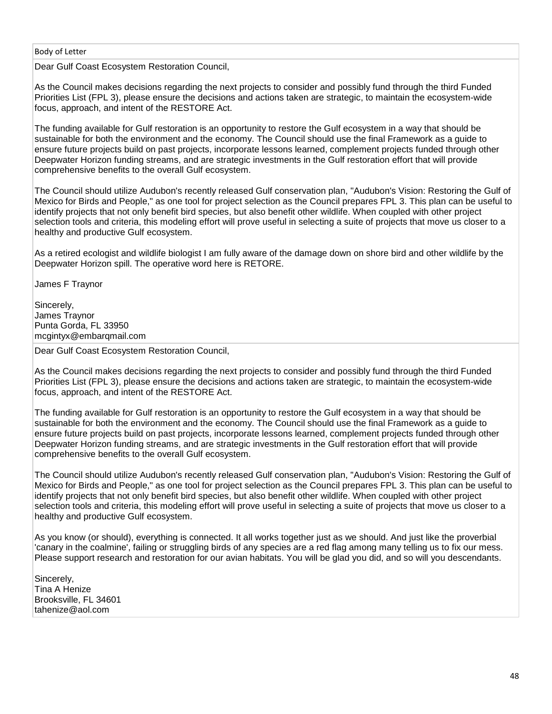Dear Gulf Coast Ecosystem Restoration Council,

As the Council makes decisions regarding the next projects to consider and possibly fund through the third Funded Priorities List (FPL 3), please ensure the decisions and actions taken are strategic, to maintain the ecosystem-wide focus, approach, and intent of the RESTORE Act.

The funding available for Gulf restoration is an opportunity to restore the Gulf ecosystem in a way that should be sustainable for both the environment and the economy. The Council should use the final Framework as a guide to ensure future projects build on past projects, incorporate lessons learned, complement projects funded through other Deepwater Horizon funding streams, and are strategic investments in the Gulf restoration effort that will provide comprehensive benefits to the overall Gulf ecosystem.

The Council should utilize Audubon's recently released Gulf conservation plan, "Audubon's Vision: Restoring the Gulf of Mexico for Birds and People," as one tool for project selection as the Council prepares FPL 3. This plan can be useful to identify projects that not only benefit bird species, but also benefit other wildlife. When coupled with other project selection tools and criteria, this modeling effort will prove useful in selecting a suite of projects that move us closer to a healthy and productive Gulf ecosystem.

As a retired ecologist and wildlife biologist I am fully aware of the damage down on shore bird and other wildlife by the Deepwater Horizon spill. The operative word here is RETORE.

James F Traynor

Sincerely, James Traynor Punta Gorda, FL 33950 mcgintyx@embarqmail.com

Dear Gulf Coast Ecosystem Restoration Council,

As the Council makes decisions regarding the next projects to consider and possibly fund through the third Funded Priorities List (FPL 3), please ensure the decisions and actions taken are strategic, to maintain the ecosystem-wide focus, approach, and intent of the RESTORE Act.

The funding available for Gulf restoration is an opportunity to restore the Gulf ecosystem in a way that should be sustainable for both the environment and the economy. The Council should use the final Framework as a guide to ensure future projects build on past projects, incorporate lessons learned, complement projects funded through other Deepwater Horizon funding streams, and are strategic investments in the Gulf restoration effort that will provide comprehensive benefits to the overall Gulf ecosystem.

The Council should utilize Audubon's recently released Gulf conservation plan, "Audubon's Vision: Restoring the Gulf of Mexico for Birds and People," as one tool for project selection as the Council prepares FPL 3. This plan can be useful to identify projects that not only benefit bird species, but also benefit other wildlife. When coupled with other project selection tools and criteria, this modeling effort will prove useful in selecting a suite of projects that move us closer to a healthy and productive Gulf ecosystem.

As you know (or should), everything is connected. It all works together just as we should. And just like the proverbial 'canary in the coalmine', failing or struggling birds of any species are a red flag among many telling us to fix our mess. Please support research and restoration for our avian habitats. You will be glad you did, and so will you descendants.

Sincerely, Tina A Henize Brooksville, FL 34601 tahenize@aol.com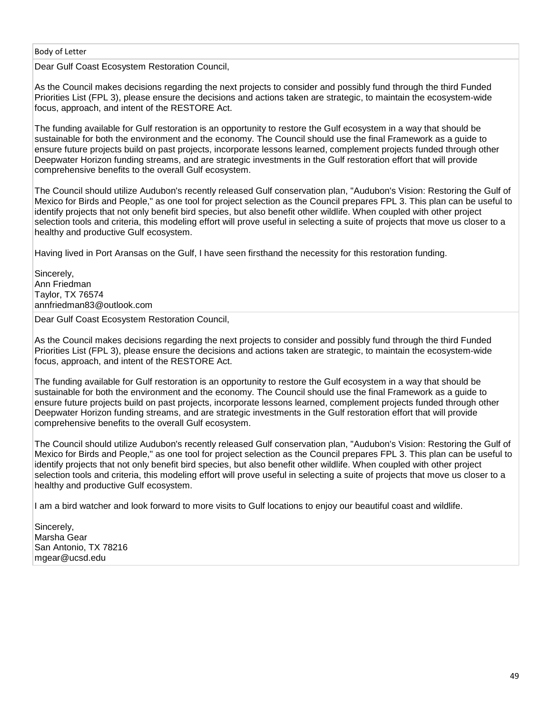Dear Gulf Coast Ecosystem Restoration Council,

As the Council makes decisions regarding the next projects to consider and possibly fund through the third Funded Priorities List (FPL 3), please ensure the decisions and actions taken are strategic, to maintain the ecosystem-wide focus, approach, and intent of the RESTORE Act.

The funding available for Gulf restoration is an opportunity to restore the Gulf ecosystem in a way that should be sustainable for both the environment and the economy. The Council should use the final Framework as a guide to ensure future projects build on past projects, incorporate lessons learned, complement projects funded through other Deepwater Horizon funding streams, and are strategic investments in the Gulf restoration effort that will provide comprehensive benefits to the overall Gulf ecosystem.

The Council should utilize Audubon's recently released Gulf conservation plan, "Audubon's Vision: Restoring the Gulf of Mexico for Birds and People," as one tool for project selection as the Council prepares FPL 3. This plan can be useful to identify projects that not only benefit bird species, but also benefit other wildlife. When coupled with other project selection tools and criteria, this modeling effort will prove useful in selecting a suite of projects that move us closer to a healthy and productive Gulf ecosystem.

Having lived in Port Aransas on the Gulf, I have seen firsthand the necessity for this restoration funding.

Sincerely, Ann Friedman Taylor, TX 76574 annfriedman83@outlook.com

Dear Gulf Coast Ecosystem Restoration Council,

As the Council makes decisions regarding the next projects to consider and possibly fund through the third Funded Priorities List (FPL 3), please ensure the decisions and actions taken are strategic, to maintain the ecosystem-wide focus, approach, and intent of the RESTORE Act.

The funding available for Gulf restoration is an opportunity to restore the Gulf ecosystem in a way that should be sustainable for both the environment and the economy. The Council should use the final Framework as a guide to ensure future projects build on past projects, incorporate lessons learned, complement projects funded through other Deepwater Horizon funding streams, and are strategic investments in the Gulf restoration effort that will provide comprehensive benefits to the overall Gulf ecosystem.

The Council should utilize Audubon's recently released Gulf conservation plan, "Audubon's Vision: Restoring the Gulf of Mexico for Birds and People," as one tool for project selection as the Council prepares FPL 3. This plan can be useful to identify projects that not only benefit bird species, but also benefit other wildlife. When coupled with other project selection tools and criteria, this modeling effort will prove useful in selecting a suite of projects that move us closer to a healthy and productive Gulf ecosystem.

I am a bird watcher and look forward to more visits to Gulf locations to enjoy our beautiful coast and wildlife.

Sincerely, Marsha Gear San Antonio, TX 78216 mgear@ucsd.edu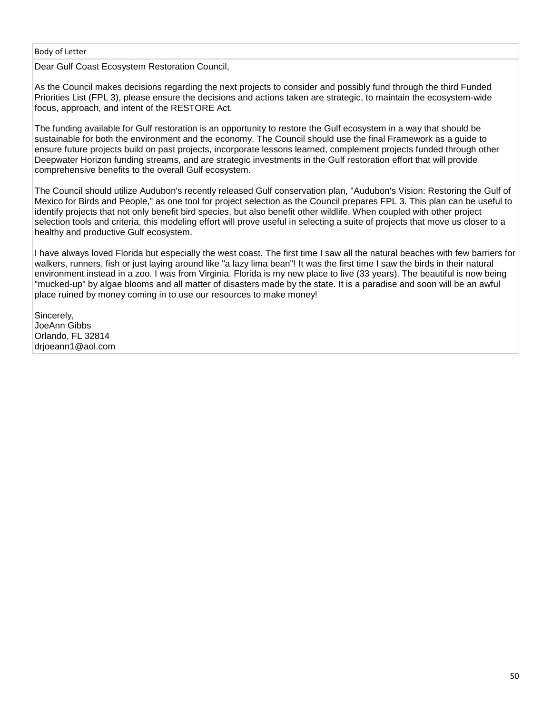Dear Gulf Coast Ecosystem Restoration Council,

As the Council makes decisions regarding the next projects to consider and possibly fund through the third Funded Priorities List (FPL 3), please ensure the decisions and actions taken are strategic, to maintain the ecosystem-wide focus, approach, and intent of the RESTORE Act.

The funding available for Gulf restoration is an opportunity to restore the Gulf ecosystem in a way that should be sustainable for both the environment and the economy. The Council should use the final Framework as a guide to ensure future projects build on past projects, incorporate lessons learned, complement projects funded through other Deepwater Horizon funding streams, and are strategic investments in the Gulf restoration effort that will provide comprehensive benefits to the overall Gulf ecosystem.

The Council should utilize Audubon's recently released Gulf conservation plan, "Audubon's Vision: Restoring the Gulf of Mexico for Birds and People," as one tool for project selection as the Council prepares FPL 3. This plan can be useful to identify projects that not only benefit bird species, but also benefit other wildlife. When coupled with other project selection tools and criteria, this modeling effort will prove useful in selecting a suite of projects that move us closer to a healthy and productive Gulf ecosystem.

I have always loved Florida but especially the west coast. The first time I saw all the natural beaches with few barriers for walkers, runners, fish or just laying around like "a lazy lima bean"! It was the first time I saw the birds in their natural environment instead in a zoo. I was from Virginia. Florida is my new place to live (33 years). The beautiful is now being "mucked-up" by algae blooms and all matter of disasters made by the state. It is a paradise and soon will be an awful place ruined by money coming in to use our resources to make money!

Sincerely, JoeAnn Gibbs Orlando, FL 32814 drjoeann1@aol.com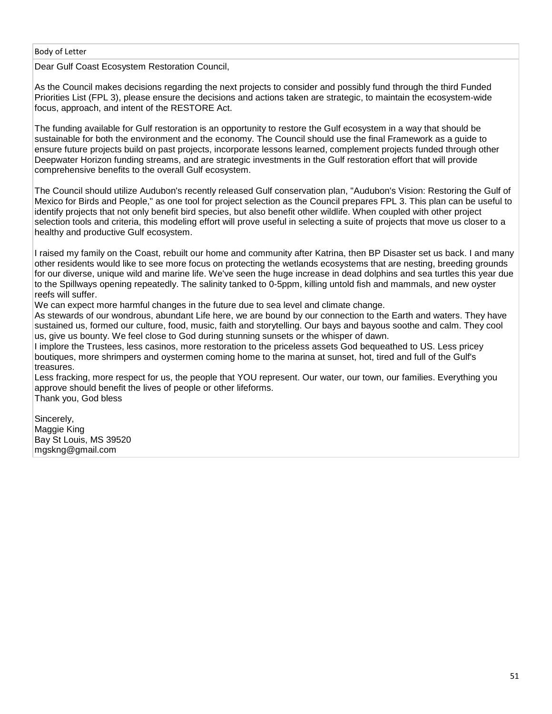Dear Gulf Coast Ecosystem Restoration Council,

As the Council makes decisions regarding the next projects to consider and possibly fund through the third Funded Priorities List (FPL 3), please ensure the decisions and actions taken are strategic, to maintain the ecosystem-wide focus, approach, and intent of the RESTORE Act.

The funding available for Gulf restoration is an opportunity to restore the Gulf ecosystem in a way that should be sustainable for both the environment and the economy. The Council should use the final Framework as a guide to ensure future projects build on past projects, incorporate lessons learned, complement projects funded through other Deepwater Horizon funding streams, and are strategic investments in the Gulf restoration effort that will provide comprehensive benefits to the overall Gulf ecosystem.

The Council should utilize Audubon's recently released Gulf conservation plan, "Audubon's Vision: Restoring the Gulf of Mexico for Birds and People," as one tool for project selection as the Council prepares FPL 3. This plan can be useful to identify projects that not only benefit bird species, but also benefit other wildlife. When coupled with other project selection tools and criteria, this modeling effort will prove useful in selecting a suite of projects that move us closer to a healthy and productive Gulf ecosystem.

I raised my family on the Coast, rebuilt our home and community after Katrina, then BP Disaster set us back. I and many other residents would like to see more focus on protecting the wetlands ecosystems that are nesting, breeding grounds for our diverse, unique wild and marine life. We've seen the huge increase in dead dolphins and sea turtles this year due to the Spillways opening repeatedly. The salinity tanked to 0-5ppm, killing untold fish and mammals, and new oyster reefs will suffer.

We can expect more harmful changes in the future due to sea level and climate change.

As stewards of our wondrous, abundant Life here, we are bound by our connection to the Earth and waters. They have sustained us, formed our culture, food, music, faith and storytelling. Our bays and bayous soothe and calm. They cool us, give us bounty. We feel close to God during stunning sunsets or the whisper of dawn.

I implore the Trustees, less casinos, more restoration to the priceless assets God bequeathed to US. Less pricey boutiques, more shrimpers and oystermen coming home to the marina at sunset, hot, tired and full of the Gulf's treasures.

Less fracking, more respect for us, the people that YOU represent. Our water, our town, our families. Everything you approve should benefit the lives of people or other lifeforms. Thank you, God bless

Sincerely, Maggie King Bay St Louis, MS 39520 mgskng@gmail.com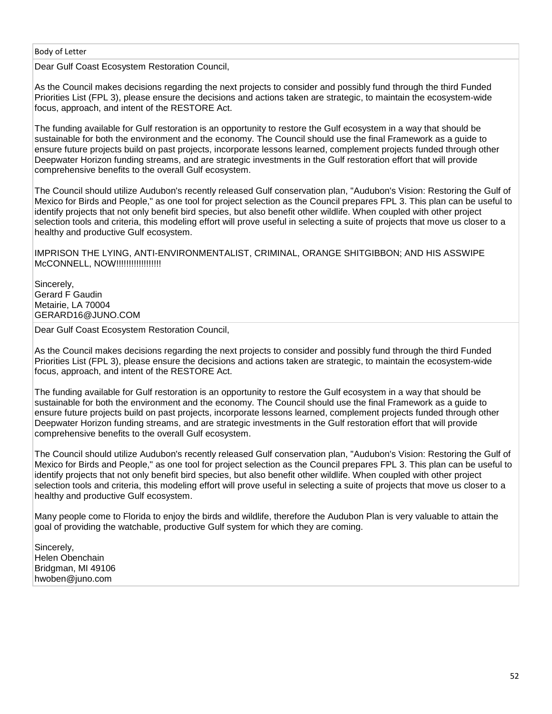Dear Gulf Coast Ecosystem Restoration Council,

As the Council makes decisions regarding the next projects to consider and possibly fund through the third Funded Priorities List (FPL 3), please ensure the decisions and actions taken are strategic, to maintain the ecosystem-wide focus, approach, and intent of the RESTORE Act.

The funding available for Gulf restoration is an opportunity to restore the Gulf ecosystem in a way that should be sustainable for both the environment and the economy. The Council should use the final Framework as a guide to ensure future projects build on past projects, incorporate lessons learned, complement projects funded through other Deepwater Horizon funding streams, and are strategic investments in the Gulf restoration effort that will provide comprehensive benefits to the overall Gulf ecosystem.

The Council should utilize Audubon's recently released Gulf conservation plan, "Audubon's Vision: Restoring the Gulf of Mexico for Birds and People," as one tool for project selection as the Council prepares FPL 3. This plan can be useful to identify projects that not only benefit bird species, but also benefit other wildlife. When coupled with other project selection tools and criteria, this modeling effort will prove useful in selecting a suite of projects that move us closer to a healthy and productive Gulf ecosystem.

IMPRISON THE LYING, ANTI-ENVIRONMENTALIST, CRIMINAL, ORANGE SHITGIBBON; AND HIS ASSWIPE McCONNELL, NOW!!!!!!!!!!!!!!!!!!!!

Sincerely. Gerard F Gaudin Metairie, LA 70004 GERARD16@JUNO.COM

Dear Gulf Coast Ecosystem Restoration Council,

As the Council makes decisions regarding the next projects to consider and possibly fund through the third Funded Priorities List (FPL 3), please ensure the decisions and actions taken are strategic, to maintain the ecosystem-wide focus, approach, and intent of the RESTORE Act.

The funding available for Gulf restoration is an opportunity to restore the Gulf ecosystem in a way that should be sustainable for both the environment and the economy. The Council should use the final Framework as a guide to ensure future projects build on past projects, incorporate lessons learned, complement projects funded through other Deepwater Horizon funding streams, and are strategic investments in the Gulf restoration effort that will provide comprehensive benefits to the overall Gulf ecosystem.

The Council should utilize Audubon's recently released Gulf conservation plan, "Audubon's Vision: Restoring the Gulf of Mexico for Birds and People," as one tool for project selection as the Council prepares FPL 3. This plan can be useful to identify projects that not only benefit bird species, but also benefit other wildlife. When coupled with other project selection tools and criteria, this modeling effort will prove useful in selecting a suite of projects that move us closer to a healthy and productive Gulf ecosystem.

Many people come to Florida to enjoy the birds and wildlife, therefore the Audubon Plan is very valuable to attain the goal of providing the watchable, productive Gulf system for which they are coming.

Sincerely, Helen Obenchain Bridgman, MI 49106 hwoben@juno.com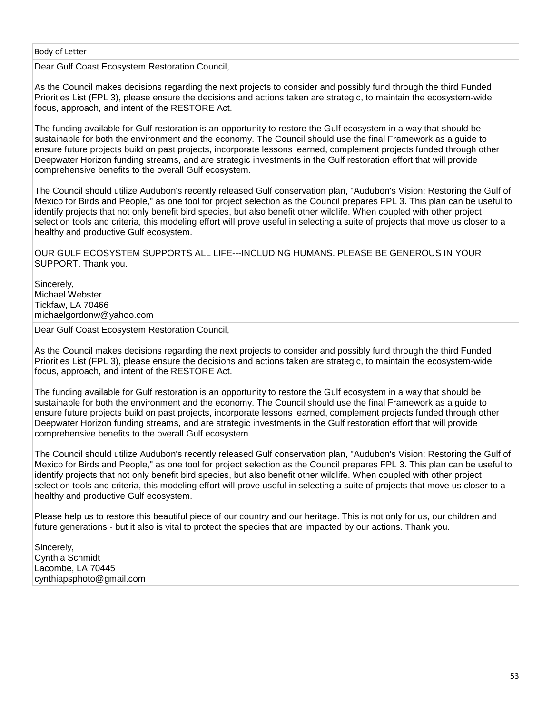Dear Gulf Coast Ecosystem Restoration Council,

As the Council makes decisions regarding the next projects to consider and possibly fund through the third Funded Priorities List (FPL 3), please ensure the decisions and actions taken are strategic, to maintain the ecosystem-wide focus, approach, and intent of the RESTORE Act.

The funding available for Gulf restoration is an opportunity to restore the Gulf ecosystem in a way that should be sustainable for both the environment and the economy. The Council should use the final Framework as a guide to ensure future projects build on past projects, incorporate lessons learned, complement projects funded through other Deepwater Horizon funding streams, and are strategic investments in the Gulf restoration effort that will provide comprehensive benefits to the overall Gulf ecosystem.

The Council should utilize Audubon's recently released Gulf conservation plan, "Audubon's Vision: Restoring the Gulf of Mexico for Birds and People," as one tool for project selection as the Council prepares FPL 3. This plan can be useful to identify projects that not only benefit bird species, but also benefit other wildlife. When coupled with other project selection tools and criteria, this modeling effort will prove useful in selecting a suite of projects that move us closer to a healthy and productive Gulf ecosystem.

OUR GULF ECOSYSTEM SUPPORTS ALL LIFE---INCLUDING HUMANS. PLEASE BE GENEROUS IN YOUR SUPPORT. Thank you.

Sincerely, Michael Webster Tickfaw, LA 70466 michaelgordonw@yahoo.com

Dear Gulf Coast Ecosystem Restoration Council,

As the Council makes decisions regarding the next projects to consider and possibly fund through the third Funded Priorities List (FPL 3), please ensure the decisions and actions taken are strategic, to maintain the ecosystem-wide focus, approach, and intent of the RESTORE Act.

The funding available for Gulf restoration is an opportunity to restore the Gulf ecosystem in a way that should be sustainable for both the environment and the economy. The Council should use the final Framework as a guide to ensure future projects build on past projects, incorporate lessons learned, complement projects funded through other Deepwater Horizon funding streams, and are strategic investments in the Gulf restoration effort that will provide comprehensive benefits to the overall Gulf ecosystem.

The Council should utilize Audubon's recently released Gulf conservation plan, "Audubon's Vision: Restoring the Gulf of Mexico for Birds and People," as one tool for project selection as the Council prepares FPL 3. This plan can be useful to identify projects that not only benefit bird species, but also benefit other wildlife. When coupled with other project selection tools and criteria, this modeling effort will prove useful in selecting a suite of projects that move us closer to a healthy and productive Gulf ecosystem.

Please help us to restore this beautiful piece of our country and our heritage. This is not only for us, our children and future generations - but it also is vital to protect the species that are impacted by our actions. Thank you.

Sincerely, Cynthia Schmidt Lacombe, LA 70445 cynthiapsphoto@gmail.com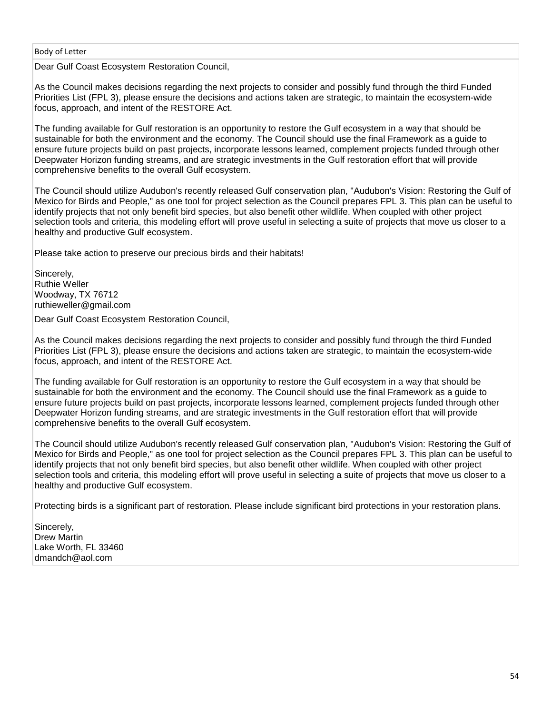Dear Gulf Coast Ecosystem Restoration Council,

As the Council makes decisions regarding the next projects to consider and possibly fund through the third Funded Priorities List (FPL 3), please ensure the decisions and actions taken are strategic, to maintain the ecosystem-wide focus, approach, and intent of the RESTORE Act.

The funding available for Gulf restoration is an opportunity to restore the Gulf ecosystem in a way that should be sustainable for both the environment and the economy. The Council should use the final Framework as a guide to ensure future projects build on past projects, incorporate lessons learned, complement projects funded through other Deepwater Horizon funding streams, and are strategic investments in the Gulf restoration effort that will provide comprehensive benefits to the overall Gulf ecosystem.

The Council should utilize Audubon's recently released Gulf conservation plan, "Audubon's Vision: Restoring the Gulf of Mexico for Birds and People," as one tool for project selection as the Council prepares FPL 3. This plan can be useful to identify projects that not only benefit bird species, but also benefit other wildlife. When coupled with other project selection tools and criteria, this modeling effort will prove useful in selecting a suite of projects that move us closer to a healthy and productive Gulf ecosystem.

Please take action to preserve our precious birds and their habitats!

Sincerely, Ruthie Weller Woodway, TX 76712 ruthieweller@gmail.com

Dear Gulf Coast Ecosystem Restoration Council,

As the Council makes decisions regarding the next projects to consider and possibly fund through the third Funded Priorities List (FPL 3), please ensure the decisions and actions taken are strategic, to maintain the ecosystem-wide focus, approach, and intent of the RESTORE Act.

The funding available for Gulf restoration is an opportunity to restore the Gulf ecosystem in a way that should be sustainable for both the environment and the economy. The Council should use the final Framework as a guide to ensure future projects build on past projects, incorporate lessons learned, complement projects funded through other Deepwater Horizon funding streams, and are strategic investments in the Gulf restoration effort that will provide comprehensive benefits to the overall Gulf ecosystem.

The Council should utilize Audubon's recently released Gulf conservation plan, "Audubon's Vision: Restoring the Gulf of Mexico for Birds and People," as one tool for project selection as the Council prepares FPL 3. This plan can be useful to identify projects that not only benefit bird species, but also benefit other wildlife. When coupled with other project selection tools and criteria, this modeling effort will prove useful in selecting a suite of projects that move us closer to a healthy and productive Gulf ecosystem.

Protecting birds is a significant part of restoration. Please include significant bird protections in your restoration plans.

Sincerely, Drew Martin Lake Worth, FL 33460 dmandch@aol.com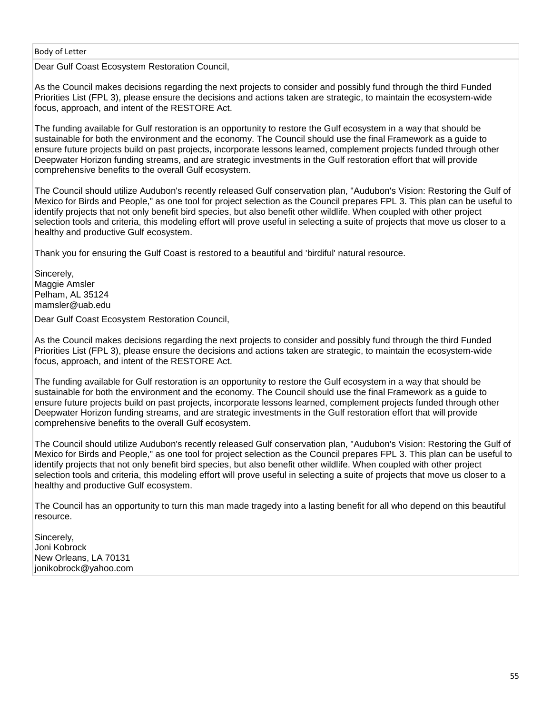Dear Gulf Coast Ecosystem Restoration Council,

As the Council makes decisions regarding the next projects to consider and possibly fund through the third Funded Priorities List (FPL 3), please ensure the decisions and actions taken are strategic, to maintain the ecosystem-wide focus, approach, and intent of the RESTORE Act.

The funding available for Gulf restoration is an opportunity to restore the Gulf ecosystem in a way that should be sustainable for both the environment and the economy. The Council should use the final Framework as a guide to ensure future projects build on past projects, incorporate lessons learned, complement projects funded through other Deepwater Horizon funding streams, and are strategic investments in the Gulf restoration effort that will provide comprehensive benefits to the overall Gulf ecosystem.

The Council should utilize Audubon's recently released Gulf conservation plan, "Audubon's Vision: Restoring the Gulf of Mexico for Birds and People," as one tool for project selection as the Council prepares FPL 3. This plan can be useful to identify projects that not only benefit bird species, but also benefit other wildlife. When coupled with other project selection tools and criteria, this modeling effort will prove useful in selecting a suite of projects that move us closer to a healthy and productive Gulf ecosystem.

Thank you for ensuring the Gulf Coast is restored to a beautiful and 'birdiful' natural resource.

Sincerely, Maggie Amsler Pelham, AL 35124 mamsler@uab.edu

Dear Gulf Coast Ecosystem Restoration Council,

As the Council makes decisions regarding the next projects to consider and possibly fund through the third Funded Priorities List (FPL 3), please ensure the decisions and actions taken are strategic, to maintain the ecosystem-wide focus, approach, and intent of the RESTORE Act.

The funding available for Gulf restoration is an opportunity to restore the Gulf ecosystem in a way that should be sustainable for both the environment and the economy. The Council should use the final Framework as a guide to ensure future projects build on past projects, incorporate lessons learned, complement projects funded through other Deepwater Horizon funding streams, and are strategic investments in the Gulf restoration effort that will provide comprehensive benefits to the overall Gulf ecosystem.

The Council should utilize Audubon's recently released Gulf conservation plan, "Audubon's Vision: Restoring the Gulf of Mexico for Birds and People," as one tool for project selection as the Council prepares FPL 3. This plan can be useful to identify projects that not only benefit bird species, but also benefit other wildlife. When coupled with other project selection tools and criteria, this modeling effort will prove useful in selecting a suite of projects that move us closer to a healthy and productive Gulf ecosystem.

The Council has an opportunity to turn this man made tragedy into a lasting benefit for all who depend on this beautiful resource.

Sincerely, Joni Kobrock New Orleans, LA 70131 jonikobrock@yahoo.com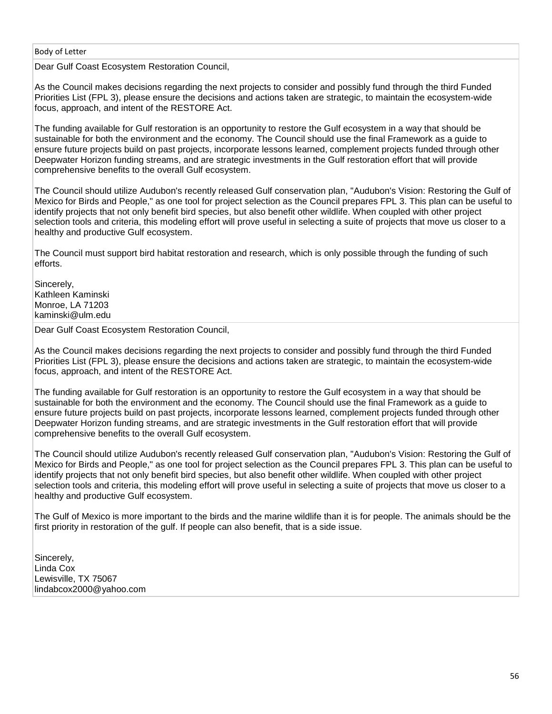Dear Gulf Coast Ecosystem Restoration Council,

As the Council makes decisions regarding the next projects to consider and possibly fund through the third Funded Priorities List (FPL 3), please ensure the decisions and actions taken are strategic, to maintain the ecosystem-wide focus, approach, and intent of the RESTORE Act.

The funding available for Gulf restoration is an opportunity to restore the Gulf ecosystem in a way that should be sustainable for both the environment and the economy. The Council should use the final Framework as a guide to ensure future projects build on past projects, incorporate lessons learned, complement projects funded through other Deepwater Horizon funding streams, and are strategic investments in the Gulf restoration effort that will provide comprehensive benefits to the overall Gulf ecosystem.

The Council should utilize Audubon's recently released Gulf conservation plan, "Audubon's Vision: Restoring the Gulf of Mexico for Birds and People," as one tool for project selection as the Council prepares FPL 3. This plan can be useful to identify projects that not only benefit bird species, but also benefit other wildlife. When coupled with other project selection tools and criteria, this modeling effort will prove useful in selecting a suite of projects that move us closer to a healthy and productive Gulf ecosystem.

The Council must support bird habitat restoration and research, which is only possible through the funding of such efforts.

Sincerely. Kathleen Kaminski Monroe, LA 71203 kaminski@ulm.edu

Dear Gulf Coast Ecosystem Restoration Council,

As the Council makes decisions regarding the next projects to consider and possibly fund through the third Funded Priorities List (FPL 3), please ensure the decisions and actions taken are strategic, to maintain the ecosystem-wide focus, approach, and intent of the RESTORE Act.

The funding available for Gulf restoration is an opportunity to restore the Gulf ecosystem in a way that should be sustainable for both the environment and the economy. The Council should use the final Framework as a guide to ensure future projects build on past projects, incorporate lessons learned, complement projects funded through other Deepwater Horizon funding streams, and are strategic investments in the Gulf restoration effort that will provide comprehensive benefits to the overall Gulf ecosystem.

The Council should utilize Audubon's recently released Gulf conservation plan, "Audubon's Vision: Restoring the Gulf of Mexico for Birds and People," as one tool for project selection as the Council prepares FPL 3. This plan can be useful to identify projects that not only benefit bird species, but also benefit other wildlife. When coupled with other project selection tools and criteria, this modeling effort will prove useful in selecting a suite of projects that move us closer to a healthy and productive Gulf ecosystem.

The Gulf of Mexico is more important to the birds and the marine wildlife than it is for people. The animals should be the first priority in restoration of the gulf. If people can also benefit, that is a side issue.

Sincerely, Linda Cox Lewisville, TX 75067 lindabcox2000@yahoo.com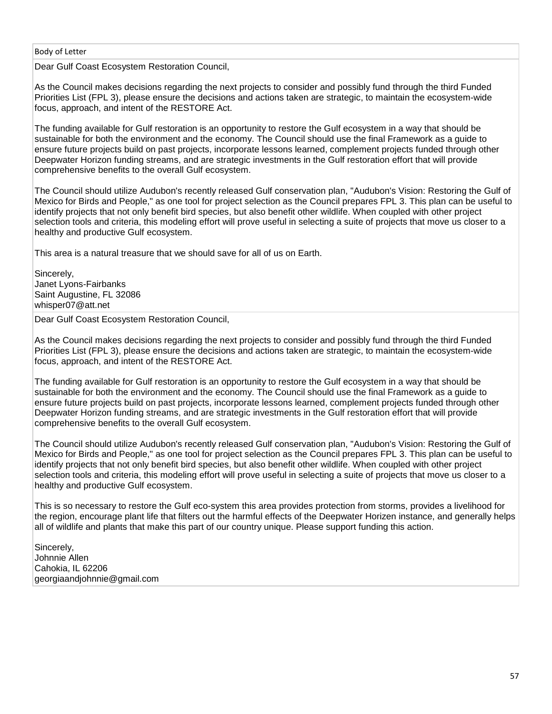Dear Gulf Coast Ecosystem Restoration Council,

As the Council makes decisions regarding the next projects to consider and possibly fund through the third Funded Priorities List (FPL 3), please ensure the decisions and actions taken are strategic, to maintain the ecosystem-wide focus, approach, and intent of the RESTORE Act.

The funding available for Gulf restoration is an opportunity to restore the Gulf ecosystem in a way that should be sustainable for both the environment and the economy. The Council should use the final Framework as a guide to ensure future projects build on past projects, incorporate lessons learned, complement projects funded through other Deepwater Horizon funding streams, and are strategic investments in the Gulf restoration effort that will provide comprehensive benefits to the overall Gulf ecosystem.

The Council should utilize Audubon's recently released Gulf conservation plan, "Audubon's Vision: Restoring the Gulf of Mexico for Birds and People," as one tool for project selection as the Council prepares FPL 3. This plan can be useful to identify projects that not only benefit bird species, but also benefit other wildlife. When coupled with other project selection tools and criteria, this modeling effort will prove useful in selecting a suite of projects that move us closer to a healthy and productive Gulf ecosystem.

This area is a natural treasure that we should save for all of us on Earth.

Sincerely, Janet Lyons-Fairbanks Saint Augustine, FL 32086 whisper07@att.net

Dear Gulf Coast Ecosystem Restoration Council,

As the Council makes decisions regarding the next projects to consider and possibly fund through the third Funded Priorities List (FPL 3), please ensure the decisions and actions taken are strategic, to maintain the ecosystem-wide focus, approach, and intent of the RESTORE Act.

The funding available for Gulf restoration is an opportunity to restore the Gulf ecosystem in a way that should be sustainable for both the environment and the economy. The Council should use the final Framework as a guide to ensure future projects build on past projects, incorporate lessons learned, complement projects funded through other Deepwater Horizon funding streams, and are strategic investments in the Gulf restoration effort that will provide comprehensive benefits to the overall Gulf ecosystem.

The Council should utilize Audubon's recently released Gulf conservation plan, "Audubon's Vision: Restoring the Gulf of Mexico for Birds and People," as one tool for project selection as the Council prepares FPL 3. This plan can be useful to identify projects that not only benefit bird species, but also benefit other wildlife. When coupled with other project selection tools and criteria, this modeling effort will prove useful in selecting a suite of projects that move us closer to a healthy and productive Gulf ecosystem.

This is so necessary to restore the Gulf eco-system this area provides protection from storms, provides a livelihood for the region, encourage plant life that filters out the harmful effects of the Deepwater Horizen instance, and generally helps all of wildlife and plants that make this part of our country unique. Please support funding this action.

Sincerely, Johnnie Allen Cahokia, IL 62206 georgiaandjohnnie@gmail.com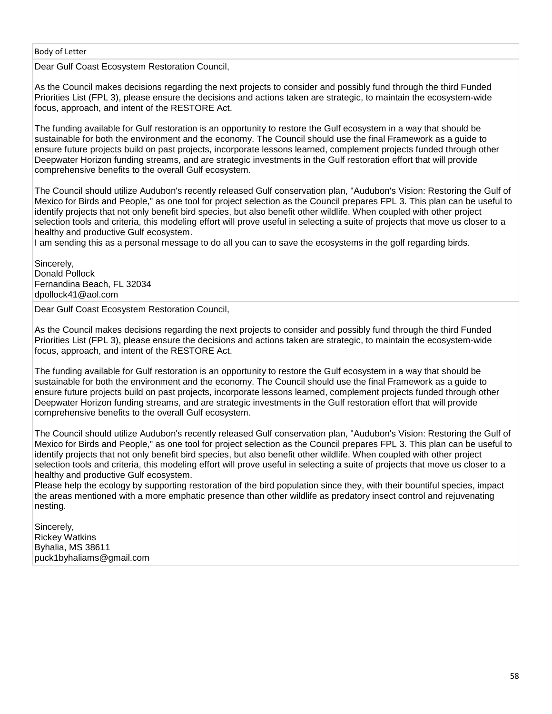Dear Gulf Coast Ecosystem Restoration Council,

As the Council makes decisions regarding the next projects to consider and possibly fund through the third Funded Priorities List (FPL 3), please ensure the decisions and actions taken are strategic, to maintain the ecosystem-wide focus, approach, and intent of the RESTORE Act.

The funding available for Gulf restoration is an opportunity to restore the Gulf ecosystem in a way that should be sustainable for both the environment and the economy. The Council should use the final Framework as a guide to ensure future projects build on past projects, incorporate lessons learned, complement projects funded through other Deepwater Horizon funding streams, and are strategic investments in the Gulf restoration effort that will provide comprehensive benefits to the overall Gulf ecosystem.

The Council should utilize Audubon's recently released Gulf conservation plan, "Audubon's Vision: Restoring the Gulf of Mexico for Birds and People," as one tool for project selection as the Council prepares FPL 3. This plan can be useful to identify projects that not only benefit bird species, but also benefit other wildlife. When coupled with other project selection tools and criteria, this modeling effort will prove useful in selecting a suite of projects that move us closer to a healthy and productive Gulf ecosystem.

I am sending this as a personal message to do all you can to save the ecosystems in the golf regarding birds.

Sincerely, Donald Pollock Fernandina Beach, FL 32034 dpollock41@aol.com

Dear Gulf Coast Ecosystem Restoration Council,

As the Council makes decisions regarding the next projects to consider and possibly fund through the third Funded Priorities List (FPL 3), please ensure the decisions and actions taken are strategic, to maintain the ecosystem-wide focus, approach, and intent of the RESTORE Act.

The funding available for Gulf restoration is an opportunity to restore the Gulf ecosystem in a way that should be sustainable for both the environment and the economy. The Council should use the final Framework as a guide to ensure future projects build on past projects, incorporate lessons learned, complement projects funded through other Deepwater Horizon funding streams, and are strategic investments in the Gulf restoration effort that will provide comprehensive benefits to the overall Gulf ecosystem.

The Council should utilize Audubon's recently released Gulf conservation plan, "Audubon's Vision: Restoring the Gulf of Mexico for Birds and People," as one tool for project selection as the Council prepares FPL 3. This plan can be useful to identify projects that not only benefit bird species, but also benefit other wildlife. When coupled with other project selection tools and criteria, this modeling effort will prove useful in selecting a suite of projects that move us closer to a healthy and productive Gulf ecosystem.

Please help the ecology by supporting restoration of the bird population since they, with their bountiful species, impact the areas mentioned with a more emphatic presence than other wildlife as predatory insect control and rejuvenating nesting.

Sincerely, Rickey Watkins Byhalia, MS 38611 puck1byhaliams@gmail.com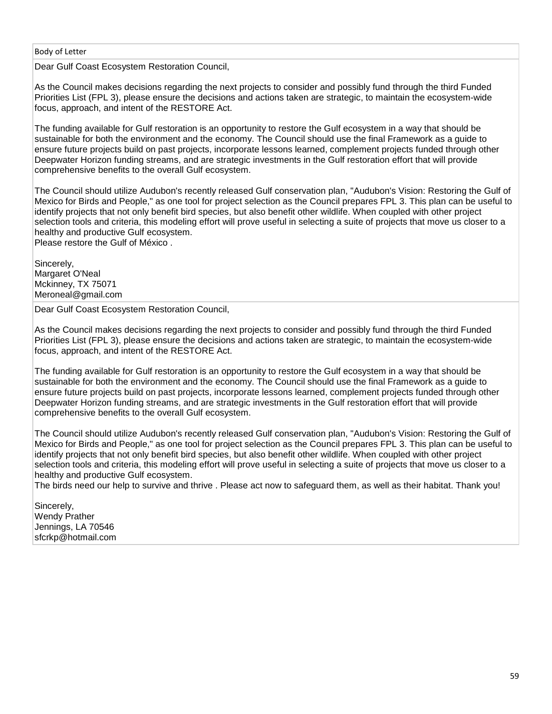Dear Gulf Coast Ecosystem Restoration Council,

As the Council makes decisions regarding the next projects to consider and possibly fund through the third Funded Priorities List (FPL 3), please ensure the decisions and actions taken are strategic, to maintain the ecosystem-wide focus, approach, and intent of the RESTORE Act.

The funding available for Gulf restoration is an opportunity to restore the Gulf ecosystem in a way that should be sustainable for both the environment and the economy. The Council should use the final Framework as a guide to ensure future projects build on past projects, incorporate lessons learned, complement projects funded through other Deepwater Horizon funding streams, and are strategic investments in the Gulf restoration effort that will provide comprehensive benefits to the overall Gulf ecosystem.

The Council should utilize Audubon's recently released Gulf conservation plan, "Audubon's Vision: Restoring the Gulf of Mexico for Birds and People," as one tool for project selection as the Council prepares FPL 3. This plan can be useful to identify projects that not only benefit bird species, but also benefit other wildlife. When coupled with other project selection tools and criteria, this modeling effort will prove useful in selecting a suite of projects that move us closer to a healthy and productive Gulf ecosystem.

Please restore the Gulf of México .

Sincerely, Margaret O'Neal Mckinney, TX 75071 Meroneal@gmail.com

Dear Gulf Coast Ecosystem Restoration Council,

As the Council makes decisions regarding the next projects to consider and possibly fund through the third Funded Priorities List (FPL 3), please ensure the decisions and actions taken are strategic, to maintain the ecosystem-wide focus, approach, and intent of the RESTORE Act.

The funding available for Gulf restoration is an opportunity to restore the Gulf ecosystem in a way that should be sustainable for both the environment and the economy. The Council should use the final Framework as a guide to ensure future projects build on past projects, incorporate lessons learned, complement projects funded through other Deepwater Horizon funding streams, and are strategic investments in the Gulf restoration effort that will provide comprehensive benefits to the overall Gulf ecosystem.

The Council should utilize Audubon's recently released Gulf conservation plan, "Audubon's Vision: Restoring the Gulf of Mexico for Birds and People," as one tool for project selection as the Council prepares FPL 3. This plan can be useful to identify projects that not only benefit bird species, but also benefit other wildlife. When coupled with other project selection tools and criteria, this modeling effort will prove useful in selecting a suite of projects that move us closer to a healthy and productive Gulf ecosystem.

The birds need our help to survive and thrive . Please act now to safeguard them, as well as their habitat. Thank you!

Sincerely, Wendy Prather Jennings, LA 70546 sfcrkp@hotmail.com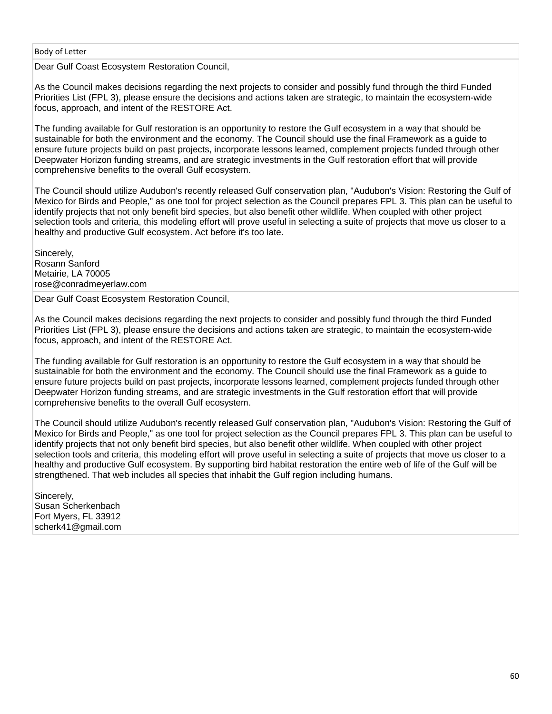Dear Gulf Coast Ecosystem Restoration Council,

As the Council makes decisions regarding the next projects to consider and possibly fund through the third Funded Priorities List (FPL 3), please ensure the decisions and actions taken are strategic, to maintain the ecosystem-wide focus, approach, and intent of the RESTORE Act.

The funding available for Gulf restoration is an opportunity to restore the Gulf ecosystem in a way that should be sustainable for both the environment and the economy. The Council should use the final Framework as a guide to ensure future projects build on past projects, incorporate lessons learned, complement projects funded through other Deepwater Horizon funding streams, and are strategic investments in the Gulf restoration effort that will provide comprehensive benefits to the overall Gulf ecosystem.

The Council should utilize Audubon's recently released Gulf conservation plan, "Audubon's Vision: Restoring the Gulf of Mexico for Birds and People," as one tool for project selection as the Council prepares FPL 3. This plan can be useful to identify projects that not only benefit bird species, but also benefit other wildlife. When coupled with other project selection tools and criteria, this modeling effort will prove useful in selecting a suite of projects that move us closer to a healthy and productive Gulf ecosystem. Act before it's too late.

Sincerely, Rosann Sanford Metairie, LA 70005 rose@conradmeyerlaw.com

Dear Gulf Coast Ecosystem Restoration Council,

As the Council makes decisions regarding the next projects to consider and possibly fund through the third Funded Priorities List (FPL 3), please ensure the decisions and actions taken are strategic, to maintain the ecosystem-wide focus, approach, and intent of the RESTORE Act.

The funding available for Gulf restoration is an opportunity to restore the Gulf ecosystem in a way that should be sustainable for both the environment and the economy. The Council should use the final Framework as a guide to ensure future projects build on past projects, incorporate lessons learned, complement projects funded through other Deepwater Horizon funding streams, and are strategic investments in the Gulf restoration effort that will provide comprehensive benefits to the overall Gulf ecosystem.

The Council should utilize Audubon's recently released Gulf conservation plan, "Audubon's Vision: Restoring the Gulf of Mexico for Birds and People," as one tool for project selection as the Council prepares FPL 3. This plan can be useful to identify projects that not only benefit bird species, but also benefit other wildlife. When coupled with other project selection tools and criteria, this modeling effort will prove useful in selecting a suite of projects that move us closer to a healthy and productive Gulf ecosystem. By supporting bird habitat restoration the entire web of life of the Gulf will be strengthened. That web includes all species that inhabit the Gulf region including humans.

Sincerely, Susan Scherkenbach Fort Myers, FL 33912 scherk41@gmail.com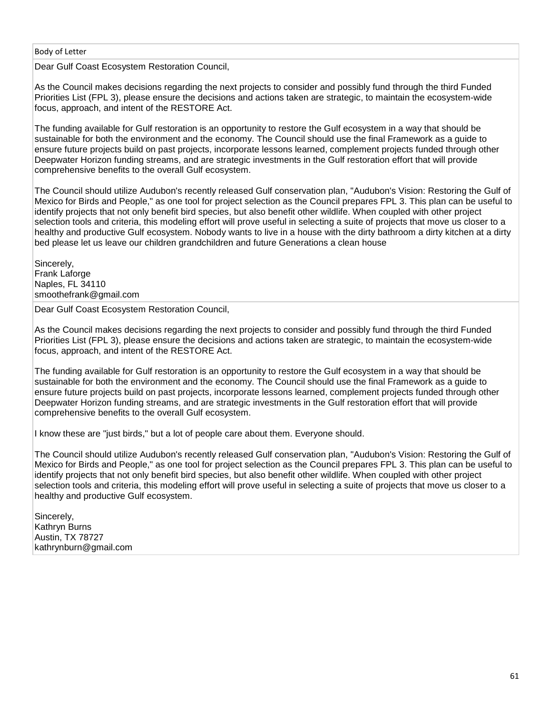Dear Gulf Coast Ecosystem Restoration Council,

As the Council makes decisions regarding the next projects to consider and possibly fund through the third Funded Priorities List (FPL 3), please ensure the decisions and actions taken are strategic, to maintain the ecosystem-wide focus, approach, and intent of the RESTORE Act.

The funding available for Gulf restoration is an opportunity to restore the Gulf ecosystem in a way that should be sustainable for both the environment and the economy. The Council should use the final Framework as a guide to ensure future projects build on past projects, incorporate lessons learned, complement projects funded through other Deepwater Horizon funding streams, and are strategic investments in the Gulf restoration effort that will provide comprehensive benefits to the overall Gulf ecosystem.

The Council should utilize Audubon's recently released Gulf conservation plan, "Audubon's Vision: Restoring the Gulf of Mexico for Birds and People," as one tool for project selection as the Council prepares FPL 3. This plan can be useful to identify projects that not only benefit bird species, but also benefit other wildlife. When coupled with other project selection tools and criteria, this modeling effort will prove useful in selecting a suite of projects that move us closer to a healthy and productive Gulf ecosystem. Nobody wants to live in a house with the dirty bathroom a dirty kitchen at a dirty bed please let us leave our children grandchildren and future Generations a clean house

Sincerely, Frank Laforge Naples, FL 34110 smoothefrank@gmail.com

Dear Gulf Coast Ecosystem Restoration Council,

As the Council makes decisions regarding the next projects to consider and possibly fund through the third Funded Priorities List (FPL 3), please ensure the decisions and actions taken are strategic, to maintain the ecosystem-wide focus, approach, and intent of the RESTORE Act.

The funding available for Gulf restoration is an opportunity to restore the Gulf ecosystem in a way that should be sustainable for both the environment and the economy. The Council should use the final Framework as a guide to ensure future projects build on past projects, incorporate lessons learned, complement projects funded through other Deepwater Horizon funding streams, and are strategic investments in the Gulf restoration effort that will provide comprehensive benefits to the overall Gulf ecosystem.

I know these are "just birds," but a lot of people care about them. Everyone should.

The Council should utilize Audubon's recently released Gulf conservation plan, "Audubon's Vision: Restoring the Gulf of Mexico for Birds and People," as one tool for project selection as the Council prepares FPL 3. This plan can be useful to identify projects that not only benefit bird species, but also benefit other wildlife. When coupled with other project selection tools and criteria, this modeling effort will prove useful in selecting a suite of projects that move us closer to a healthy and productive Gulf ecosystem.

Sincerely, Kathryn Burns Austin, TX 78727 kathrynburn@gmail.com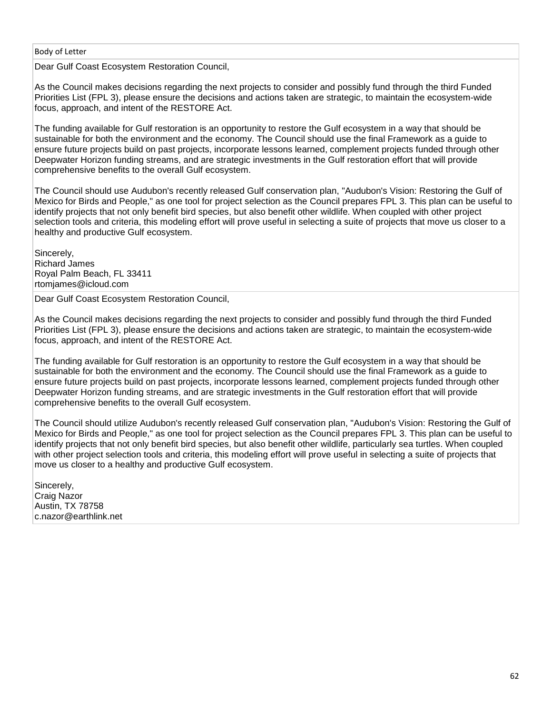Dear Gulf Coast Ecosystem Restoration Council,

As the Council makes decisions regarding the next projects to consider and possibly fund through the third Funded Priorities List (FPL 3), please ensure the decisions and actions taken are strategic, to maintain the ecosystem-wide focus, approach, and intent of the RESTORE Act.

The funding available for Gulf restoration is an opportunity to restore the Gulf ecosystem in a way that should be sustainable for both the environment and the economy. The Council should use the final Framework as a guide to ensure future projects build on past projects, incorporate lessons learned, complement projects funded through other Deepwater Horizon funding streams, and are strategic investments in the Gulf restoration effort that will provide comprehensive benefits to the overall Gulf ecosystem.

The Council should use Audubon's recently released Gulf conservation plan, "Audubon's Vision: Restoring the Gulf of Mexico for Birds and People," as one tool for project selection as the Council prepares FPL 3. This plan can be useful to identify projects that not only benefit bird species, but also benefit other wildlife. When coupled with other project selection tools and criteria, this modeling effort will prove useful in selecting a suite of projects that move us closer to a healthy and productive Gulf ecosystem.

Sincerely, Richard James Royal Palm Beach, FL 33411 rtomjames@icloud.com

Dear Gulf Coast Ecosystem Restoration Council,

As the Council makes decisions regarding the next projects to consider and possibly fund through the third Funded Priorities List (FPL 3), please ensure the decisions and actions taken are strategic, to maintain the ecosystem-wide focus, approach, and intent of the RESTORE Act.

The funding available for Gulf restoration is an opportunity to restore the Gulf ecosystem in a way that should be sustainable for both the environment and the economy. The Council should use the final Framework as a guide to ensure future projects build on past projects, incorporate lessons learned, complement projects funded through other Deepwater Horizon funding streams, and are strategic investments in the Gulf restoration effort that will provide comprehensive benefits to the overall Gulf ecosystem.

The Council should utilize Audubon's recently released Gulf conservation plan, "Audubon's Vision: Restoring the Gulf of Mexico for Birds and People," as one tool for project selection as the Council prepares FPL 3. This plan can be useful to identify projects that not only benefit bird species, but also benefit other wildlife, particularly sea turtles. When coupled with other project selection tools and criteria, this modeling effort will prove useful in selecting a suite of projects that move us closer to a healthy and productive Gulf ecosystem.

Sincerely, Craig Nazor Austin, TX 78758 c.nazor@earthlink.net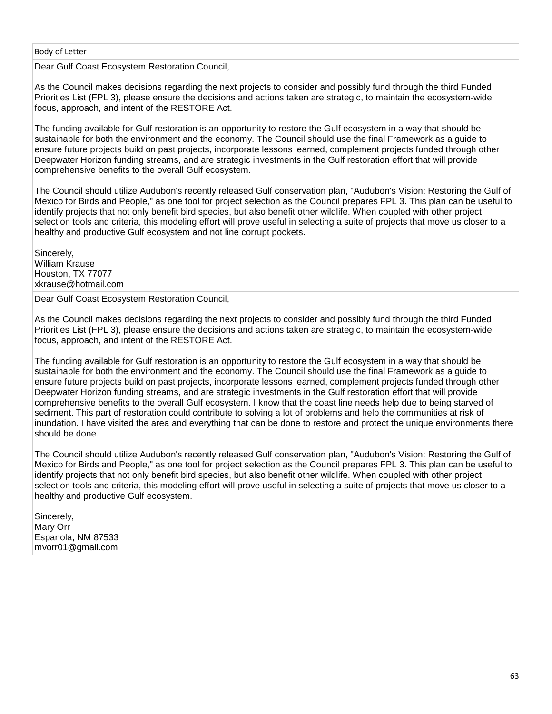Dear Gulf Coast Ecosystem Restoration Council,

As the Council makes decisions regarding the next projects to consider and possibly fund through the third Funded Priorities List (FPL 3), please ensure the decisions and actions taken are strategic, to maintain the ecosystem-wide focus, approach, and intent of the RESTORE Act.

The funding available for Gulf restoration is an opportunity to restore the Gulf ecosystem in a way that should be sustainable for both the environment and the economy. The Council should use the final Framework as a guide to ensure future projects build on past projects, incorporate lessons learned, complement projects funded through other Deepwater Horizon funding streams, and are strategic investments in the Gulf restoration effort that will provide comprehensive benefits to the overall Gulf ecosystem.

The Council should utilize Audubon's recently released Gulf conservation plan, "Audubon's Vision: Restoring the Gulf of Mexico for Birds and People," as one tool for project selection as the Council prepares FPL 3. This plan can be useful to identify projects that not only benefit bird species, but also benefit other wildlife. When coupled with other project selection tools and criteria, this modeling effort will prove useful in selecting a suite of projects that move us closer to a healthy and productive Gulf ecosystem and not line corrupt pockets.

Sincerely, William Krause Houston, TX 77077 xkrause@hotmail.com

Dear Gulf Coast Ecosystem Restoration Council,

As the Council makes decisions regarding the next projects to consider and possibly fund through the third Funded Priorities List (FPL 3), please ensure the decisions and actions taken are strategic, to maintain the ecosystem-wide focus, approach, and intent of the RESTORE Act.

The funding available for Gulf restoration is an opportunity to restore the Gulf ecosystem in a way that should be sustainable for both the environment and the economy. The Council should use the final Framework as a guide to ensure future projects build on past projects, incorporate lessons learned, complement projects funded through other Deepwater Horizon funding streams, and are strategic investments in the Gulf restoration effort that will provide comprehensive benefits to the overall Gulf ecosystem. I know that the coast line needs help due to being starved of sediment. This part of restoration could contribute to solving a lot of problems and help the communities at risk of inundation. I have visited the area and everything that can be done to restore and protect the unique environments there should be done.

The Council should utilize Audubon's recently released Gulf conservation plan, "Audubon's Vision: Restoring the Gulf of Mexico for Birds and People," as one tool for project selection as the Council prepares FPL 3. This plan can be useful to identify projects that not only benefit bird species, but also benefit other wildlife. When coupled with other project selection tools and criteria, this modeling effort will prove useful in selecting a suite of projects that move us closer to a healthy and productive Gulf ecosystem.

Sincerely, Mary Orr Espanola, NM 87533 mvorr01@gmail.com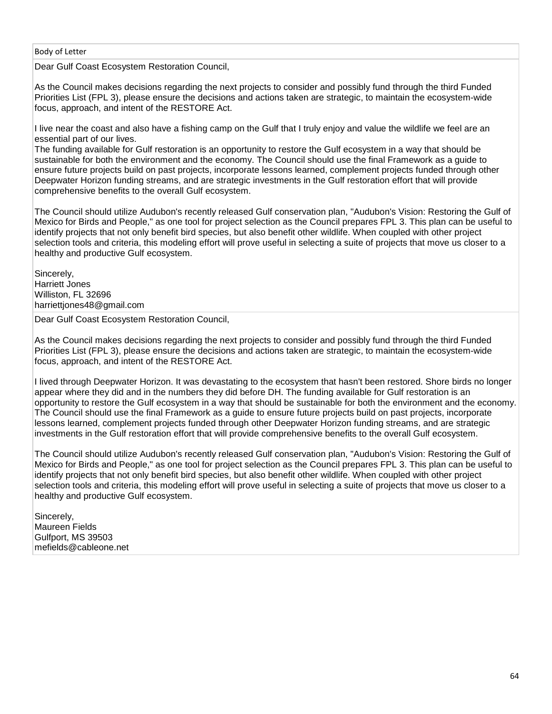Dear Gulf Coast Ecosystem Restoration Council,

As the Council makes decisions regarding the next projects to consider and possibly fund through the third Funded Priorities List (FPL 3), please ensure the decisions and actions taken are strategic, to maintain the ecosystem-wide focus, approach, and intent of the RESTORE Act.

I live near the coast and also have a fishing camp on the Gulf that I truly enjoy and value the wildlife we feel are an essential part of our lives.

The funding available for Gulf restoration is an opportunity to restore the Gulf ecosystem in a way that should be sustainable for both the environment and the economy. The Council should use the final Framework as a guide to ensure future projects build on past projects, incorporate lessons learned, complement projects funded through other Deepwater Horizon funding streams, and are strategic investments in the Gulf restoration effort that will provide comprehensive benefits to the overall Gulf ecosystem.

The Council should utilize Audubon's recently released Gulf conservation plan, "Audubon's Vision: Restoring the Gulf of Mexico for Birds and People," as one tool for project selection as the Council prepares FPL 3. This plan can be useful to identify projects that not only benefit bird species, but also benefit other wildlife. When coupled with other project selection tools and criteria, this modeling effort will prove useful in selecting a suite of projects that move us closer to a healthy and productive Gulf ecosystem.

Sincerely, Harriett Jones Williston, FL 32696 harriettjones48@gmail.com

Dear Gulf Coast Ecosystem Restoration Council,

As the Council makes decisions regarding the next projects to consider and possibly fund through the third Funded Priorities List (FPL 3), please ensure the decisions and actions taken are strategic, to maintain the ecosystem-wide focus, approach, and intent of the RESTORE Act.

I lived through Deepwater Horizon. It was devastating to the ecosystem that hasn't been restored. Shore birds no longer appear where they did and in the numbers they did before DH. The funding available for Gulf restoration is an opportunity to restore the Gulf ecosystem in a way that should be sustainable for both the environment and the economy. The Council should use the final Framework as a guide to ensure future projects build on past projects, incorporate lessons learned, complement projects funded through other Deepwater Horizon funding streams, and are strategic investments in the Gulf restoration effort that will provide comprehensive benefits to the overall Gulf ecosystem.

The Council should utilize Audubon's recently released Gulf conservation plan, "Audubon's Vision: Restoring the Gulf of Mexico for Birds and People," as one tool for project selection as the Council prepares FPL 3. This plan can be useful to identify projects that not only benefit bird species, but also benefit other wildlife. When coupled with other project selection tools and criteria, this modeling effort will prove useful in selecting a suite of projects that move us closer to a healthy and productive Gulf ecosystem.

Sincerely, Maureen Fields Gulfport, MS 39503 mefields@cableone.net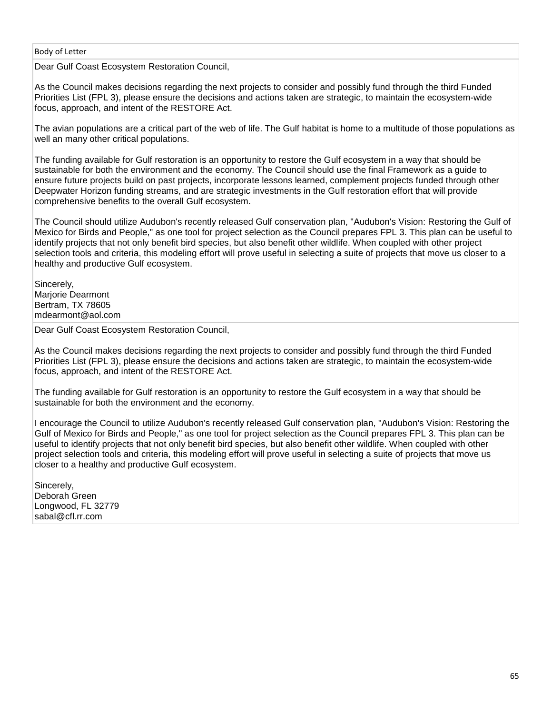Dear Gulf Coast Ecosystem Restoration Council,

As the Council makes decisions regarding the next projects to consider and possibly fund through the third Funded Priorities List (FPL 3), please ensure the decisions and actions taken are strategic, to maintain the ecosystem-wide focus, approach, and intent of the RESTORE Act.

The avian populations are a critical part of the web of life. The Gulf habitat is home to a multitude of those populations as well an many other critical populations.

The funding available for Gulf restoration is an opportunity to restore the Gulf ecosystem in a way that should be sustainable for both the environment and the economy. The Council should use the final Framework as a guide to ensure future projects build on past projects, incorporate lessons learned, complement projects funded through other Deepwater Horizon funding streams, and are strategic investments in the Gulf restoration effort that will provide comprehensive benefits to the overall Gulf ecosystem.

The Council should utilize Audubon's recently released Gulf conservation plan, "Audubon's Vision: Restoring the Gulf of Mexico for Birds and People," as one tool for project selection as the Council prepares FPL 3. This plan can be useful to identify projects that not only benefit bird species, but also benefit other wildlife. When coupled with other project selection tools and criteria, this modeling effort will prove useful in selecting a suite of projects that move us closer to a healthy and productive Gulf ecosystem.

Sincerely, Marjorie Dearmont Bertram, TX 78605 mdearmont@aol.com

Dear Gulf Coast Ecosystem Restoration Council,

As the Council makes decisions regarding the next projects to consider and possibly fund through the third Funded Priorities List (FPL 3), please ensure the decisions and actions taken are strategic, to maintain the ecosystem-wide focus, approach, and intent of the RESTORE Act.

The funding available for Gulf restoration is an opportunity to restore the Gulf ecosystem in a way that should be sustainable for both the environment and the economy.

I encourage the Council to utilize Audubon's recently released Gulf conservation plan, "Audubon's Vision: Restoring the Gulf of Mexico for Birds and People," as one tool for project selection as the Council prepares FPL 3. This plan can be useful to identify projects that not only benefit bird species, but also benefit other wildlife. When coupled with other project selection tools and criteria, this modeling effort will prove useful in selecting a suite of projects that move us closer to a healthy and productive Gulf ecosystem.

Sincerely, Deborah Green Longwood, FL 32779 sabal@cfl.rr.com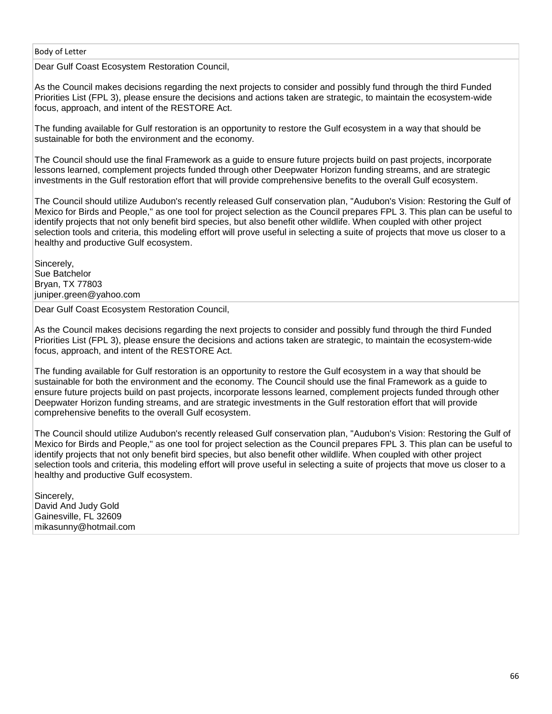Dear Gulf Coast Ecosystem Restoration Council,

As the Council makes decisions regarding the next projects to consider and possibly fund through the third Funded Priorities List (FPL 3), please ensure the decisions and actions taken are strategic, to maintain the ecosystem-wide focus, approach, and intent of the RESTORE Act.

The funding available for Gulf restoration is an opportunity to restore the Gulf ecosystem in a way that should be sustainable for both the environment and the economy.

The Council should use the final Framework as a guide to ensure future projects build on past projects, incorporate lessons learned, complement projects funded through other Deepwater Horizon funding streams, and are strategic investments in the Gulf restoration effort that will provide comprehensive benefits to the overall Gulf ecosystem.

The Council should utilize Audubon's recently released Gulf conservation plan, "Audubon's Vision: Restoring the Gulf of Mexico for Birds and People," as one tool for project selection as the Council prepares FPL 3. This plan can be useful to identify projects that not only benefit bird species, but also benefit other wildlife. When coupled with other project selection tools and criteria, this modeling effort will prove useful in selecting a suite of projects that move us closer to a healthy and productive Gulf ecosystem.

Sincerely, Sue Batchelor Bryan, TX 77803 juniper.green@yahoo.com

Dear Gulf Coast Ecosystem Restoration Council,

As the Council makes decisions regarding the next projects to consider and possibly fund through the third Funded Priorities List (FPL 3), please ensure the decisions and actions taken are strategic, to maintain the ecosystem-wide focus, approach, and intent of the RESTORE Act.

The funding available for Gulf restoration is an opportunity to restore the Gulf ecosystem in a way that should be sustainable for both the environment and the economy. The Council should use the final Framework as a guide to ensure future projects build on past projects, incorporate lessons learned, complement projects funded through other Deepwater Horizon funding streams, and are strategic investments in the Gulf restoration effort that will provide comprehensive benefits to the overall Gulf ecosystem.

The Council should utilize Audubon's recently released Gulf conservation plan, "Audubon's Vision: Restoring the Gulf of Mexico for Birds and People," as one tool for project selection as the Council prepares FPL 3. This plan can be useful to identify projects that not only benefit bird species, but also benefit other wildlife. When coupled with other project selection tools and criteria, this modeling effort will prove useful in selecting a suite of projects that move us closer to a healthy and productive Gulf ecosystem.

Sincerely, David And Judy Gold Gainesville, FL 32609 mikasunny@hotmail.com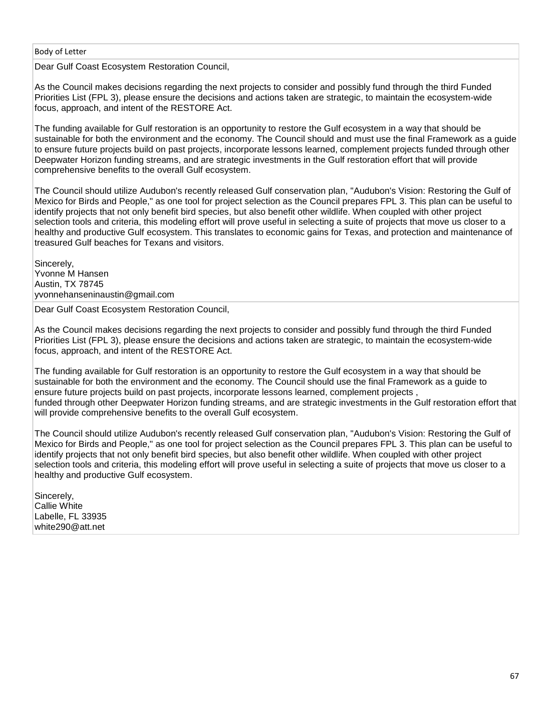Dear Gulf Coast Ecosystem Restoration Council,

As the Council makes decisions regarding the next projects to consider and possibly fund through the third Funded Priorities List (FPL 3), please ensure the decisions and actions taken are strategic, to maintain the ecosystem-wide focus, approach, and intent of the RESTORE Act.

The funding available for Gulf restoration is an opportunity to restore the Gulf ecosystem in a way that should be sustainable for both the environment and the economy. The Council should and must use the final Framework as a guide to ensure future projects build on past projects, incorporate lessons learned, complement projects funded through other Deepwater Horizon funding streams, and are strategic investments in the Gulf restoration effort that will provide comprehensive benefits to the overall Gulf ecosystem.

The Council should utilize Audubon's recently released Gulf conservation plan, "Audubon's Vision: Restoring the Gulf of Mexico for Birds and People," as one tool for project selection as the Council prepares FPL 3. This plan can be useful to identify projects that not only benefit bird species, but also benefit other wildlife. When coupled with other project selection tools and criteria, this modeling effort will prove useful in selecting a suite of projects that move us closer to a healthy and productive Gulf ecosystem. This translates to economic gains for Texas, and protection and maintenance of treasured Gulf beaches for Texans and visitors.

Sincerely, Yvonne M Hansen Austin, TX 78745 yvonnehanseninaustin@gmail.com

Dear Gulf Coast Ecosystem Restoration Council,

As the Council makes decisions regarding the next projects to consider and possibly fund through the third Funded Priorities List (FPL 3), please ensure the decisions and actions taken are strategic, to maintain the ecosystem-wide focus, approach, and intent of the RESTORE Act.

The funding available for Gulf restoration is an opportunity to restore the Gulf ecosystem in a way that should be sustainable for both the environment and the economy. The Council should use the final Framework as a guide to ensure future projects build on past projects, incorporate lessons learned, complement projects , funded through other Deepwater Horizon funding streams, and are strategic investments in the Gulf restoration effort that will provide comprehensive benefits to the overall Gulf ecosystem.

The Council should utilize Audubon's recently released Gulf conservation plan, "Audubon's Vision: Restoring the Gulf of Mexico for Birds and People," as one tool for project selection as the Council prepares FPL 3. This plan can be useful to identify projects that not only benefit bird species, but also benefit other wildlife. When coupled with other project selection tools and criteria, this modeling effort will prove useful in selecting a suite of projects that move us closer to a healthy and productive Gulf ecosystem.

Sincerely, Callie White Labelle, FL 33935 white290@att.net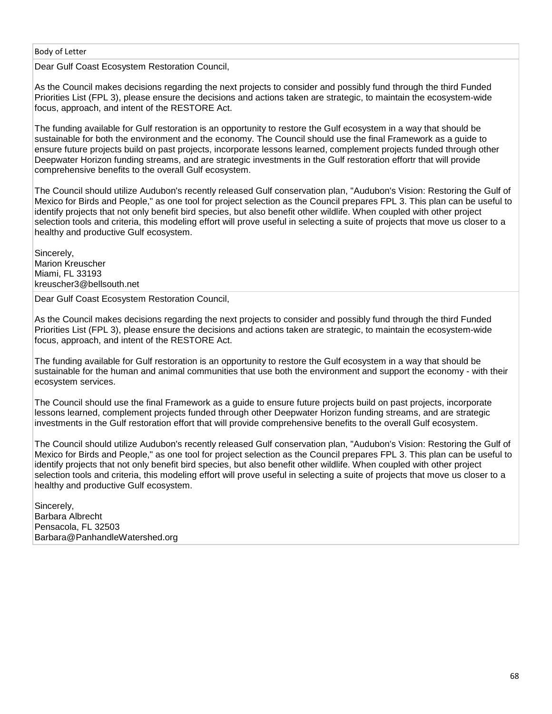Dear Gulf Coast Ecosystem Restoration Council,

As the Council makes decisions regarding the next projects to consider and possibly fund through the third Funded Priorities List (FPL 3), please ensure the decisions and actions taken are strategic, to maintain the ecosystem-wide focus, approach, and intent of the RESTORE Act.

The funding available for Gulf restoration is an opportunity to restore the Gulf ecosystem in a way that should be sustainable for both the environment and the economy. The Council should use the final Framework as a guide to ensure future projects build on past projects, incorporate lessons learned, complement projects funded through other Deepwater Horizon funding streams, and are strategic investments in the Gulf restoration effortr that will provide comprehensive benefits to the overall Gulf ecosystem.

The Council should utilize Audubon's recently released Gulf conservation plan, "Audubon's Vision: Restoring the Gulf of Mexico for Birds and People," as one tool for project selection as the Council prepares FPL 3. This plan can be useful to identify projects that not only benefit bird species, but also benefit other wildlife. When coupled with other project selection tools and criteria, this modeling effort will prove useful in selecting a suite of projects that move us closer to a healthy and productive Gulf ecosystem.

Sincerely, Marion Kreuscher Miami, FL 33193 kreuscher3@bellsouth.net

Dear Gulf Coast Ecosystem Restoration Council,

As the Council makes decisions regarding the next projects to consider and possibly fund through the third Funded Priorities List (FPL 3), please ensure the decisions and actions taken are strategic, to maintain the ecosystem-wide focus, approach, and intent of the RESTORE Act.

The funding available for Gulf restoration is an opportunity to restore the Gulf ecosystem in a way that should be sustainable for the human and animal communities that use both the environment and support the economy - with their ecosystem services.

The Council should use the final Framework as a guide to ensure future projects build on past projects, incorporate lessons learned, complement projects funded through other Deepwater Horizon funding streams, and are strategic investments in the Gulf restoration effort that will provide comprehensive benefits to the overall Gulf ecosystem.

The Council should utilize Audubon's recently released Gulf conservation plan, "Audubon's Vision: Restoring the Gulf of Mexico for Birds and People," as one tool for project selection as the Council prepares FPL 3. This plan can be useful to identify projects that not only benefit bird species, but also benefit other wildlife. When coupled with other project selection tools and criteria, this modeling effort will prove useful in selecting a suite of projects that move us closer to a healthy and productive Gulf ecosystem.

Sincerely, Barbara Albrecht Pensacola, FL 32503 Barbara@PanhandleWatershed.org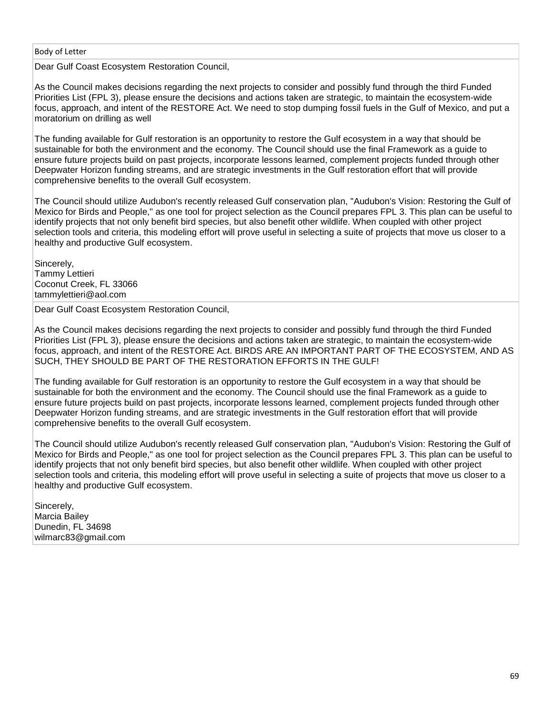Dear Gulf Coast Ecosystem Restoration Council,

As the Council makes decisions regarding the next projects to consider and possibly fund through the third Funded Priorities List (FPL 3), please ensure the decisions and actions taken are strategic, to maintain the ecosystem-wide focus, approach, and intent of the RESTORE Act. We need to stop dumping fossil fuels in the Gulf of Mexico, and put a moratorium on drilling as well

The funding available for Gulf restoration is an opportunity to restore the Gulf ecosystem in a way that should be sustainable for both the environment and the economy. The Council should use the final Framework as a guide to ensure future projects build on past projects, incorporate lessons learned, complement projects funded through other Deepwater Horizon funding streams, and are strategic investments in the Gulf restoration effort that will provide comprehensive benefits to the overall Gulf ecosystem.

The Council should utilize Audubon's recently released Gulf conservation plan, "Audubon's Vision: Restoring the Gulf of Mexico for Birds and People," as one tool for project selection as the Council prepares FPL 3. This plan can be useful to identify projects that not only benefit bird species, but also benefit other wildlife. When coupled with other project selection tools and criteria, this modeling effort will prove useful in selecting a suite of projects that move us closer to a healthy and productive Gulf ecosystem.

Sincerely, Tammy Lettieri Coconut Creek, FL 33066 tammylettieri@aol.com

Dear Gulf Coast Ecosystem Restoration Council,

As the Council makes decisions regarding the next projects to consider and possibly fund through the third Funded Priorities List (FPL 3), please ensure the decisions and actions taken are strategic, to maintain the ecosystem-wide focus, approach, and intent of the RESTORE Act. BIRDS ARE AN IMPORTANT PART OF THE ECOSYSTEM, AND AS SUCH, THEY SHOULD BE PART OF THE RESTORATION EFFORTS IN THE GULF!

The funding available for Gulf restoration is an opportunity to restore the Gulf ecosystem in a way that should be sustainable for both the environment and the economy. The Council should use the final Framework as a guide to ensure future projects build on past projects, incorporate lessons learned, complement projects funded through other Deepwater Horizon funding streams, and are strategic investments in the Gulf restoration effort that will provide comprehensive benefits to the overall Gulf ecosystem.

The Council should utilize Audubon's recently released Gulf conservation plan, "Audubon's Vision: Restoring the Gulf of Mexico for Birds and People," as one tool for project selection as the Council prepares FPL 3. This plan can be useful to identify projects that not only benefit bird species, but also benefit other wildlife. When coupled with other project selection tools and criteria, this modeling effort will prove useful in selecting a suite of projects that move us closer to a healthy and productive Gulf ecosystem.

Sincerely, Marcia Bailey Dunedin, FL 34698 wilmarc83@gmail.com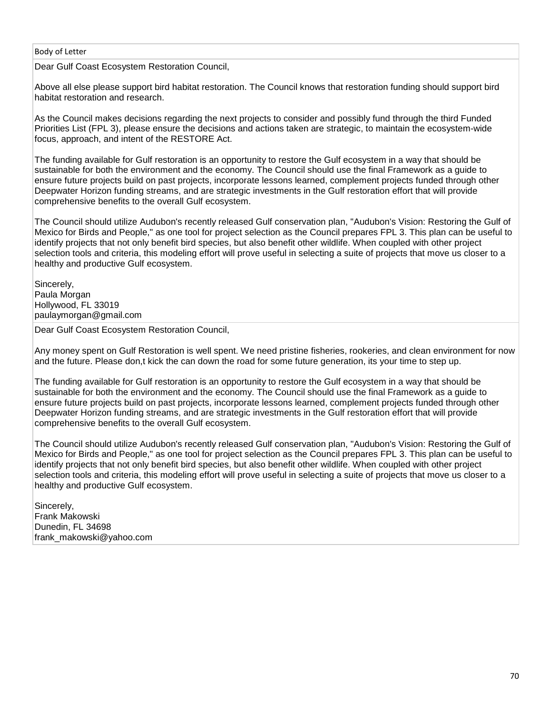Dear Gulf Coast Ecosystem Restoration Council,

Above all else please support bird habitat restoration. The Council knows that restoration funding should support bird habitat restoration and research.

As the Council makes decisions regarding the next projects to consider and possibly fund through the third Funded Priorities List (FPL 3), please ensure the decisions and actions taken are strategic, to maintain the ecosystem-wide focus, approach, and intent of the RESTORE Act.

The funding available for Gulf restoration is an opportunity to restore the Gulf ecosystem in a way that should be sustainable for both the environment and the economy. The Council should use the final Framework as a guide to ensure future projects build on past projects, incorporate lessons learned, complement projects funded through other Deepwater Horizon funding streams, and are strategic investments in the Gulf restoration effort that will provide comprehensive benefits to the overall Gulf ecosystem.

The Council should utilize Audubon's recently released Gulf conservation plan, "Audubon's Vision: Restoring the Gulf of Mexico for Birds and People," as one tool for project selection as the Council prepares FPL 3. This plan can be useful to identify projects that not only benefit bird species, but also benefit other wildlife. When coupled with other project selection tools and criteria, this modeling effort will prove useful in selecting a suite of projects that move us closer to a healthy and productive Gulf ecosystem.

Sincerely, Paula Morgan Hollywood, FL 33019 paulaymorgan@gmail.com

Dear Gulf Coast Ecosystem Restoration Council,

Any money spent on Gulf Restoration is well spent. We need pristine fisheries, rookeries, and clean environment for now and the future. Please don,t kick the can down the road for some future generation, its your time to step up.

The funding available for Gulf restoration is an opportunity to restore the Gulf ecosystem in a way that should be sustainable for both the environment and the economy. The Council should use the final Framework as a guide to ensure future projects build on past projects, incorporate lessons learned, complement projects funded through other Deepwater Horizon funding streams, and are strategic investments in the Gulf restoration effort that will provide comprehensive benefits to the overall Gulf ecosystem.

The Council should utilize Audubon's recently released Gulf conservation plan, "Audubon's Vision: Restoring the Gulf of Mexico for Birds and People," as one tool for project selection as the Council prepares FPL 3. This plan can be useful to identify projects that not only benefit bird species, but also benefit other wildlife. When coupled with other project selection tools and criteria, this modeling effort will prove useful in selecting a suite of projects that move us closer to a healthy and productive Gulf ecosystem.

Sincerely, Frank Makowski Dunedin, FL 34698 frank\_makowski@yahoo.com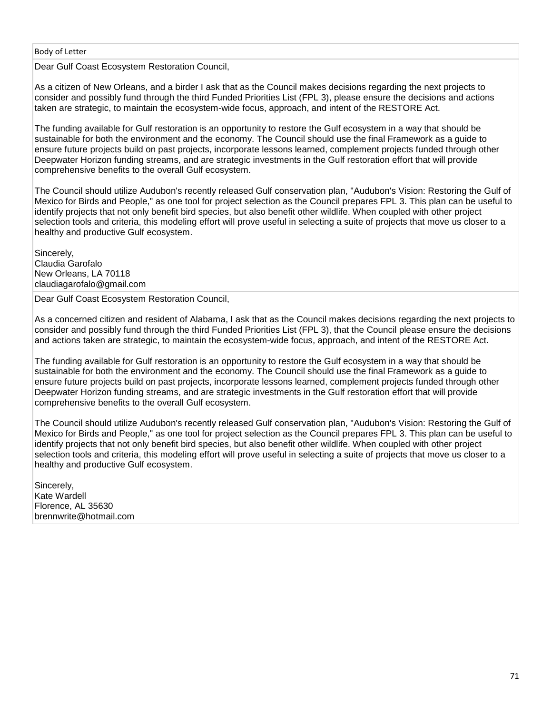Dear Gulf Coast Ecosystem Restoration Council,

As a citizen of New Orleans, and a birder I ask that as the Council makes decisions regarding the next projects to consider and possibly fund through the third Funded Priorities List (FPL 3), please ensure the decisions and actions taken are strategic, to maintain the ecosystem-wide focus, approach, and intent of the RESTORE Act.

The funding available for Gulf restoration is an opportunity to restore the Gulf ecosystem in a way that should be sustainable for both the environment and the economy. The Council should use the final Framework as a guide to ensure future projects build on past projects, incorporate lessons learned, complement projects funded through other Deepwater Horizon funding streams, and are strategic investments in the Gulf restoration effort that will provide comprehensive benefits to the overall Gulf ecosystem.

The Council should utilize Audubon's recently released Gulf conservation plan, "Audubon's Vision: Restoring the Gulf of Mexico for Birds and People," as one tool for project selection as the Council prepares FPL 3. This plan can be useful to identify projects that not only benefit bird species, but also benefit other wildlife. When coupled with other project selection tools and criteria, this modeling effort will prove useful in selecting a suite of projects that move us closer to a healthy and productive Gulf ecosystem.

Sincerely, Claudia Garofalo New Orleans, LA 70118 claudiagarofalo@gmail.com

Dear Gulf Coast Ecosystem Restoration Council,

As a concerned citizen and resident of Alabama, I ask that as the Council makes decisions regarding the next projects to consider and possibly fund through the third Funded Priorities List (FPL 3), that the Council please ensure the decisions and actions taken are strategic, to maintain the ecosystem-wide focus, approach, and intent of the RESTORE Act.

The funding available for Gulf restoration is an opportunity to restore the Gulf ecosystem in a way that should be sustainable for both the environment and the economy. The Council should use the final Framework as a guide to ensure future projects build on past projects, incorporate lessons learned, complement projects funded through other Deepwater Horizon funding streams, and are strategic investments in the Gulf restoration effort that will provide comprehensive benefits to the overall Gulf ecosystem.

The Council should utilize Audubon's recently released Gulf conservation plan, "Audubon's Vision: Restoring the Gulf of Mexico for Birds and People," as one tool for project selection as the Council prepares FPL 3. This plan can be useful to identify projects that not only benefit bird species, but also benefit other wildlife. When coupled with other project selection tools and criteria, this modeling effort will prove useful in selecting a suite of projects that move us closer to a healthy and productive Gulf ecosystem.

Sincerely, Kate Wardell Florence, AL 35630 brennwrite@hotmail.com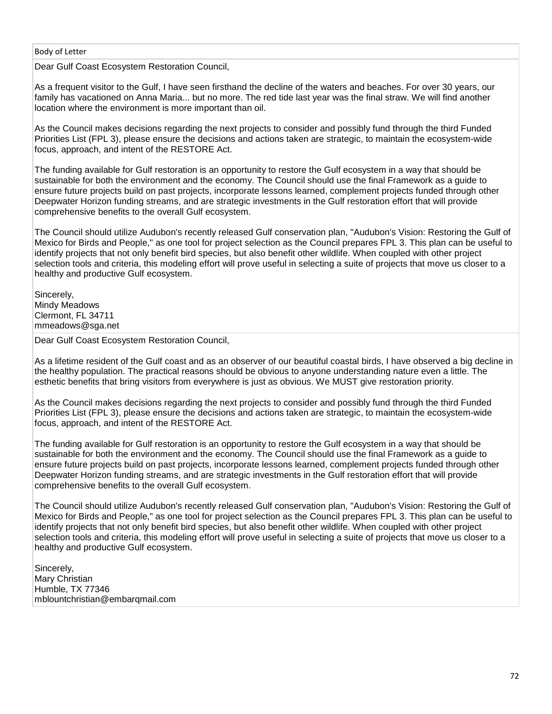Dear Gulf Coast Ecosystem Restoration Council,

As a frequent visitor to the Gulf, I have seen firsthand the decline of the waters and beaches. For over 30 years, our family has vacationed on Anna Maria... but no more. The red tide last year was the final straw. We will find another location where the environment is more important than oil.

As the Council makes decisions regarding the next projects to consider and possibly fund through the third Funded Priorities List (FPL 3), please ensure the decisions and actions taken are strategic, to maintain the ecosystem-wide focus, approach, and intent of the RESTORE Act.

The funding available for Gulf restoration is an opportunity to restore the Gulf ecosystem in a way that should be sustainable for both the environment and the economy. The Council should use the final Framework as a guide to ensure future projects build on past projects, incorporate lessons learned, complement projects funded through other Deepwater Horizon funding streams, and are strategic investments in the Gulf restoration effort that will provide comprehensive benefits to the overall Gulf ecosystem.

The Council should utilize Audubon's recently released Gulf conservation plan, "Audubon's Vision: Restoring the Gulf of Mexico for Birds and People," as one tool for project selection as the Council prepares FPL 3. This plan can be useful to identify projects that not only benefit bird species, but also benefit other wildlife. When coupled with other project selection tools and criteria, this modeling effort will prove useful in selecting a suite of projects that move us closer to a healthy and productive Gulf ecosystem.

Sincerely, Mindy Meadows Clermont, FL 34711 mmeadows@sga.net

Dear Gulf Coast Ecosystem Restoration Council,

As a lifetime resident of the Gulf coast and as an observer of our beautiful coastal birds, I have observed a big decline in the healthy population. The practical reasons should be obvious to anyone understanding nature even a little. The esthetic benefits that bring visitors from everywhere is just as obvious. We MUST give restoration priority.

As the Council makes decisions regarding the next projects to consider and possibly fund through the third Funded Priorities List (FPL 3), please ensure the decisions and actions taken are strategic, to maintain the ecosystem-wide focus, approach, and intent of the RESTORE Act.

The funding available for Gulf restoration is an opportunity to restore the Gulf ecosystem in a way that should be sustainable for both the environment and the economy. The Council should use the final Framework as a guide to ensure future projects build on past projects, incorporate lessons learned, complement projects funded through other Deepwater Horizon funding streams, and are strategic investments in the Gulf restoration effort that will provide comprehensive benefits to the overall Gulf ecosystem.

The Council should utilize Audubon's recently released Gulf conservation plan, "Audubon's Vision: Restoring the Gulf of Mexico for Birds and People," as one tool for project selection as the Council prepares FPL 3. This plan can be useful to identify projects that not only benefit bird species, but also benefit other wildlife. When coupled with other project selection tools and criteria, this modeling effort will prove useful in selecting a suite of projects that move us closer to a healthy and productive Gulf ecosystem.

Sincerely, Mary Christian Humble, TX 77346 mblountchristian@embarqmail.com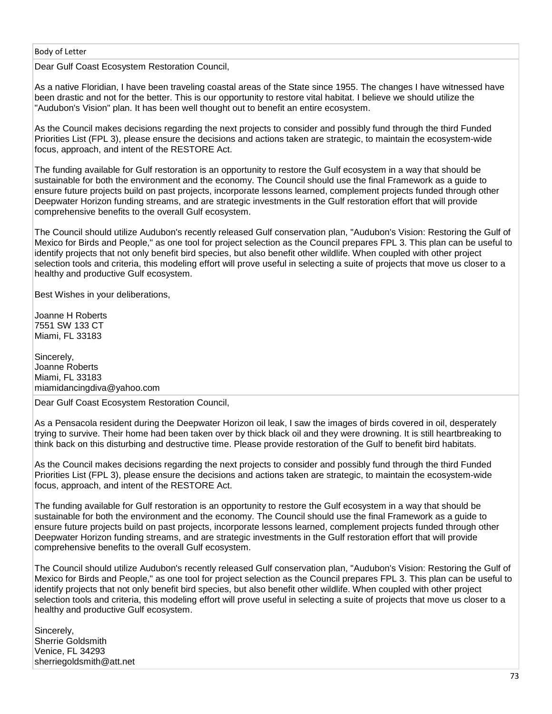Dear Gulf Coast Ecosystem Restoration Council,

As a native Floridian, I have been traveling coastal areas of the State since 1955. The changes I have witnessed have been drastic and not for the better. This is our opportunity to restore vital habitat. I believe we should utilize the "Audubon's Vision" plan. It has been well thought out to benefit an entire ecosystem.

As the Council makes decisions regarding the next projects to consider and possibly fund through the third Funded Priorities List (FPL 3), please ensure the decisions and actions taken are strategic, to maintain the ecosystem-wide focus, approach, and intent of the RESTORE Act.

The funding available for Gulf restoration is an opportunity to restore the Gulf ecosystem in a way that should be sustainable for both the environment and the economy. The Council should use the final Framework as a guide to ensure future projects build on past projects, incorporate lessons learned, complement projects funded through other Deepwater Horizon funding streams, and are strategic investments in the Gulf restoration effort that will provide comprehensive benefits to the overall Gulf ecosystem.

The Council should utilize Audubon's recently released Gulf conservation plan, "Audubon's Vision: Restoring the Gulf of Mexico for Birds and People," as one tool for project selection as the Council prepares FPL 3. This plan can be useful to identify projects that not only benefit bird species, but also benefit other wildlife. When coupled with other project selection tools and criteria, this modeling effort will prove useful in selecting a suite of projects that move us closer to a healthy and productive Gulf ecosystem.

Best Wishes in your deliberations,

Joanne H Roberts 7551 SW 133 CT Miami, FL 33183

Sincerely, Joanne Roberts Miami, FL 33183 miamidancingdiva@yahoo.com

Dear Gulf Coast Ecosystem Restoration Council,

As a Pensacola resident during the Deepwater Horizon oil leak, I saw the images of birds covered in oil, desperately trying to survive. Their home had been taken over by thick black oil and they were drowning. It is still heartbreaking to think back on this disturbing and destructive time. Please provide restoration of the Gulf to benefit bird habitats.

As the Council makes decisions regarding the next projects to consider and possibly fund through the third Funded Priorities List (FPL 3), please ensure the decisions and actions taken are strategic, to maintain the ecosystem-wide focus, approach, and intent of the RESTORE Act.

The funding available for Gulf restoration is an opportunity to restore the Gulf ecosystem in a way that should be sustainable for both the environment and the economy. The Council should use the final Framework as a guide to ensure future projects build on past projects, incorporate lessons learned, complement projects funded through other Deepwater Horizon funding streams, and are strategic investments in the Gulf restoration effort that will provide comprehensive benefits to the overall Gulf ecosystem.

The Council should utilize Audubon's recently released Gulf conservation plan, "Audubon's Vision: Restoring the Gulf of Mexico for Birds and People," as one tool for project selection as the Council prepares FPL 3. This plan can be useful to identify projects that not only benefit bird species, but also benefit other wildlife. When coupled with other project selection tools and criteria, this modeling effort will prove useful in selecting a suite of projects that move us closer to a healthy and productive Gulf ecosystem.

Sincerely, Sherrie Goldsmith Venice, FL 34293 sherriegoldsmith@att.net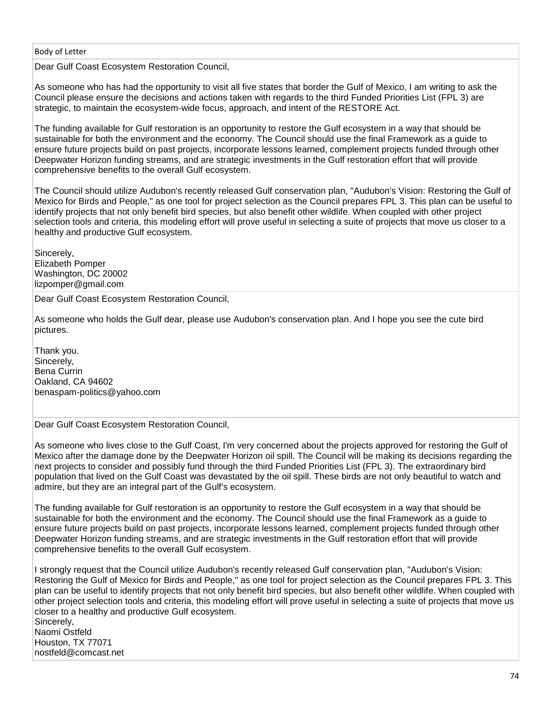Dear Gulf Coast Ecosystem Restoration Council,

As someone who has had the opportunity to visit all five states that border the Gulf of Mexico, I am writing to ask the Council please ensure the decisions and actions taken with regards to the third Funded Priorities List (FPL 3) are strategic, to maintain the ecosystem-wide focus, approach, and intent of the RESTORE Act.

The funding available for Gulf restoration is an opportunity to restore the Gulf ecosystem in a way that should be sustainable for both the environment and the economy. The Council should use the final Framework as a guide to ensure future projects build on past projects, incorporate lessons learned, complement projects funded through other Deepwater Horizon funding streams, and are strategic investments in the Gulf restoration effort that will provide comprehensive benefits to the overall Gulf ecosystem.

The Council should utilize Audubon's recently released Gulf conservation plan, "Audubon's Vision: Restoring the Gulf of Mexico for Birds and People," as one tool for project selection as the Council prepares FPL 3. This plan can be useful to identify projects that not only benefit bird species, but also benefit other wildlife. When coupled with other project selection tools and criteria, this modeling effort will prove useful in selecting a suite of projects that move us closer to a healthy and productive Gulf ecosystem.

Sincerely, Elizabeth Pomper Washington, DC 20002 lizpomper@gmail.com

Dear Gulf Coast Ecosystem Restoration Council,

As someone who holds the Gulf dear, please use Audubon's conservation plan. And I hope you see the cute bird pictures.

Thank you. Sincerely, Bena Currin Oakland, CA 94602 benaspam-politics@yahoo.com

Dear Gulf Coast Ecosystem Restoration Council,

As someone who lives close to the Gulf Coast, I'm very concerned about the projects approved for restoring the Gulf of Mexico after the damage done by the Deepwater Horizon oil spill. The Council will be making its decisions regarding the next projects to consider and possibly fund through the third Funded Priorities List (FPL 3). The extraordinary bird population that lived on the Gulf Coast was devastated by the oil spill. These birds are not only beautiful to watch and admire, but they are an integral part of the Gulf's ecosystem.

The funding available for Gulf restoration is an opportunity to restore the Gulf ecosystem in a way that should be sustainable for both the environment and the economy. The Council should use the final Framework as a guide to ensure future projects build on past projects, incorporate lessons learned, complement projects funded through other Deepwater Horizon funding streams, and are strategic investments in the Gulf restoration effort that will provide comprehensive benefits to the overall Gulf ecosystem.

I strongly request that the Council utilize Audubon's recently released Gulf conservation plan, "Audubon's Vision: Restoring the Gulf of Mexico for Birds and People," as one tool for project selection as the Council prepares FPL 3. This plan can be useful to identify projects that not only benefit bird species, but also benefit other wildlife. When coupled with other project selection tools and criteria, this modeling effort will prove useful in selecting a suite of projects that move us closer to a healthy and productive Gulf ecosystem. Sincerely,

Naomi Ostfeld Houston, TX 77071 nostfeld@comcast.net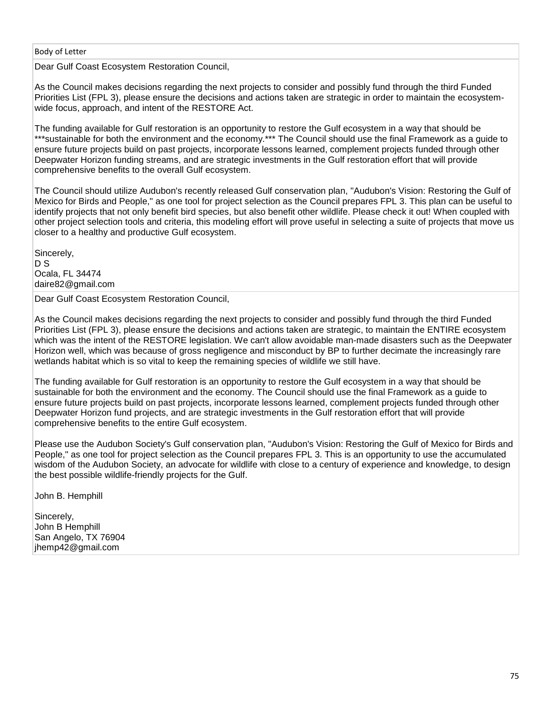Dear Gulf Coast Ecosystem Restoration Council,

As the Council makes decisions regarding the next projects to consider and possibly fund through the third Funded Priorities List (FPL 3), please ensure the decisions and actions taken are strategic in order to maintain the ecosystemwide focus, approach, and intent of the RESTORE Act.

The funding available for Gulf restoration is an opportunity to restore the Gulf ecosystem in a way that should be \*\*\*sustainable for both the environment and the economy.\*\*\* The Council should use the final Framework as a guide to ensure future projects build on past projects, incorporate lessons learned, complement projects funded through other Deepwater Horizon funding streams, and are strategic investments in the Gulf restoration effort that will provide comprehensive benefits to the overall Gulf ecosystem.

The Council should utilize Audubon's recently released Gulf conservation plan, "Audubon's Vision: Restoring the Gulf of Mexico for Birds and People," as one tool for project selection as the Council prepares FPL 3. This plan can be useful to identify projects that not only benefit bird species, but also benefit other wildlife. Please check it out! When coupled with other project selection tools and criteria, this modeling effort will prove useful in selecting a suite of projects that move us closer to a healthy and productive Gulf ecosystem.

Sincerely, D S Ocala, FL 34474 daire82@gmail.com

Dear Gulf Coast Ecosystem Restoration Council,

As the Council makes decisions regarding the next projects to consider and possibly fund through the third Funded Priorities List (FPL 3), please ensure the decisions and actions taken are strategic, to maintain the ENTIRE ecosystem which was the intent of the RESTORE legislation. We can't allow avoidable man-made disasters such as the Deepwater Horizon well, which was because of gross negligence and misconduct by BP to further decimate the increasingly rare wetlands habitat which is so vital to keep the remaining species of wildlife we still have.

The funding available for Gulf restoration is an opportunity to restore the Gulf ecosystem in a way that should be sustainable for both the environment and the economy. The Council should use the final Framework as a guide to ensure future projects build on past projects, incorporate lessons learned, complement projects funded through other Deepwater Horizon fund projects, and are strategic investments in the Gulf restoration effort that will provide comprehensive benefits to the entire Gulf ecosystem.

Please use the Audubon Society's Gulf conservation plan, "Audubon's Vision: Restoring the Gulf of Mexico for Birds and People," as one tool for project selection as the Council prepares FPL 3. This is an opportunity to use the accumulated wisdom of the Audubon Society, an advocate for wildlife with close to a century of experience and knowledge, to design the best possible wildlife-friendly projects for the Gulf.

John B. Hemphill

Sincerely, John B Hemphill San Angelo, TX 76904 jhemp42@gmail.com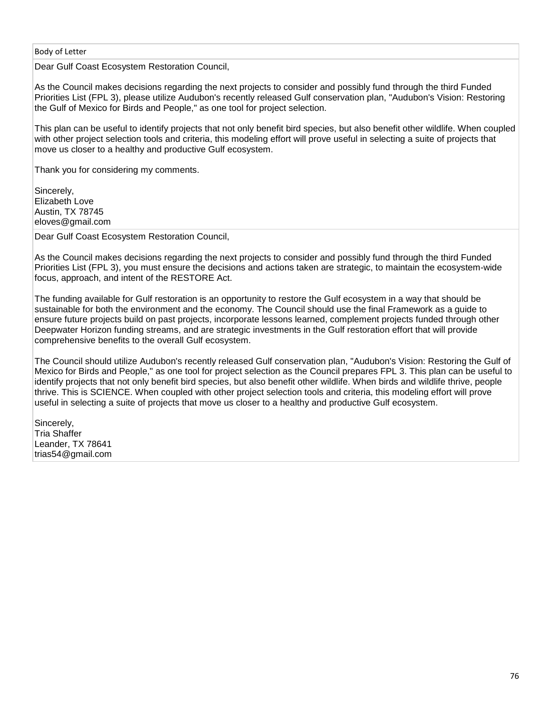Dear Gulf Coast Ecosystem Restoration Council,

As the Council makes decisions regarding the next projects to consider and possibly fund through the third Funded Priorities List (FPL 3), please utilize Audubon's recently released Gulf conservation plan, "Audubon's Vision: Restoring the Gulf of Mexico for Birds and People," as one tool for project selection.

This plan can be useful to identify projects that not only benefit bird species, but also benefit other wildlife. When coupled with other project selection tools and criteria, this modeling effort will prove useful in selecting a suite of projects that move us closer to a healthy and productive Gulf ecosystem.

Thank you for considering my comments.

Sincerely, Elizabeth Love Austin, TX 78745 eloves@gmail.com

Dear Gulf Coast Ecosystem Restoration Council,

As the Council makes decisions regarding the next projects to consider and possibly fund through the third Funded Priorities List (FPL 3), you must ensure the decisions and actions taken are strategic, to maintain the ecosystem-wide focus, approach, and intent of the RESTORE Act.

The funding available for Gulf restoration is an opportunity to restore the Gulf ecosystem in a way that should be sustainable for both the environment and the economy. The Council should use the final Framework as a guide to ensure future projects build on past projects, incorporate lessons learned, complement projects funded through other Deepwater Horizon funding streams, and are strategic investments in the Gulf restoration effort that will provide comprehensive benefits to the overall Gulf ecosystem.

The Council should utilize Audubon's recently released Gulf conservation plan, "Audubon's Vision: Restoring the Gulf of Mexico for Birds and People," as one tool for project selection as the Council prepares FPL 3. This plan can be useful to identify projects that not only benefit bird species, but also benefit other wildlife. When birds and wildlife thrive, people thrive. This is SCIENCE. When coupled with other project selection tools and criteria, this modeling effort will prove useful in selecting a suite of projects that move us closer to a healthy and productive Gulf ecosystem.

Sincerely, Tria Shaffer Leander, TX 78641 trias54@gmail.com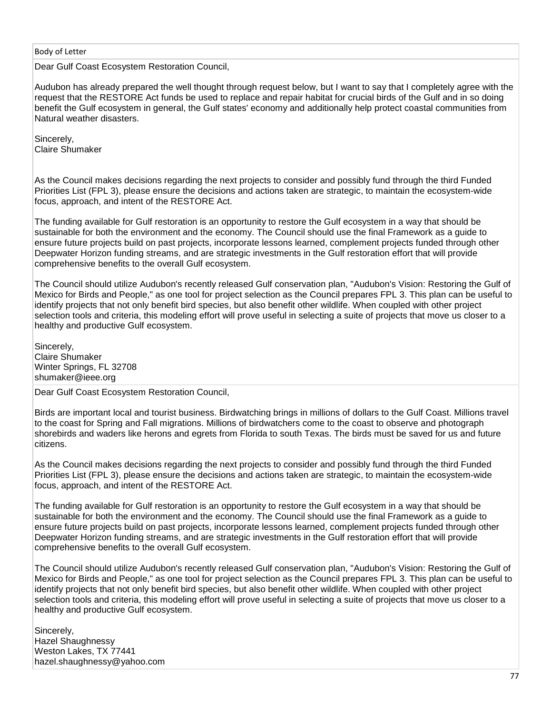Dear Gulf Coast Ecosystem Restoration Council,

Audubon has already prepared the well thought through request below, but I want to say that I completely agree with the request that the RESTORE Act funds be used to replace and repair habitat for crucial birds of the Gulf and in so doing benefit the Gulf ecosystem in general, the Gulf states' economy and additionally help protect coastal communities from Natural weather disasters.

Sincerely, Claire Shumaker

As the Council makes decisions regarding the next projects to consider and possibly fund through the third Funded Priorities List (FPL 3), please ensure the decisions and actions taken are strategic, to maintain the ecosystem-wide focus, approach, and intent of the RESTORE Act.

The funding available for Gulf restoration is an opportunity to restore the Gulf ecosystem in a way that should be sustainable for both the environment and the economy. The Council should use the final Framework as a guide to ensure future projects build on past projects, incorporate lessons learned, complement projects funded through other Deepwater Horizon funding streams, and are strategic investments in the Gulf restoration effort that will provide comprehensive benefits to the overall Gulf ecosystem.

The Council should utilize Audubon's recently released Gulf conservation plan, "Audubon's Vision: Restoring the Gulf of Mexico for Birds and People," as one tool for project selection as the Council prepares FPL 3. This plan can be useful to identify projects that not only benefit bird species, but also benefit other wildlife. When coupled with other project selection tools and criteria, this modeling effort will prove useful in selecting a suite of projects that move us closer to a healthy and productive Gulf ecosystem.

Sincerely, Claire Shumaker Winter Springs, FL 32708 shumaker@ieee.org

Dear Gulf Coast Ecosystem Restoration Council,

Birds are important local and tourist business. Birdwatching brings in millions of dollars to the Gulf Coast. Millions travel to the coast for Spring and Fall migrations. Millions of birdwatchers come to the coast to observe and photograph shorebirds and waders like herons and egrets from Florida to south Texas. The birds must be saved for us and future citizens.

As the Council makes decisions regarding the next projects to consider and possibly fund through the third Funded Priorities List (FPL 3), please ensure the decisions and actions taken are strategic, to maintain the ecosystem-wide focus, approach, and intent of the RESTORE Act.

The funding available for Gulf restoration is an opportunity to restore the Gulf ecosystem in a way that should be sustainable for both the environment and the economy. The Council should use the final Framework as a guide to ensure future projects build on past projects, incorporate lessons learned, complement projects funded through other Deepwater Horizon funding streams, and are strategic investments in the Gulf restoration effort that will provide comprehensive benefits to the overall Gulf ecosystem.

The Council should utilize Audubon's recently released Gulf conservation plan, "Audubon's Vision: Restoring the Gulf of Mexico for Birds and People," as one tool for project selection as the Council prepares FPL 3. This plan can be useful to identify projects that not only benefit bird species, but also benefit other wildlife. When coupled with other project selection tools and criteria, this modeling effort will prove useful in selecting a suite of projects that move us closer to a healthy and productive Gulf ecosystem.

Sincerely, Hazel Shaughnessy Weston Lakes, TX 77441 hazel.shaughnessy@yahoo.com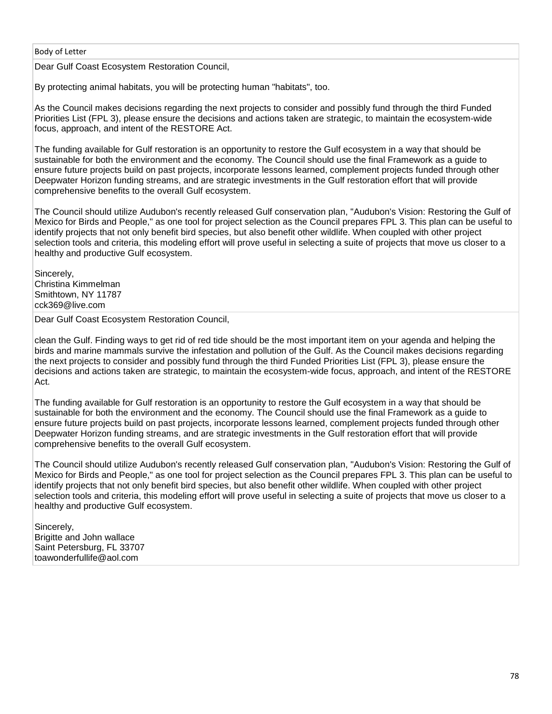Dear Gulf Coast Ecosystem Restoration Council,

By protecting animal habitats, you will be protecting human "habitats", too.

As the Council makes decisions regarding the next projects to consider and possibly fund through the third Funded Priorities List (FPL 3), please ensure the decisions and actions taken are strategic, to maintain the ecosystem-wide focus, approach, and intent of the RESTORE Act.

The funding available for Gulf restoration is an opportunity to restore the Gulf ecosystem in a way that should be sustainable for both the environment and the economy. The Council should use the final Framework as a guide to ensure future projects build on past projects, incorporate lessons learned, complement projects funded through other Deepwater Horizon funding streams, and are strategic investments in the Gulf restoration effort that will provide comprehensive benefits to the overall Gulf ecosystem.

The Council should utilize Audubon's recently released Gulf conservation plan, "Audubon's Vision: Restoring the Gulf of Mexico for Birds and People," as one tool for project selection as the Council prepares FPL 3. This plan can be useful to identify projects that not only benefit bird species, but also benefit other wildlife. When coupled with other project selection tools and criteria, this modeling effort will prove useful in selecting a suite of projects that move us closer to a healthy and productive Gulf ecosystem.

Sincerely, Christina Kimmelman Smithtown, NY 11787 cck369@live.com

Dear Gulf Coast Ecosystem Restoration Council,

clean the Gulf. Finding ways to get rid of red tide should be the most important item on your agenda and helping the birds and marine mammals survive the infestation and pollution of the Gulf. As the Council makes decisions regarding the next projects to consider and possibly fund through the third Funded Priorities List (FPL 3), please ensure the decisions and actions taken are strategic, to maintain the ecosystem-wide focus, approach, and intent of the RESTORE Act.

The funding available for Gulf restoration is an opportunity to restore the Gulf ecosystem in a way that should be sustainable for both the environment and the economy. The Council should use the final Framework as a guide to ensure future projects build on past projects, incorporate lessons learned, complement projects funded through other Deepwater Horizon funding streams, and are strategic investments in the Gulf restoration effort that will provide comprehensive benefits to the overall Gulf ecosystem.

The Council should utilize Audubon's recently released Gulf conservation plan, "Audubon's Vision: Restoring the Gulf of Mexico for Birds and People," as one tool for project selection as the Council prepares FPL 3. This plan can be useful to identify projects that not only benefit bird species, but also benefit other wildlife. When coupled with other project selection tools and criteria, this modeling effort will prove useful in selecting a suite of projects that move us closer to a healthy and productive Gulf ecosystem.

Sincerely, Brigitte and John wallace Saint Petersburg, FL 33707 toawonderfullife@aol.com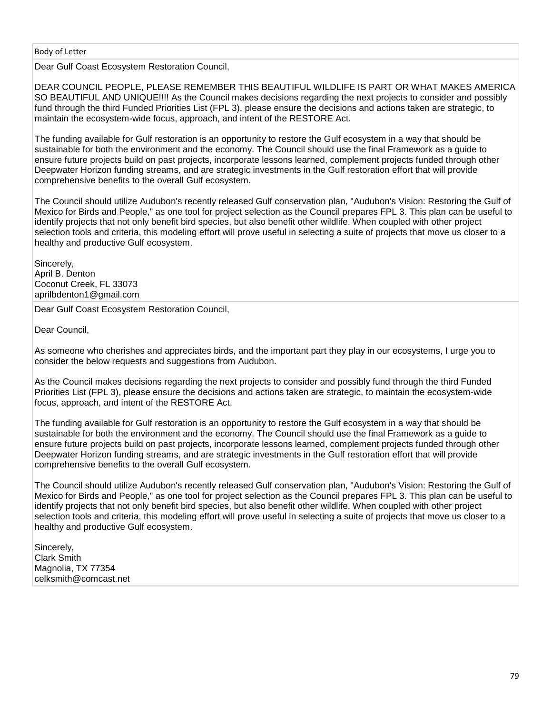Dear Gulf Coast Ecosystem Restoration Council,

DEAR COUNCIL PEOPLE, PLEASE REMEMBER THIS BEAUTIFUL WILDLIFE IS PART OR WHAT MAKES AMERICA SO BEAUTIFUL AND UNIQUE!!!! As the Council makes decisions regarding the next projects to consider and possibly fund through the third Funded Priorities List (FPL 3), please ensure the decisions and actions taken are strategic, to maintain the ecosystem-wide focus, approach, and intent of the RESTORE Act.

The funding available for Gulf restoration is an opportunity to restore the Gulf ecosystem in a way that should be sustainable for both the environment and the economy. The Council should use the final Framework as a guide to ensure future projects build on past projects, incorporate lessons learned, complement projects funded through other Deepwater Horizon funding streams, and are strategic investments in the Gulf restoration effort that will provide comprehensive benefits to the overall Gulf ecosystem.

The Council should utilize Audubon's recently released Gulf conservation plan, "Audubon's Vision: Restoring the Gulf of Mexico for Birds and People," as one tool for project selection as the Council prepares FPL 3. This plan can be useful to identify projects that not only benefit bird species, but also benefit other wildlife. When coupled with other project selection tools and criteria, this modeling effort will prove useful in selecting a suite of projects that move us closer to a healthy and productive Gulf ecosystem.

Sincerely, April B. Denton Coconut Creek, FL 33073 aprilbdenton1@gmail.com

Dear Gulf Coast Ecosystem Restoration Council,

Dear Council,

As someone who cherishes and appreciates birds, and the important part they play in our ecosystems, I urge you to consider the below requests and suggestions from Audubon.

As the Council makes decisions regarding the next projects to consider and possibly fund through the third Funded Priorities List (FPL 3), please ensure the decisions and actions taken are strategic, to maintain the ecosystem-wide focus, approach, and intent of the RESTORE Act.

The funding available for Gulf restoration is an opportunity to restore the Gulf ecosystem in a way that should be sustainable for both the environment and the economy. The Council should use the final Framework as a guide to ensure future projects build on past projects, incorporate lessons learned, complement projects funded through other Deepwater Horizon funding streams, and are strategic investments in the Gulf restoration effort that will provide comprehensive benefits to the overall Gulf ecosystem.

The Council should utilize Audubon's recently released Gulf conservation plan, "Audubon's Vision: Restoring the Gulf of Mexico for Birds and People," as one tool for project selection as the Council prepares FPL 3. This plan can be useful to identify projects that not only benefit bird species, but also benefit other wildlife. When coupled with other project selection tools and criteria, this modeling effort will prove useful in selecting a suite of projects that move us closer to a healthy and productive Gulf ecosystem.

Sincerely, Clark Smith Magnolia, TX 77354 celksmith@comcast.net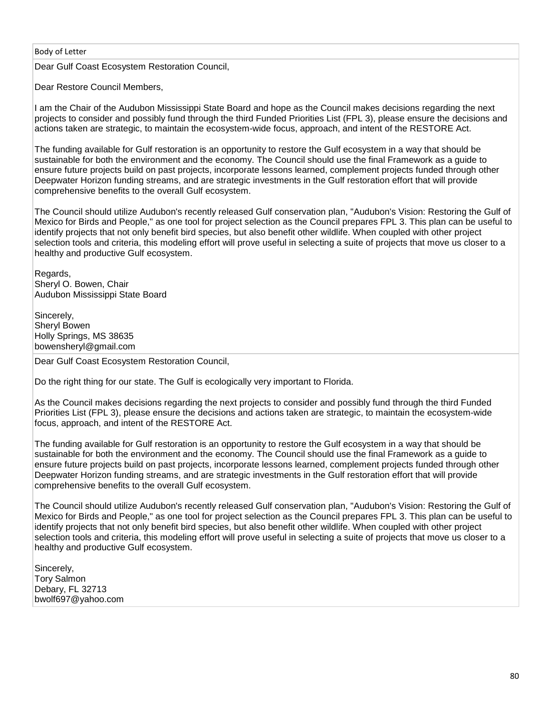Dear Gulf Coast Ecosystem Restoration Council,

Dear Restore Council Members,

I am the Chair of the Audubon Mississippi State Board and hope as the Council makes decisions regarding the next projects to consider and possibly fund through the third Funded Priorities List (FPL 3), please ensure the decisions and actions taken are strategic, to maintain the ecosystem-wide focus, approach, and intent of the RESTORE Act.

The funding available for Gulf restoration is an opportunity to restore the Gulf ecosystem in a way that should be sustainable for both the environment and the economy. The Council should use the final Framework as a guide to ensure future projects build on past projects, incorporate lessons learned, complement projects funded through other Deepwater Horizon funding streams, and are strategic investments in the Gulf restoration effort that will provide comprehensive benefits to the overall Gulf ecosystem.

The Council should utilize Audubon's recently released Gulf conservation plan, "Audubon's Vision: Restoring the Gulf of Mexico for Birds and People," as one tool for project selection as the Council prepares FPL 3. This plan can be useful to identify projects that not only benefit bird species, but also benefit other wildlife. When coupled with other project selection tools and criteria, this modeling effort will prove useful in selecting a suite of projects that move us closer to a healthy and productive Gulf ecosystem.

Regards, Sheryl O. Bowen, Chair Audubon Mississippi State Board

Sincerely, Sheryl Bowen Holly Springs, MS 38635 bowensheryl@gmail.com

Dear Gulf Coast Ecosystem Restoration Council,

Do the right thing for our state. The Gulf is ecologically very important to Florida.

As the Council makes decisions regarding the next projects to consider and possibly fund through the third Funded Priorities List (FPL 3), please ensure the decisions and actions taken are strategic, to maintain the ecosystem-wide focus, approach, and intent of the RESTORE Act.

The funding available for Gulf restoration is an opportunity to restore the Gulf ecosystem in a way that should be sustainable for both the environment and the economy. The Council should use the final Framework as a guide to ensure future projects build on past projects, incorporate lessons learned, complement projects funded through other Deepwater Horizon funding streams, and are strategic investments in the Gulf restoration effort that will provide comprehensive benefits to the overall Gulf ecosystem.

The Council should utilize Audubon's recently released Gulf conservation plan, "Audubon's Vision: Restoring the Gulf of Mexico for Birds and People," as one tool for project selection as the Council prepares FPL 3. This plan can be useful to identify projects that not only benefit bird species, but also benefit other wildlife. When coupled with other project selection tools and criteria, this modeling effort will prove useful in selecting a suite of projects that move us closer to a healthy and productive Gulf ecosystem.

Sincerely, Tory Salmon Debary, FL 32713 bwolf697@yahoo.com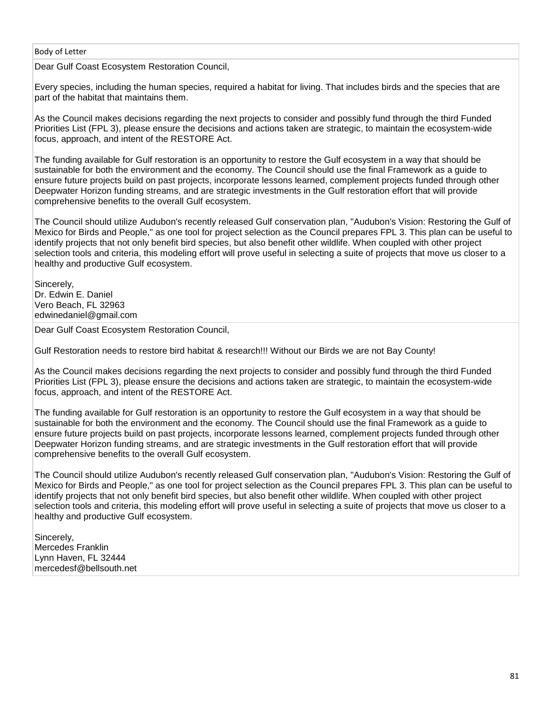Dear Gulf Coast Ecosystem Restoration Council,

Every species, including the human species, required a habitat for living. That includes birds and the species that are part of the habitat that maintains them.

As the Council makes decisions regarding the next projects to consider and possibly fund through the third Funded Priorities List (FPL 3), please ensure the decisions and actions taken are strategic, to maintain the ecosystem-wide focus, approach, and intent of the RESTORE Act.

The funding available for Gulf restoration is an opportunity to restore the Gulf ecosystem in a way that should be sustainable for both the environment and the economy. The Council should use the final Framework as a guide to ensure future projects build on past projects, incorporate lessons learned, complement projects funded through other Deepwater Horizon funding streams, and are strategic investments in the Gulf restoration effort that will provide comprehensive benefits to the overall Gulf ecosystem.

The Council should utilize Audubon's recently released Gulf conservation plan, "Audubon's Vision: Restoring the Gulf of Mexico for Birds and People," as one tool for project selection as the Council prepares FPL 3. This plan can be useful to identify projects that not only benefit bird species, but also benefit other wildlife. When coupled with other project selection tools and criteria, this modeling effort will prove useful in selecting a suite of projects that move us closer to a healthy and productive Gulf ecosystem.

Sincerely, Dr. Edwin E. Daniel Vero Beach, FL 32963 edwinedaniel@gmail.com

Dear Gulf Coast Ecosystem Restoration Council,

Gulf Restoration needs to restore bird habitat & research!!! Without our Birds we are not Bay County!

As the Council makes decisions regarding the next projects to consider and possibly fund through the third Funded Priorities List (FPL 3), please ensure the decisions and actions taken are strategic, to maintain the ecosystem-wide focus, approach, and intent of the RESTORE Act.

The funding available for Gulf restoration is an opportunity to restore the Gulf ecosystem in a way that should be sustainable for both the environment and the economy. The Council should use the final Framework as a guide to ensure future projects build on past projects, incorporate lessons learned, complement projects funded through other Deepwater Horizon funding streams, and are strategic investments in the Gulf restoration effort that will provide comprehensive benefits to the overall Gulf ecosystem.

The Council should utilize Audubon's recently released Gulf conservation plan, "Audubon's Vision: Restoring the Gulf of Mexico for Birds and People," as one tool for project selection as the Council prepares FPL 3. This plan can be useful to identify projects that not only benefit bird species, but also benefit other wildlife. When coupled with other project selection tools and criteria, this modeling effort will prove useful in selecting a suite of projects that move us closer to a healthy and productive Gulf ecosystem.

Sincerely, Mercedes Franklin Lynn Haven, FL 32444 mercedesf@bellsouth.net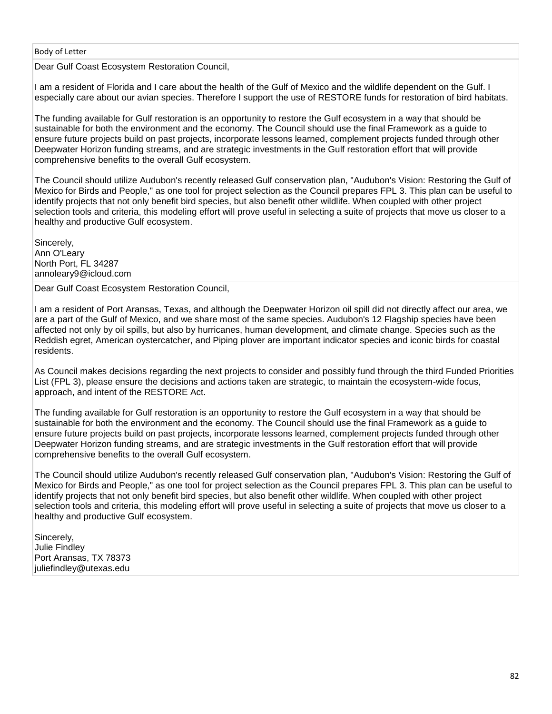Dear Gulf Coast Ecosystem Restoration Council,

I am a resident of Florida and I care about the health of the Gulf of Mexico and the wildlife dependent on the Gulf. I especially care about our avian species. Therefore I support the use of RESTORE funds for restoration of bird habitats.

The funding available for Gulf restoration is an opportunity to restore the Gulf ecosystem in a way that should be sustainable for both the environment and the economy. The Council should use the final Framework as a guide to ensure future projects build on past projects, incorporate lessons learned, complement projects funded through other Deepwater Horizon funding streams, and are strategic investments in the Gulf restoration effort that will provide comprehensive benefits to the overall Gulf ecosystem.

The Council should utilize Audubon's recently released Gulf conservation plan, "Audubon's Vision: Restoring the Gulf of Mexico for Birds and People," as one tool for project selection as the Council prepares FPL 3. This plan can be useful to identify projects that not only benefit bird species, but also benefit other wildlife. When coupled with other project selection tools and criteria, this modeling effort will prove useful in selecting a suite of projects that move us closer to a healthy and productive Gulf ecosystem.

Sincerely, Ann O'Leary North Port, FL 34287 annoleary9@icloud.com

Dear Gulf Coast Ecosystem Restoration Council,

I am a resident of Port Aransas, Texas, and although the Deepwater Horizon oil spill did not directly affect our area, we are a part of the Gulf of Mexico, and we share most of the same species. Audubon's 12 Flagship species have been affected not only by oil spills, but also by hurricanes, human development, and climate change. Species such as the Reddish egret, American oystercatcher, and Piping plover are important indicator species and iconic birds for coastal residents.

As Council makes decisions regarding the next projects to consider and possibly fund through the third Funded Priorities List (FPL 3), please ensure the decisions and actions taken are strategic, to maintain the ecosystem-wide focus, approach, and intent of the RESTORE Act.

The funding available for Gulf restoration is an opportunity to restore the Gulf ecosystem in a way that should be sustainable for both the environment and the economy. The Council should use the final Framework as a guide to ensure future projects build on past projects, incorporate lessons learned, complement projects funded through other Deepwater Horizon funding streams, and are strategic investments in the Gulf restoration effort that will provide comprehensive benefits to the overall Gulf ecosystem.

The Council should utilize Audubon's recently released Gulf conservation plan, "Audubon's Vision: Restoring the Gulf of Mexico for Birds and People," as one tool for project selection as the Council prepares FPL 3. This plan can be useful to identify projects that not only benefit bird species, but also benefit other wildlife. When coupled with other project selection tools and criteria, this modeling effort will prove useful in selecting a suite of projects that move us closer to a healthy and productive Gulf ecosystem.

Sincerely, Julie Findley Port Aransas, TX 78373 juliefindley@utexas.edu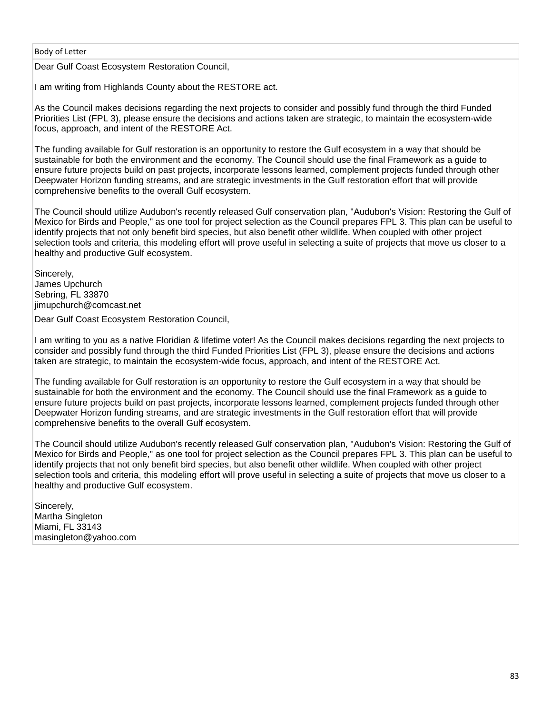Dear Gulf Coast Ecosystem Restoration Council,

I am writing from Highlands County about the RESTORE act.

As the Council makes decisions regarding the next projects to consider and possibly fund through the third Funded Priorities List (FPL 3), please ensure the decisions and actions taken are strategic, to maintain the ecosystem-wide focus, approach, and intent of the RESTORE Act.

The funding available for Gulf restoration is an opportunity to restore the Gulf ecosystem in a way that should be sustainable for both the environment and the economy. The Council should use the final Framework as a guide to ensure future projects build on past projects, incorporate lessons learned, complement projects funded through other Deepwater Horizon funding streams, and are strategic investments in the Gulf restoration effort that will provide comprehensive benefits to the overall Gulf ecosystem.

The Council should utilize Audubon's recently released Gulf conservation plan, "Audubon's Vision: Restoring the Gulf of Mexico for Birds and People," as one tool for project selection as the Council prepares FPL 3. This plan can be useful to identify projects that not only benefit bird species, but also benefit other wildlife. When coupled with other project selection tools and criteria, this modeling effort will prove useful in selecting a suite of projects that move us closer to a healthy and productive Gulf ecosystem.

Sincerely, James Upchurch Sebring, FL 33870 jimupchurch@comcast.net

Dear Gulf Coast Ecosystem Restoration Council,

I am writing to you as a native Floridian & lifetime voter! As the Council makes decisions regarding the next projects to consider and possibly fund through the third Funded Priorities List (FPL 3), please ensure the decisions and actions taken are strategic, to maintain the ecosystem-wide focus, approach, and intent of the RESTORE Act.

The funding available for Gulf restoration is an opportunity to restore the Gulf ecosystem in a way that should be sustainable for both the environment and the economy. The Council should use the final Framework as a guide to ensure future projects build on past projects, incorporate lessons learned, complement projects funded through other Deepwater Horizon funding streams, and are strategic investments in the Gulf restoration effort that will provide comprehensive benefits to the overall Gulf ecosystem.

The Council should utilize Audubon's recently released Gulf conservation plan, "Audubon's Vision: Restoring the Gulf of Mexico for Birds and People," as one tool for project selection as the Council prepares FPL 3. This plan can be useful to identify projects that not only benefit bird species, but also benefit other wildlife. When coupled with other project selection tools and criteria, this modeling effort will prove useful in selecting a suite of projects that move us closer to a healthy and productive Gulf ecosystem.

Sincerely, Martha Singleton Miami, FL 33143 masingleton@yahoo.com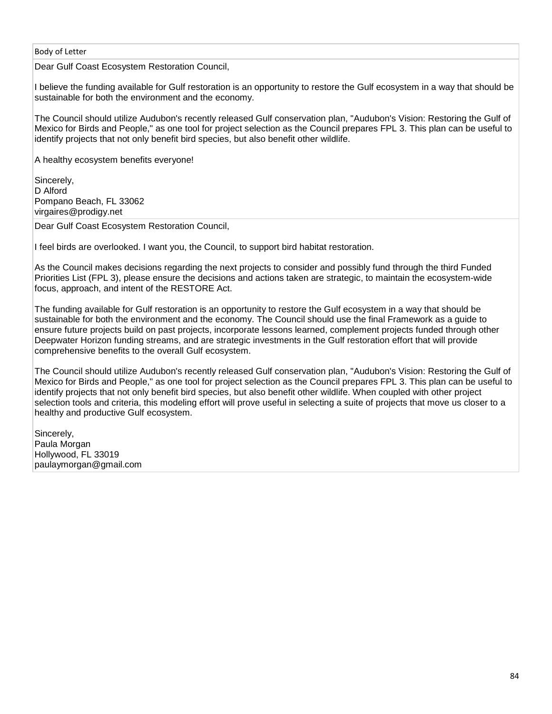Dear Gulf Coast Ecosystem Restoration Council,

I believe the funding available for Gulf restoration is an opportunity to restore the Gulf ecosystem in a way that should be sustainable for both the environment and the economy.

The Council should utilize Audubon's recently released Gulf conservation plan, "Audubon's Vision: Restoring the Gulf of Mexico for Birds and People," as one tool for project selection as the Council prepares FPL 3. This plan can be useful to identify projects that not only benefit bird species, but also benefit other wildlife.

A healthy ecosystem benefits everyone!

Sincerely, D Alford Pompano Beach, FL 33062 virgaires@prodigy.net

Dear Gulf Coast Ecosystem Restoration Council,

I feel birds are overlooked. I want you, the Council, to support bird habitat restoration.

As the Council makes decisions regarding the next projects to consider and possibly fund through the third Funded Priorities List (FPL 3), please ensure the decisions and actions taken are strategic, to maintain the ecosystem-wide focus, approach, and intent of the RESTORE Act.

The funding available for Gulf restoration is an opportunity to restore the Gulf ecosystem in a way that should be sustainable for both the environment and the economy. The Council should use the final Framework as a guide to ensure future projects build on past projects, incorporate lessons learned, complement projects funded through other Deepwater Horizon funding streams, and are strategic investments in the Gulf restoration effort that will provide comprehensive benefits to the overall Gulf ecosystem.

The Council should utilize Audubon's recently released Gulf conservation plan, "Audubon's Vision: Restoring the Gulf of Mexico for Birds and People," as one tool for project selection as the Council prepares FPL 3. This plan can be useful to identify projects that not only benefit bird species, but also benefit other wildlife. When coupled with other project selection tools and criteria, this modeling effort will prove useful in selecting a suite of projects that move us closer to a healthy and productive Gulf ecosystem.

Sincerely, Paula Morgan Hollywood, FL 33019 paulaymorgan@gmail.com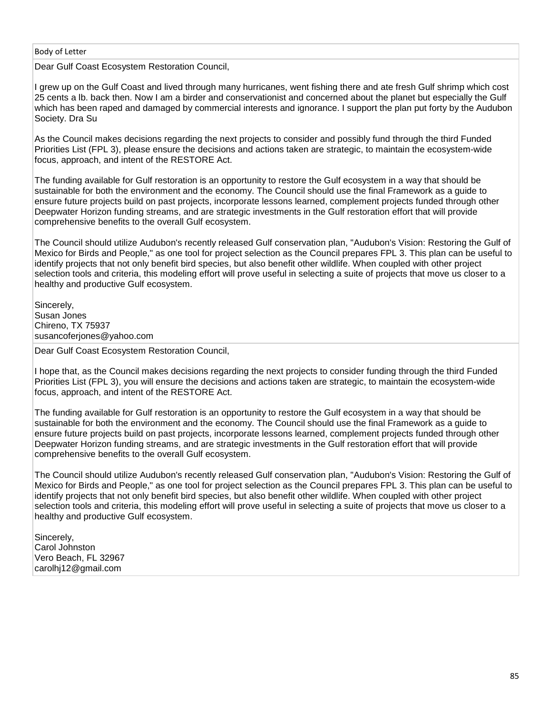Dear Gulf Coast Ecosystem Restoration Council,

I grew up on the Gulf Coast and lived through many hurricanes, went fishing there and ate fresh Gulf shrimp which cost 25 cents a lb. back then. Now I am a birder and conservationist and concerned about the planet but especially the Gulf which has been raped and damaged by commercial interests and ignorance. I support the plan put forty by the Audubon Society. Dra Su

As the Council makes decisions regarding the next projects to consider and possibly fund through the third Funded Priorities List (FPL 3), please ensure the decisions and actions taken are strategic, to maintain the ecosystem-wide focus, approach, and intent of the RESTORE Act.

The funding available for Gulf restoration is an opportunity to restore the Gulf ecosystem in a way that should be sustainable for both the environment and the economy. The Council should use the final Framework as a guide to ensure future projects build on past projects, incorporate lessons learned, complement projects funded through other Deepwater Horizon funding streams, and are strategic investments in the Gulf restoration effort that will provide comprehensive benefits to the overall Gulf ecosystem.

The Council should utilize Audubon's recently released Gulf conservation plan, "Audubon's Vision: Restoring the Gulf of Mexico for Birds and People," as one tool for project selection as the Council prepares FPL 3. This plan can be useful to identify projects that not only benefit bird species, but also benefit other wildlife. When coupled with other project selection tools and criteria, this modeling effort will prove useful in selecting a suite of projects that move us closer to a healthy and productive Gulf ecosystem.

Sincerely, Susan Jones Chireno, TX 75937 susancoferjones@yahoo.com

Dear Gulf Coast Ecosystem Restoration Council,

I hope that, as the Council makes decisions regarding the next projects to consider funding through the third Funded Priorities List (FPL 3), you will ensure the decisions and actions taken are strategic, to maintain the ecosystem-wide focus, approach, and intent of the RESTORE Act.

The funding available for Gulf restoration is an opportunity to restore the Gulf ecosystem in a way that should be sustainable for both the environment and the economy. The Council should use the final Framework as a guide to ensure future projects build on past projects, incorporate lessons learned, complement projects funded through other Deepwater Horizon funding streams, and are strategic investments in the Gulf restoration effort that will provide comprehensive benefits to the overall Gulf ecosystem.

The Council should utilize Audubon's recently released Gulf conservation plan, "Audubon's Vision: Restoring the Gulf of Mexico for Birds and People," as one tool for project selection as the Council prepares FPL 3. This plan can be useful to identify projects that not only benefit bird species, but also benefit other wildlife. When coupled with other project selection tools and criteria, this modeling effort will prove useful in selecting a suite of projects that move us closer to a healthy and productive Gulf ecosystem.

Sincerely. Carol Johnston Vero Beach, FL 32967 carolhj12@gmail.com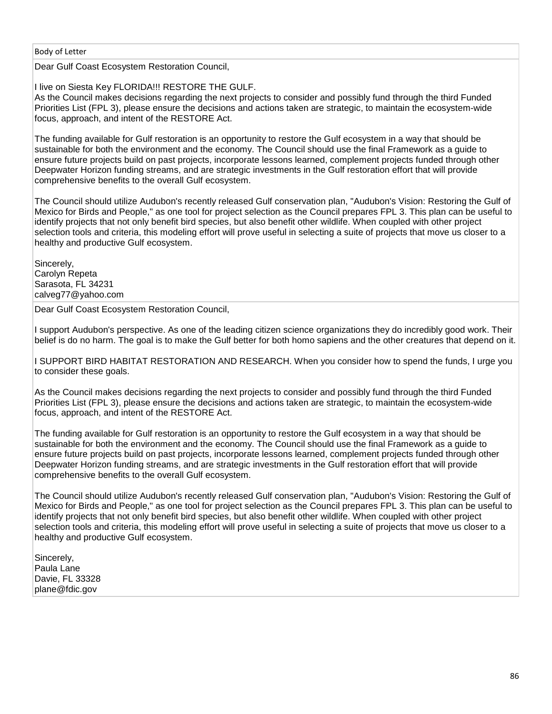Dear Gulf Coast Ecosystem Restoration Council,

I live on Siesta Key FLORIDA!!! RESTORE THE GULF.

As the Council makes decisions regarding the next projects to consider and possibly fund through the third Funded Priorities List (FPL 3), please ensure the decisions and actions taken are strategic, to maintain the ecosystem-wide focus, approach, and intent of the RESTORE Act.

The funding available for Gulf restoration is an opportunity to restore the Gulf ecosystem in a way that should be sustainable for both the environment and the economy. The Council should use the final Framework as a guide to ensure future projects build on past projects, incorporate lessons learned, complement projects funded through other Deepwater Horizon funding streams, and are strategic investments in the Gulf restoration effort that will provide comprehensive benefits to the overall Gulf ecosystem.

The Council should utilize Audubon's recently released Gulf conservation plan, "Audubon's Vision: Restoring the Gulf of Mexico for Birds and People," as one tool for project selection as the Council prepares FPL 3. This plan can be useful to identify projects that not only benefit bird species, but also benefit other wildlife. When coupled with other project selection tools and criteria, this modeling effort will prove useful in selecting a suite of projects that move us closer to a healthy and productive Gulf ecosystem.

Sincerely, Carolyn Repeta Sarasota, FL 34231 calveg77@yahoo.com

Dear Gulf Coast Ecosystem Restoration Council,

I support Audubon's perspective. As one of the leading citizen science organizations they do incredibly good work. Their belief is do no harm. The goal is to make the Gulf better for both homo sapiens and the other creatures that depend on it.

I SUPPORT BIRD HABITAT RESTORATION AND RESEARCH. When you consider how to spend the funds, I urge you to consider these goals.

As the Council makes decisions regarding the next projects to consider and possibly fund through the third Funded Priorities List (FPL 3), please ensure the decisions and actions taken are strategic, to maintain the ecosystem-wide focus, approach, and intent of the RESTORE Act.

The funding available for Gulf restoration is an opportunity to restore the Gulf ecosystem in a way that should be sustainable for both the environment and the economy. The Council should use the final Framework as a guide to ensure future projects build on past projects, incorporate lessons learned, complement projects funded through other Deepwater Horizon funding streams, and are strategic investments in the Gulf restoration effort that will provide comprehensive benefits to the overall Gulf ecosystem.

The Council should utilize Audubon's recently released Gulf conservation plan, "Audubon's Vision: Restoring the Gulf of Mexico for Birds and People," as one tool for project selection as the Council prepares FPL 3. This plan can be useful to identify projects that not only benefit bird species, but also benefit other wildlife. When coupled with other project selection tools and criteria, this modeling effort will prove useful in selecting a suite of projects that move us closer to a healthy and productive Gulf ecosystem.

Sincerely, Paula Lane Davie, FL 33328 plane@fdic.gov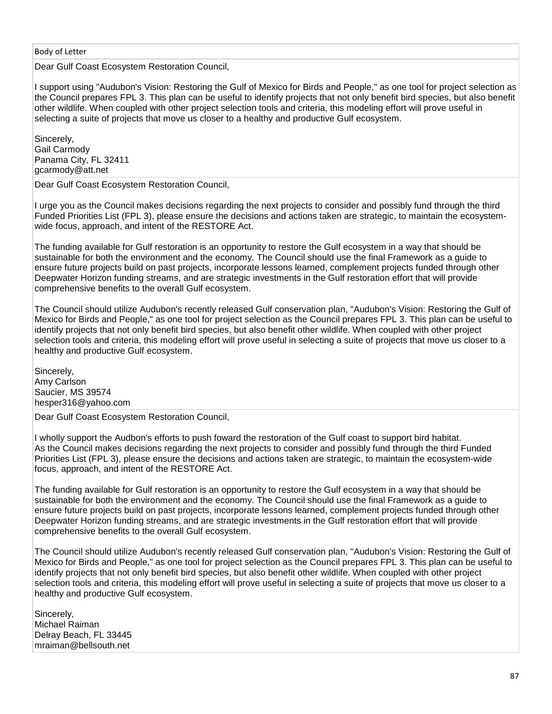Dear Gulf Coast Ecosystem Restoration Council,

I support using "Audubon's Vision: Restoring the Gulf of Mexico for Birds and People," as one tool for project selection as the Council prepares FPL 3. This plan can be useful to identify projects that not only benefit bird species, but also benefit other wildlife. When coupled with other project selection tools and criteria, this modeling effort will prove useful in selecting a suite of projects that move us closer to a healthy and productive Gulf ecosystem.

Sincerely, Gail Carmody Panama City, FL 32411 gcarmody@att.net

Dear Gulf Coast Ecosystem Restoration Council,

I urge you as the Council makes decisions regarding the next projects to consider and possibly fund through the third Funded Priorities List (FPL 3), please ensure the decisions and actions taken are strategic, to maintain the ecosystemwide focus, approach, and intent of the RESTORE Act.

The funding available for Gulf restoration is an opportunity to restore the Gulf ecosystem in a way that should be sustainable for both the environment and the economy. The Council should use the final Framework as a guide to ensure future projects build on past projects, incorporate lessons learned, complement projects funded through other Deepwater Horizon funding streams, and are strategic investments in the Gulf restoration effort that will provide comprehensive benefits to the overall Gulf ecosystem.

The Council should utilize Audubon's recently released Gulf conservation plan, "Audubon's Vision: Restoring the Gulf of Mexico for Birds and People," as one tool for project selection as the Council prepares FPL 3. This plan can be useful to identify projects that not only benefit bird species, but also benefit other wildlife. When coupled with other project selection tools and criteria, this modeling effort will prove useful in selecting a suite of projects that move us closer to a healthy and productive Gulf ecosystem.

Sincerely, Amy Carlson Saucier, MS 39574 hesper316@yahoo.com

Dear Gulf Coast Ecosystem Restoration Council,

I wholly support the Audbon's efforts to push foward the restoration of the Gulf coast to support bird habitat. As the Council makes decisions regarding the next projects to consider and possibly fund through the third Funded Priorities List (FPL 3), please ensure the decisions and actions taken are strategic, to maintain the ecosystem-wide focus, approach, and intent of the RESTORE Act.

The funding available for Gulf restoration is an opportunity to restore the Gulf ecosystem in a way that should be sustainable for both the environment and the economy. The Council should use the final Framework as a guide to ensure future projects build on past projects, incorporate lessons learned, complement projects funded through other Deepwater Horizon funding streams, and are strategic investments in the Gulf restoration effort that will provide comprehensive benefits to the overall Gulf ecosystem.

The Council should utilize Audubon's recently released Gulf conservation plan, "Audubon's Vision: Restoring the Gulf of Mexico for Birds and People," as one tool for project selection as the Council prepares FPL 3. This plan can be useful to identify projects that not only benefit bird species, but also benefit other wildlife. When coupled with other project selection tools and criteria, this modeling effort will prove useful in selecting a suite of projects that move us closer to a healthy and productive Gulf ecosystem.

Sincerely. Michael Raiman Delray Beach, FL 33445 mraiman@bellsouth.net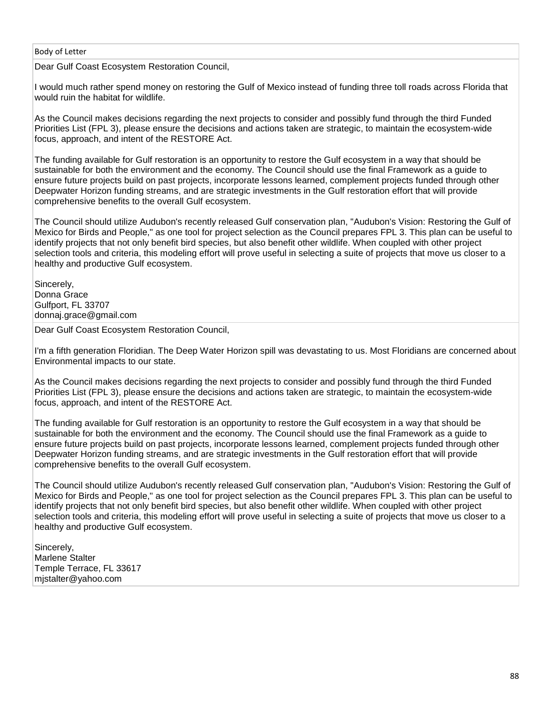Dear Gulf Coast Ecosystem Restoration Council,

I would much rather spend money on restoring the Gulf of Mexico instead of funding three toll roads across Florida that would ruin the habitat for wildlife.

As the Council makes decisions regarding the next projects to consider and possibly fund through the third Funded Priorities List (FPL 3), please ensure the decisions and actions taken are strategic, to maintain the ecosystem-wide focus, approach, and intent of the RESTORE Act.

The funding available for Gulf restoration is an opportunity to restore the Gulf ecosystem in a way that should be sustainable for both the environment and the economy. The Council should use the final Framework as a guide to ensure future projects build on past projects, incorporate lessons learned, complement projects funded through other Deepwater Horizon funding streams, and are strategic investments in the Gulf restoration effort that will provide comprehensive benefits to the overall Gulf ecosystem.

The Council should utilize Audubon's recently released Gulf conservation plan, "Audubon's Vision: Restoring the Gulf of Mexico for Birds and People," as one tool for project selection as the Council prepares FPL 3. This plan can be useful to identify projects that not only benefit bird species, but also benefit other wildlife. When coupled with other project selection tools and criteria, this modeling effort will prove useful in selecting a suite of projects that move us closer to a healthy and productive Gulf ecosystem.

Sincerely, Donna Grace Gulfport, FL 33707 donnaj.grace@gmail.com

Dear Gulf Coast Ecosystem Restoration Council,

I'm a fifth generation Floridian. The Deep Water Horizon spill was devastating to us. Most Floridians are concerned about Environmental impacts to our state.

As the Council makes decisions regarding the next projects to consider and possibly fund through the third Funded Priorities List (FPL 3), please ensure the decisions and actions taken are strategic, to maintain the ecosystem-wide focus, approach, and intent of the RESTORE Act.

The funding available for Gulf restoration is an opportunity to restore the Gulf ecosystem in a way that should be sustainable for both the environment and the economy. The Council should use the final Framework as a guide to ensure future projects build on past projects, incorporate lessons learned, complement projects funded through other Deepwater Horizon funding streams, and are strategic investments in the Gulf restoration effort that will provide comprehensive benefits to the overall Gulf ecosystem.

The Council should utilize Audubon's recently released Gulf conservation plan, "Audubon's Vision: Restoring the Gulf of Mexico for Birds and People," as one tool for project selection as the Council prepares FPL 3. This plan can be useful to identify projects that not only benefit bird species, but also benefit other wildlife. When coupled with other project selection tools and criteria, this modeling effort will prove useful in selecting a suite of projects that move us closer to a healthy and productive Gulf ecosystem.

Sincerely, Marlene Stalter Temple Terrace, FL 33617 mjstalter@yahoo.com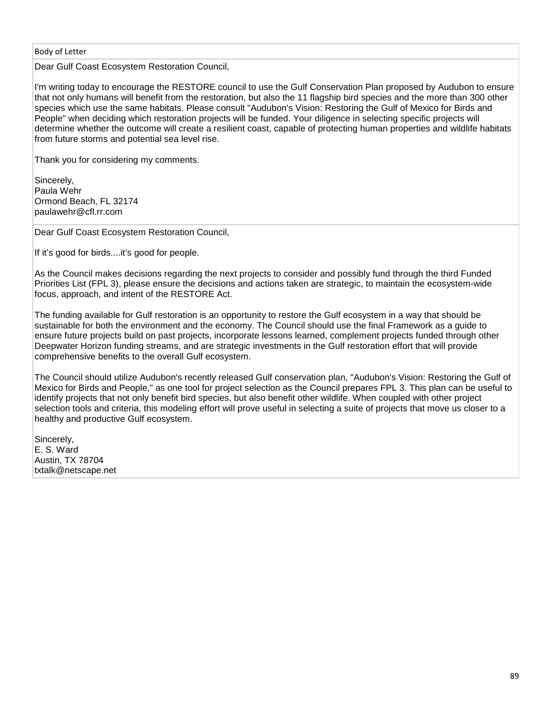Dear Gulf Coast Ecosystem Restoration Council,

I'm writing today to encourage the RESTORE council to use the Gulf Conservation Plan proposed by Audubon to ensure that not only humans will benefit from the restoration, but also the 11 flagship bird species and the more than 300 other species which use the same habitats. Please consult "Audubon's Vision: Restoring the Gulf of Mexico for Birds and People" when deciding which restoration projects will be funded. Your diligence in selecting specific projects will determine whether the outcome will create a resilient coast, capable of protecting human properties and wildlife habitats from future storms and potential sea level rise.

Thank you for considering my comments.

Sincerely, Paula Wehr Ormond Beach, FL 32174 paulawehr@cfl.rr.com

Dear Gulf Coast Ecosystem Restoration Council,

If it's good for birds....it's good for people.

As the Council makes decisions regarding the next projects to consider and possibly fund through the third Funded Priorities List (FPL 3), please ensure the decisions and actions taken are strategic, to maintain the ecosystem-wide focus, approach, and intent of the RESTORE Act.

The funding available for Gulf restoration is an opportunity to restore the Gulf ecosystem in a way that should be sustainable for both the environment and the economy. The Council should use the final Framework as a guide to ensure future projects build on past projects, incorporate lessons learned, complement projects funded through other Deepwater Horizon funding streams, and are strategic investments in the Gulf restoration effort that will provide comprehensive benefits to the overall Gulf ecosystem.

The Council should utilize Audubon's recently released Gulf conservation plan, "Audubon's Vision: Restoring the Gulf of Mexico for Birds and People," as one tool for project selection as the Council prepares FPL 3. This plan can be useful to identify projects that not only benefit bird species, but also benefit other wildlife. When coupled with other project selection tools and criteria, this modeling effort will prove useful in selecting a suite of projects that move us closer to a healthy and productive Gulf ecosystem.

Sincerely, E. S. Ward Austin, TX 78704 txtalk@netscape.net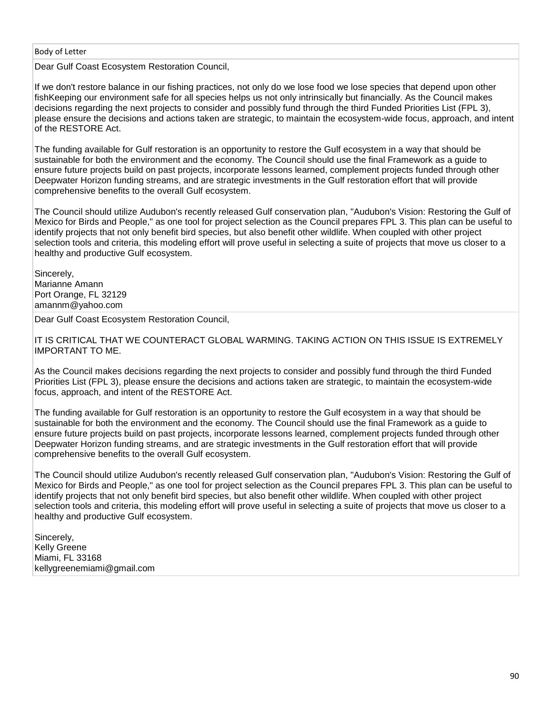Dear Gulf Coast Ecosystem Restoration Council,

If we don't restore balance in our fishing practices, not only do we lose food we lose species that depend upon other fishKeeping our environment safe for all species helps us not only intrinsically but financially. As the Council makes decisions regarding the next projects to consider and possibly fund through the third Funded Priorities List (FPL 3), please ensure the decisions and actions taken are strategic, to maintain the ecosystem-wide focus, approach, and intent of the RESTORE Act.

The funding available for Gulf restoration is an opportunity to restore the Gulf ecosystem in a way that should be sustainable for both the environment and the economy. The Council should use the final Framework as a guide to ensure future projects build on past projects, incorporate lessons learned, complement projects funded through other Deepwater Horizon funding streams, and are strategic investments in the Gulf restoration effort that will provide comprehensive benefits to the overall Gulf ecosystem.

The Council should utilize Audubon's recently released Gulf conservation plan, "Audubon's Vision: Restoring the Gulf of Mexico for Birds and People," as one tool for project selection as the Council prepares FPL 3. This plan can be useful to identify projects that not only benefit bird species, but also benefit other wildlife. When coupled with other project selection tools and criteria, this modeling effort will prove useful in selecting a suite of projects that move us closer to a healthy and productive Gulf ecosystem.

Sincerely, Marianne Amann Port Orange, FL 32129 amannm@yahoo.com

Dear Gulf Coast Ecosystem Restoration Council,

IT IS CRITICAL THAT WE COUNTERACT GLOBAL WARMING. TAKING ACTION ON THIS ISSUE IS EXTREMELY IMPORTANT TO ME.

As the Council makes decisions regarding the next projects to consider and possibly fund through the third Funded Priorities List (FPL 3), please ensure the decisions and actions taken are strategic, to maintain the ecosystem-wide focus, approach, and intent of the RESTORE Act.

The funding available for Gulf restoration is an opportunity to restore the Gulf ecosystem in a way that should be sustainable for both the environment and the economy. The Council should use the final Framework as a guide to ensure future projects build on past projects, incorporate lessons learned, complement projects funded through other Deepwater Horizon funding streams, and are strategic investments in the Gulf restoration effort that will provide comprehensive benefits to the overall Gulf ecosystem.

The Council should utilize Audubon's recently released Gulf conservation plan, "Audubon's Vision: Restoring the Gulf of Mexico for Birds and People," as one tool for project selection as the Council prepares FPL 3. This plan can be useful to identify projects that not only benefit bird species, but also benefit other wildlife. When coupled with other project selection tools and criteria, this modeling effort will prove useful in selecting a suite of projects that move us closer to a healthy and productive Gulf ecosystem.

Sincerely, Kelly Greene Miami, FL 33168 kellygreenemiami@gmail.com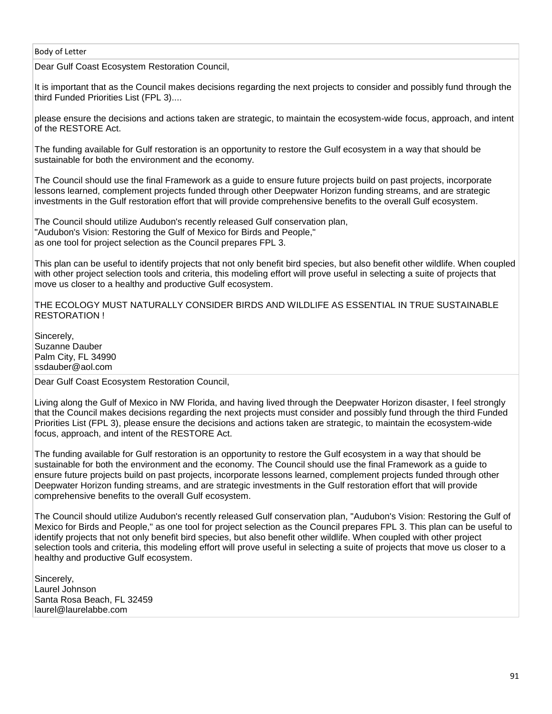Dear Gulf Coast Ecosystem Restoration Council,

It is important that as the Council makes decisions regarding the next projects to consider and possibly fund through the third Funded Priorities List (FPL 3)....

please ensure the decisions and actions taken are strategic, to maintain the ecosystem-wide focus, approach, and intent of the RESTORE Act.

The funding available for Gulf restoration is an opportunity to restore the Gulf ecosystem in a way that should be sustainable for both the environment and the economy.

The Council should use the final Framework as a guide to ensure future projects build on past projects, incorporate lessons learned, complement projects funded through other Deepwater Horizon funding streams, and are strategic investments in the Gulf restoration effort that will provide comprehensive benefits to the overall Gulf ecosystem.

The Council should utilize Audubon's recently released Gulf conservation plan, "Audubon's Vision: Restoring the Gulf of Mexico for Birds and People," as one tool for project selection as the Council prepares FPL 3.

This plan can be useful to identify projects that not only benefit bird species, but also benefit other wildlife. When coupled with other project selection tools and criteria, this modeling effort will prove useful in selecting a suite of projects that move us closer to a healthy and productive Gulf ecosystem.

THE ECOLOGY MUST NATURALLY CONSIDER BIRDS AND WILDLIFE AS ESSENTIAL IN TRUE SUSTAINABLE RESTORATION !

Sincerely, Suzanne Dauber Palm City, FL 34990 ssdauber@aol.com

Dear Gulf Coast Ecosystem Restoration Council,

Living along the Gulf of Mexico in NW Florida, and having lived through the Deepwater Horizon disaster, I feel strongly that the Council makes decisions regarding the next projects must consider and possibly fund through the third Funded Priorities List (FPL 3), please ensure the decisions and actions taken are strategic, to maintain the ecosystem-wide focus, approach, and intent of the RESTORE Act.

The funding available for Gulf restoration is an opportunity to restore the Gulf ecosystem in a way that should be sustainable for both the environment and the economy. The Council should use the final Framework as a guide to ensure future projects build on past projects, incorporate lessons learned, complement projects funded through other Deepwater Horizon funding streams, and are strategic investments in the Gulf restoration effort that will provide comprehensive benefits to the overall Gulf ecosystem.

The Council should utilize Audubon's recently released Gulf conservation plan, "Audubon's Vision: Restoring the Gulf of Mexico for Birds and People," as one tool for project selection as the Council prepares FPL 3. This plan can be useful to identify projects that not only benefit bird species, but also benefit other wildlife. When coupled with other project selection tools and criteria, this modeling effort will prove useful in selecting a suite of projects that move us closer to a healthy and productive Gulf ecosystem.

Sincerely, Laurel Johnson Santa Rosa Beach, FL 32459 laurel@laurelabbe.com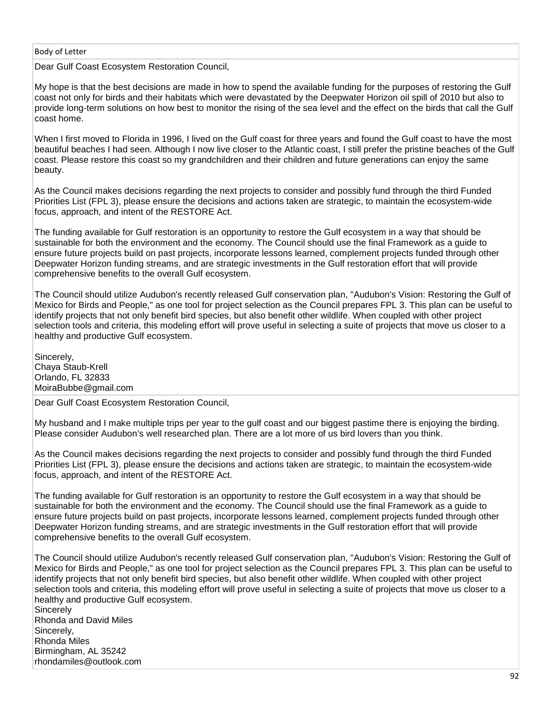Dear Gulf Coast Ecosystem Restoration Council,

My hope is that the best decisions are made in how to spend the available funding for the purposes of restoring the Gulf coast not only for birds and their habitats which were devastated by the Deepwater Horizon oil spill of 2010 but also to provide long-term solutions on how best to monitor the rising of the sea level and the effect on the birds that call the Gulf coast home.

When I first moved to Florida in 1996, I lived on the Gulf coast for three years and found the Gulf coast to have the most beautiful beaches I had seen. Although I now live closer to the Atlantic coast, I still prefer the pristine beaches of the Gulf coast. Please restore this coast so my grandchildren and their children and future generations can enjoy the same beauty.

As the Council makes decisions regarding the next projects to consider and possibly fund through the third Funded Priorities List (FPL 3), please ensure the decisions and actions taken are strategic, to maintain the ecosystem-wide focus, approach, and intent of the RESTORE Act.

The funding available for Gulf restoration is an opportunity to restore the Gulf ecosystem in a way that should be sustainable for both the environment and the economy. The Council should use the final Framework as a guide to ensure future projects build on past projects, incorporate lessons learned, complement projects funded through other Deepwater Horizon funding streams, and are strategic investments in the Gulf restoration effort that will provide comprehensive benefits to the overall Gulf ecosystem.

The Council should utilize Audubon's recently released Gulf conservation plan, "Audubon's Vision: Restoring the Gulf of Mexico for Birds and People," as one tool for project selection as the Council prepares FPL 3. This plan can be useful to identify projects that not only benefit bird species, but also benefit other wildlife. When coupled with other project selection tools and criteria, this modeling effort will prove useful in selecting a suite of projects that move us closer to a healthy and productive Gulf ecosystem.

Sincerely, Chaya Staub-Krell Orlando, FL 32833 MoiraBubbe@gmail.com

Dear Gulf Coast Ecosystem Restoration Council,

My husband and I make multiple trips per year to the gulf coast and our biggest pastime there is enjoying the birding. Please consider Audubon's well researched plan. There are a lot more of us bird lovers than you think.

As the Council makes decisions regarding the next projects to consider and possibly fund through the third Funded Priorities List (FPL 3), please ensure the decisions and actions taken are strategic, to maintain the ecosystem-wide focus, approach, and intent of the RESTORE Act.

The funding available for Gulf restoration is an opportunity to restore the Gulf ecosystem in a way that should be sustainable for both the environment and the economy. The Council should use the final Framework as a guide to ensure future projects build on past projects, incorporate lessons learned, complement projects funded through other Deepwater Horizon funding streams, and are strategic investments in the Gulf restoration effort that will provide comprehensive benefits to the overall Gulf ecosystem.

The Council should utilize Audubon's recently released Gulf conservation plan, "Audubon's Vision: Restoring the Gulf of Mexico for Birds and People," as one tool for project selection as the Council prepares FPL 3. This plan can be useful to identify projects that not only benefit bird species, but also benefit other wildlife. When coupled with other project selection tools and criteria, this modeling effort will prove useful in selecting a suite of projects that move us closer to a healthy and productive Gulf ecosystem. **Sincerely** 

Rhonda and David Miles Sincerely, Rhonda Miles Birmingham, AL 35242 rhondamiles@outlook.com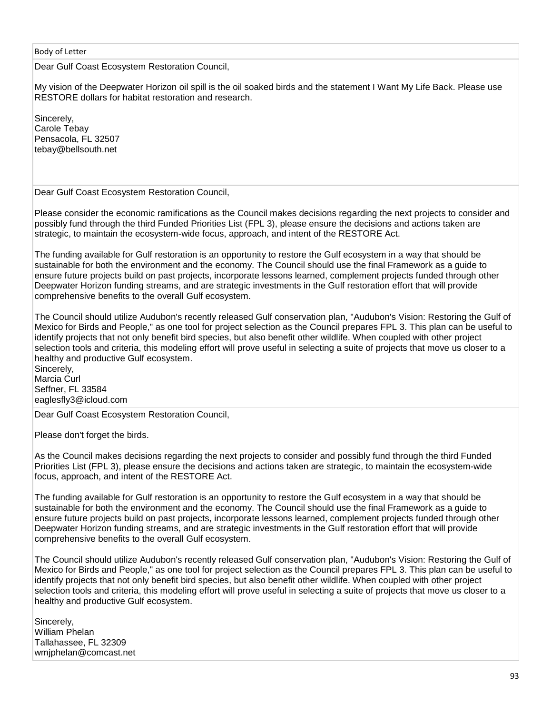Dear Gulf Coast Ecosystem Restoration Council,

My vision of the Deepwater Horizon oil spill is the oil soaked birds and the statement I Want My Life Back. Please use RESTORE dollars for habitat restoration and research.

Sincerely, Carole Tebay Pensacola, FL 32507 tebay@bellsouth.net

Dear Gulf Coast Ecosystem Restoration Council,

Please consider the economic ramifications as the Council makes decisions regarding the next projects to consider and possibly fund through the third Funded Priorities List (FPL 3), please ensure the decisions and actions taken are strategic, to maintain the ecosystem-wide focus, approach, and intent of the RESTORE Act.

The funding available for Gulf restoration is an opportunity to restore the Gulf ecosystem in a way that should be sustainable for both the environment and the economy. The Council should use the final Framework as a guide to ensure future projects build on past projects, incorporate lessons learned, complement projects funded through other Deepwater Horizon funding streams, and are strategic investments in the Gulf restoration effort that will provide comprehensive benefits to the overall Gulf ecosystem.

The Council should utilize Audubon's recently released Gulf conservation plan, "Audubon's Vision: Restoring the Gulf of Mexico for Birds and People," as one tool for project selection as the Council prepares FPL 3. This plan can be useful to identify projects that not only benefit bird species, but also benefit other wildlife. When coupled with other project selection tools and criteria, this modeling effort will prove useful in selecting a suite of projects that move us closer to a healthy and productive Gulf ecosystem.

Sincerely, Marcia Curl Seffner, FL 33584 eaglesfly3@icloud.com

Dear Gulf Coast Ecosystem Restoration Council,

Please don't forget the birds.

As the Council makes decisions regarding the next projects to consider and possibly fund through the third Funded Priorities List (FPL 3), please ensure the decisions and actions taken are strategic, to maintain the ecosystem-wide focus, approach, and intent of the RESTORE Act.

The funding available for Gulf restoration is an opportunity to restore the Gulf ecosystem in a way that should be sustainable for both the environment and the economy. The Council should use the final Framework as a guide to ensure future projects build on past projects, incorporate lessons learned, complement projects funded through other Deepwater Horizon funding streams, and are strategic investments in the Gulf restoration effort that will provide comprehensive benefits to the overall Gulf ecosystem.

The Council should utilize Audubon's recently released Gulf conservation plan, "Audubon's Vision: Restoring the Gulf of Mexico for Birds and People," as one tool for project selection as the Council prepares FPL 3. This plan can be useful to identify projects that not only benefit bird species, but also benefit other wildlife. When coupled with other project selection tools and criteria, this modeling effort will prove useful in selecting a suite of projects that move us closer to a healthy and productive Gulf ecosystem.

Sincerely, William Phelan Tallahassee, FL 32309 wmjphelan@comcast.net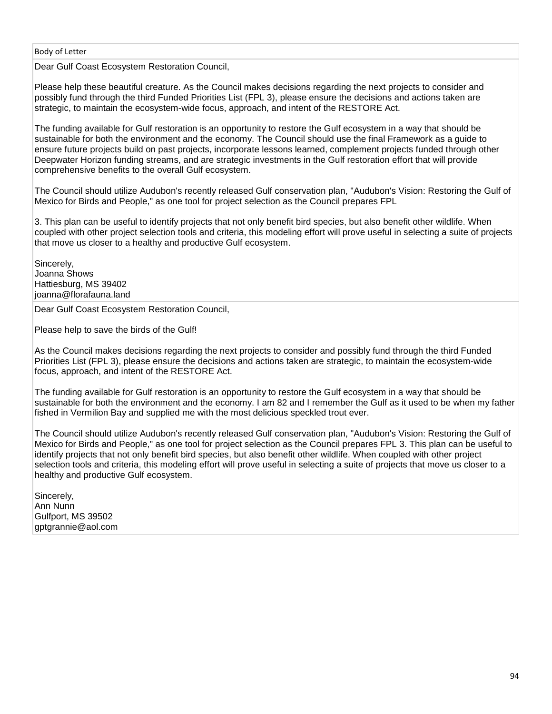Dear Gulf Coast Ecosystem Restoration Council,

Please help these beautiful creature. As the Council makes decisions regarding the next projects to consider and possibly fund through the third Funded Priorities List (FPL 3), please ensure the decisions and actions taken are strategic, to maintain the ecosystem-wide focus, approach, and intent of the RESTORE Act.

The funding available for Gulf restoration is an opportunity to restore the Gulf ecosystem in a way that should be sustainable for both the environment and the economy. The Council should use the final Framework as a guide to ensure future projects build on past projects, incorporate lessons learned, complement projects funded through other Deepwater Horizon funding streams, and are strategic investments in the Gulf restoration effort that will provide comprehensive benefits to the overall Gulf ecosystem.

The Council should utilize Audubon's recently released Gulf conservation plan, "Audubon's Vision: Restoring the Gulf of Mexico for Birds and People," as one tool for project selection as the Council prepares FPL

3. This plan can be useful to identify projects that not only benefit bird species, but also benefit other wildlife. When coupled with other project selection tools and criteria, this modeling effort will prove useful in selecting a suite of projects that move us closer to a healthy and productive Gulf ecosystem.

Sincerely, Joanna Shows Hattiesburg, MS 39402 joanna@florafauna.land

Dear Gulf Coast Ecosystem Restoration Council,

Please help to save the birds of the Gulf!

As the Council makes decisions regarding the next projects to consider and possibly fund through the third Funded Priorities List (FPL 3), please ensure the decisions and actions taken are strategic, to maintain the ecosystem-wide focus, approach, and intent of the RESTORE Act.

The funding available for Gulf restoration is an opportunity to restore the Gulf ecosystem in a way that should be sustainable for both the environment and the economy. I am 82 and I remember the Gulf as it used to be when my father fished in Vermilion Bay and supplied me with the most delicious speckled trout ever.

The Council should utilize Audubon's recently released Gulf conservation plan, "Audubon's Vision: Restoring the Gulf of Mexico for Birds and People," as one tool for project selection as the Council prepares FPL 3. This plan can be useful to identify projects that not only benefit bird species, but also benefit other wildlife. When coupled with other project selection tools and criteria, this modeling effort will prove useful in selecting a suite of projects that move us closer to a healthy and productive Gulf ecosystem.

Sincerely, Ann Nunn Gulfport, MS 39502 gptgrannie@aol.com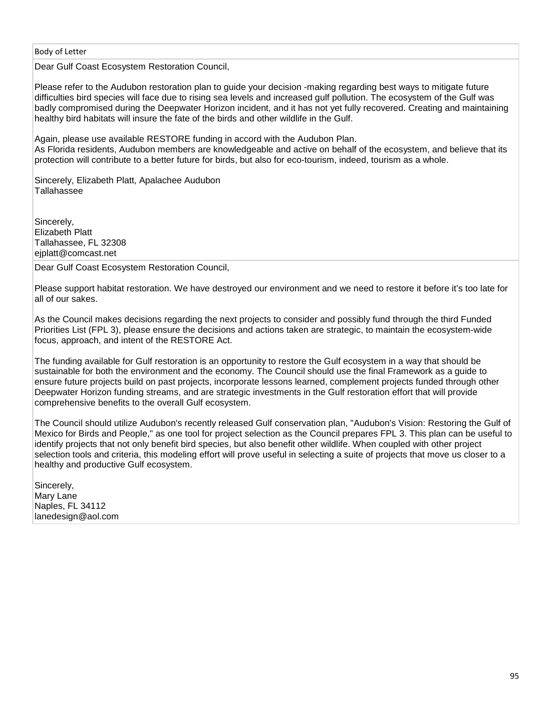Dear Gulf Coast Ecosystem Restoration Council,

Please refer to the Audubon restoration plan to guide your decision -making regarding best ways to mitigate future difficulties bird species will face due to rising sea levels and increased gulf pollution. The ecosystem of the Gulf was badly compromised during the Deepwater Horizon incident, and it has not yet fully recovered. Creating and maintaining healthy bird habitats will insure the fate of the birds and other wildlife in the Gulf.

Again, please use available RESTORE funding in accord with the Audubon Plan. As Florida residents, Audubon members are knowledgeable and active on behalf of the ecosystem, and believe that its protection will contribute to a better future for birds, but also for eco-tourism, indeed, tourism as a whole.

Sincerely, Elizabeth Platt, Apalachee Audubon Tallahassee

Sincerely. Elizabeth Platt Tallahassee, FL 32308 ejplatt@comcast.net

Dear Gulf Coast Ecosystem Restoration Council,

Please support habitat restoration. We have destroyed our environment and we need to restore it before it's too late for all of our sakes.

As the Council makes decisions regarding the next projects to consider and possibly fund through the third Funded Priorities List (FPL 3), please ensure the decisions and actions taken are strategic, to maintain the ecosystem-wide focus, approach, and intent of the RESTORE Act.

The funding available for Gulf restoration is an opportunity to restore the Gulf ecosystem in a way that should be sustainable for both the environment and the economy. The Council should use the final Framework as a guide to ensure future projects build on past projects, incorporate lessons learned, complement projects funded through other Deepwater Horizon funding streams, and are strategic investments in the Gulf restoration effort that will provide comprehensive benefits to the overall Gulf ecosystem.

The Council should utilize Audubon's recently released Gulf conservation plan, "Audubon's Vision: Restoring the Gulf of Mexico for Birds and People," as one tool for project selection as the Council prepares FPL 3. This plan can be useful to identify projects that not only benefit bird species, but also benefit other wildlife. When coupled with other project selection tools and criteria, this modeling effort will prove useful in selecting a suite of projects that move us closer to a healthy and productive Gulf ecosystem.

Sincerely, Mary Lane Naples, FL 34112 lanedesign@aol.com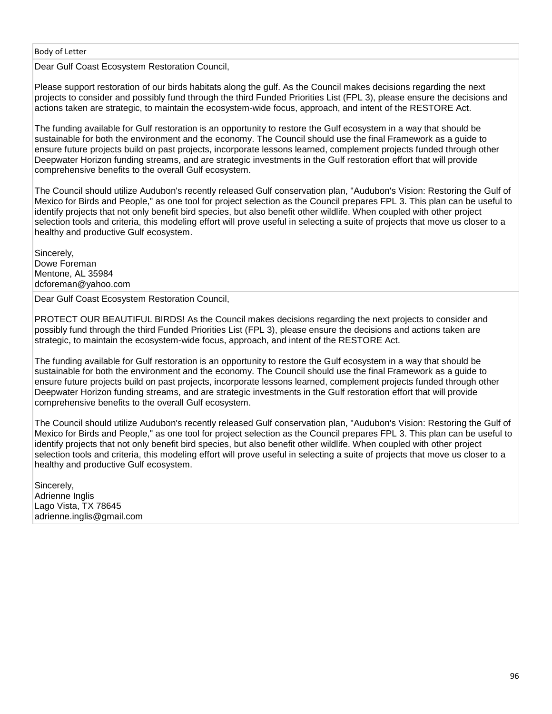Dear Gulf Coast Ecosystem Restoration Council,

Please support restoration of our birds habitats along the gulf. As the Council makes decisions regarding the next projects to consider and possibly fund through the third Funded Priorities List (FPL 3), please ensure the decisions and actions taken are strategic, to maintain the ecosystem-wide focus, approach, and intent of the RESTORE Act.

The funding available for Gulf restoration is an opportunity to restore the Gulf ecosystem in a way that should be sustainable for both the environment and the economy. The Council should use the final Framework as a guide to ensure future projects build on past projects, incorporate lessons learned, complement projects funded through other Deepwater Horizon funding streams, and are strategic investments in the Gulf restoration effort that will provide comprehensive benefits to the overall Gulf ecosystem.

The Council should utilize Audubon's recently released Gulf conservation plan, "Audubon's Vision: Restoring the Gulf of Mexico for Birds and People," as one tool for project selection as the Council prepares FPL 3. This plan can be useful to identify projects that not only benefit bird species, but also benefit other wildlife. When coupled with other project selection tools and criteria, this modeling effort will prove useful in selecting a suite of projects that move us closer to a healthy and productive Gulf ecosystem.

Sincerely, Dowe Foreman Mentone, AL 35984 dcforeman@yahoo.com

Dear Gulf Coast Ecosystem Restoration Council,

PROTECT OUR BEAUTIFUL BIRDS! As the Council makes decisions regarding the next projects to consider and possibly fund through the third Funded Priorities List (FPL 3), please ensure the decisions and actions taken are strategic, to maintain the ecosystem-wide focus, approach, and intent of the RESTORE Act.

The funding available for Gulf restoration is an opportunity to restore the Gulf ecosystem in a way that should be sustainable for both the environment and the economy. The Council should use the final Framework as a guide to ensure future projects build on past projects, incorporate lessons learned, complement projects funded through other Deepwater Horizon funding streams, and are strategic investments in the Gulf restoration effort that will provide comprehensive benefits to the overall Gulf ecosystem.

The Council should utilize Audubon's recently released Gulf conservation plan, "Audubon's Vision: Restoring the Gulf of Mexico for Birds and People," as one tool for project selection as the Council prepares FPL 3. This plan can be useful to identify projects that not only benefit bird species, but also benefit other wildlife. When coupled with other project selection tools and criteria, this modeling effort will prove useful in selecting a suite of projects that move us closer to a healthy and productive Gulf ecosystem.

Sincerely, Adrienne Inglis Lago Vista, TX 78645 adrienne.inglis@gmail.com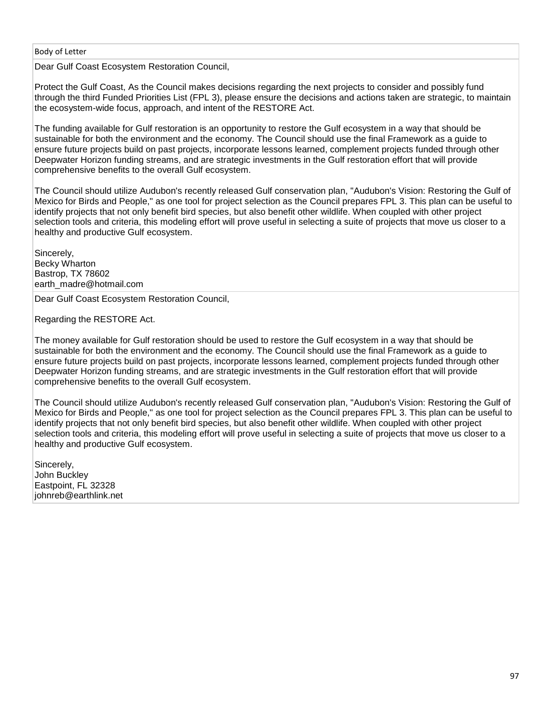Dear Gulf Coast Ecosystem Restoration Council,

Protect the Gulf Coast, As the Council makes decisions regarding the next projects to consider and possibly fund through the third Funded Priorities List (FPL 3), please ensure the decisions and actions taken are strategic, to maintain the ecosystem-wide focus, approach, and intent of the RESTORE Act.

The funding available for Gulf restoration is an opportunity to restore the Gulf ecosystem in a way that should be sustainable for both the environment and the economy. The Council should use the final Framework as a guide to ensure future projects build on past projects, incorporate lessons learned, complement projects funded through other Deepwater Horizon funding streams, and are strategic investments in the Gulf restoration effort that will provide comprehensive benefits to the overall Gulf ecosystem.

The Council should utilize Audubon's recently released Gulf conservation plan, "Audubon's Vision: Restoring the Gulf of Mexico for Birds and People," as one tool for project selection as the Council prepares FPL 3. This plan can be useful to identify projects that not only benefit bird species, but also benefit other wildlife. When coupled with other project selection tools and criteria, this modeling effort will prove useful in selecting a suite of projects that move us closer to a healthy and productive Gulf ecosystem.

Sincerely, Becky Wharton Bastrop, TX 78602 earth\_madre@hotmail.com

Dear Gulf Coast Ecosystem Restoration Council,

Regarding the RESTORE Act.

The money available for Gulf restoration should be used to restore the Gulf ecosystem in a way that should be sustainable for both the environment and the economy. The Council should use the final Framework as a guide to ensure future projects build on past projects, incorporate lessons learned, complement projects funded through other Deepwater Horizon funding streams, and are strategic investments in the Gulf restoration effort that will provide comprehensive benefits to the overall Gulf ecosystem.

The Council should utilize Audubon's recently released Gulf conservation plan, "Audubon's Vision: Restoring the Gulf of Mexico for Birds and People," as one tool for project selection as the Council prepares FPL 3. This plan can be useful to identify projects that not only benefit bird species, but also benefit other wildlife. When coupled with other project selection tools and criteria, this modeling effort will prove useful in selecting a suite of projects that move us closer to a healthy and productive Gulf ecosystem.

Sincerely, John Buckley Eastpoint, FL 32328 johnreb@earthlink.net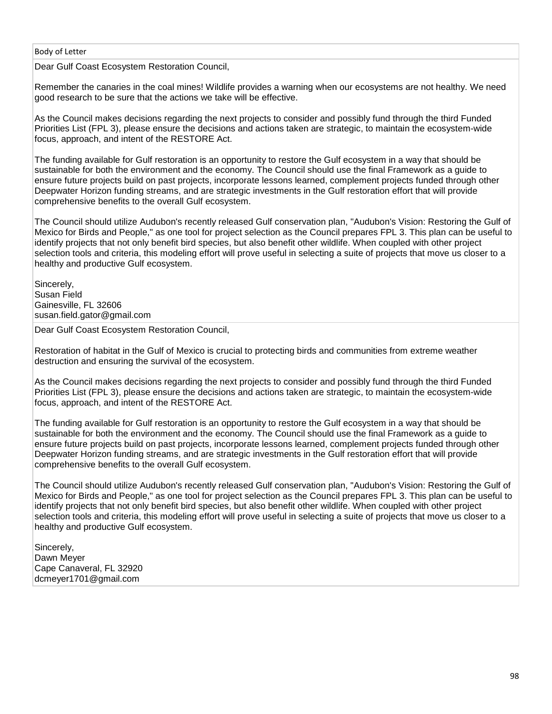Dear Gulf Coast Ecosystem Restoration Council,

Remember the canaries in the coal mines! Wildlife provides a warning when our ecosystems are not healthy. We need good research to be sure that the actions we take will be effective.

As the Council makes decisions regarding the next projects to consider and possibly fund through the third Funded Priorities List (FPL 3), please ensure the decisions and actions taken are strategic, to maintain the ecosystem-wide focus, approach, and intent of the RESTORE Act.

The funding available for Gulf restoration is an opportunity to restore the Gulf ecosystem in a way that should be sustainable for both the environment and the economy. The Council should use the final Framework as a guide to ensure future projects build on past projects, incorporate lessons learned, complement projects funded through other Deepwater Horizon funding streams, and are strategic investments in the Gulf restoration effort that will provide comprehensive benefits to the overall Gulf ecosystem.

The Council should utilize Audubon's recently released Gulf conservation plan, "Audubon's Vision: Restoring the Gulf of Mexico for Birds and People," as one tool for project selection as the Council prepares FPL 3. This plan can be useful to identify projects that not only benefit bird species, but also benefit other wildlife. When coupled with other project selection tools and criteria, this modeling effort will prove useful in selecting a suite of projects that move us closer to a healthy and productive Gulf ecosystem.

Sincerely, Susan Field Gainesville, FL 32606 susan.field.gator@gmail.com

Dear Gulf Coast Ecosystem Restoration Council,

Restoration of habitat in the Gulf of Mexico is crucial to protecting birds and communities from extreme weather destruction and ensuring the survival of the ecosystem.

As the Council makes decisions regarding the next projects to consider and possibly fund through the third Funded Priorities List (FPL 3), please ensure the decisions and actions taken are strategic, to maintain the ecosystem-wide focus, approach, and intent of the RESTORE Act.

The funding available for Gulf restoration is an opportunity to restore the Gulf ecosystem in a way that should be sustainable for both the environment and the economy. The Council should use the final Framework as a guide to ensure future projects build on past projects, incorporate lessons learned, complement projects funded through other Deepwater Horizon funding streams, and are strategic investments in the Gulf restoration effort that will provide comprehensive benefits to the overall Gulf ecosystem.

The Council should utilize Audubon's recently released Gulf conservation plan, "Audubon's Vision: Restoring the Gulf of Mexico for Birds and People," as one tool for project selection as the Council prepares FPL 3. This plan can be useful to identify projects that not only benefit bird species, but also benefit other wildlife. When coupled with other project selection tools and criteria, this modeling effort will prove useful in selecting a suite of projects that move us closer to a healthy and productive Gulf ecosystem.

Sincerely, Dawn Meyer Cape Canaveral, FL 32920 dcmeyer1701@gmail.com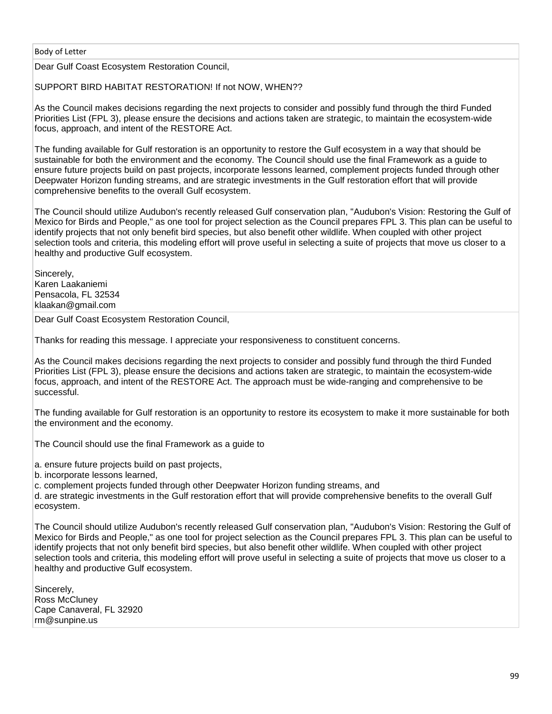Dear Gulf Coast Ecosystem Restoration Council,

SUPPORT BIRD HABITAT RESTORATION! If not NOW, WHEN??

As the Council makes decisions regarding the next projects to consider and possibly fund through the third Funded Priorities List (FPL 3), please ensure the decisions and actions taken are strategic, to maintain the ecosystem-wide focus, approach, and intent of the RESTORE Act.

The funding available for Gulf restoration is an opportunity to restore the Gulf ecosystem in a way that should be sustainable for both the environment and the economy. The Council should use the final Framework as a guide to ensure future projects build on past projects, incorporate lessons learned, complement projects funded through other Deepwater Horizon funding streams, and are strategic investments in the Gulf restoration effort that will provide comprehensive benefits to the overall Gulf ecosystem.

The Council should utilize Audubon's recently released Gulf conservation plan, "Audubon's Vision: Restoring the Gulf of Mexico for Birds and People," as one tool for project selection as the Council prepares FPL 3. This plan can be useful to identify projects that not only benefit bird species, but also benefit other wildlife. When coupled with other project selection tools and criteria, this modeling effort will prove useful in selecting a suite of projects that move us closer to a healthy and productive Gulf ecosystem.

Sincerely, Karen Laakaniemi Pensacola, FL 32534 klaakan@gmail.com

Dear Gulf Coast Ecosystem Restoration Council,

Thanks for reading this message. I appreciate your responsiveness to constituent concerns.

As the Council makes decisions regarding the next projects to consider and possibly fund through the third Funded Priorities List (FPL 3), please ensure the decisions and actions taken are strategic, to maintain the ecosystem-wide focus, approach, and intent of the RESTORE Act. The approach must be wide-ranging and comprehensive to be successful.

The funding available for Gulf restoration is an opportunity to restore its ecosystem to make it more sustainable for both the environment and the economy.

The Council should use the final Framework as a guide to

a. ensure future projects build on past projects,

b. incorporate lessons learned,

c. complement projects funded through other Deepwater Horizon funding streams, and

d. are strategic investments in the Gulf restoration effort that will provide comprehensive benefits to the overall Gulf ecosystem.

The Council should utilize Audubon's recently released Gulf conservation plan, "Audubon's Vision: Restoring the Gulf of Mexico for Birds and People," as one tool for project selection as the Council prepares FPL 3. This plan can be useful to identify projects that not only benefit bird species, but also benefit other wildlife. When coupled with other project selection tools and criteria, this modeling effort will prove useful in selecting a suite of projects that move us closer to a healthy and productive Gulf ecosystem.

Sincerely, Ross McCluney Cape Canaveral, FL 32920 rm@sunpine.us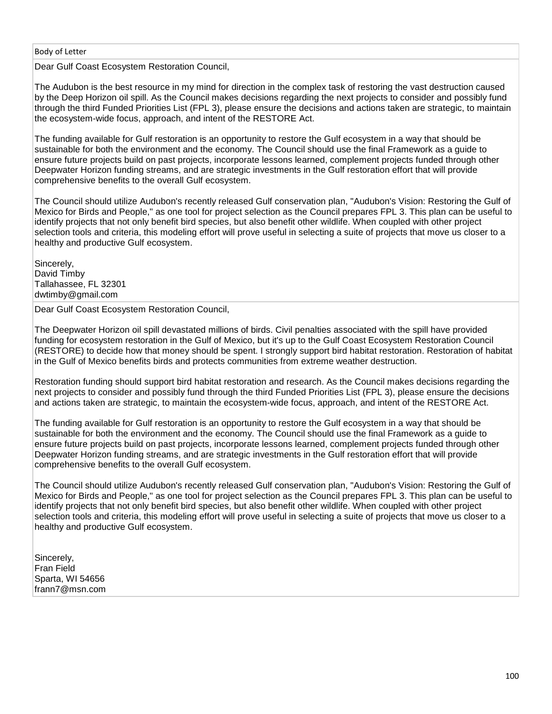Dear Gulf Coast Ecosystem Restoration Council,

The Audubon is the best resource in my mind for direction in the complex task of restoring the vast destruction caused by the Deep Horizon oil spill. As the Council makes decisions regarding the next projects to consider and possibly fund through the third Funded Priorities List (FPL 3), please ensure the decisions and actions taken are strategic, to maintain the ecosystem-wide focus, approach, and intent of the RESTORE Act.

The funding available for Gulf restoration is an opportunity to restore the Gulf ecosystem in a way that should be sustainable for both the environment and the economy. The Council should use the final Framework as a guide to ensure future projects build on past projects, incorporate lessons learned, complement projects funded through other Deepwater Horizon funding streams, and are strategic investments in the Gulf restoration effort that will provide comprehensive benefits to the overall Gulf ecosystem.

The Council should utilize Audubon's recently released Gulf conservation plan, "Audubon's Vision: Restoring the Gulf of Mexico for Birds and People," as one tool for project selection as the Council prepares FPL 3. This plan can be useful to identify projects that not only benefit bird species, but also benefit other wildlife. When coupled with other project selection tools and criteria, this modeling effort will prove useful in selecting a suite of projects that move us closer to a healthy and productive Gulf ecosystem.

Sincerely, David Timby Tallahassee, FL 32301 dwtimby@gmail.com

Dear Gulf Coast Ecosystem Restoration Council,

The Deepwater Horizon oil spill devastated millions of birds. Civil penalties associated with the spill have provided funding for ecosystem restoration in the Gulf of Mexico, but it's up to the Gulf Coast Ecosystem Restoration Council (RESTORE) to decide how that money should be spent. I strongly support bird habitat restoration. Restoration of habitat in the Gulf of Mexico benefits birds and protects communities from extreme weather destruction.

Restoration funding should support bird habitat restoration and research. As the Council makes decisions regarding the next projects to consider and possibly fund through the third Funded Priorities List (FPL 3), please ensure the decisions and actions taken are strategic, to maintain the ecosystem-wide focus, approach, and intent of the RESTORE Act.

The funding available for Gulf restoration is an opportunity to restore the Gulf ecosystem in a way that should be sustainable for both the environment and the economy. The Council should use the final Framework as a guide to ensure future projects build on past projects, incorporate lessons learned, complement projects funded through other Deepwater Horizon funding streams, and are strategic investments in the Gulf restoration effort that will provide comprehensive benefits to the overall Gulf ecosystem.

The Council should utilize Audubon's recently released Gulf conservation plan, "Audubon's Vision: Restoring the Gulf of Mexico for Birds and People," as one tool for project selection as the Council prepares FPL 3. This plan can be useful to identify projects that not only benefit bird species, but also benefit other wildlife. When coupled with other project selection tools and criteria, this modeling effort will prove useful in selecting a suite of projects that move us closer to a healthy and productive Gulf ecosystem.

Sincerely. Fran Field Sparta, WI 54656 frann7@msn.com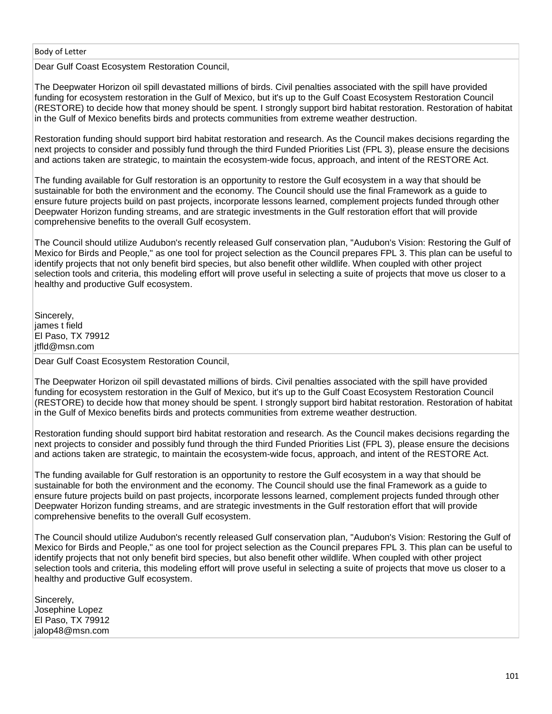Dear Gulf Coast Ecosystem Restoration Council,

The Deepwater Horizon oil spill devastated millions of birds. Civil penalties associated with the spill have provided funding for ecosystem restoration in the Gulf of Mexico, but it's up to the Gulf Coast Ecosystem Restoration Council (RESTORE) to decide how that money should be spent. I strongly support bird habitat restoration. Restoration of habitat in the Gulf of Mexico benefits birds and protects communities from extreme weather destruction.

Restoration funding should support bird habitat restoration and research. As the Council makes decisions regarding the next projects to consider and possibly fund through the third Funded Priorities List (FPL 3), please ensure the decisions and actions taken are strategic, to maintain the ecosystem-wide focus, approach, and intent of the RESTORE Act.

The funding available for Gulf restoration is an opportunity to restore the Gulf ecosystem in a way that should be sustainable for both the environment and the economy. The Council should use the final Framework as a guide to ensure future projects build on past projects, incorporate lessons learned, complement projects funded through other Deepwater Horizon funding streams, and are strategic investments in the Gulf restoration effort that will provide comprehensive benefits to the overall Gulf ecosystem.

The Council should utilize Audubon's recently released Gulf conservation plan, "Audubon's Vision: Restoring the Gulf of Mexico for Birds and People," as one tool for project selection as the Council prepares FPL 3. This plan can be useful to identify projects that not only benefit bird species, but also benefit other wildlife. When coupled with other project selection tools and criteria, this modeling effort will prove useful in selecting a suite of projects that move us closer to a healthy and productive Gulf ecosystem.

Sincerely, james t field El Paso, TX 79912 itfld@msn.com

Dear Gulf Coast Ecosystem Restoration Council,

The Deepwater Horizon oil spill devastated millions of birds. Civil penalties associated with the spill have provided funding for ecosystem restoration in the Gulf of Mexico, but it's up to the Gulf Coast Ecosystem Restoration Council (RESTORE) to decide how that money should be spent. I strongly support bird habitat restoration. Restoration of habitat in the Gulf of Mexico benefits birds and protects communities from extreme weather destruction.

Restoration funding should support bird habitat restoration and research. As the Council makes decisions regarding the next projects to consider and possibly fund through the third Funded Priorities List (FPL 3), please ensure the decisions and actions taken are strategic, to maintain the ecosystem-wide focus, approach, and intent of the RESTORE Act.

The funding available for Gulf restoration is an opportunity to restore the Gulf ecosystem in a way that should be sustainable for both the environment and the economy. The Council should use the final Framework as a guide to ensure future projects build on past projects, incorporate lessons learned, complement projects funded through other Deepwater Horizon funding streams, and are strategic investments in the Gulf restoration effort that will provide comprehensive benefits to the overall Gulf ecosystem.

The Council should utilize Audubon's recently released Gulf conservation plan, "Audubon's Vision: Restoring the Gulf of Mexico for Birds and People," as one tool for project selection as the Council prepares FPL 3. This plan can be useful to identify projects that not only benefit bird species, but also benefit other wildlife. When coupled with other project selection tools and criteria, this modeling effort will prove useful in selecting a suite of projects that move us closer to a healthy and productive Gulf ecosystem.

Sincerely, Josephine Lopez El Paso, TX 79912 jalop48@msn.com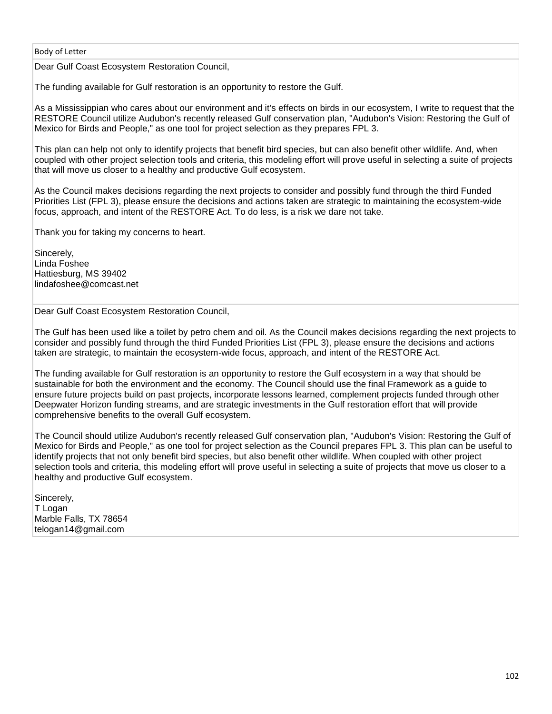Dear Gulf Coast Ecosystem Restoration Council,

The funding available for Gulf restoration is an opportunity to restore the Gulf.

As a Mississippian who cares about our environment and it's effects on birds in our ecosystem, I write to request that the RESTORE Council utilize Audubon's recently released Gulf conservation plan, "Audubon's Vision: Restoring the Gulf of Mexico for Birds and People," as one tool for project selection as they prepares FPL 3.

This plan can help not only to identify projects that benefit bird species, but can also benefit other wildlife. And, when coupled with other project selection tools and criteria, this modeling effort will prove useful in selecting a suite of projects that will move us closer to a healthy and productive Gulf ecosystem.

As the Council makes decisions regarding the next projects to consider and possibly fund through the third Funded Priorities List (FPL 3), please ensure the decisions and actions taken are strategic to maintaining the ecosystem-wide focus, approach, and intent of the RESTORE Act. To do less, is a risk we dare not take.

Thank you for taking my concerns to heart.

Sincerely, Linda Foshee Hattiesburg, MS 39402 lindafoshee@comcast.net

Dear Gulf Coast Ecosystem Restoration Council,

The Gulf has been used like a toilet by petro chem and oil. As the Council makes decisions regarding the next projects to consider and possibly fund through the third Funded Priorities List (FPL 3), please ensure the decisions and actions taken are strategic, to maintain the ecosystem-wide focus, approach, and intent of the RESTORE Act.

The funding available for Gulf restoration is an opportunity to restore the Gulf ecosystem in a way that should be sustainable for both the environment and the economy. The Council should use the final Framework as a guide to ensure future projects build on past projects, incorporate lessons learned, complement projects funded through other Deepwater Horizon funding streams, and are strategic investments in the Gulf restoration effort that will provide comprehensive benefits to the overall Gulf ecosystem.

The Council should utilize Audubon's recently released Gulf conservation plan, "Audubon's Vision: Restoring the Gulf of Mexico for Birds and People," as one tool for project selection as the Council prepares FPL 3. This plan can be useful to identify projects that not only benefit bird species, but also benefit other wildlife. When coupled with other project selection tools and criteria, this modeling effort will prove useful in selecting a suite of projects that move us closer to a healthy and productive Gulf ecosystem.

Sincerely, T Logan Marble Falls, TX 78654 telogan14@gmail.com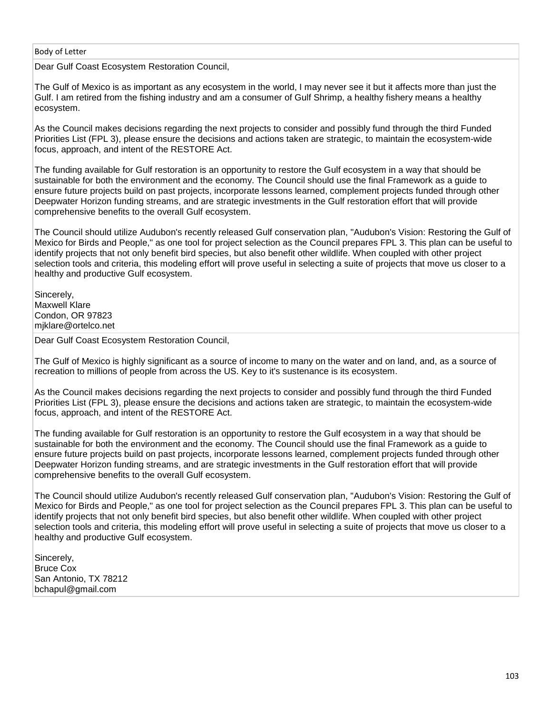Dear Gulf Coast Ecosystem Restoration Council,

The Gulf of Mexico is as important as any ecosystem in the world, I may never see it but it affects more than just the Gulf. I am retired from the fishing industry and am a consumer of Gulf Shrimp, a healthy fishery means a healthy ecosystem.

As the Council makes decisions regarding the next projects to consider and possibly fund through the third Funded Priorities List (FPL 3), please ensure the decisions and actions taken are strategic, to maintain the ecosystem-wide focus, approach, and intent of the RESTORE Act.

The funding available for Gulf restoration is an opportunity to restore the Gulf ecosystem in a way that should be sustainable for both the environment and the economy. The Council should use the final Framework as a guide to ensure future projects build on past projects, incorporate lessons learned, complement projects funded through other Deepwater Horizon funding streams, and are strategic investments in the Gulf restoration effort that will provide comprehensive benefits to the overall Gulf ecosystem.

The Council should utilize Audubon's recently released Gulf conservation plan, "Audubon's Vision: Restoring the Gulf of Mexico for Birds and People," as one tool for project selection as the Council prepares FPL 3. This plan can be useful to identify projects that not only benefit bird species, but also benefit other wildlife. When coupled with other project selection tools and criteria, this modeling effort will prove useful in selecting a suite of projects that move us closer to a healthy and productive Gulf ecosystem.

Sincerely, Maxwell Klare Condon, OR 97823 mjklare@ortelco.net

Dear Gulf Coast Ecosystem Restoration Council,

The Gulf of Mexico is highly significant as a source of income to many on the water and on land, and, as a source of recreation to millions of people from across the US. Key to it's sustenance is its ecosystem.

As the Council makes decisions regarding the next projects to consider and possibly fund through the third Funded Priorities List (FPL 3), please ensure the decisions and actions taken are strategic, to maintain the ecosystem-wide focus, approach, and intent of the RESTORE Act.

The funding available for Gulf restoration is an opportunity to restore the Gulf ecosystem in a way that should be sustainable for both the environment and the economy. The Council should use the final Framework as a guide to ensure future projects build on past projects, incorporate lessons learned, complement projects funded through other Deepwater Horizon funding streams, and are strategic investments in the Gulf restoration effort that will provide comprehensive benefits to the overall Gulf ecosystem.

The Council should utilize Audubon's recently released Gulf conservation plan, "Audubon's Vision: Restoring the Gulf of Mexico for Birds and People," as one tool for project selection as the Council prepares FPL 3. This plan can be useful to identify projects that not only benefit bird species, but also benefit other wildlife. When coupled with other project selection tools and criteria, this modeling effort will prove useful in selecting a suite of projects that move us closer to a healthy and productive Gulf ecosystem.

Sincerely, Bruce Cox San Antonio, TX 78212 bchapul@gmail.com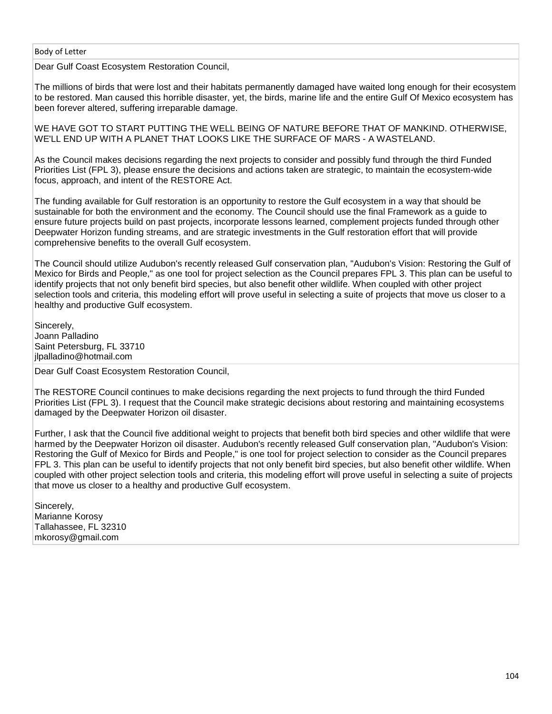Dear Gulf Coast Ecosystem Restoration Council,

The millions of birds that were lost and their habitats permanently damaged have waited long enough for their ecosystem to be restored. Man caused this horrible disaster, yet, the birds, marine life and the entire Gulf Of Mexico ecosystem has been forever altered, suffering irreparable damage.

WE HAVE GOT TO START PUTTING THE WELL BEING OF NATURE BEFORE THAT OF MANKIND. OTHERWISE, WE'LL END UP WITH A PLANET THAT LOOKS LIKE THE SURFACE OF MARS - A WASTELAND.

As the Council makes decisions regarding the next projects to consider and possibly fund through the third Funded Priorities List (FPL 3), please ensure the decisions and actions taken are strategic, to maintain the ecosystem-wide focus, approach, and intent of the RESTORE Act.

The funding available for Gulf restoration is an opportunity to restore the Gulf ecosystem in a way that should be sustainable for both the environment and the economy. The Council should use the final Framework as a guide to ensure future projects build on past projects, incorporate lessons learned, complement projects funded through other Deepwater Horizon funding streams, and are strategic investments in the Gulf restoration effort that will provide comprehensive benefits to the overall Gulf ecosystem.

The Council should utilize Audubon's recently released Gulf conservation plan, "Audubon's Vision: Restoring the Gulf of Mexico for Birds and People," as one tool for project selection as the Council prepares FPL 3. This plan can be useful to identify projects that not only benefit bird species, but also benefit other wildlife. When coupled with other project selection tools and criteria, this modeling effort will prove useful in selecting a suite of projects that move us closer to a healthy and productive Gulf ecosystem.

Sincerely, Joann Palladino Saint Petersburg, FL 33710 jlpalladino@hotmail.com

Dear Gulf Coast Ecosystem Restoration Council,

The RESTORE Council continues to make decisions regarding the next projects to fund through the third Funded Priorities List (FPL 3). I request that the Council make strategic decisions about restoring and maintaining ecosystems damaged by the Deepwater Horizon oil disaster.

Further, I ask that the Council five additional weight to projects that benefit both bird species and other wildlife that were harmed by the Deepwater Horizon oil disaster. Audubon's recently released Gulf conservation plan, "Audubon's Vision: Restoring the Gulf of Mexico for Birds and People," is one tool for project selection to consider as the Council prepares FPL 3. This plan can be useful to identify projects that not only benefit bird species, but also benefit other wildlife. When coupled with other project selection tools and criteria, this modeling effort will prove useful in selecting a suite of projects that move us closer to a healthy and productive Gulf ecosystem.

Sincerely, Marianne Korosy Tallahassee, FL 32310 mkorosy@gmail.com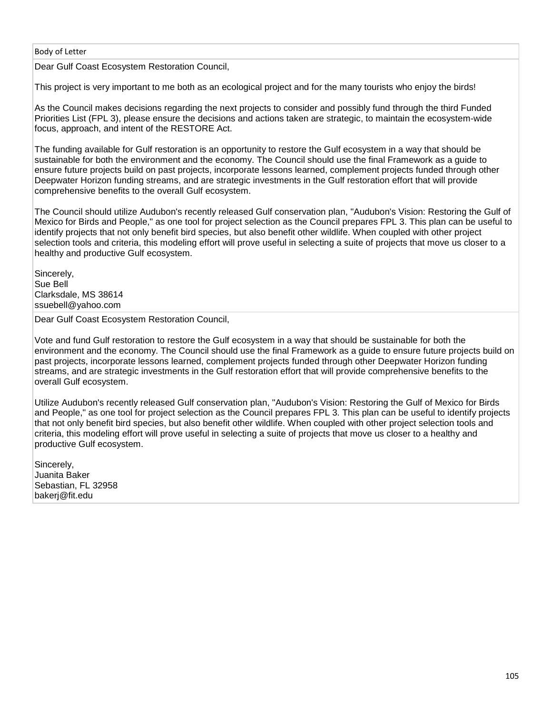Dear Gulf Coast Ecosystem Restoration Council,

This project is very important to me both as an ecological project and for the many tourists who enjoy the birds!

As the Council makes decisions regarding the next projects to consider and possibly fund through the third Funded Priorities List (FPL 3), please ensure the decisions and actions taken are strategic, to maintain the ecosystem-wide focus, approach, and intent of the RESTORE Act.

The funding available for Gulf restoration is an opportunity to restore the Gulf ecosystem in a way that should be sustainable for both the environment and the economy. The Council should use the final Framework as a guide to ensure future projects build on past projects, incorporate lessons learned, complement projects funded through other Deepwater Horizon funding streams, and are strategic investments in the Gulf restoration effort that will provide comprehensive benefits to the overall Gulf ecosystem.

The Council should utilize Audubon's recently released Gulf conservation plan, "Audubon's Vision: Restoring the Gulf of Mexico for Birds and People," as one tool for project selection as the Council prepares FPL 3. This plan can be useful to identify projects that not only benefit bird species, but also benefit other wildlife. When coupled with other project selection tools and criteria, this modeling effort will prove useful in selecting a suite of projects that move us closer to a healthy and productive Gulf ecosystem.

Sincerely, Sue Bell Clarksdale, MS 38614 ssuebell@yahoo.com

Dear Gulf Coast Ecosystem Restoration Council,

Vote and fund Gulf restoration to restore the Gulf ecosystem in a way that should be sustainable for both the environment and the economy. The Council should use the final Framework as a guide to ensure future projects build on past projects, incorporate lessons learned, complement projects funded through other Deepwater Horizon funding streams, and are strategic investments in the Gulf restoration effort that will provide comprehensive benefits to the overall Gulf ecosystem.

Utilize Audubon's recently released Gulf conservation plan, "Audubon's Vision: Restoring the Gulf of Mexico for Birds and People," as one tool for project selection as the Council prepares FPL 3. This plan can be useful to identify projects that not only benefit bird species, but also benefit other wildlife. When coupled with other project selection tools and criteria, this modeling effort will prove useful in selecting a suite of projects that move us closer to a healthy and productive Gulf ecosystem.

Sincerely. Juanita Baker Sebastian, FL 32958 bakerj@fit.edu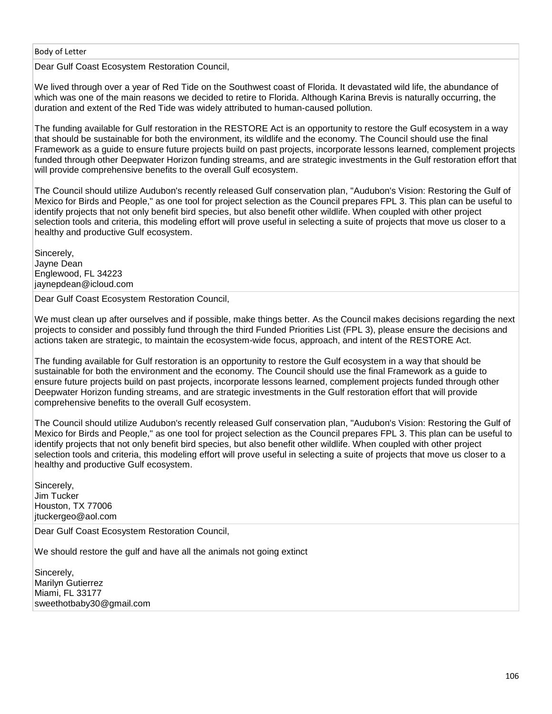Dear Gulf Coast Ecosystem Restoration Council,

We lived through over a year of Red Tide on the Southwest coast of Florida. It devastated wild life, the abundance of which was one of the main reasons we decided to retire to Florida. Although Karina Brevis is naturally occurring, the duration and extent of the Red Tide was widely attributed to human-caused pollution.

The funding available for Gulf restoration in the RESTORE Act is an opportunity to restore the Gulf ecosystem in a way that should be sustainable for both the environment, its wildlife and the economy. The Council should use the final Framework as a guide to ensure future projects build on past projects, incorporate lessons learned, complement projects funded through other Deepwater Horizon funding streams, and are strategic investments in the Gulf restoration effort that will provide comprehensive benefits to the overall Gulf ecosystem.

The Council should utilize Audubon's recently released Gulf conservation plan, "Audubon's Vision: Restoring the Gulf of Mexico for Birds and People," as one tool for project selection as the Council prepares FPL 3. This plan can be useful to identify projects that not only benefit bird species, but also benefit other wildlife. When coupled with other project selection tools and criteria, this modeling effort will prove useful in selecting a suite of projects that move us closer to a healthy and productive Gulf ecosystem.

Sincerely, Jayne Dean Englewood, FL 34223 jaynepdean@icloud.com

Dear Gulf Coast Ecosystem Restoration Council,

We must clean up after ourselves and if possible, make things better. As the Council makes decisions regarding the next projects to consider and possibly fund through the third Funded Priorities List (FPL 3), please ensure the decisions and actions taken are strategic, to maintain the ecosystem-wide focus, approach, and intent of the RESTORE Act.

The funding available for Gulf restoration is an opportunity to restore the Gulf ecosystem in a way that should be sustainable for both the environment and the economy. The Council should use the final Framework as a guide to ensure future projects build on past projects, incorporate lessons learned, complement projects funded through other Deepwater Horizon funding streams, and are strategic investments in the Gulf restoration effort that will provide comprehensive benefits to the overall Gulf ecosystem.

The Council should utilize Audubon's recently released Gulf conservation plan, "Audubon's Vision: Restoring the Gulf of Mexico for Birds and People," as one tool for project selection as the Council prepares FPL 3. This plan can be useful to identify projects that not only benefit bird species, but also benefit other wildlife. When coupled with other project selection tools and criteria, this modeling effort will prove useful in selecting a suite of projects that move us closer to a healthy and productive Gulf ecosystem.

Sincerely, Jim Tucker Houston, TX 77006 jtuckergeo@aol.com

Dear Gulf Coast Ecosystem Restoration Council,

We should restore the gulf and have all the animals not going extinct

Sincerely, Marilyn Gutierrez Miami, FL 33177 sweethotbaby30@gmail.com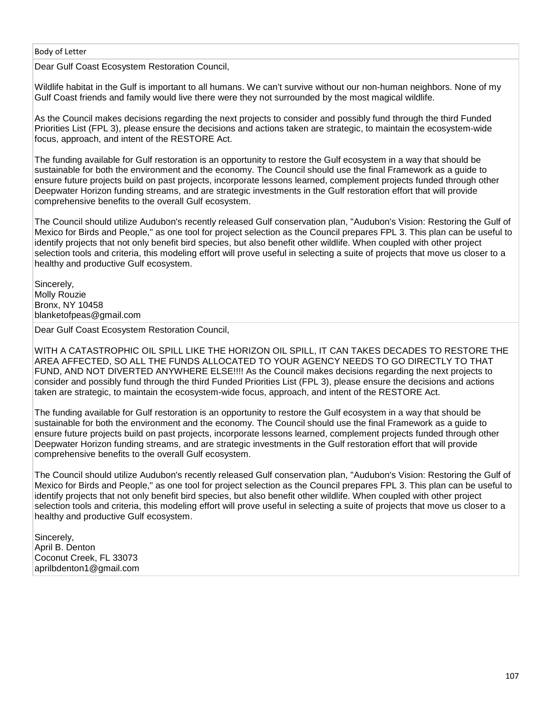Dear Gulf Coast Ecosystem Restoration Council,

Wildlife habitat in the Gulf is important to all humans. We can't survive without our non-human neighbors. None of my Gulf Coast friends and family would live there were they not surrounded by the most magical wildlife.

As the Council makes decisions regarding the next projects to consider and possibly fund through the third Funded Priorities List (FPL 3), please ensure the decisions and actions taken are strategic, to maintain the ecosystem-wide focus, approach, and intent of the RESTORE Act.

The funding available for Gulf restoration is an opportunity to restore the Gulf ecosystem in a way that should be sustainable for both the environment and the economy. The Council should use the final Framework as a guide to ensure future projects build on past projects, incorporate lessons learned, complement projects funded through other Deepwater Horizon funding streams, and are strategic investments in the Gulf restoration effort that will provide comprehensive benefits to the overall Gulf ecosystem.

The Council should utilize Audubon's recently released Gulf conservation plan, "Audubon's Vision: Restoring the Gulf of Mexico for Birds and People," as one tool for project selection as the Council prepares FPL 3. This plan can be useful to identify projects that not only benefit bird species, but also benefit other wildlife. When coupled with other project selection tools and criteria, this modeling effort will prove useful in selecting a suite of projects that move us closer to a healthy and productive Gulf ecosystem.

Sincerely, Molly Rouzie Bronx, NY 10458 blanketofpeas@gmail.com

Dear Gulf Coast Ecosystem Restoration Council,

WITH A CATASTROPHIC OIL SPILL LIKE THE HORIZON OIL SPILL, IT CAN TAKES DECADES TO RESTORE THE AREA AFFECTED, SO ALL THE FUNDS ALLOCATED TO YOUR AGENCY NEEDS TO GO DIRECTLY TO THAT FUND, AND NOT DIVERTED ANYWHERE ELSE!!!! As the Council makes decisions regarding the next projects to consider and possibly fund through the third Funded Priorities List (FPL 3), please ensure the decisions and actions taken are strategic, to maintain the ecosystem-wide focus, approach, and intent of the RESTORE Act.

The funding available for Gulf restoration is an opportunity to restore the Gulf ecosystem in a way that should be sustainable for both the environment and the economy. The Council should use the final Framework as a guide to ensure future projects build on past projects, incorporate lessons learned, complement projects funded through other Deepwater Horizon funding streams, and are strategic investments in the Gulf restoration effort that will provide comprehensive benefits to the overall Gulf ecosystem.

The Council should utilize Audubon's recently released Gulf conservation plan, "Audubon's Vision: Restoring the Gulf of Mexico for Birds and People," as one tool for project selection as the Council prepares FPL 3. This plan can be useful to identify projects that not only benefit bird species, but also benefit other wildlife. When coupled with other project selection tools and criteria, this modeling effort will prove useful in selecting a suite of projects that move us closer to a healthy and productive Gulf ecosystem.

Sincerely, April B. Denton Coconut Creek, FL 33073 aprilbdenton1@gmail.com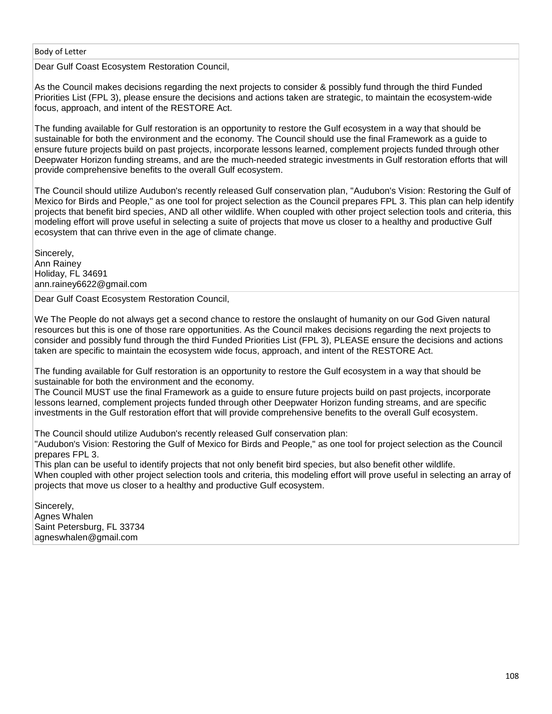Dear Gulf Coast Ecosystem Restoration Council,

As the Council makes decisions regarding the next projects to consider & possibly fund through the third Funded Priorities List (FPL 3), please ensure the decisions and actions taken are strategic, to maintain the ecosystem-wide focus, approach, and intent of the RESTORE Act.

The funding available for Gulf restoration is an opportunity to restore the Gulf ecosystem in a way that should be sustainable for both the environment and the economy. The Council should use the final Framework as a guide to ensure future projects build on past projects, incorporate lessons learned, complement projects funded through other Deepwater Horizon funding streams, and are the much-needed strategic investments in Gulf restoration efforts that will provide comprehensive benefits to the overall Gulf ecosystem.

The Council should utilize Audubon's recently released Gulf conservation plan, "Audubon's Vision: Restoring the Gulf of Mexico for Birds and People," as one tool for project selection as the Council prepares FPL 3. This plan can help identify projects that benefit bird species, AND all other wildlife. When coupled with other project selection tools and criteria, this modeling effort will prove useful in selecting a suite of projects that move us closer to a healthy and productive Gulf ecosystem that can thrive even in the age of climate change.

Sincerely, Ann Rainey Holiday, FL 34691 ann.rainey6622@gmail.com

Dear Gulf Coast Ecosystem Restoration Council,

We The People do not always get a second chance to restore the onslaught of humanity on our God Given natural resources but this is one of those rare opportunities. As the Council makes decisions regarding the next projects to consider and possibly fund through the third Funded Priorities List (FPL 3), PLEASE ensure the decisions and actions taken are specific to maintain the ecosystem wide focus, approach, and intent of the RESTORE Act.

The funding available for Gulf restoration is an opportunity to restore the Gulf ecosystem in a way that should be sustainable for both the environment and the economy.

The Council MUST use the final Framework as a guide to ensure future projects build on past projects, incorporate lessons learned, complement projects funded through other Deepwater Horizon funding streams, and are specific investments in the Gulf restoration effort that will provide comprehensive benefits to the overall Gulf ecosystem.

The Council should utilize Audubon's recently released Gulf conservation plan:

"Audubon's Vision: Restoring the Gulf of Mexico for Birds and People," as one tool for project selection as the Council prepares FPL 3.

This plan can be useful to identify projects that not only benefit bird species, but also benefit other wildlife. When coupled with other project selection tools and criteria, this modeling effort will prove useful in selecting an array of projects that move us closer to a healthy and productive Gulf ecosystem.

Sincerely, Agnes Whalen Saint Petersburg, FL 33734 agneswhalen@gmail.com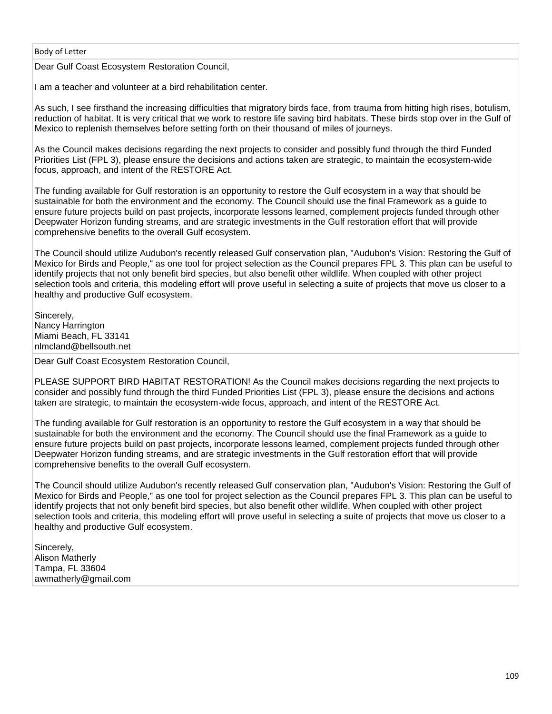#### Body of Letter

Dear Gulf Coast Ecosystem Restoration Council,

I am a teacher and volunteer at a bird rehabilitation center.

As such, I see firsthand the increasing difficulties that migratory birds face, from trauma from hitting high rises, botulism, reduction of habitat. It is very critical that we work to restore life saving bird habitats. These birds stop over in the Gulf of Mexico to replenish themselves before setting forth on their thousand of miles of journeys.

As the Council makes decisions regarding the next projects to consider and possibly fund through the third Funded Priorities List (FPL 3), please ensure the decisions and actions taken are strategic, to maintain the ecosystem-wide focus, approach, and intent of the RESTORE Act.

The funding available for Gulf restoration is an opportunity to restore the Gulf ecosystem in a way that should be sustainable for both the environment and the economy. The Council should use the final Framework as a guide to ensure future projects build on past projects, incorporate lessons learned, complement projects funded through other Deepwater Horizon funding streams, and are strategic investments in the Gulf restoration effort that will provide comprehensive benefits to the overall Gulf ecosystem.

The Council should utilize Audubon's recently released Gulf conservation plan, "Audubon's Vision: Restoring the Gulf of Mexico for Birds and People," as one tool for project selection as the Council prepares FPL 3. This plan can be useful to identify projects that not only benefit bird species, but also benefit other wildlife. When coupled with other project selection tools and criteria, this modeling effort will prove useful in selecting a suite of projects that move us closer to a healthy and productive Gulf ecosystem.

Sincerely, Nancy Harrington Miami Beach, FL 33141 nlmcland@bellsouth.net

Dear Gulf Coast Ecosystem Restoration Council,

PLEASE SUPPORT BIRD HABITAT RESTORATION! As the Council makes decisions regarding the next projects to consider and possibly fund through the third Funded Priorities List (FPL 3), please ensure the decisions and actions taken are strategic, to maintain the ecosystem-wide focus, approach, and intent of the RESTORE Act.

The funding available for Gulf restoration is an opportunity to restore the Gulf ecosystem in a way that should be sustainable for both the environment and the economy. The Council should use the final Framework as a guide to ensure future projects build on past projects, incorporate lessons learned, complement projects funded through other Deepwater Horizon funding streams, and are strategic investments in the Gulf restoration effort that will provide comprehensive benefits to the overall Gulf ecosystem.

The Council should utilize Audubon's recently released Gulf conservation plan, "Audubon's Vision: Restoring the Gulf of Mexico for Birds and People," as one tool for project selection as the Council prepares FPL 3. This plan can be useful to identify projects that not only benefit bird species, but also benefit other wildlife. When coupled with other project selection tools and criteria, this modeling effort will prove useful in selecting a suite of projects that move us closer to a healthy and productive Gulf ecosystem.

Sincerely, Alison Matherly Tampa, FL 33604 awmatherly@gmail.com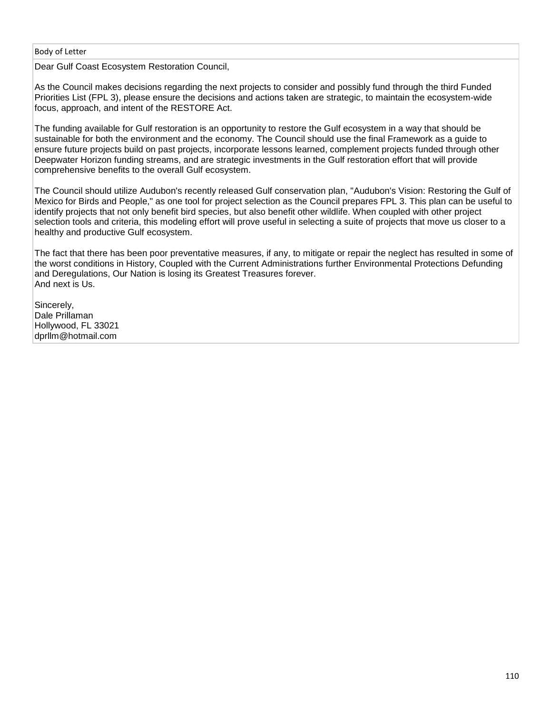Body of Letter

Dear Gulf Coast Ecosystem Restoration Council,

As the Council makes decisions regarding the next projects to consider and possibly fund through the third Funded Priorities List (FPL 3), please ensure the decisions and actions taken are strategic, to maintain the ecosystem-wide focus, approach, and intent of the RESTORE Act.

The funding available for Gulf restoration is an opportunity to restore the Gulf ecosystem in a way that should be sustainable for both the environment and the economy. The Council should use the final Framework as a guide to ensure future projects build on past projects, incorporate lessons learned, complement projects funded through other Deepwater Horizon funding streams, and are strategic investments in the Gulf restoration effort that will provide comprehensive benefits to the overall Gulf ecosystem.

The Council should utilize Audubon's recently released Gulf conservation plan, "Audubon's Vision: Restoring the Gulf of Mexico for Birds and People," as one tool for project selection as the Council prepares FPL 3. This plan can be useful to identify projects that not only benefit bird species, but also benefit other wildlife. When coupled with other project selection tools and criteria, this modeling effort will prove useful in selecting a suite of projects that move us closer to a healthy and productive Gulf ecosystem.

The fact that there has been poor preventative measures, if any, to mitigate or repair the neglect has resulted in some of the worst conditions in History, Coupled with the Current Administrations further Environmental Protections Defunding and Deregulations, Our Nation is losing its Greatest Treasures forever. And next is Us.

Sincerely, Dale Prillaman Hollywood, FL 33021 dprllm@hotmail.com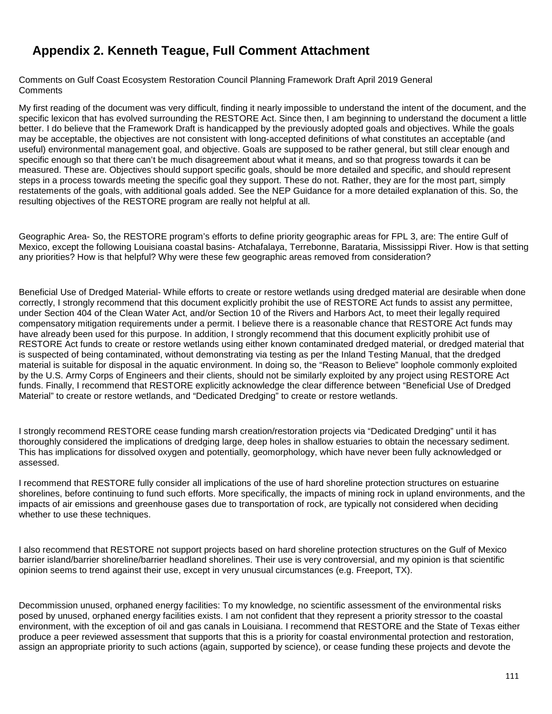# **Appendix 2. Kenneth Teague, Full Comment Attachment**

Comments on Gulf Coast Ecosystem Restoration Council Planning Framework Draft April 2019 General **Comments** 

My first reading of the document was very difficult, finding it nearly impossible to understand the intent of the document, and the specific lexicon that has evolved surrounding the RESTORE Act. Since then, I am beginning to understand the document a little better. I do believe that the Framework Draft is handicapped by the previously adopted goals and objectives. While the goals may be acceptable, the objectives are not consistent with long-accepted definitions of what constitutes an acceptable (and useful) environmental management goal, and objective. Goals are supposed to be rather general, but still clear enough and specific enough so that there can't be much disagreement about what it means, and so that progress towards it can be measured. These are. Objectives should support specific goals, should be more detailed and specific, and should represent steps in a process towards meeting the specific goal they support. These do not. Rather, they are for the most part, simply restatements of the goals, with additional goals added. See the NEP Guidance for a more detailed explanation of this. So, the resulting objectives of the RESTORE program are really not helpful at all.

Geographic Area- So, the RESTORE program's efforts to define priority geographic areas for FPL 3, are: The entire Gulf of Mexico, except the following Louisiana coastal basins- Atchafalaya, Terrebonne, Barataria, Mississippi River. How is that setting any priorities? How is that helpful? Why were these few geographic areas removed from consideration?

Beneficial Use of Dredged Material- While efforts to create or restore wetlands using dredged material are desirable when done correctly, I strongly recommend that this document explicitly prohibit the use of RESTORE Act funds to assist any permittee, under Section 404 of the Clean Water Act, and/or Section 10 of the Rivers and Harbors Act, to meet their legally required compensatory mitigation requirements under a permit. I believe there is a reasonable chance that RESTORE Act funds may have already been used for this purpose. In addition, I strongly recommend that this document explicitly prohibit use of RESTORE Act funds to create or restore wetlands using either known contaminated dredged material, or dredged material that is suspected of being contaminated, without demonstrating via testing as per the Inland Testing Manual, that the dredged material is suitable for disposal in the aquatic environment. In doing so, the "Reason to Believe" loophole commonly exploited by the U.S. Army Corps of Engineers and their clients, should not be similarly exploited by any project using RESTORE Act funds. Finally, I recommend that RESTORE explicitly acknowledge the clear difference between "Beneficial Use of Dredged Material" to create or restore wetlands, and "Dedicated Dredging" to create or restore wetlands.

I strongly recommend RESTORE cease funding marsh creation/restoration projects via "Dedicated Dredging" until it has thoroughly considered the implications of dredging large, deep holes in shallow estuaries to obtain the necessary sediment. This has implications for dissolved oxygen and potentially, geomorphology, which have never been fully acknowledged or assessed.

I recommend that RESTORE fully consider all implications of the use of hard shoreline protection structures on estuarine shorelines, before continuing to fund such efforts. More specifically, the impacts of mining rock in upland environments, and the impacts of air emissions and greenhouse gases due to transportation of rock, are typically not considered when deciding whether to use these techniques.

I also recommend that RESTORE not support projects based on hard shoreline protection structures on the Gulf of Mexico barrier island/barrier shoreline/barrier headland shorelines. Their use is very controversial, and my opinion is that scientific opinion seems to trend against their use, except in very unusual circumstances (e.g. Freeport, TX).

Decommission unused, orphaned energy facilities: To my knowledge, no scientific assessment of the environmental risks posed by unused, orphaned energy facilities exists. I am not confident that they represent a priority stressor to the coastal environment, with the exception of oil and gas canals in Louisiana. I recommend that RESTORE and the State of Texas either produce a peer reviewed assessment that supports that this is a priority for coastal environmental protection and restoration, assign an appropriate priority to such actions (again, supported by science), or cease funding these projects and devote the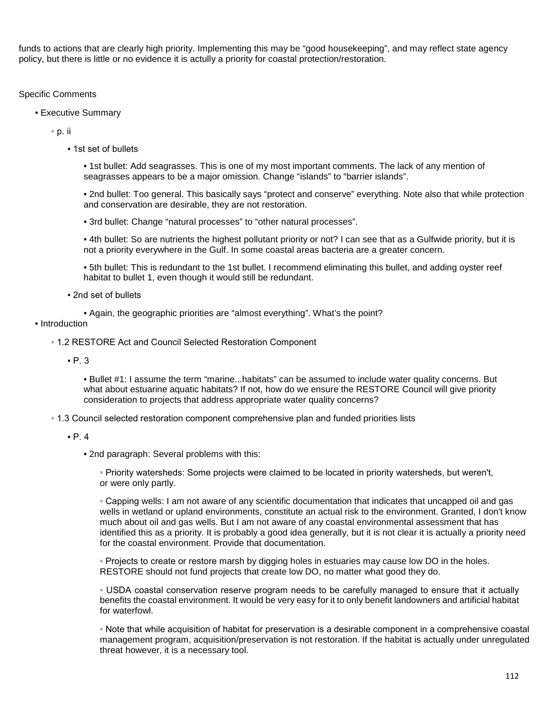funds to actions that are clearly high priority. Implementing this may be "good housekeeping", and may reflect state agency policy, but there is little or no evidence it is actully a priority for coastal protection/restoration.

# Specific Comments

• Executive Summary

◦ p. ii

▪ 1st set of bullets

• 1st bullet: Add seagrasses. This is one of my most important comments. The lack of any mention of seagrasses appears to be a major omission. Change "islands" to "barrier islands".

• 2nd bullet: Too general. This basically says "protect and conserve" everything. Note also that while protection and conservation are desirable, they are not restoration.

• 3rd bullet: Change "natural processes" to "other natural processes".

• 4th bullet: So are nutrients the highest pollutant priority or not? I can see that as a Gulfwide priority, but it is not a priority everywhere in the Gulf. In some coastal areas bacteria are a greater concern.

• 5th bullet: This is redundant to the 1st bullet. I recommend eliminating this bullet, and adding oyster reef habitat to bullet 1, even though it would still be redundant.

▪ 2nd set of bullets

• Again, the geographic priorities are "almost everything". What's the point?

#### • Introduction

◦ 1.2 RESTORE Act and Council Selected Restoration Component

 $\cdot$  P. 3

• Bullet #1: I assume the term "marine...habitats" can be assumed to include water quality concerns. But what about estuarine aquatic habitats? If not, how do we ensure the RESTORE Council will give priority consideration to projects that address appropriate water quality concerns?

◦ 1.3 Council selected restoration component comprehensive plan and funded priorities lists

• 2nd paragraph: Several problems with this:

◦ Priority watersheds: Some projects were claimed to be located in priority watersheds, but weren't, or were only partly.

◦ Capping wells: I am not aware of any scientific documentation that indicates that uncapped oil and gas wells in wetland or upland environments, constitute an actual risk to the environment. Granted, I don't know much about oil and gas wells. But I am not aware of any coastal environmental assessment that has identified this as a priority. It is probably a good idea generally, but it is not clear it is actually a priority need for the coastal environment. Provide that documentation.

◦ Projects to create or restore marsh by digging holes in estuaries may cause low DO in the holes. RESTORE should not fund projects that create low DO, no matter what good they do.

◦ USDA coastal conservation reserve program needs to be carefully managed to ensure that it actually benefits the coastal environment. It would be very easy for it to only benefit landowners and artificial habitat for waterfowl.

◦ Note that while acquisition of habitat for preservation is a desirable component in a comprehensive coastal management program, acquisition/preservation is not restoration. If the habitat is actually under unregulated threat however, it is a necessary tool.

 $P.4$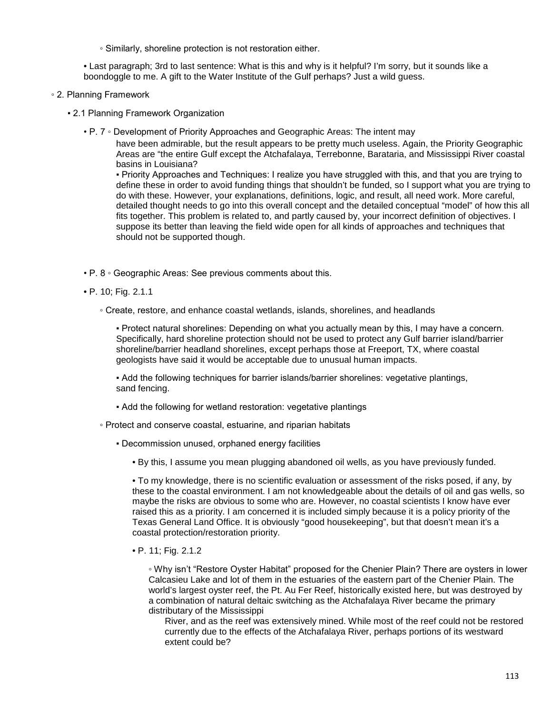◦ Similarly, shoreline protection is not restoration either.

• Last paragraph; 3rd to last sentence: What is this and why is it helpful? I'm sorry, but it sounds like a boondoggle to me. A gift to the Water Institute of the Gulf perhaps? Just a wild guess.

- 2. Planning Framework
	- 2.1 Planning Framework Organization
		- P. 7 Development of Priority Approaches and Geographic Areas: The intent may

have been admirable, but the result appears to be pretty much useless. Again, the Priority Geographic Areas are "the entire Gulf except the Atchafalaya, Terrebonne, Barataria, and Mississippi River coastal basins in Louisiana?

▪ Priority Approaches and Techniques: I realize you have struggled with this, and that you are trying to define these in order to avoid funding things that shouldn't be funded, so I support what you are trying to do with these. However, your explanations, definitions, logic, and result, all need work. More careful, detailed thought needs to go into this overall concept and the detailed conceptual "model" of how this all fits together. This problem is related to, and partly caused by, your incorrect definition of objectives. I suppose its better than leaving the field wide open for all kinds of approaches and techniques that should not be supported though.

- P. 8 Geographic Areas: See previous comments about this.
- P. 10; Fig. 2.1.1
	- Create, restore, and enhance coastal wetlands, islands, shorelines, and headlands

▪ Protect natural shorelines: Depending on what you actually mean by this, I may have a concern. Specifically, hard shoreline protection should not be used to protect any Gulf barrier island/barrier shoreline/barrier headland shorelines, except perhaps those at Freeport, TX, where coastal geologists have said it would be acceptable due to unusual human impacts.

▪ Add the following techniques for barrier islands/barrier shorelines: vegetative plantings, sand fencing.

- Add the following for wetland restoration: vegetative plantings
- Protect and conserve coastal, estuarine, and riparian habitats
	- Decommission unused, orphaned energy facilities
		- By this, I assume you mean plugging abandoned oil wells, as you have previously funded.

• To my knowledge, there is no scientific evaluation or assessment of the risks posed, if any, by these to the coastal environment. I am not knowledgeable about the details of oil and gas wells, so maybe the risks are obvious to some who are. However, no coastal scientists I know have ever raised this as a priority. I am concerned it is included simply because it is a policy priority of the Texas General Land Office. It is obviously "good housekeeping", but that doesn't mean it's a coastal protection/restoration priority.

• P. 11; Fig. 2.1.2

◦ Why isn't "Restore Oyster Habitat" proposed for the Chenier Plain? There are oysters in lower Calcasieu Lake and lot of them in the estuaries of the eastern part of the Chenier Plain. The world's largest oyster reef, the Pt. Au Fer Reef, historically existed here, but was destroyed by a combination of natural deltaic switching as the Atchafalaya River became the primary distributary of the Mississippi

River, and as the reef was extensively mined. While most of the reef could not be restored currently due to the effects of the Atchafalaya River, perhaps portions of its westward extent could be?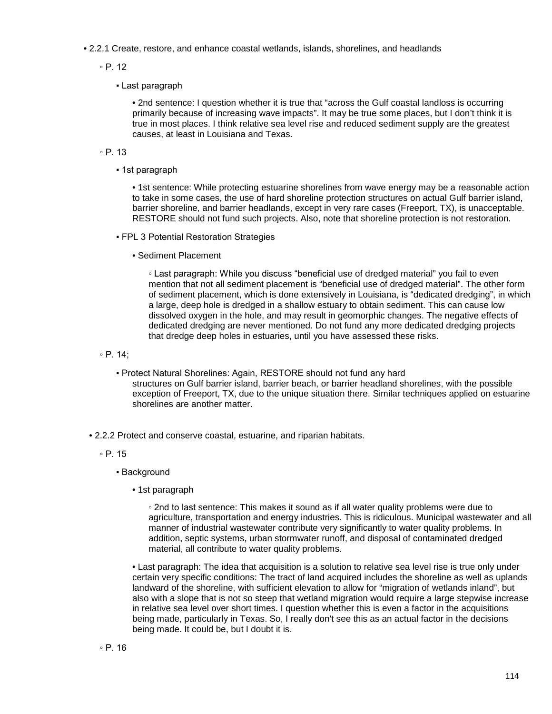- 2.2.1 Create, restore, and enhance coastal wetlands, islands, shorelines, and headlands
	- P. 12
		- Last paragraph

• 2nd sentence: I question whether it is true that "across the Gulf coastal landloss is occurring primarily because of increasing wave impacts". It may be true some places, but I don't think it is true in most places. I think relative sea level rise and reduced sediment supply are the greatest causes, at least in Louisiana and Texas.

- P. 13
	- 1st paragraph

• 1st sentence: While protecting estuarine shorelines from wave energy may be a reasonable action to take in some cases, the use of hard shoreline protection structures on actual Gulf barrier island, barrier shoreline, and barrier headlands, except in very rare cases (Freeport, TX), is unacceptable. RESTORE should not fund such projects. Also, note that shoreline protection is not restoration.

- FPL 3 Potential Restoration Strategies
	- Sediment Placement

◦ Last paragraph: While you discuss "beneficial use of dredged material" you fail to even mention that not all sediment placement is "beneficial use of dredged material". The other form of sediment placement, which is done extensively in Louisiana, is "dedicated dredging", in which a large, deep hole is dredged in a shallow estuary to obtain sediment. This can cause low dissolved oxygen in the hole, and may result in geomorphic changes. The negative effects of dedicated dredging are never mentioned. Do not fund any more dedicated dredging projects that dredge deep holes in estuaries, until you have assessed these risks.

◦ P. 14;

- Protect Natural Shorelines: Again, RESTORE should not fund any hard structures on Gulf barrier island, barrier beach, or barrier headland shorelines, with the possible exception of Freeport, TX, due to the unique situation there. Similar techniques applied on estuarine shorelines are another matter.
- 2.2.2 Protect and conserve coastal, estuarine, and riparian habitats.
	- P. 15
		- **Background** 
			- 1st paragraph

◦ 2nd to last sentence: This makes it sound as if all water quality problems were due to agriculture, transportation and energy industries. This is ridiculous. Municipal wastewater and all manner of industrial wastewater contribute very significantly to water quality problems. In addition, septic systems, urban stormwater runoff, and disposal of contaminated dredged material, all contribute to water quality problems.

• Last paragraph: The idea that acquisition is a solution to relative sea level rise is true only under certain very specific conditions: The tract of land acquired includes the shoreline as well as uplands landward of the shoreline, with sufficient elevation to allow for "migration of wetlands inland", but also with a slope that is not so steep that wetland migration would require a large stepwise increase in relative sea level over short times. I question whether this is even a factor in the acquisitions being made, particularly in Texas. So, I really don't see this as an actual factor in the decisions being made. It could be, but I doubt it is.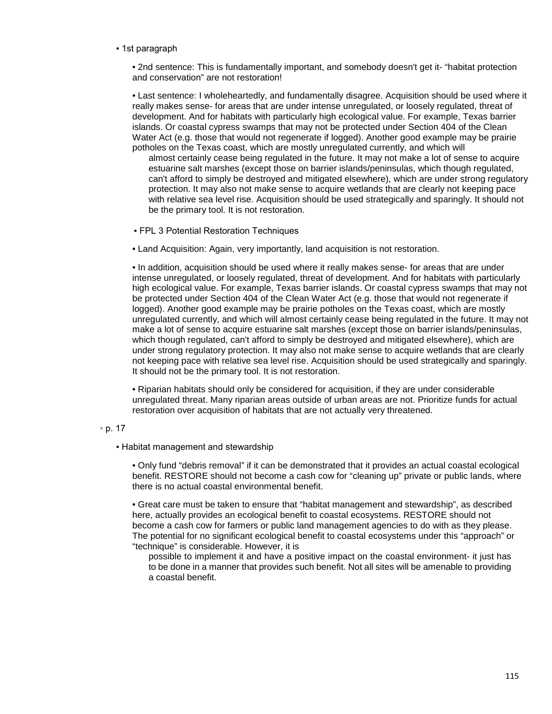▪ 1st paragraph

• 2nd sentence: This is fundamentally important, and somebody doesn't get it- "habitat protection and conservation" are not restoration!

• Last sentence: I wholeheartedly, and fundamentally disagree. Acquisition should be used where it really makes sense- for areas that are under intense unregulated, or loosely regulated, threat of development. And for habitats with particularly high ecological value. For example, Texas barrier islands. Or coastal cypress swamps that may not be protected under Section 404 of the Clean Water Act (e.g. those that would not regenerate if logged). Another good example may be prairie potholes on the Texas coast, which are mostly unregulated currently, and which will

almost certainly cease being regulated in the future. It may not make a lot of sense to acquire estuarine salt marshes (except those on barrier islands/peninsulas, which though regulated, can't afford to simply be destroyed and mitigated elsewhere), which are under strong regulatory protection. It may also not make sense to acquire wetlands that are clearly not keeping pace with relative sea level rise. Acquisition should be used strategically and sparingly. It should not be the primary tool. It is not restoration.

- FPL 3 Potential Restoration Techniques
- Land Acquisition: Again, very importantly, land acquisition is not restoration.

• In addition, acquisition should be used where it really makes sense- for areas that are under intense unregulated, or loosely regulated, threat of development. And for habitats with particularly high ecological value. For example, Texas barrier islands. Or coastal cypress swamps that may not be protected under Section 404 of the Clean Water Act (e.g. those that would not regenerate if logged). Another good example may be prairie potholes on the Texas coast, which are mostly unregulated currently, and which will almost certainly cease being regulated in the future. It may not make a lot of sense to acquire estuarine salt marshes (except those on barrier islands/peninsulas, which though regulated, can't afford to simply be destroyed and mitigated elsewhere), which are under strong regulatory protection. It may also not make sense to acquire wetlands that are clearly not keeping pace with relative sea level rise. Acquisition should be used strategically and sparingly. It should not be the primary tool. It is not restoration.

• Riparian habitats should only be considered for acquisition, if they are under considerable unregulated threat. Many riparian areas outside of urban areas are not. Prioritize funds for actual restoration over acquisition of habitats that are not actually very threatened.

#### ◦ p. 17

**• Habitat management and stewardship** 

• Only fund "debris removal" if it can be demonstrated that it provides an actual coastal ecological benefit. RESTORE should not become a cash cow for "cleaning up" private or public lands, where there is no actual coastal environmental benefit.

• Great care must be taken to ensure that "habitat management and stewardship", as described here, actually provides an ecological benefit to coastal ecosystems. RESTORE should not become a cash cow for farmers or public land management agencies to do with as they please. The potential for no significant ecological benefit to coastal ecosystems under this "approach" or "technique" is considerable. However, it is

possible to implement it and have a positive impact on the coastal environment- it just has to be done in a manner that provides such benefit. Not all sites will be amenable to providing a coastal benefit.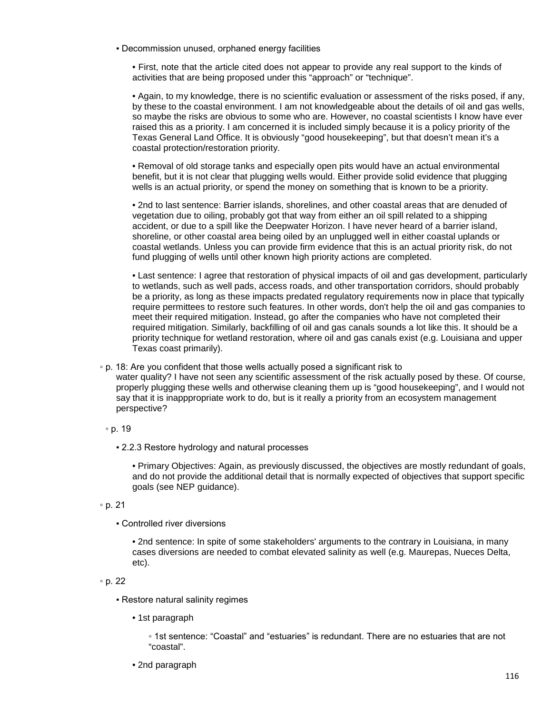▪ Decommission unused, orphaned energy facilities

• First, note that the article cited does not appear to provide any real support to the kinds of activities that are being proposed under this "approach" or "technique".

• Again, to my knowledge, there is no scientific evaluation or assessment of the risks posed, if any, by these to the coastal environment. I am not knowledgeable about the details of oil and gas wells, so maybe the risks are obvious to some who are. However, no coastal scientists I know have ever raised this as a priority. I am concerned it is included simply because it is a policy priority of the Texas General Land Office. It is obviously "good housekeeping", but that doesn't mean it's a coastal protection/restoration priority.

• Removal of old storage tanks and especially open pits would have an actual environmental benefit, but it is not clear that plugging wells would. Either provide solid evidence that plugging wells is an actual priority, or spend the money on something that is known to be a priority.

• 2nd to last sentence: Barrier islands, shorelines, and other coastal areas that are denuded of vegetation due to oiling, probably got that way from either an oil spill related to a shipping accident, or due to a spill like the Deepwater Horizon. I have never heard of a barrier island, shoreline, or other coastal area being oiled by an unplugged well in either coastal uplands or coastal wetlands. Unless you can provide firm evidence that this is an actual priority risk, do not fund plugging of wells until other known high priority actions are completed.

• Last sentence: I agree that restoration of physical impacts of oil and gas development, particularly to wetlands, such as well pads, access roads, and other transportation corridors, should probably be a priority, as long as these impacts predated regulatory requirements now in place that typically require permittees to restore such features. In other words, don't help the oil and gas companies to meet their required mitigation. Instead, go after the companies who have not completed their required mitigation. Similarly, backfilling of oil and gas canals sounds a lot like this. It should be a priority technique for wetland restoration, where oil and gas canals exist (e.g. Louisiana and upper Texas coast primarily).

◦ p. 18: Are you confident that those wells actually posed a significant risk to

water quality? I have not seen any scientific assessment of the risk actually posed by these. Of course, properly plugging these wells and otherwise cleaning them up is "good housekeeping", and I would not say that it is inapppropriate work to do, but is it really a priority from an ecosystem management perspective?

◦ p. 19

▪ 2.2.3 Restore hydrology and natural processes

• Primary Objectives: Again, as previously discussed, the objectives are mostly redundant of goals, and do not provide the additional detail that is normally expected of objectives that support specific goals (see NEP guidance).

- p. 21
	- Controlled river diversions

• 2nd sentence: In spite of some stakeholders' arguments to the contrary in Louisiana, in many cases diversions are needed to combat elevated salinity as well (e.g. Maurepas, Nueces Delta, etc).

◦ p. 22

- Restore natural salinity regimes
	- 1st paragraph

◦ 1st sentence: "Coastal" and "estuaries" is redundant. There are no estuaries that are not "coastal".

• 2nd paragraph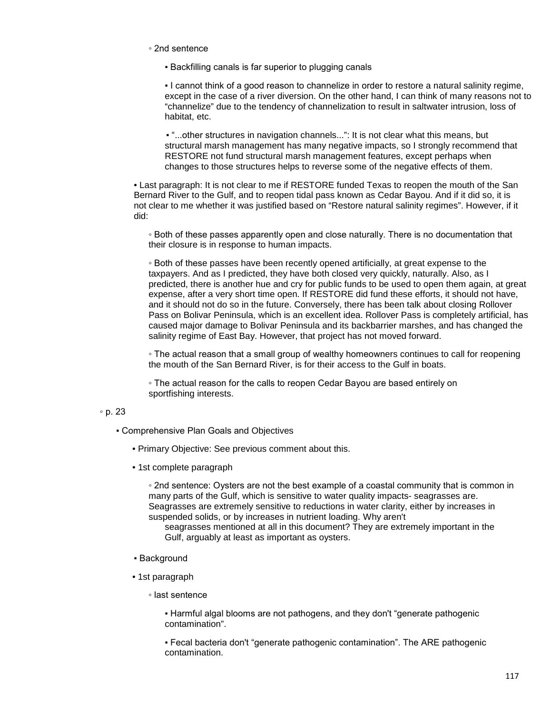- 2nd sentence
	- Backfilling canals is far superior to plugging canals

▪ I cannot think of a good reason to channelize in order to restore a natural salinity regime, except in the case of a river diversion. On the other hand, I can think of many reasons not to "channelize" due to the tendency of channelization to result in saltwater intrusion, loss of habitat, etc.

▪ "...other structures in navigation channels...": It is not clear what this means, but structural marsh management has many negative impacts, so I strongly recommend that RESTORE not fund structural marsh management features, except perhaps when changes to those structures helps to reverse some of the negative effects of them.

• Last paragraph: It is not clear to me if RESTORE funded Texas to reopen the mouth of the San Bernard River to the Gulf, and to reopen tidal pass known as Cedar Bayou. And if it did so, it is not clear to me whether it was justified based on "Restore natural salinity regimes". However, if it did:

◦ Both of these passes apparently open and close naturally. There is no documentation that their closure is in response to human impacts.

◦ Both of these passes have been recently opened artificially, at great expense to the taxpayers. And as I predicted, they have both closed very quickly, naturally. Also, as I predicted, there is another hue and cry for public funds to be used to open them again, at great expense, after a very short time open. If RESTORE did fund these efforts, it should not have, and it should not do so in the future. Conversely, there has been talk about closing Rollover Pass on Bolivar Peninsula, which is an excellent idea. Rollover Pass is completely artificial, has caused major damage to Bolivar Peninsula and its backbarrier marshes, and has changed the salinity regime of East Bay. However, that project has not moved forward.

◦ The actual reason that a small group of wealthy homeowners continues to call for reopening the mouth of the San Bernard River, is for their access to the Gulf in boats.

◦ The actual reason for the calls to reopen Cedar Bayou are based entirely on sportfishing interests.

### ◦ p. 23

- Comprehensive Plan Goals and Objectives
	- Primary Objective: See previous comment about this.
	- 1st complete paragraph

◦ 2nd sentence: Oysters are not the best example of a coastal community that is common in many parts of the Gulf, which is sensitive to water quality impacts- seagrasses are. Seagrasses are extremely sensitive to reductions in water clarity, either by increases in suspended solids, or by increases in nutrient loading. Why aren't

seagrasses mentioned at all in this document? They are extremely important in the Gulf, arguably at least as important as oysters.

- **Background**
- 1st paragraph
	- last sentence

▪ Harmful algal blooms are not pathogens, and they don't "generate pathogenic contamination".

▪ Fecal bacteria don't "generate pathogenic contamination". The ARE pathogenic contamination.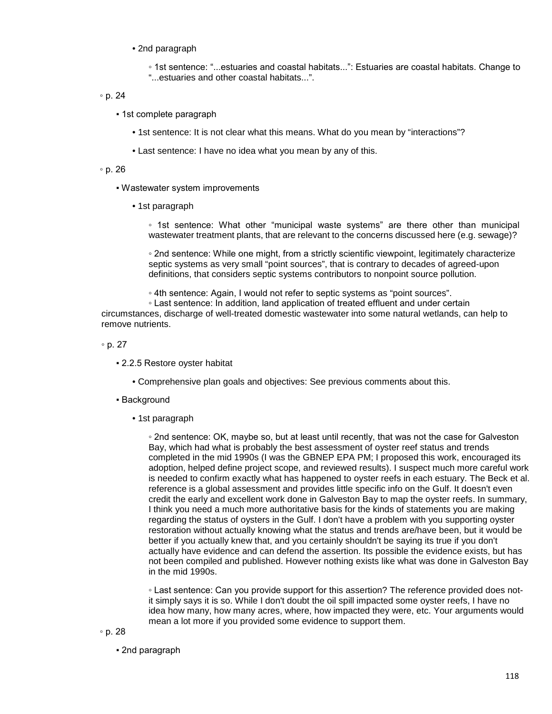• 2nd paragraph

◦ 1st sentence: "...estuaries and coastal habitats...": Estuaries are coastal habitats. Change to "...estuaries and other coastal habitats...".

#### ◦ p. 24

- 1st complete paragraph
	- 1st sentence: It is not clear what this means. What do you mean by "interactions"?
	- Last sentence: I have no idea what you mean by any of this.

#### ◦ p. 26

- Wastewater system improvements
	- 1st paragraph

◦ 1st sentence: What other "municipal waste systems" are there other than municipal wastewater treatment plants, that are relevant to the concerns discussed here (e.g. sewage)?

◦ 2nd sentence: While one might, from a strictly scientific viewpoint, legitimately characterize septic systems as very small "point sources", that is contrary to decades of agreed-upon definitions, that considers septic systems contributors to nonpoint source pollution.

- 4th sentence: Again, I would not refer to septic systems as "point sources".
- Last sentence: In addition, land application of treated effluent and under certain

circumstances, discharge of well-treated domestic wastewater into some natural wetlands, can help to remove nutrients.

- p. 27
	- 2.2.5 Restore oyster habitat
		- Comprehensive plan goals and objectives: See previous comments about this.
	- Background
		- 1st paragraph

◦ 2nd sentence: OK, maybe so, but at least until recently, that was not the case for Galveston Bay, which had what is probably the best assessment of oyster reef status and trends completed in the mid 1990s (I was the GBNEP EPA PM; I proposed this work, encouraged its adoption, helped define project scope, and reviewed results). I suspect much more careful work is needed to confirm exactly what has happened to oyster reefs in each estuary. The Beck et al. reference is a global assessment and provides little specific info on the Gulf. It doesn't even credit the early and excellent work done in Galveston Bay to map the oyster reefs. In summary, I think you need a much more authoritative basis for the kinds of statements you are making regarding the status of oysters in the Gulf. I don't have a problem with you supporting oyster restoration without actually knowing what the status and trends are/have been, but it would be better if you actually knew that, and you certainly shouldn't be saying its true if you don't actually have evidence and can defend the assertion. Its possible the evidence exists, but has not been compiled and published. However nothing exists like what was done in Galveston Bay in the mid 1990s.

◦ Last sentence: Can you provide support for this assertion? The reference provided does notit simply says it is so. While I don't doubt the oil spill impacted some oyster reefs, I have no idea how many, how many acres, where, how impacted they were, etc. Your arguments would mean a lot more if you provided some evidence to support them.

▪ 2nd paragraph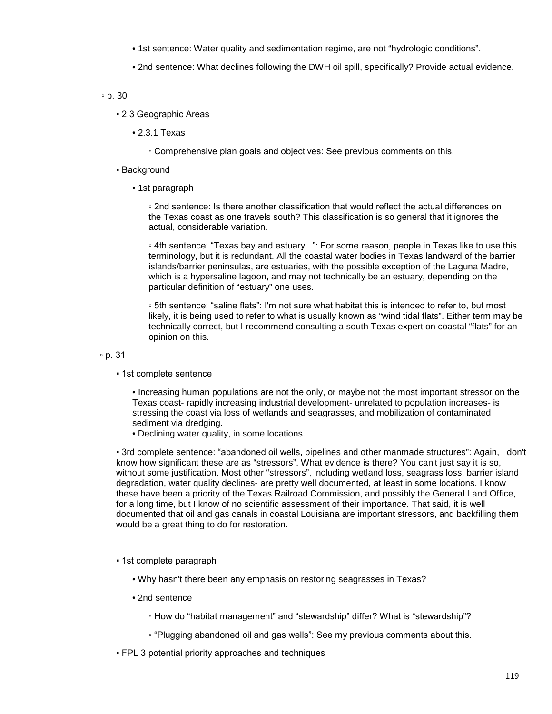- 1st sentence: Water quality and sedimentation regime, are not "hydrologic conditions".
- 2nd sentence: What declines following the DWH oil spill, specifically? Provide actual evidence.

# ◦ p. 30

- 2.3 Geographic Areas
	- 2.3.1 Texas
		- Comprehensive plan goals and objectives: See previous comments on this.
- **· Background** 
	- 1st paragraph

◦ 2nd sentence: Is there another classification that would reflect the actual differences on the Texas coast as one travels south? This classification is so general that it ignores the actual, considerable variation.

◦ 4th sentence: "Texas bay and estuary...": For some reason, people in Texas like to use this terminology, but it is redundant. All the coastal water bodies in Texas landward of the barrier islands/barrier peninsulas, are estuaries, with the possible exception of the Laguna Madre, which is a hypersaline lagoon, and may not technically be an estuary, depending on the particular definition of "estuary" one uses.

◦ 5th sentence: "saline flats": I'm not sure what habitat this is intended to refer to, but most likely, it is being used to refer to what is usually known as "wind tidal flats". Either term may be technically correct, but I recommend consulting a south Texas expert on coastal "flats" for an opinion on this.

◦ p. 31

**• 1st complete sentence** 

• Increasing human populations are not the only, or maybe not the most important stressor on the Texas coast- rapidly increasing industrial development- unrelated to population increases- is stressing the coast via loss of wetlands and seagrasses, and mobilization of contaminated sediment via dredging.

• Declining water quality, in some locations.

▪ 3rd complete sentence: "abandoned oil wells, pipelines and other manmade structures": Again, I don't know how significant these are as "stressors". What evidence is there? You can't just say it is so, without some justification. Most other "stressors", including wetland loss, seagrass loss, barrier island degradation, water quality declines- are pretty well documented, at least in some locations. I know these have been a priority of the Texas Railroad Commission, and possibly the General Land Office, for a long time, but I know of no scientific assessment of their importance. That said, it is well documented that oil and gas canals in coastal Louisiana are important stressors, and backfilling them would be a great thing to do for restoration.

- 1st complete paragraph
	- Why hasn't there been any emphasis on restoring seagrasses in Texas?
	- 2nd sentence
		- How do "habitat management" and "stewardship" differ? What is "stewardship"?
		- "Plugging abandoned oil and gas wells": See my previous comments about this.
- FPL 3 potential priority approaches and techniques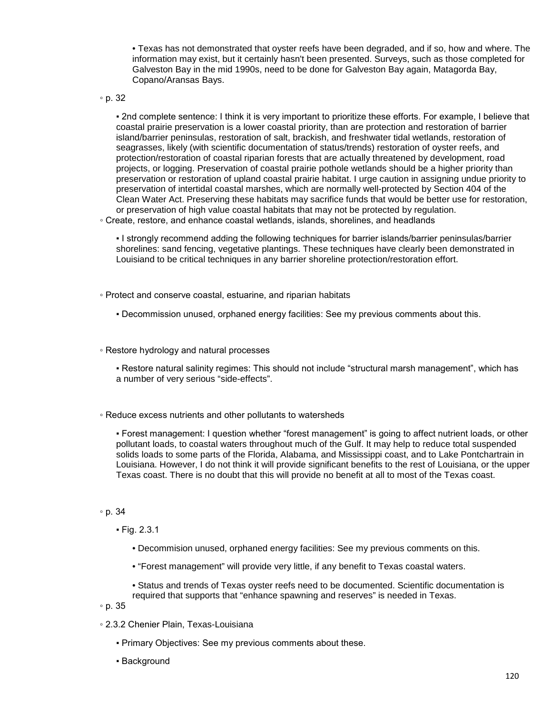• Texas has not demonstrated that oyster reefs have been degraded, and if so, how and where. The information may exist, but it certainly hasn't been presented. Surveys, such as those completed for Galveston Bay in the mid 1990s, need to be done for Galveston Bay again, Matagorda Bay, Copano/Aransas Bays.

◦ p. 32

▪ 2nd complete sentence: I think it is very important to prioritize these efforts. For example, I believe that coastal prairie preservation is a lower coastal priority, than are protection and restoration of barrier island/barrier peninsulas, restoration of salt, brackish, and freshwater tidal wetlands, restoration of seagrasses, likely (with scientific documentation of status/trends) restoration of oyster reefs, and protection/restoration of coastal riparian forests that are actually threatened by development, road projects, or logging. Preservation of coastal prairie pothole wetlands should be a higher priority than preservation or restoration of upland coastal prairie habitat. I urge caution in assigning undue priority to preservation of intertidal coastal marshes, which are normally well-protected by Section 404 of the Clean Water Act. Preserving these habitats may sacrifice funds that would be better use for restoration, or preservation of high value coastal habitats that may not be protected by regulation.

◦ Create, restore, and enhance coastal wetlands, islands, shorelines, and headlands

▪ I strongly recommend adding the following techniques for barrier islands/barrier peninsulas/barrier shorelines: sand fencing, vegetative plantings. These techniques have clearly been demonstrated in Louisiand to be critical techniques in any barrier shoreline protection/restoration effort.

◦ Protect and conserve coastal, estuarine, and riparian habitats

▪ Decommission unused, orphaned energy facilities: See my previous comments about this.

◦ Restore hydrology and natural processes

▪ Restore natural salinity regimes: This should not include "structural marsh management", which has a number of very serious "side-effects".

◦ Reduce excess nutrients and other pollutants to watersheds

▪ Forest management: I question whether "forest management" is going to affect nutrient loads, or other pollutant loads, to coastal waters throughout much of the Gulf. It may help to reduce total suspended solids loads to some parts of the Florida, Alabama, and Mississippi coast, and to Lake Pontchartrain in Louisiana. However, I do not think it will provide significant benefits to the rest of Louisiana, or the upper Texas coast. There is no doubt that this will provide no benefit at all to most of the Texas coast.

#### ◦ p. 34

▪ Fig. 2.3.1

- Decommision unused, orphaned energy facilities: See my previous comments on this.
- "Forest management" will provide very little, if any benefit to Texas coastal waters.
- Status and trends of Texas oyster reefs need to be documented. Scientific documentation is required that supports that "enhance spawning and reserves" is needed in Texas.

◦ p. 35

- 2.3.2 Chenier Plain, Texas-Louisiana
	- Primary Objectives: See my previous comments about these.
	- Background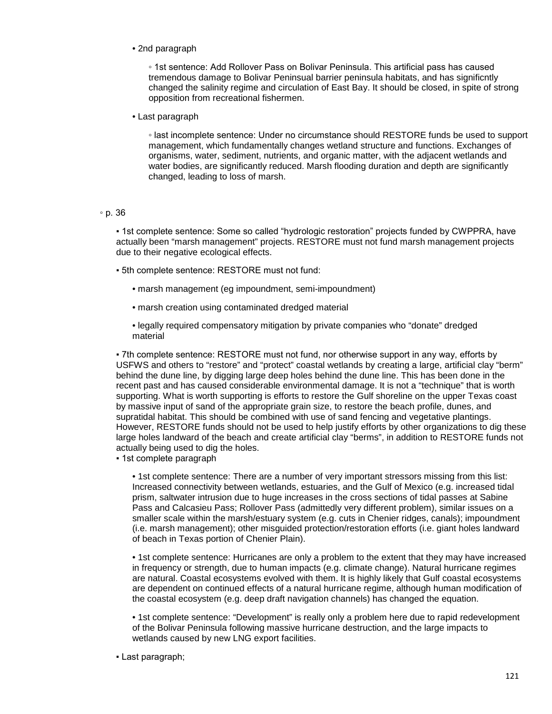• 2nd paragraph

◦ 1st sentence: Add Rollover Pass on Bolivar Peninsula. This artificial pass has caused tremendous damage to Bolivar Peninsual barrier peninsula habitats, and has significntly changed the salinity regime and circulation of East Bay. It should be closed, in spite of strong opposition from recreational fishermen.

• Last paragraph

◦ last incomplete sentence: Under no circumstance should RESTORE funds be used to support management, which fundamentally changes wetland structure and functions. Exchanges of organisms, water, sediment, nutrients, and organic matter, with the adjacent wetlands and water bodies, are significantly reduced. Marsh flooding duration and depth are significantly changed, leading to loss of marsh.

#### ◦ p. 36

▪ 1st complete sentence: Some so called "hydrologic restoration" projects funded by CWPPRA, have actually been "marsh management" projects. RESTORE must not fund marsh management projects due to their negative ecological effects.

- 5th complete sentence: RESTORE must not fund:
	- marsh management (eg impoundment, semi-impoundment)
	- marsh creation using contaminated dredged material
	- legally required compensatory mitigation by private companies who "donate" dredged material

▪ 7th complete sentence: RESTORE must not fund, nor otherwise support in any way, efforts by USFWS and others to "restore" and "protect" coastal wetlands by creating a large, artificial clay "berm" behind the dune line, by digging large deep holes behind the dune line. This has been done in the recent past and has caused considerable environmental damage. It is not a "technique" that is worth supporting. What is worth supporting is efforts to restore the Gulf shoreline on the upper Texas coast by massive input of sand of the appropriate grain size, to restore the beach profile, dunes, and supratidal habitat. This should be combined with use of sand fencing and vegetative plantings. However, RESTORE funds should not be used to help justify efforts by other organizations to dig these large holes landward of the beach and create artificial clay "berms", in addition to RESTORE funds not actually being used to dig the holes.

**· 1st complete paragraph** 

• 1st complete sentence: There are a number of very important stressors missing from this list: Increased connectivity between wetlands, estuaries, and the Gulf of Mexico (e.g. increased tidal prism, saltwater intrusion due to huge increases in the cross sections of tidal passes at Sabine Pass and Calcasieu Pass; Rollover Pass (admittedly very different problem), similar issues on a smaller scale within the marsh/estuary system (e.g. cuts in Chenier ridges, canals); impoundment (i.e. marsh management); other misguided protection/restoration efforts (i.e. giant holes landward of beach in Texas portion of Chenier Plain).

• 1st complete sentence: Hurricanes are only a problem to the extent that they may have increased in frequency or strength, due to human impacts (e.g. climate change). Natural hurricane regimes are natural. Coastal ecosystems evolved with them. It is highly likely that Gulf coastal ecosystems are dependent on continued effects of a natural hurricane regime, although human modification of the coastal ecosystem (e.g. deep draft navigation channels) has changed the equation.

• 1st complete sentence: "Development" is really only a problem here due to rapid redevelopment of the Bolivar Peninsula following massive hurricane destruction, and the large impacts to wetlands caused by new LNG export facilities.

▪ Last paragraph;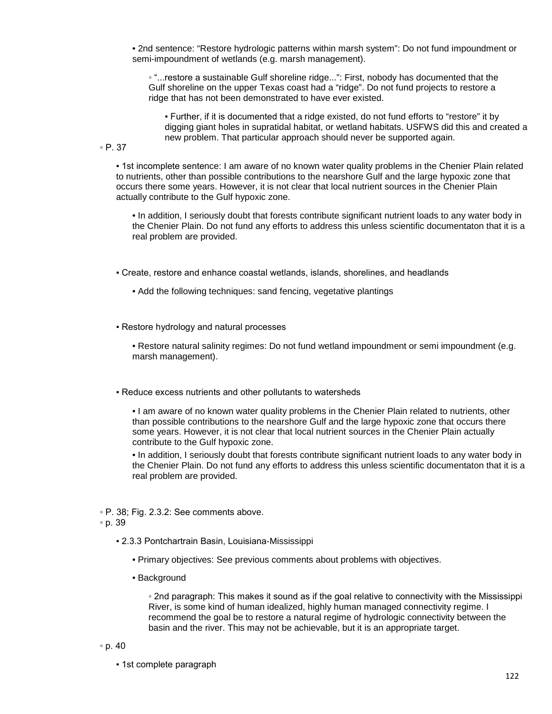• 2nd sentence: "Restore hydrologic patterns within marsh system": Do not fund impoundment or semi-impoundment of wetlands (e.g. marsh management).

◦ "...restore a sustainable Gulf shoreline ridge...": First, nobody has documented that the Gulf shoreline on the upper Texas coast had a "ridge". Do not fund projects to restore a ridge that has not been demonstrated to have ever existed.

▪ Further, if it is documented that a ridge existed, do not fund efforts to "restore" it by digging giant holes in supratidal habitat, or wetland habitats. USFWS did this and created a new problem. That particular approach should never be supported again.

◦ P. 37

▪ 1st incomplete sentence: I am aware of no known water quality problems in the Chenier Plain related to nutrients, other than possible contributions to the nearshore Gulf and the large hypoxic zone that occurs there some years. However, it is not clear that local nutrient sources in the Chenier Plain actually contribute to the Gulf hypoxic zone.

• In addition, I seriously doubt that forests contribute significant nutrient loads to any water body in the Chenier Plain. Do not fund any efforts to address this unless scientific documentaton that it is a real problem are provided.

▪ Create, restore and enhance coastal wetlands, islands, shorelines, and headlands

• Add the following techniques: sand fencing, vegetative plantings

▪ Restore hydrology and natural processes

• Restore natural salinity regimes: Do not fund wetland impoundment or semi impoundment (e.g. marsh management).

▪ Reduce excess nutrients and other pollutants to watersheds

• I am aware of no known water quality problems in the Chenier Plain related to nutrients, other than possible contributions to the nearshore Gulf and the large hypoxic zone that occurs there some years. However, it is not clear that local nutrient sources in the Chenier Plain actually contribute to the Gulf hypoxic zone.

• In addition, I seriously doubt that forests contribute significant nutrient loads to any water body in the Chenier Plain. Do not fund any efforts to address this unless scientific documentaton that it is a real problem are provided.

◦ P. 38; Fig. 2.3.2: See comments above.

◦ p. 39

- 2.3.3 Pontchartrain Basin, Louisiana-Mississippi
	- Primary objectives: See previous comments about problems with objectives.
	- Background

◦ 2nd paragraph: This makes it sound as if the goal relative to connectivity with the Mississippi River, is some kind of human idealized, highly human managed connectivity regime. I recommend the goal be to restore a natural regime of hydrologic connectivity between the basin and the river. This may not be achievable, but it is an appropriate target.

◦ p. 40

**· 1st complete paragraph**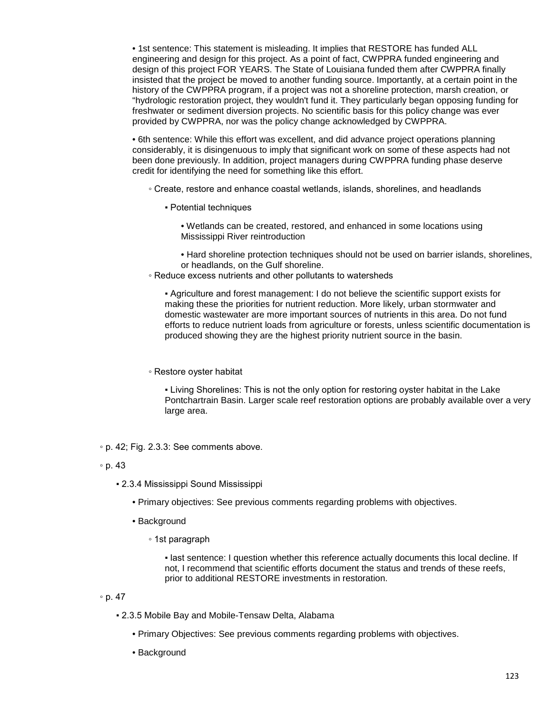• 1st sentence: This statement is misleading. It implies that RESTORE has funded ALL engineering and design for this project. As a point of fact, CWPPRA funded engineering and design of this project FOR YEARS. The State of Louisiana funded them after CWPPRA finally insisted that the project be moved to another funding source. Importantly, at a certain point in the history of the CWPPRA program, if a project was not a shoreline protection, marsh creation, or "hydrologic restoration project, they wouldn't fund it. They particularly began opposing funding for freshwater or sediment diversion projects. No scientific basis for this policy change was ever provided by CWPPRA, nor was the policy change acknowledged by CWPPRA.

• 6th sentence: While this effort was excellent, and did advance project operations planning considerably, it is disingenuous to imply that significant work on some of these aspects had not been done previously. In addition, project managers during CWPPRA funding phase deserve credit for identifying the need for something like this effort.

◦ Create, restore and enhance coastal wetlands, islands, shorelines, and headlands

▪ Potential techniques

• Wetlands can be created, restored, and enhanced in some locations using Mississippi River reintroduction

• Hard shoreline protection techniques should not be used on barrier islands, shorelines, or headlands, on the Gulf shoreline.

◦ Reduce excess nutrients and other pollutants to watersheds

▪ Agriculture and forest management: I do not believe the scientific support exists for making these the priorities for nutrient reduction. More likely, urban stormwater and domestic wastewater are more important sources of nutrients in this area. Do not fund efforts to reduce nutrient loads from agriculture or forests, unless scientific documentation is produced showing they are the highest priority nutrient source in the basin.

#### ◦ Restore oyster habitat

▪ Living Shorelines: This is not the only option for restoring oyster habitat in the Lake Pontchartrain Basin. Larger scale reef restoration options are probably available over a very large area.

◦ p. 42; Fig. 2.3.3: See comments above.

- 2.3.4 Mississippi Sound Mississippi
	- Primary objectives: See previous comments regarding problems with objectives.
	- Background
		- 1st paragraph

▪ last sentence: I question whether this reference actually documents this local decline. If not, I recommend that scientific efforts document the status and trends of these reefs, prior to additional RESTORE investments in restoration.

#### ◦ p. 47

- 2.3.5 Mobile Bay and Mobile-Tensaw Delta, Alabama
	- Primary Objectives: See previous comments regarding problems with objectives.
	- Background

<sup>◦</sup> p. 43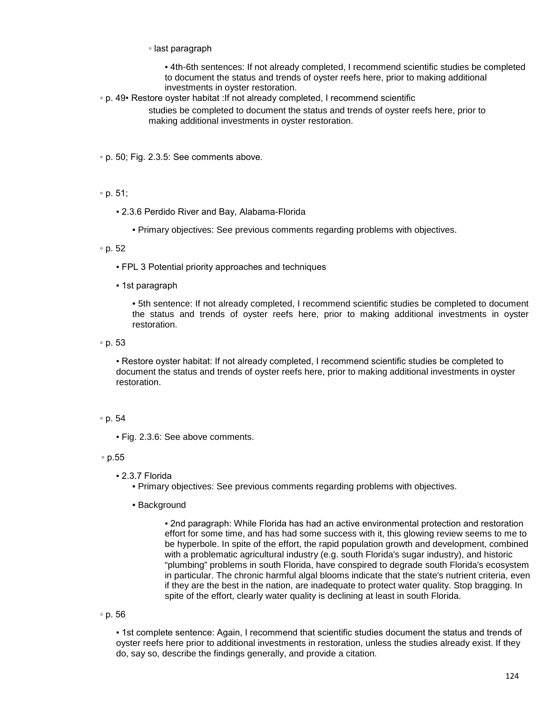◦ last paragraph

▪ 4th-6th sentences: If not already completed, I recommend scientific studies be completed to document the status and trends of oyster reefs here, prior to making additional investments in oyster restoration.

◦ p. 49• Restore oyster habitat :If not already completed, I recommend scientific

studies be completed to document the status and trends of oyster reefs here, prior to making additional investments in oyster restoration.

◦ p. 50; Fig. 2.3.5: See comments above.

◦ p. 51;

▪ 2.3.6 Perdido River and Bay, Alabama-Florida

• Primary objectives: See previous comments regarding problems with objectives.

◦ p. 52

▪ FPL 3 Potential priority approaches and techniques

▪ 1st paragraph

• 5th sentence: If not already completed, I recommend scientific studies be completed to document the status and trends of oyster reefs here, prior to making additional investments in oyster restoration.

◦ p. 53

▪ Restore oyster habitat: If not already completed, I recommend scientific studies be completed to document the status and trends of oyster reefs here, prior to making additional investments in oyster restoration.

# ◦ p. 54

▪ Fig. 2.3.6: See above comments.

◦ p.55

▪ 2.3.7 Florida

• Primary objectives: See previous comments regarding problems with objectives.

• Background

▪ 2nd paragraph: While Florida has had an active environmental protection and restoration effort for some time, and has had some success with it, this glowing review seems to me to be hyperbole. In spite of the effort, the rapid population growth and development, combined with a problematic agricultural industry (e.g. south Florida's sugar industry), and historic "plumbing" problems in south Florida, have conspired to degrade south Florida's ecosystem in particular. The chronic harmful algal blooms indicate that the state's nutrient criteria, even if they are the best in the nation, are inadequate to protect water quality. Stop bragging. In spite of the effort, clearly water quality is declining at least in south Florida.

◦ p. 56

▪ 1st complete sentence: Again, I recommend that scientific studies document the status and trends of oyster reefs here prior to additional investments in restoration, unless the studies already exist. If they do, say so, describe the findings generally, and provide a citation.